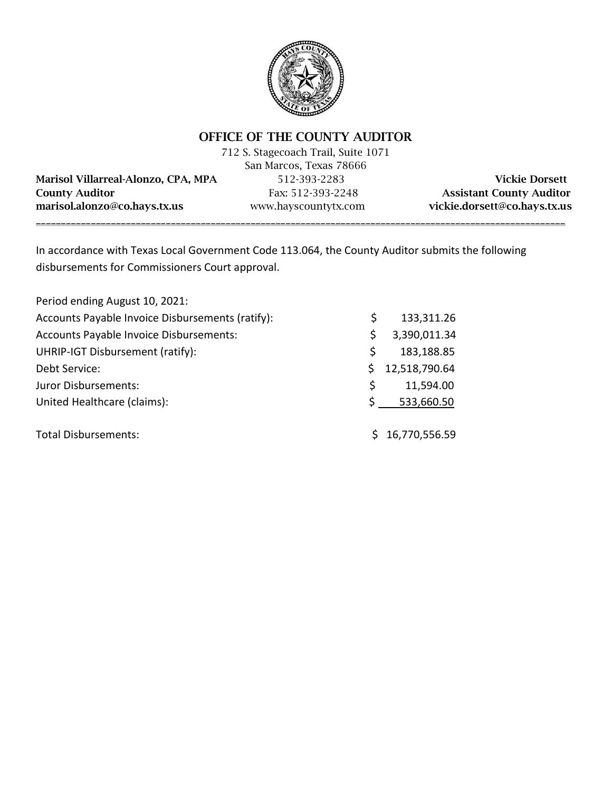

# OFFICE OF THE COUNTY AUDITOR

712 S. Stagecoach Trail, Suite 1071 San Marcos, Texas 78666 Marisol Villarreal-Alonzo, CPA, MPA 512-393-2283 Vickie Dorsett County Auditor Fax: 512-393-2248 Assistant County Auditor

marisol.alonzo@co.hays.tx.us www.hayscountytx.com vickie.dorsett@co.hays.tx.us \_\_\_\_\_\_\_\_\_\_\_\_\_\_\_\_\_\_\_\_\_\_\_\_\_\_\_\_\_\_\_\_\_\_\_\_\_\_\_\_\_\_\_\_\_\_\_\_\_\_\_\_\_\_\_\_\_\_\_\_\_\_\_\_\_\_\_\_\_\_\_\_\_\_\_\_\_\_\_\_\_\_\_\_\_\_\_\_\_\_\_\_\_\_\_\_\_\_\_\_\_\_\_\_\_\_

In accordance with Texas Local Government Code 113.064, the County Auditor submits the following disbursements for Commissioners Court approval.

| Period ending August 10, 2021:                   |    |                 |
|--------------------------------------------------|----|-----------------|
| Accounts Payable Invoice Disbursements (ratify): | S  | 133,311.26      |
| Accounts Payable Invoice Disbursements:          | \$ | 3,390,011.34    |
| UHRIP-IGT Disbursement (ratify):                 | S  | 183,188.85      |
| Debt Service:                                    |    | 12,518,790.64   |
| Juror Disbursements:                             | Ś  | 11,594.00       |
| United Healthcare (claims):                      |    | 533,660.50      |
| <b>Total Disbursements:</b>                      |    | \$16,770,556.59 |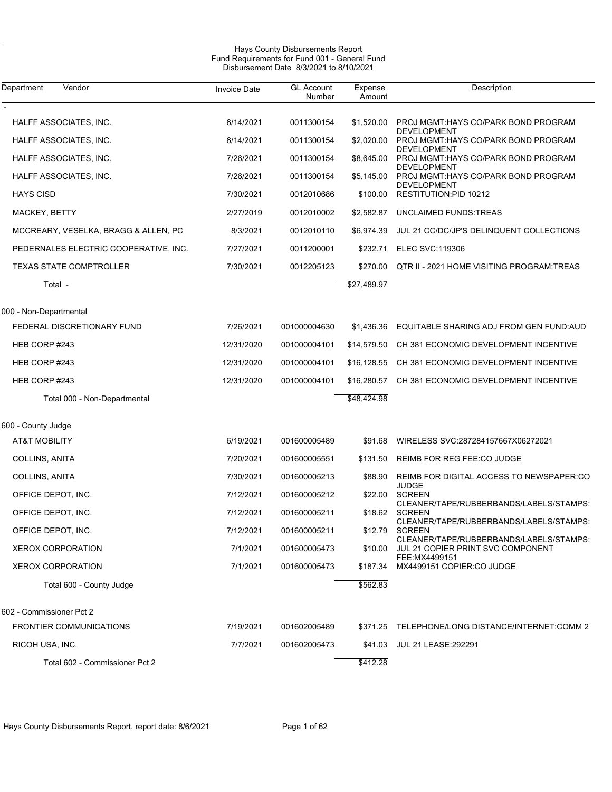| Hays County Disbursements Report<br>Fund Requirements for Fund 001 - General Fund<br>Disbursement Date 8/3/2021 to 8/10/2021 |                     |                             |                   |                                                            |  |
|------------------------------------------------------------------------------------------------------------------------------|---------------------|-----------------------------|-------------------|------------------------------------------------------------|--|
| Department<br>Vendor                                                                                                         | <b>Invoice Date</b> | <b>GL Account</b><br>Number | Expense<br>Amount | Description                                                |  |
| HALFF ASSOCIATES, INC.                                                                                                       | 6/14/2021           | 0011300154                  | \$1,520.00        | PROJ MGMT:HAYS CO/PARK BOND PROGRAM<br><b>DEVELOPMENT</b>  |  |
| HALFF ASSOCIATES, INC.                                                                                                       | 6/14/2021           | 0011300154                  | \$2,020.00        | PROJ MGMT: HAYS CO/PARK BOND PROGRAM<br><b>DEVELOPMENT</b> |  |
| HALFF ASSOCIATES, INC.                                                                                                       | 7/26/2021           | 0011300154                  | \$8.645.00        | PROJ MGMT: HAYS CO/PARK BOND PROGRAM<br><b>DEVELOPMENT</b> |  |
| HALFF ASSOCIATES, INC.                                                                                                       | 7/26/2021           | 0011300154                  | \$5.145.00        | PROJ MGMT: HAYS CO/PARK BOND PROGRAM                       |  |
| <b>HAYS CISD</b>                                                                                                             | 7/30/2021           | 0012010686                  | \$100.00          | <b>DEVELOPMENT</b><br>RESTITUTION:PID 10212                |  |
| MACKEY, BETTY                                                                                                                | 2/27/2019           | 0012010002                  | \$2,582.87        | UNCLAIMED FUNDS: TREAS                                     |  |
| MCCREARY, VESELKA, BRAGG & ALLEN, PC                                                                                         | 8/3/2021            | 0012010110                  | \$6,974.39        | JUL 21 CC/DC/JP'S DELINQUENT COLLECTIONS                   |  |
| PEDERNALES ELECTRIC COOPERATIVE, INC.                                                                                        | 7/27/2021           | 0011200001                  | \$232.71          | <b>ELEC SVC:119306</b>                                     |  |
| <b>TEXAS STATE COMPTROLLER</b>                                                                                               | 7/30/2021           | 0012205123                  | \$270.00          | QTR II - 2021 HOME VISITING PROGRAM: TREAS                 |  |
| Total -                                                                                                                      |                     |                             | \$27,489.97       |                                                            |  |
| 000 - Non-Departmental                                                                                                       |                     |                             |                   |                                                            |  |
| FEDERAL DISCRETIONARY FUND                                                                                                   | 7/26/2021           | 001000004630                | \$1,436.36        | EQUITABLE SHARING ADJ FROM GEN FUND AUD                    |  |
| HEB CORP #243                                                                                                                | 12/31/2020          | 001000004101                | \$14,579.50       | CH 381 ECONOMIC DEVELOPMENT INCENTIVE                      |  |
| HEB CORP #243                                                                                                                | 12/31/2020          | 001000004101                | \$16,128.55       | CH 381 ECONOMIC DEVELOPMENT INCENTIVE                      |  |
| HEB CORP #243                                                                                                                | 12/31/2020          | 001000004101                | \$16,280.57       | CH 381 ECONOMIC DEVELOPMENT INCENTIVE                      |  |
| Total 000 - Non-Departmental                                                                                                 |                     |                             | \$48,424.98       |                                                            |  |
| 600 - County Judge                                                                                                           |                     |                             |                   |                                                            |  |
| <b>AT&amp;T MOBILITY</b>                                                                                                     | 6/19/2021           | 001600005489                | \$91.68           | WIRELESS SVC:287284157667X06272021                         |  |
| COLLINS, ANITA                                                                                                               | 7/20/2021           | 001600005551                | \$131.50          | REIMB FOR REG FEE:CO JUDGE                                 |  |
| COLLINS, ANITA                                                                                                               | 7/30/2021           | 001600005213                | \$88.90           | REIMB FOR DIGITAL ACCESS TO NEWSPAPER:CO<br>JUDGE          |  |
| OFFICE DEPOT, INC.                                                                                                           | 7/12/2021           | 001600005212                | \$22.00           | <b>SCREEN</b><br>CLEANER/TAPE/RUBBERBANDS/LABELS/STAMPS:   |  |
| OFFICE DEPOT, INC.                                                                                                           | 7/12/2021           | 001600005211                | \$18.62           | SCREEN<br>CLEANER/TAPE/RUBBERBANDS/LABELS/STAMPS:          |  |
| OFFICE DEPOT, INC.                                                                                                           | 7/12/2021           | 001600005211                | \$12.79           | <b>SCREEN</b><br>CLEANER/TAPE/RUBBERBANDS/LABELS/STAMPS:   |  |
| <b>XEROX CORPORATION</b>                                                                                                     | 7/1/2021            | 001600005473                | \$10.00           | JUL 21 COPIER PRINT SVC COMPONENT<br>FEE:MX4499151         |  |
| <b>XEROX CORPORATION</b>                                                                                                     | 7/1/2021            | 001600005473                | \$187.34          | MX4499151 COPIER:CO JUDGE                                  |  |
| Total 600 - County Judge                                                                                                     |                     |                             | \$562.83          |                                                            |  |
| 602 - Commissioner Pct 2                                                                                                     |                     |                             |                   |                                                            |  |
| <b>FRONTIER COMMUNICATIONS</b>                                                                                               | 7/19/2021           | 001602005489                | \$371.25          | TELEPHONE/LONG DISTANCE/INTERNET:COMM 2                    |  |
| RICOH USA, INC.                                                                                                              | 7/7/2021            | 001602005473                | \$41.03           | <b>JUL 21 LEASE:292291</b>                                 |  |
| Total 602 - Commissioner Pct 2                                                                                               |                     |                             | \$412.28          |                                                            |  |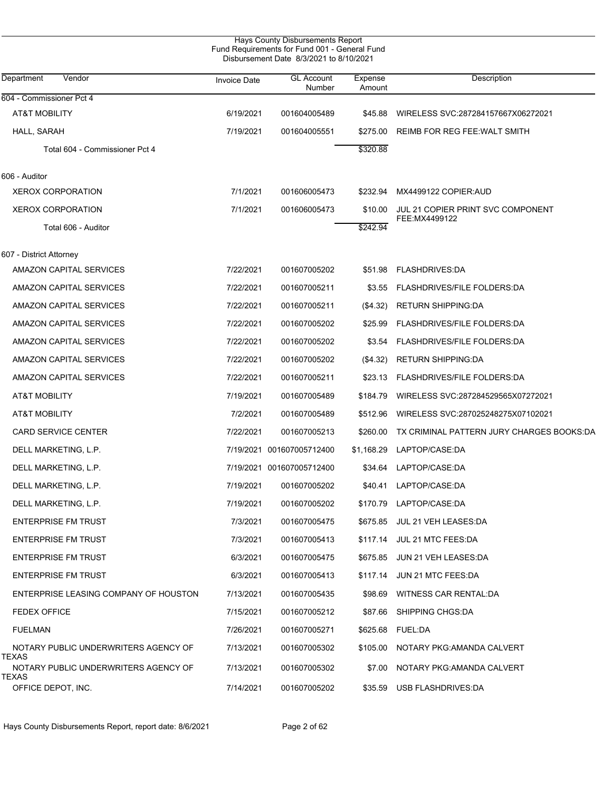|                                               |                     | Hays County Disbursements Report<br>Fund Requirements for Fund 001 - General Fund<br>Disbursement Date 8/3/2021 to 8/10/2021 |                   |                                           |  |
|-----------------------------------------------|---------------------|------------------------------------------------------------------------------------------------------------------------------|-------------------|-------------------------------------------|--|
| Vendor<br>Department                          | <b>Invoice Date</b> | <b>GL Account</b><br>Number                                                                                                  | Expense<br>Amount | Description                               |  |
| 604 - Commissioner Pct 4                      |                     |                                                                                                                              |                   |                                           |  |
| <b>AT&amp;T MOBILITY</b>                      | 6/19/2021           | 001604005489                                                                                                                 | \$45.88           | WIRELESS SVC:287284157667X06272021        |  |
| HALL, SARAH                                   | 7/19/2021           | 001604005551                                                                                                                 | \$275.00          | REIMB FOR REG FEE: WALT SMITH             |  |
| Total 604 - Commissioner Pct 4                |                     |                                                                                                                              | \$320.88          |                                           |  |
| 606 - Auditor                                 |                     |                                                                                                                              |                   |                                           |  |
| <b>XEROX CORPORATION</b>                      | 7/1/2021            | 001606005473                                                                                                                 | \$232.94          | MX4499122 COPIER:AUD                      |  |
| <b>XEROX CORPORATION</b>                      | 7/1/2021            | 001606005473                                                                                                                 | \$10.00           | JUL 21 COPIER PRINT SVC COMPONENT         |  |
| Total 606 - Auditor                           |                     |                                                                                                                              | \$242.94          | FEE:MX4499122                             |  |
| 607 - District Attorney                       |                     |                                                                                                                              |                   |                                           |  |
| AMAZON CAPITAL SERVICES                       | 7/22/2021           | 001607005202                                                                                                                 | \$51.98           | <b>FLASHDRIVES:DA</b>                     |  |
| AMAZON CAPITAL SERVICES                       | 7/22/2021           | 001607005211                                                                                                                 | \$3.55            | <b>FLASHDRIVES/FILE FOLDERS:DA</b>        |  |
| AMAZON CAPITAL SERVICES                       | 7/22/2021           | 001607005211                                                                                                                 | (\$4.32)          | <b>RETURN SHIPPING:DA</b>                 |  |
| AMAZON CAPITAL SERVICES                       | 7/22/2021           | 001607005202                                                                                                                 | \$25.99           | FLASHDRIVES/FILE FOLDERS:DA               |  |
| AMAZON CAPITAL SERVICES                       | 7/22/2021           | 001607005202                                                                                                                 | \$3.54            | <b>FLASHDRIVES/FILE FOLDERS:DA</b>        |  |
| AMAZON CAPITAL SERVICES                       | 7/22/2021           | 001607005202                                                                                                                 | $(\$4.32)$        | <b>RETURN SHIPPING:DA</b>                 |  |
| AMAZON CAPITAL SERVICES                       | 7/22/2021           | 001607005211                                                                                                                 | \$23.13           | FLASHDRIVES/FILE FOLDERS:DA               |  |
| <b>AT&amp;T MOBILITY</b>                      | 7/19/2021           | 001607005489                                                                                                                 | \$184.79          | WIRELESS SVC:287284529565X07272021        |  |
| <b>AT&amp;T MOBILITY</b>                      | 7/2/2021            | 001607005489                                                                                                                 | \$512.96          | WIRELESS SVC:287025248275X07102021        |  |
| <b>CARD SERVICE CENTER</b>                    | 7/22/2021           | 001607005213                                                                                                                 | \$260.00          | TX CRIMINAL PATTERN JURY CHARGES BOOKS:DA |  |
| DELL MARKETING, L.P.                          |                     | 7/19/2021 001607005712400                                                                                                    | \$1,168.29        | LAPTOP/CASE:DA                            |  |
| DELL MARKETING, L.P.                          |                     | 7/19/2021 001607005712400                                                                                                    | \$34.64           | LAPTOP/CASE:DA                            |  |
| DELL MARKETING, L.P.                          | 7/19/2021           | 001607005202                                                                                                                 |                   | \$40.41 LAPTOP/CASE:DA                    |  |
| DELL MARKETING, L.P.                          | 7/19/2021           | 001607005202                                                                                                                 |                   | \$170.79 LAPTOP/CASE:DA                   |  |
| <b>ENTERPRISE FM TRUST</b>                    | 7/3/2021            | 001607005475                                                                                                                 |                   | \$675.85 JUL 21 VEH LEASES:DA             |  |
| <b>ENTERPRISE FM TRUST</b>                    | 7/3/2021            | 001607005413                                                                                                                 |                   | \$117.14 JUL 21 MTC FEES:DA               |  |
| <b>ENTERPRISE FM TRUST</b>                    | 6/3/2021            | 001607005475                                                                                                                 |                   | \$675.85 JUN 21 VEH LEASES:DA             |  |
| <b>ENTERPRISE FM TRUST</b>                    | 6/3/2021            | 001607005413                                                                                                                 | \$117.14          | JUN 21 MTC FEES:DA                        |  |
| ENTERPRISE LEASING COMPANY OF HOUSTON         | 7/13/2021           | 001607005435                                                                                                                 | \$98.69           | WITNESS CAR RENTAL:DA                     |  |
| <b>FEDEX OFFICE</b>                           | 7/15/2021           | 001607005212                                                                                                                 | \$87.66           | SHIPPING CHGS:DA                          |  |
| <b>FUELMAN</b>                                | 7/26/2021           | 001607005271                                                                                                                 |                   | \$625.68 FUEL:DA                          |  |
| NOTARY PUBLIC UNDERWRITERS AGENCY OF<br>TEXAS | 7/13/2021           | 001607005302                                                                                                                 | \$105.00          | NOTARY PKG: AMANDA CALVERT                |  |
| NOTARY PUBLIC UNDERWRITERS AGENCY OF<br>TEXAS | 7/13/2021           | 001607005302                                                                                                                 | \$7.00            | NOTARY PKG:AMANDA CALVERT                 |  |
| OFFICE DEPOT, INC.                            | 7/14/2021           | 001607005202                                                                                                                 | \$35.59           | USB FLASHDRIVES:DA                        |  |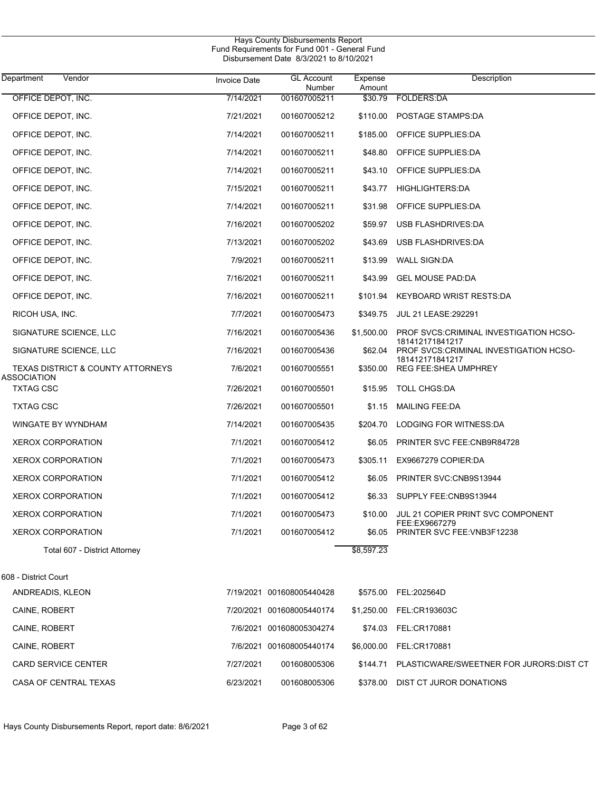| Hays County Disbursements Report<br>Fund Requirements for Fund 001 - General Fund<br>Disbursement Date 8/3/2021 to 8/10/2021 |                     |                             |                   |                                                           |  |  |
|------------------------------------------------------------------------------------------------------------------------------|---------------------|-----------------------------|-------------------|-----------------------------------------------------------|--|--|
| Vendor<br>Department                                                                                                         | <b>Invoice Date</b> | <b>GL Account</b><br>Number | Expense<br>Amount | Description                                               |  |  |
| OFFICE DEPOT, INC.                                                                                                           | 7/14/2021           | 001607005211                | \$30.79           | <b>FOLDERS:DA</b>                                         |  |  |
| OFFICE DEPOT, INC.                                                                                                           | 7/21/2021           | 001607005212                | \$110.00          | POSTAGE STAMPS:DA                                         |  |  |
| OFFICE DEPOT, INC.                                                                                                           | 7/14/2021           | 001607005211                | \$185.00          | OFFICE SUPPLIES:DA                                        |  |  |
| OFFICE DEPOT, INC.                                                                                                           | 7/14/2021           | 001607005211                | \$48.80           | OFFICE SUPPLIES:DA                                        |  |  |
| OFFICE DEPOT, INC.                                                                                                           | 7/14/2021           | 001607005211                | \$43.10           | OFFICE SUPPLIES:DA                                        |  |  |
| OFFICE DEPOT, INC.                                                                                                           | 7/15/2021           | 001607005211                | \$43.77           | <b>HIGHLIGHTERS:DA</b>                                    |  |  |
| OFFICE DEPOT, INC.                                                                                                           | 7/14/2021           | 001607005211                | \$31.98           | OFFICE SUPPLIES:DA                                        |  |  |
| OFFICE DEPOT, INC.                                                                                                           | 7/16/2021           | 001607005202                | \$59.97           | USB FLASHDRIVES:DA                                        |  |  |
| OFFICE DEPOT, INC.                                                                                                           | 7/13/2021           | 001607005202                | \$43.69           | USB FLASHDRIVES:DA                                        |  |  |
| OFFICE DEPOT, INC.                                                                                                           | 7/9/2021            | 001607005211                | \$13.99           | <b>WALL SIGN:DA</b>                                       |  |  |
| OFFICE DEPOT, INC.                                                                                                           | 7/16/2021           | 001607005211                | \$43.99           | <b>GEL MOUSE PAD:DA</b>                                   |  |  |
| OFFICE DEPOT, INC.                                                                                                           | 7/16/2021           | 001607005211                | \$101.94          | <b>KEYBOARD WRIST RESTS:DA</b>                            |  |  |
| RICOH USA, INC.                                                                                                              | 7/7/2021            | 001607005473                | \$349.75          | <b>JUL 21 LEASE: 292291</b>                               |  |  |
| SIGNATURE SCIENCE, LLC                                                                                                       | 7/16/2021           | 001607005436                | \$1,500.00        | PROF SVCS:CRIMINAL INVESTIGATION HCSO-<br>181412171841217 |  |  |
| SIGNATURE SCIENCE, LLC                                                                                                       | 7/16/2021           | 001607005436                | \$62.04           | PROF SVCS:CRIMINAL INVESTIGATION HCSO-<br>181412171841217 |  |  |
| <b>TEXAS DISTRICT &amp; COUNTY ATTORNEYS</b><br>ASSOCIATION                                                                  | 7/6/2021            | 001607005551                | \$350.00          | <b>REG FEE:SHEA UMPHREY</b>                               |  |  |
| <b>TXTAG CSC</b>                                                                                                             | 7/26/2021           | 001607005501                | \$15.95           | <b>TOLL CHGS:DA</b>                                       |  |  |
| <b>TXTAG CSC</b>                                                                                                             | 7/26/2021           | 001607005501                | \$1.15            | <b>MAILING FEE:DA</b>                                     |  |  |
| <b>WINGATE BY WYNDHAM</b>                                                                                                    | 7/14/2021           | 001607005435                | \$204.70          | LODGING FOR WITNESS:DA                                    |  |  |
| <b>XEROX CORPORATION</b>                                                                                                     | 7/1/2021            | 001607005412                | \$6.05            | PRINTER SVC FEE: CNB9R84728                               |  |  |
| <b>XEROX CORPORATION</b>                                                                                                     | 7/1/2021            | 001607005473                | \$305.11          | EX9667279 COPIER:DA                                       |  |  |
| <b>XEROX CORPORATION</b>                                                                                                     | 7/1/2021            | 001607005412                | \$6.05            | PRINTER SVC:CNB9S13944                                    |  |  |
| <b>XEROX CORPORATION</b>                                                                                                     | 7/1/2021            | 001607005412                |                   | \$6.33 SUPPLY FEE:CNB9S13944                              |  |  |
| <b>XEROX CORPORATION</b>                                                                                                     | 7/1/2021            | 001607005473                | \$10.00           | JUL 21 COPIER PRINT SVC COMPONENT<br>FEE:EX9667279        |  |  |
| <b>XEROX CORPORATION</b>                                                                                                     | 7/1/2021            | 001607005412                | \$6.05            | PRINTER SVC FEE: VNB3F12238                               |  |  |
| Total 607 - District Attorney                                                                                                |                     |                             | \$8,597.23        |                                                           |  |  |
| 608 - District Court                                                                                                         |                     |                             |                   |                                                           |  |  |
| ANDREADIS, KLEON                                                                                                             |                     | 7/19/2021 001608005440428   |                   | \$575.00 FEL:202564D                                      |  |  |
| CAINE, ROBERT                                                                                                                |                     | 7/20/2021 001608005440174   |                   | \$1,250.00 FEL:CR193603C                                  |  |  |
| CAINE, ROBERT                                                                                                                |                     | 7/6/2021 001608005304274    |                   | \$74.03 FEL:CR170881                                      |  |  |
| CAINE, ROBERT                                                                                                                |                     | 7/6/2021 001608005440174    |                   | \$6,000.00 FEL:CR170881                                   |  |  |
| <b>CARD SERVICE CENTER</b>                                                                                                   | 7/27/2021           | 001608005306                | \$144.71          | PLASTICWARE/SWEETNER FOR JURORS:DIST CT                   |  |  |
| CASA OF CENTRAL TEXAS                                                                                                        | 6/23/2021           | 001608005306                |                   | \$378.00 DIST CT JUROR DONATIONS                          |  |  |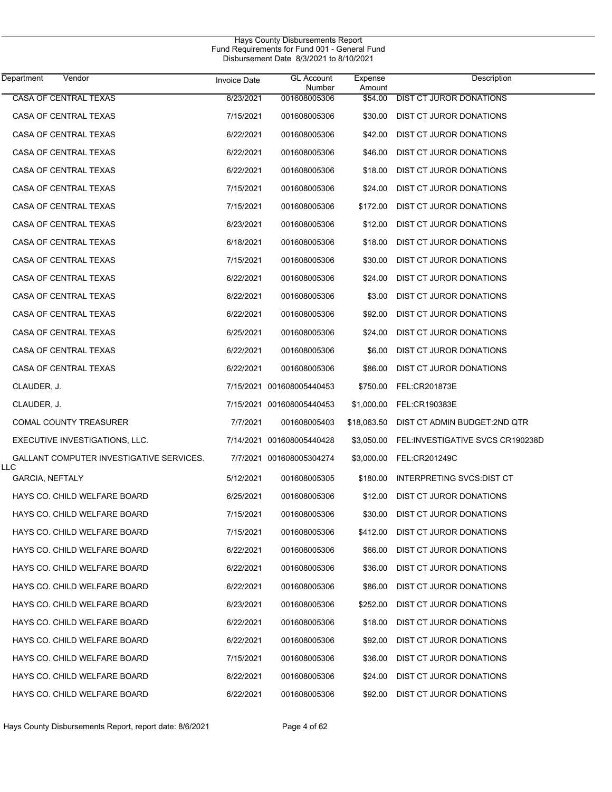$\overline{\phantom{0}}$ 

| Department<br>Vendor                            | <b>Invoice Date</b> | <b>GL Account</b><br>Number | Expense<br>Amount | Description                      |
|-------------------------------------------------|---------------------|-----------------------------|-------------------|----------------------------------|
| <b>CASA OF CENTRAL TEXAS</b>                    | 6/23/2021           | 001608005306                | \$54.00           | <b>DIST CT JUROR DONATIONS</b>   |
| CASA OF CENTRAL TEXAS                           | 7/15/2021           | 001608005306                | \$30.00           | DIST CT JUROR DONATIONS          |
| CASA OF CENTRAL TEXAS                           | 6/22/2021           | 001608005306                | \$42.00           | DIST CT JUROR DONATIONS          |
| CASA OF CENTRAL TEXAS                           | 6/22/2021           | 001608005306                | \$46.00           | DIST CT JUROR DONATIONS          |
| CASA OF CENTRAL TEXAS                           | 6/22/2021           | 001608005306                | \$18.00           | DIST CT JUROR DONATIONS          |
| CASA OF CENTRAL TEXAS                           | 7/15/2021           | 001608005306                | \$24.00           | DIST CT JUROR DONATIONS          |
| CASA OF CENTRAL TEXAS                           | 7/15/2021           | 001608005306                | \$172.00          | DIST CT JUROR DONATIONS          |
| CASA OF CENTRAL TEXAS                           | 6/23/2021           | 001608005306                | \$12.00           | DIST CT JUROR DONATIONS          |
| CASA OF CENTRAL TEXAS                           | 6/18/2021           | 001608005306                | \$18.00           | DIST CT JUROR DONATIONS          |
| CASA OF CENTRAL TEXAS                           | 7/15/2021           | 001608005306                | \$30.00           | DIST CT JUROR DONATIONS          |
| CASA OF CENTRAL TEXAS                           | 6/22/2021           | 001608005306                | \$24.00           | DIST CT JUROR DONATIONS          |
| CASA OF CENTRAL TEXAS                           | 6/22/2021           | 001608005306                | \$3.00            | DIST CT JUROR DONATIONS          |
| CASA OF CENTRAL TEXAS                           | 6/22/2021           | 001608005306                | \$92.00           | DIST CT JUROR DONATIONS          |
| CASA OF CENTRAL TEXAS                           | 6/25/2021           | 001608005306                | \$24.00           | DIST CT JUROR DONATIONS          |
| CASA OF CENTRAL TEXAS                           | 6/22/2021           | 001608005306                | \$6.00            | DIST CT JUROR DONATIONS          |
| CASA OF CENTRAL TEXAS                           | 6/22/2021           | 001608005306                | \$86.00           | DIST CT JUROR DONATIONS          |
| CLAUDER, J.                                     |                     | 7/15/2021 001608005440453   | \$750.00          | FEL:CR201873E                    |
| CLAUDER, J.                                     |                     | 7/15/2021 001608005440453   |                   | \$1,000.00 FEL:CR190383E         |
| <b>COMAL COUNTY TREASURER</b>                   | 7/7/2021            | 001608005403                | \$18,063.50       | DIST CT ADMIN BUDGET:2ND QTR     |
| EXECUTIVE INVESTIGATIONS, LLC.                  |                     | 7/14/2021 001608005440428   | \$3,050.00        | FEL:INVESTIGATIVE SVCS CR190238D |
| GALLANT COMPUTER INVESTIGATIVE SERVICES.<br>LLC |                     | 7/7/2021 001608005304274    | \$3,000.00        | FEL:CR201249C                    |
| <b>GARCIA, NEFTALY</b>                          | 5/12/2021           | 001608005305                | \$180.00          | INTERPRETING SVCS DIST CT        |
| HAYS CO. CHILD WELFARE BOARD                    | 6/25/2021           | 001608005306                | \$12.00           | DIST CT JUROR DONATIONS          |
| HAYS CO. CHILD WELFARE BOARD                    | 7/15/2021           | 001608005306                | \$30.00           | DIST CT JUROR DONATIONS          |
| HAYS CO. CHILD WELFARE BOARD                    | 7/15/2021           | 001608005306                | \$412.00          | DIST CT JUROR DONATIONS          |
| HAYS CO. CHILD WELFARE BOARD                    | 6/22/2021           | 001608005306                | \$66.00           | DIST CT JUROR DONATIONS          |
| HAYS CO. CHILD WELFARE BOARD                    | 6/22/2021           | 001608005306                | \$36.00           | DIST CT JUROR DONATIONS          |
| HAYS CO. CHILD WELFARE BOARD                    | 6/22/2021           | 001608005306                | \$86.00           | DIST CT JUROR DONATIONS          |
| HAYS CO. CHILD WELFARE BOARD                    | 6/23/2021           | 001608005306                | \$252.00          | DIST CT JUROR DONATIONS          |
| HAYS CO. CHILD WELFARE BOARD                    | 6/22/2021           | 001608005306                | \$18.00           | <b>DIST CT JUROR DONATIONS</b>   |
| HAYS CO. CHILD WELFARE BOARD                    | 6/22/2021           | 001608005306                | \$92.00           | DIST CT JUROR DONATIONS          |
| HAYS CO. CHILD WELFARE BOARD                    | 7/15/2021           | 001608005306                | \$36.00           | DIST CT JUROR DONATIONS          |
| HAYS CO. CHILD WELFARE BOARD                    | 6/22/2021           | 001608005306                | \$24.00           | DIST CT JUROR DONATIONS          |
| HAYS CO. CHILD WELFARE BOARD                    | 6/22/2021           | 001608005306                | \$92.00           | DIST CT JUROR DONATIONS          |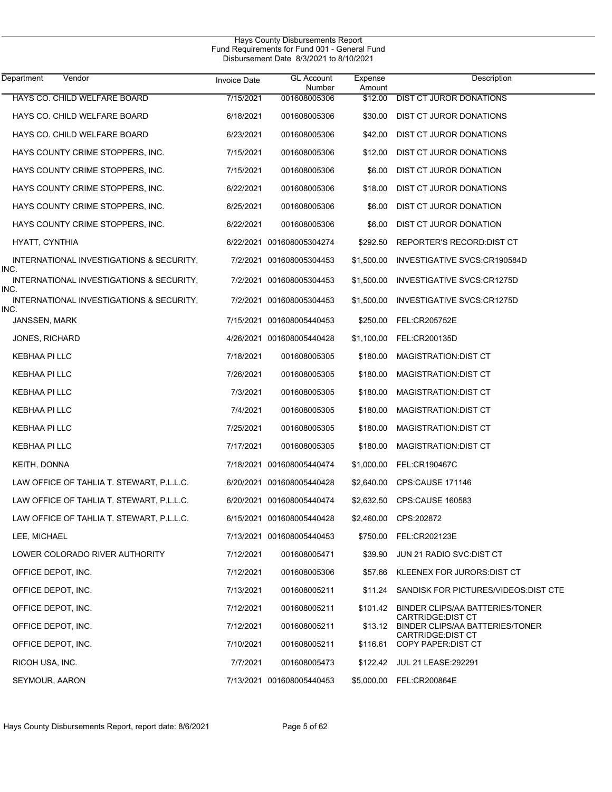| Department<br>Vendor                             | <b>Invoice Date</b> | <b>GL Account</b><br>Number | Expense<br>Amount | Description                                                         |
|--------------------------------------------------|---------------------|-----------------------------|-------------------|---------------------------------------------------------------------|
| HAYS CO. CHILD WELFARE BOARD                     | 7/15/2021           | 001608005306                | \$12.00           | <b>DIST CT JUROR DONATIONS</b>                                      |
| HAYS CO. CHILD WELFARE BOARD                     | 6/18/2021           | 001608005306                | \$30.00           | DIST CT JUROR DONATIONS                                             |
| HAYS CO. CHILD WELFARE BOARD                     | 6/23/2021           | 001608005306                | \$42.00           | DIST CT JUROR DONATIONS                                             |
| HAYS COUNTY CRIME STOPPERS, INC.                 | 7/15/2021           | 001608005306                | \$12.00           | DIST CT JUROR DONATIONS                                             |
| HAYS COUNTY CRIME STOPPERS, INC.                 | 7/15/2021           | 001608005306                | \$6.00            | DIST CT JUROR DONATION                                              |
| HAYS COUNTY CRIME STOPPERS, INC.                 | 6/22/2021           | 001608005306                | \$18.00           | DIST CT JUROR DONATIONS                                             |
| HAYS COUNTY CRIME STOPPERS, INC.                 | 6/25/2021           | 001608005306                | \$6.00            | DIST CT JUROR DONATION                                              |
| HAYS COUNTY CRIME STOPPERS, INC.                 | 6/22/2021           | 001608005306                | \$6.00            | DIST CT JUROR DONATION                                              |
| HYATT, CYNTHIA                                   |                     | 6/22/2021 001608005304274   | \$292.50          | REPORTER'S RECORD: DIST CT                                          |
| INTERNATIONAL INVESTIGATIONS & SECURITY,<br>INC. |                     | 7/2/2021 001608005304453    | \$1,500.00        | INVESTIGATIVE SVCS:CR190584D                                        |
| INTERNATIONAL INVESTIGATIONS & SECURITY,<br>INC. |                     | 7/2/2021 001608005304453    | \$1,500.00        | INVESTIGATIVE SVCS:CR1275D                                          |
| INTERNATIONAL INVESTIGATIONS & SECURITY,<br>INC. |                     | 7/2/2021 001608005304453    | \$1,500.00        | INVESTIGATIVE SVCS:CR1275D                                          |
| JANSSEN, MARK                                    |                     | 7/15/2021 001608005440453   | \$250.00          | FEL:CR205752E                                                       |
| JONES, RICHARD                                   |                     | 4/26/2021 001608005440428   | \$1,100.00        | FEL:CR200135D                                                       |
| KEBHAA PI LLC                                    | 7/18/2021           | 001608005305                | \$180.00          | MAGISTRATION: DIST CT                                               |
| KEBHAA PI LLC                                    | 7/26/2021           | 001608005305                | \$180.00          | MAGISTRATION: DIST CT                                               |
| KEBHAA PI LLC                                    | 7/3/2021            | 001608005305                | \$180.00          | MAGISTRATION: DIST CT                                               |
| KEBHAA PI LLC                                    | 7/4/2021            | 001608005305                | \$180.00          | MAGISTRATION: DIST CT                                               |
| KEBHAA PI LLC                                    | 7/25/2021           | 001608005305                | \$180.00          | MAGISTRATION: DIST CT                                               |
| KEBHAA PI LLC                                    | 7/17/2021           | 001608005305                | \$180.00          | MAGISTRATION: DIST CT                                               |
| KEITH, DONNA                                     |                     | 7/18/2021 001608005440474   | \$1,000.00        | <b>FEL:CR190467C</b>                                                |
| LAW OFFICE OF TAHLIA T. STEWART, P.L.L.C.        |                     | 6/20/2021 001608005440428   | \$2,640.00        | CPS:CAUSE 171146                                                    |
| LAW OFFICE OF TAHLIA T. STEWART, P.L.L.C.        |                     | 6/20/2021 001608005440474   | \$2,632.50        | <b>CPS:CAUSE 160583</b>                                             |
| LAW OFFICE OF TAHLIA T. STEWART, P.L.L.C.        |                     | 6/15/2021 001608005440428   |                   | \$2,460.00 CPS:202872                                               |
| LEE, MICHAEL                                     |                     | 7/13/2021 001608005440453   |                   | \$750.00 FEL:CR202123E                                              |
| LOWER COLORADO RIVER AUTHORITY                   | 7/12/2021           | 001608005471                |                   | \$39.90 JUN 21 RADIO SVC:DIST CT                                    |
| OFFICE DEPOT, INC.                               | 7/12/2021           | 001608005306                |                   | \$57.66 KLEENEX FOR JURORS:DIST CT                                  |
| OFFICE DEPOT, INC.                               | 7/13/2021           | 001608005211                | \$11.24           | SANDISK FOR PICTURES/VIDEOS:DIST CTE                                |
| OFFICE DEPOT, INC.                               | 7/12/2021           | 001608005211                | \$101.42          | BINDER CLIPS/AA BATTERIES/TONER                                     |
| OFFICE DEPOT, INC.                               | 7/12/2021           | 001608005211                |                   | <b>CARTRIDGE DIST CT</b><br>\$13.12 BINDER CLIPS/AA BATTERIES/TONER |
| OFFICE DEPOT, INC.                               | 7/10/2021           | 001608005211                |                   | <b>CARTRIDGE DIST CT</b><br>\$116.61 COPY PAPER:DIST CT             |
| RICOH USA, INC.                                  | 7/7/2021            | 001608005473                |                   | \$122.42 JUL 21 LEASE:292291                                        |
| SEYMOUR, AARON                                   |                     | 7/13/2021 001608005440453   |                   | \$5,000.00 FEL:CR200864E                                            |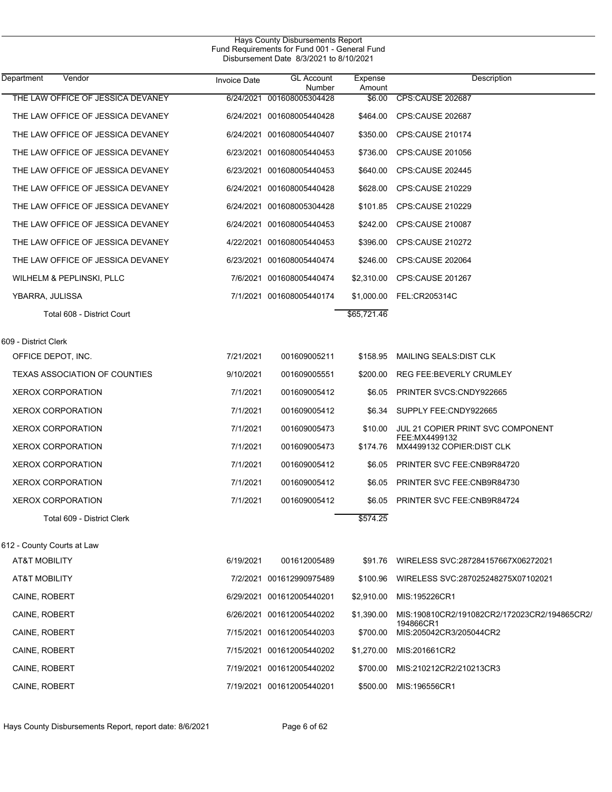| Department<br>Vendor                       | <b>Invoice Date</b> | <b>GL Account</b><br>Number | Expense<br>Amount | Description                                               |
|--------------------------------------------|---------------------|-----------------------------|-------------------|-----------------------------------------------------------|
| THE LAW OFFICE OF JESSICA DEVANEY          |                     | 6/24/2021 001608005304428   | \$6.00            | CPS:CAUSE 202687                                          |
| THE LAW OFFICE OF JESSICA DEVANEY          |                     | 6/24/2021 001608005440428   | \$464.00          | CPS:CAUSE 202687                                          |
| THE LAW OFFICE OF JESSICA DEVANEY          |                     | 6/24/2021 001608005440407   | \$350.00          | CPS:CAUSE 210174                                          |
| THE LAW OFFICE OF JESSICA DEVANEY          |                     | 6/23/2021 001608005440453   | \$736.00          | CPS:CAUSE 201056                                          |
| THE LAW OFFICE OF JESSICA DEVANEY          |                     | 6/23/2021 001608005440453   | \$640.00          | CPS:CAUSE 202445                                          |
| THE LAW OFFICE OF JESSICA DEVANEY          |                     | 6/24/2021 001608005440428   | \$628.00          | CPS:CAUSE 210229                                          |
| THE LAW OFFICE OF JESSICA DEVANEY          |                     | 6/24/2021 001608005304428   | \$101.85          | CPS:CAUSE 210229                                          |
| THE LAW OFFICE OF JESSICA DEVANEY          |                     | 6/24/2021 001608005440453   | \$242.00          | CPS:CAUSE 210087                                          |
| THE LAW OFFICE OF JESSICA DEVANEY          |                     | 4/22/2021 001608005440453   | \$396.00          | CPS:CAUSE 210272                                          |
| THE LAW OFFICE OF JESSICA DEVANEY          |                     | 6/23/2021 001608005440474   | \$246.00          | CPS:CAUSE 202064                                          |
| WILHELM & PEPLINSKI, PLLC                  |                     | 7/6/2021 001608005440474    | \$2,310.00        | CPS:CAUSE 201267                                          |
| YBARRA, JULISSA                            |                     | 7/1/2021 001608005440174    | \$1,000.00        | FEL:CR205314C                                             |
| Total 608 - District Court                 |                     |                             | \$65,721.46       |                                                           |
|                                            |                     |                             |                   |                                                           |
| 609 - District Clerk<br>OFFICE DEPOT, INC. | 7/21/2021           | 001609005211                | \$158.95          | MAILING SEALS: DIST CLK                                   |
| <b>TEXAS ASSOCIATION OF COUNTIES</b>       | 9/10/2021           | 001609005551                | \$200.00          | REG FEE: BEVERLY CRUMLEY                                  |
| <b>XEROX CORPORATION</b>                   | 7/1/2021            | 001609005412                | \$6.05            | PRINTER SVCS: CNDY922665                                  |
| <b>XEROX CORPORATION</b>                   | 7/1/2021            | 001609005412                | \$6.34            | SUPPLY FEE:CNDY922665                                     |
| <b>XEROX CORPORATION</b>                   | 7/1/2021            | 001609005473                | \$10.00           | JUL 21 COPIER PRINT SVC COMPONENT                         |
| <b>XEROX CORPORATION</b>                   | 7/1/2021            | 001609005473                | \$174.76          | FEE:MX4499132<br>MX4499132 COPIER: DIST CLK               |
| <b>XEROX CORPORATION</b>                   | 7/1/2021            | 001609005412                | \$6.05            | PRINTER SVC FEE:CNB9R84720                                |
| <b>XEROX CORPORATION</b>                   | 7/1/2021            | 001609005412                | \$6.05            | PRINTER SVC FEE:CNB9R84730                                |
| <b>XEROX CORPORATION</b>                   | 7/1/2021            | 001609005412                | \$6.05            | PRINTER SVC FEE:CNB9R84724                                |
| Total 609 - District Clerk                 |                     |                             | \$574.25          |                                                           |
|                                            |                     |                             |                   |                                                           |
| 612 - County Courts at Law                 |                     |                             |                   |                                                           |
| AT&T MOBILITY                              | 6/19/2021           | 001612005489                | \$91.76           | WIRELESS SVC:287284157667X06272021                        |
| <b>AT&amp;T MOBILITY</b>                   |                     | 7/2/2021 001612990975489    | \$100.96          | WIRELESS SVC:287025248275X07102021                        |
| CAINE, ROBERT                              |                     | 6/29/2021 001612005440201   | \$2,910.00        | MIS:195226CR1                                             |
| CAINE, ROBERT                              |                     | 6/26/2021 001612005440202   | \$1,390.00        | MIS:190810CR2/191082CR2/172023CR2/194865CR2/<br>194866CR1 |
| CAINE, ROBERT                              |                     | 7/15/2021 001612005440203   | \$700.00          | MIS:205042CR3/205044CR2                                   |
| CAINE, ROBERT                              |                     | 7/15/2021 001612005440202   | \$1,270.00        | MIS:201661CR2                                             |
| CAINE, ROBERT                              |                     | 7/19/2021 001612005440202   | \$700.00          | MIS:210212CR2/210213CR3                                   |
| CAINE, ROBERT                              |                     | 7/19/2021 001612005440201   | \$500.00          | MIS:196556CR1                                             |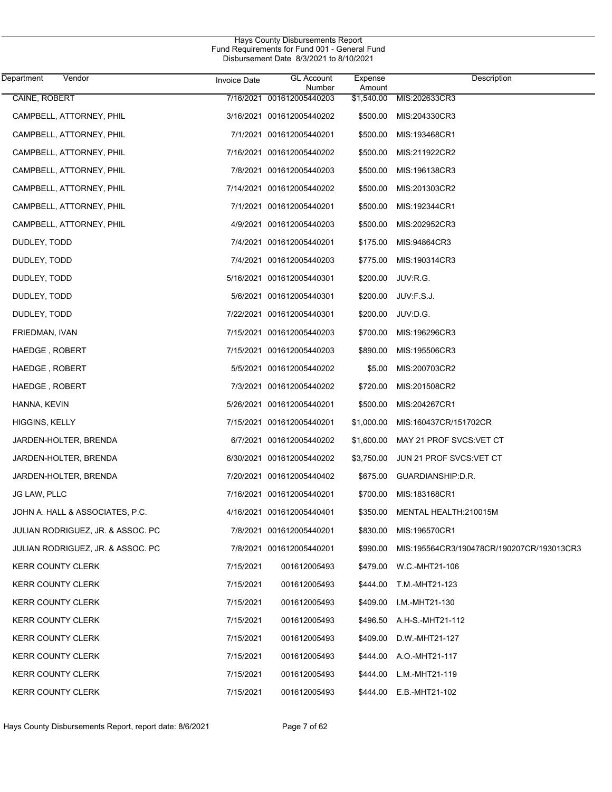| Department               | Vendor                            | <b>Invoice Date</b> | <b>GL Account</b><br>Number | Expense<br>Amount | Description                               |
|--------------------------|-----------------------------------|---------------------|-----------------------------|-------------------|-------------------------------------------|
| CAINE, ROBERT            |                                   |                     | 7/16/2021 001612005440203   | \$1,540.00        | MIS:202633CR3                             |
|                          | CAMPBELL, ATTORNEY, PHIL          |                     | 3/16/2021 001612005440202   | \$500.00          | MIS:204330CR3                             |
|                          | CAMPBELL, ATTORNEY, PHIL          |                     | 7/1/2021 001612005440201    | \$500.00          | MIS:193468CR1                             |
|                          | CAMPBELL, ATTORNEY, PHIL          |                     | 7/16/2021 001612005440202   | \$500.00          | MIS:211922CR2                             |
|                          | CAMPBELL, ATTORNEY, PHIL          |                     | 7/8/2021 001612005440203    | \$500.00          | MIS:196138CR3                             |
|                          | CAMPBELL, ATTORNEY, PHIL          |                     | 7/14/2021 001612005440202   | \$500.00          | MIS:201303CR2                             |
|                          | CAMPBELL, ATTORNEY, PHIL          |                     | 7/1/2021 001612005440201    | \$500.00          | MIS:192344CR1                             |
|                          | CAMPBELL, ATTORNEY, PHIL          |                     | 4/9/2021 001612005440203    | \$500.00          | MIS:202952CR3                             |
| DUDLEY, TODD             |                                   |                     | 7/4/2021 001612005440201    | \$175.00          | MIS:94864CR3                              |
| DUDLEY, TODD             |                                   |                     | 7/4/2021 001612005440203    | \$775.00          | MIS:190314CR3                             |
| DUDLEY, TODD             |                                   |                     | 5/16/2021 001612005440301   | \$200.00          | JUV:R.G.                                  |
| DUDLEY, TODD             |                                   |                     | 5/6/2021 001612005440301    | \$200.00          | JUV:F.S.J.                                |
| DUDLEY, TODD             |                                   |                     | 7/22/2021 001612005440301   | \$200.00          | JUV:D.G.                                  |
| FRIEDMAN, IVAN           |                                   |                     | 7/15/2021 001612005440203   | \$700.00          | MIS:196296CR3                             |
| HAEDGE, ROBERT           |                                   |                     | 7/15/2021 001612005440203   | \$890.00          | MIS:195506CR3                             |
| HAEDGE, ROBERT           |                                   |                     | 5/5/2021 001612005440202    | \$5.00            | MIS:200703CR2                             |
| HAEDGE, ROBERT           |                                   |                     | 7/3/2021 001612005440202    | \$720.00          | MIS:201508CR2                             |
| HANNA, KEVIN             |                                   |                     | 5/26/2021 001612005440201   | \$500.00          | MIS:204267CR1                             |
| HIGGINS, KELLY           |                                   |                     | 7/15/2021 001612005440201   | \$1,000.00        | MIS:160437CR/151702CR                     |
|                          | JARDEN-HOLTER, BRENDA             |                     | 6/7/2021 001612005440202    | \$1,600.00        | MAY 21 PROF SVCS VET CT                   |
|                          | JARDEN-HOLTER, BRENDA             |                     | 6/30/2021 001612005440202   | \$3,750.00        | JUN 21 PROF SVCS:VET CT                   |
|                          | JARDEN-HOLTER, BRENDA             |                     | 7/20/2021 001612005440402   | \$675.00          | GUARDIANSHIP:D.R.                         |
| <b>JG LAW, PLLC</b>      |                                   |                     | 7/16/2021 001612005440201   | \$700.00          | MIS:183168CR1                             |
|                          | JOHN A. HALL & ASSOCIATES, P.C.   |                     | 4/16/2021 001612005440401   | \$350.00          | MENTAL HEALTH:210015M                     |
|                          | JULIAN RODRIGUEZ, JR. & ASSOC. PC |                     | 7/8/2021 001612005440201    | \$830.00          | MIS:196570CR1                             |
|                          | JULIAN RODRIGUEZ, JR. & ASSOC. PC |                     | 7/8/2021 001612005440201    | \$990.00          | MIS:195564CR3/190478CR/190207CR/193013CR3 |
| <b>KERR COUNTY CLERK</b> |                                   | 7/15/2021           | 001612005493                | \$479.00          | W.C.-MHT21-106                            |
| <b>KERR COUNTY CLERK</b> |                                   | 7/15/2021           | 001612005493                | \$444.00          | T.M.-MHT21-123                            |
| <b>KERR COUNTY CLERK</b> |                                   | 7/15/2021           | 001612005493                | \$409.00          | I.M.-MHT21-130                            |
| <b>KERR COUNTY CLERK</b> |                                   | 7/15/2021           | 001612005493                | \$496.50          | A.H-S.-MHT21-112                          |
| <b>KERR COUNTY CLERK</b> |                                   | 7/15/2021           | 001612005493                | \$409.00          | D.W.-MHT21-127                            |
| <b>KERR COUNTY CLERK</b> |                                   | 7/15/2021           | 001612005493                | \$444.00          | A.O.-MHT21-117                            |
| <b>KERR COUNTY CLERK</b> |                                   | 7/15/2021           | 001612005493                | \$444.00          | L.M.-MHT21-119                            |
| <b>KERR COUNTY CLERK</b> |                                   | 7/15/2021           | 001612005493                |                   | \$444.00 E.B.-MHT21-102                   |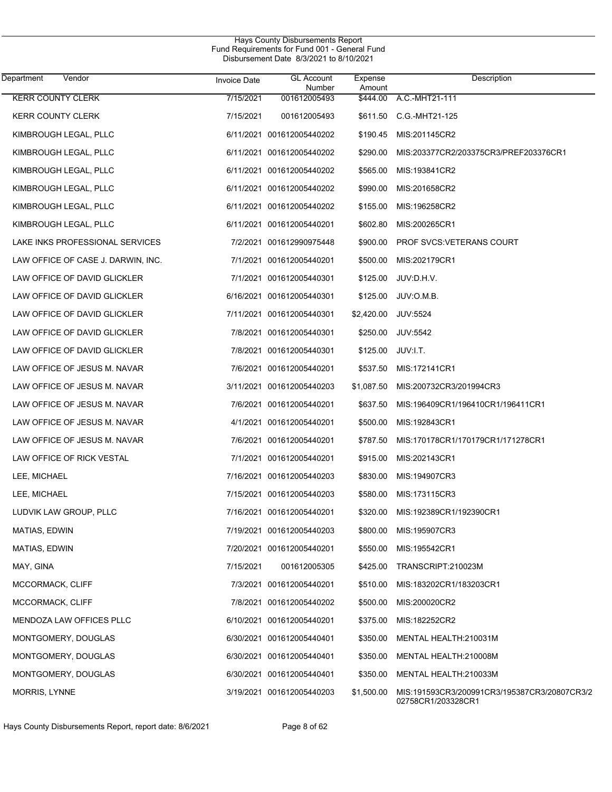| Department<br>Vendor               | Invoice Date | <b>GL Account</b><br>Number | Expense<br>Amount | Description                                                        |
|------------------------------------|--------------|-----------------------------|-------------------|--------------------------------------------------------------------|
| <b>KERR COUNTY CLERK</b>           | 7/15/2021    | 001612005493                | \$444.00          | A.C.-MHT21-111                                                     |
| <b>KERR COUNTY CLERK</b>           | 7/15/2021    | 001612005493                | \$611.50          | C.G.-MHT21-125                                                     |
| KIMBROUGH LEGAL, PLLC              |              | 6/11/2021 001612005440202   | \$190.45          | MIS:201145CR2                                                      |
| KIMBROUGH LEGAL, PLLC              |              | 6/11/2021 001612005440202   | \$290.00          | MIS:203377CR2/203375CR3/PREF203376CR1                              |
| KIMBROUGH LEGAL, PLLC              |              | 6/11/2021 001612005440202   | \$565.00          | MIS:193841CR2                                                      |
| KIMBROUGH LEGAL, PLLC              |              | 6/11/2021 001612005440202   | \$990.00          | MIS:201658CR2                                                      |
| KIMBROUGH LEGAL, PLLC              |              | 6/11/2021 001612005440202   | \$155.00          | MIS:196258CR2                                                      |
| KIMBROUGH LEGAL, PLLC              |              | 6/11/2021 001612005440201   | \$602.80          | MIS:200265CR1                                                      |
| LAKE INKS PROFESSIONAL SERVICES    |              | 7/2/2021 001612990975448    | \$900.00          | PROF SVCS: VETERANS COURT                                          |
| LAW OFFICE OF CASE J. DARWIN, INC. |              | 7/1/2021 001612005440201    | \$500.00          | MIS:202179CR1                                                      |
| LAW OFFICE OF DAVID GLICKLER       |              | 7/1/2021 001612005440301    | \$125.00          | JUV:D.H.V.                                                         |
| LAW OFFICE OF DAVID GLICKLER       |              | 6/16/2021 001612005440301   | \$125.00          | JUV:O.M.B.                                                         |
| LAW OFFICE OF DAVID GLICKLER       |              | 7/11/2021 001612005440301   | \$2,420.00        | <b>JUV:5524</b>                                                    |
| LAW OFFICE OF DAVID GLICKLER       |              | 7/8/2021 001612005440301    | \$250.00          | <b>JUV:5542</b>                                                    |
| LAW OFFICE OF DAVID GLICKLER       |              | 7/8/2021 001612005440301    | \$125.00          | JUV:I.T.                                                           |
| LAW OFFICE OF JESUS M. NAVAR       |              | 7/6/2021 001612005440201    | \$537.50          | MIS:172141CR1                                                      |
| LAW OFFICE OF JESUS M. NAVAR       |              | 3/11/2021 001612005440203   | \$1,087.50        | MIS:200732CR3/201994CR3                                            |
| LAW OFFICE OF JESUS M. NAVAR       |              | 7/6/2021 001612005440201    | \$637.50          | MIS:196409CR1/196410CR1/196411CR1                                  |
| LAW OFFICE OF JESUS M. NAVAR       |              | 4/1/2021 001612005440201    | \$500.00          | MIS:192843CR1                                                      |
| LAW OFFICE OF JESUS M. NAVAR       |              | 7/6/2021 001612005440201    | \$787.50          | MIS:170178CR1/170179CR1/171278CR1                                  |
| LAW OFFICE OF RICK VESTAL          |              | 7/1/2021 001612005440201    | \$915.00          | MIS:202143CR1                                                      |
| LEE, MICHAEL                       |              | 7/16/2021 001612005440203   | \$830.00          | MIS:194907CR3                                                      |
| LEE, MICHAEL                       |              | 7/15/2021 001612005440203   | \$580.00          | MIS:173115CR3                                                      |
| LUDVIK LAW GROUP, PLLC             |              | 7/16/2021 001612005440201   | \$320.00          | MIS:192389CR1/192390CR1                                            |
| MATIAS, EDWIN                      |              | 7/19/2021 001612005440203   | \$800.00          | MIS:195907CR3                                                      |
| MATIAS, EDWIN                      |              | 7/20/2021 001612005440201   | \$550.00          | MIS:195542CR1                                                      |
| MAY, GINA                          | 7/15/2021    | 001612005305                | \$425.00          | TRANSCRIPT:210023M                                                 |
| MCCORMACK, CLIFF                   |              | 7/3/2021 001612005440201    | \$510.00          | MIS:183202CR1/183203CR1                                            |
| MCCORMACK, CLIFF                   |              | 7/8/2021 001612005440202    | \$500.00          | MIS:200020CR2                                                      |
| MENDOZA LAW OFFICES PLLC           |              | 6/10/2021 001612005440201   | \$375.00          | MIS:182252CR2                                                      |
| MONTGOMERY, DOUGLAS                |              | 6/30/2021 001612005440401   | \$350.00          | MENTAL HEALTH:210031M                                              |
| MONTGOMERY, DOUGLAS                |              | 6/30/2021 001612005440401   | \$350.00          | MENTAL HEALTH:210008M                                              |
| MONTGOMERY, DOUGLAS                |              | 6/30/2021 001612005440401   | \$350.00          | MENTAL HEALTH:210033M                                              |
| MORRIS, LYNNE                      |              | 3/19/2021 001612005440203   | \$1,500.00        | MIS:191593CR3/200991CR3/195387CR3/20807CR3/2<br>02758CR1/203328CR1 |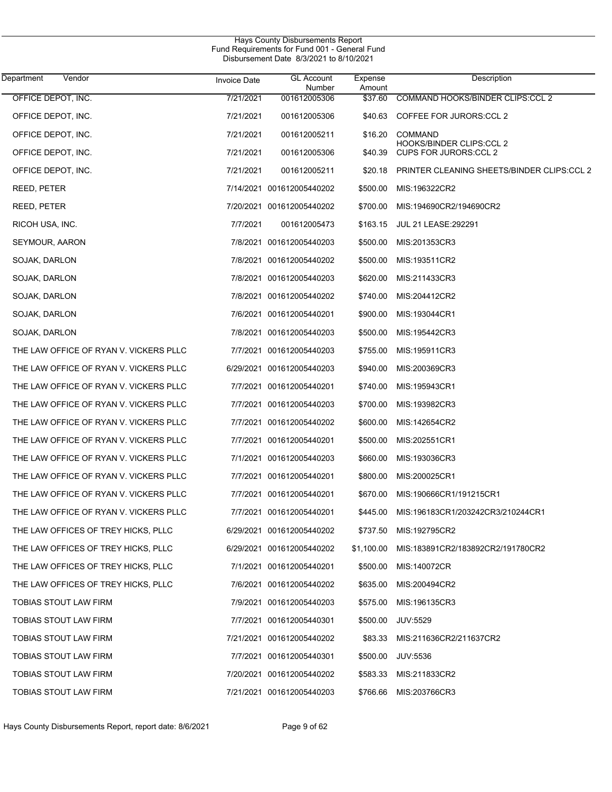| Department<br>Vendor                   | Invoice Date | <b>GL Account</b><br>Number | Expense<br>Amount | Description                                       |
|----------------------------------------|--------------|-----------------------------|-------------------|---------------------------------------------------|
| OFFICE DEPOT, INC.                     | 7/21/2021    | 001612005306                | \$37.60           | COMMAND HOOKS/BINDER CLIPS:CCL 2                  |
| OFFICE DEPOT, INC.                     | 7/21/2021    | 001612005306                | \$40.63           | COFFEE FOR JURORS:CCL 2                           |
| OFFICE DEPOT, INC.                     | 7/21/2021    | 001612005211                | \$16.20           | <b>COMMAND</b><br><b>HOOKS/BINDER CLIPS:CCL 2</b> |
| OFFICE DEPOT, INC.                     | 7/21/2021    | 001612005306                | \$40.39           | <b>CUPS FOR JURORS:CCL 2</b>                      |
| OFFICE DEPOT, INC.                     | 7/21/2021    | 001612005211                | \$20.18           | PRINTER CLEANING SHEETS/BINDER CLIPS:CCL 2        |
| REED, PETER                            |              | 7/14/2021 001612005440202   | \$500.00          | MIS:196322CR2                                     |
| REED, PETER                            |              | 7/20/2021 001612005440202   | \$700.00          | MIS:194690CR2/194690CR2                           |
| RICOH USA, INC.                        | 7/7/2021     | 001612005473                | \$163.15          | <b>JUL 21 LEASE: 292291</b>                       |
| SEYMOUR, AARON                         |              | 7/8/2021 001612005440203    | \$500.00          | MIS:201353CR3                                     |
| SOJAK, DARLON                          |              | 7/8/2021 001612005440202    | \$500.00          | MIS:193511CR2                                     |
| SOJAK, DARLON                          |              | 7/8/2021 001612005440203    | \$620.00          | MIS:211433CR3                                     |
| SOJAK, DARLON                          |              | 7/8/2021 001612005440202    | \$740.00          | MIS:204412CR2                                     |
| SOJAK, DARLON                          |              | 7/6/2021 001612005440201    | \$900.00          | MIS:193044CR1                                     |
| SOJAK, DARLON                          |              | 7/8/2021 001612005440203    | \$500.00          | MIS:195442CR3                                     |
| THE LAW OFFICE OF RYAN V. VICKERS PLLC |              | 7/7/2021 001612005440203    | \$755.00          | MIS:195911CR3                                     |
| THE LAW OFFICE OF RYAN V. VICKERS PLLC |              | 6/29/2021 001612005440203   | \$940.00          | MIS:200369CR3                                     |
| THE LAW OFFICE OF RYAN V. VICKERS PLLC |              | 7/7/2021 001612005440201    | \$740.00          | MIS:195943CR1                                     |
| THE LAW OFFICE OF RYAN V. VICKERS PLLC |              | 7/7/2021 001612005440203    | \$700.00          | MIS:193982CR3                                     |
| THE LAW OFFICE OF RYAN V. VICKERS PLLC |              | 7/7/2021 001612005440202    | \$600.00          | MIS:142654CR2                                     |
| THE LAW OFFICE OF RYAN V. VICKERS PLLC |              | 7/7/2021 001612005440201    | \$500.00          | MIS:202551CR1                                     |
| THE LAW OFFICE OF RYAN V. VICKERS PLLC |              | 7/1/2021 001612005440203    | \$660.00          | MIS:193036CR3                                     |
| THE LAW OFFICE OF RYAN V. VICKERS PLLC |              | 7/7/2021 001612005440201    | \$800.00          | MIS:200025CR1                                     |
| THE LAW OFFICE OF RYAN V. VICKERS PLLC |              | 7/7/2021 001612005440201    | \$670.00          | MIS:190666CR1/191215CR1                           |
| THE LAW OFFICE OF RYAN V. VICKERS PLLC |              | 7/7/2021 001612005440201    | \$445.00          | MIS:196183CR1/203242CR3/210244CR1                 |
| THE LAW OFFICES OF TREY HICKS, PLLC    |              | 6/29/2021 001612005440202   |                   | \$737.50 MIS:192795CR2                            |
| THE LAW OFFICES OF TREY HICKS, PLLC    |              | 6/29/2021 001612005440202   | \$1,100.00        | MIS:183891CR2/183892CR2/191780CR2                 |
| THE LAW OFFICES OF TREY HICKS, PLLC    |              | 7/1/2021 001612005440201    | \$500.00          | MIS:140072CR                                      |
| THE LAW OFFICES OF TREY HICKS, PLLC    |              | 7/6/2021 001612005440202    | \$635.00          | MIS:200494CR2                                     |
| TOBIAS STOUT LAW FIRM                  |              | 7/9/2021 001612005440203    | \$575.00          | MIS:196135CR3                                     |
| TOBIAS STOUT LAW FIRM                  |              | 7/7/2021 001612005440301    | \$500.00          | <b>JUV:5529</b>                                   |
| TOBIAS STOUT LAW FIRM                  |              | 7/21/2021 001612005440202   | \$83.33           | MIS:211636CR2/211637CR2                           |
| TOBIAS STOUT LAW FIRM                  |              | 7/7/2021 001612005440301    | \$500.00          | <b>JUV:5536</b>                                   |
| TOBIAS STOUT LAW FIRM                  |              | 7/20/2021 001612005440202   | \$583.33          | MIS:211833CR2                                     |
| TOBIAS STOUT LAW FIRM                  |              | 7/21/2021 001612005440203   | \$766.66          | MIS:203766CR3                                     |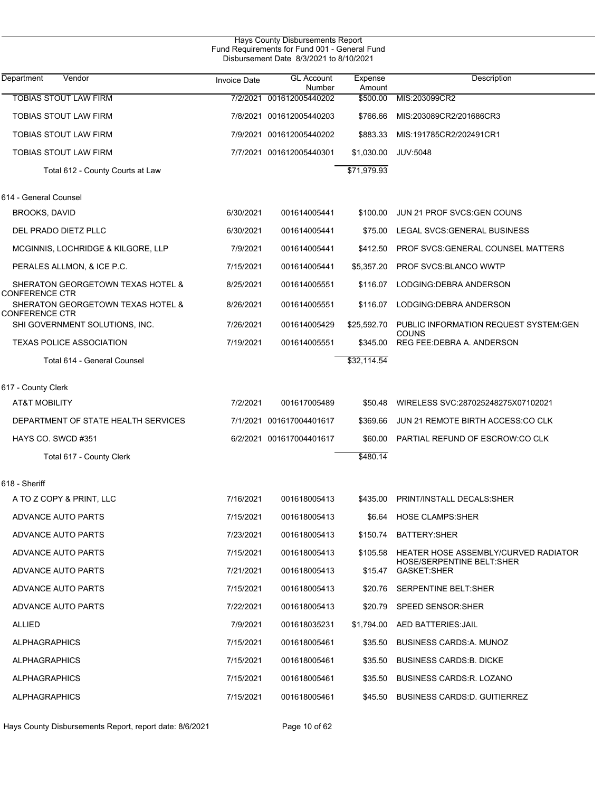|                                                            |                     | Hays County Disbursements Report<br>Fund Requirements for Fund 001 - General Fund<br>Disbursement Date 8/3/2021 to 8/10/2021 |                   |                                                                          |
|------------------------------------------------------------|---------------------|------------------------------------------------------------------------------------------------------------------------------|-------------------|--------------------------------------------------------------------------|
| Vendor<br>Department                                       | <b>Invoice Date</b> | <b>GL Account</b><br>Number                                                                                                  | Expense<br>Amount | Description                                                              |
| <b>TOBIAS STOUT LAW FIRM</b>                               |                     | 7/2/2021 001612005440202                                                                                                     | \$500.00          | MIS:203099CR2                                                            |
| <b>TOBIAS STOUT LAW FIRM</b>                               |                     | 7/8/2021 001612005440203                                                                                                     | \$766.66          | MIS:203089CR2/201686CR3                                                  |
| TOBIAS STOUT LAW FIRM                                      |                     | 7/9/2021 001612005440202                                                                                                     | \$883.33          | MIS:191785CR2/202491CR1                                                  |
| <b>TOBIAS STOUT LAW FIRM</b>                               |                     | 7/7/2021 001612005440301                                                                                                     | \$1.030.00        | <b>JUV:5048</b>                                                          |
| Total 612 - County Courts at Law                           |                     |                                                                                                                              | \$71,979.93       |                                                                          |
| 614 - General Counsel                                      |                     |                                                                                                                              |                   |                                                                          |
| BROOKS, DAVID                                              | 6/30/2021           | 001614005441                                                                                                                 | \$100.00          | JUN 21 PROF SVCS GEN COUNS                                               |
| DEL PRADO DIETZ PLLC                                       | 6/30/2021           | 001614005441                                                                                                                 | \$75.00           | LEGAL SVCS GENERAL BUSINESS                                              |
| MCGINNIS, LOCHRIDGE & KILGORE, LLP                         | 7/9/2021            | 001614005441                                                                                                                 | \$412.50          | PROF SVCS: GENERAL COUNSEL MATTERS                                       |
| PERALES ALLMON, & ICE P.C.                                 | 7/15/2021           | 001614005441                                                                                                                 | \$5,357.20        | <b>PROF SVCS:BLANCO WWTP</b>                                             |
| SHERATON GEORGETOWN TEXAS HOTEL &<br><b>CONFERENCE CTR</b> | 8/25/2021           | 001614005551                                                                                                                 | \$116.07          | LODGING: DEBRA ANDERSON                                                  |
| SHERATON GEORGETOWN TEXAS HOTEL &<br><b>CONFERENCE CTR</b> | 8/26/2021           | 001614005551                                                                                                                 | \$116.07          | LODGING: DEBRA ANDERSON                                                  |
| SHI GOVERNMENT SOLUTIONS, INC.                             | 7/26/2021           | 001614005429                                                                                                                 | \$25,592.70       | PUBLIC INFORMATION REQUEST SYSTEM GEN<br>COUNS                           |
| <b>TEXAS POLICE ASSOCIATION</b>                            | 7/19/2021           | 001614005551                                                                                                                 | \$345.00          | REG FEE:DEBRA A. ANDERSON                                                |
| Total 614 - General Counsel                                |                     |                                                                                                                              | \$32,114.54       |                                                                          |
| 617 - County Clerk                                         |                     |                                                                                                                              |                   |                                                                          |
| <b>AT&amp;T MOBILITY</b>                                   | 7/2/2021            | 001617005489                                                                                                                 | \$50.48           | WIRELESS SVC:287025248275X07102021                                       |
| DEPARTMENT OF STATE HEALTH SERVICES                        |                     | 7/1/2021 001617004401617                                                                                                     | \$369.66          | JUN 21 REMOTE BIRTH ACCESS: CO CLK                                       |
| HAYS CO. SWCD #351                                         |                     | 6/2/2021 001617004401617                                                                                                     | \$60.00           | PARTIAL REFUND OF ESCROW CO CLK                                          |
| Total 617 - County Clerk                                   |                     |                                                                                                                              | \$480.14          |                                                                          |
| 618 - Sheriff                                              |                     |                                                                                                                              |                   |                                                                          |
| A TO Z COPY & PRINT, LLC                                   | 7/16/2021           | 001618005413                                                                                                                 |                   | \$435.00 PRINT/INSTALL DECALS:SHER                                       |
| ADVANCE AUTO PARTS                                         | 7/15/2021           | 001618005413                                                                                                                 |                   | \$6.64 HOSE CLAMPS:SHER                                                  |
| ADVANCE AUTO PARTS                                         | 7/23/2021           | 001618005413                                                                                                                 |                   | \$150.74 BATTERY:SHER                                                    |
| ADVANCE AUTO PARTS                                         | 7/15/2021           | 001618005413                                                                                                                 | \$105.58          | HEATER HOSE ASSEMBLY/CURVED RADIATOR<br><b>HOSE/SERPENTINE BELT:SHER</b> |
| ADVANCE AUTO PARTS                                         | 7/21/2021           | 001618005413                                                                                                                 |                   | \$15.47 GASKET:SHER                                                      |
| ADVANCE AUTO PARTS                                         | 7/15/2021           | 001618005413                                                                                                                 |                   | \$20.76 SERPENTINE BELT:SHER                                             |
| ADVANCE AUTO PARTS                                         | 7/22/2021           | 001618005413                                                                                                                 |                   | \$20.79 SPEED SENSOR: SHER                                               |
| <b>ALLIED</b>                                              | 7/9/2021            | 001618035231                                                                                                                 |                   | \$1,794.00 AED BATTERIES: JAIL                                           |
| <b>ALPHAGRAPHICS</b>                                       | 7/15/2021           | 001618005461                                                                                                                 |                   | \$35.50 BUSINESS CARDS: A. MUNOZ                                         |
| <b>ALPHAGRAPHICS</b>                                       | 7/15/2021           | 001618005461                                                                                                                 |                   | \$35.50 BUSINESS CARDS: B. DICKE                                         |
| <b>ALPHAGRAPHICS</b>                                       | 7/15/2021           | 001618005461                                                                                                                 |                   | \$35.50 BUSINESS CARDS: R. LOZANO                                        |
| <b>ALPHAGRAPHICS</b>                                       | 7/15/2021           | 001618005461                                                                                                                 |                   | \$45.50 BUSINESS CARDS: D. GUITIERREZ                                    |

Hays County Disbursements Report, report date: 8/6/2021 Page 10 of 62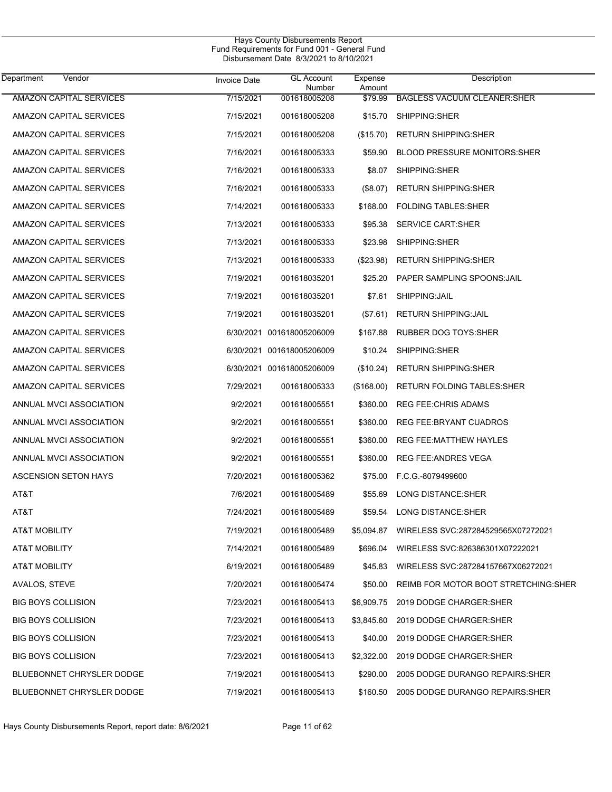| <b>Department</b><br>Vendor      | <b>Invoice Date</b> | <b>GL Account</b><br>Number | Expense<br>Amount | Description                                      |
|----------------------------------|---------------------|-----------------------------|-------------------|--------------------------------------------------|
| <b>AMAZON CAPITAL SERVICES</b>   | 7/15/2021           | 001618005208                | \$79.99           | <b>BAGLESS VACUUM CLEANER SHER</b>               |
| AMAZON CAPITAL SERVICES          | 7/15/2021           | 001618005208                | \$15.70           | SHIPPING:SHER                                    |
| AMAZON CAPITAL SERVICES          | 7/15/2021           | 001618005208                | (\$15.70)         | <b>RETURN SHIPPING: SHER</b>                     |
| AMAZON CAPITAL SERVICES          | 7/16/2021           | 001618005333                | \$59.90           | <b>BLOOD PRESSURE MONITORS:SHER</b>              |
| AMAZON CAPITAL SERVICES          | 7/16/2021           | 001618005333                | \$8.07            | SHIPPING:SHER                                    |
| AMAZON CAPITAL SERVICES          | 7/16/2021           | 001618005333                | (\$8.07)          | <b>RETURN SHIPPING:SHER</b>                      |
| AMAZON CAPITAL SERVICES          | 7/14/2021           | 001618005333                | \$168.00          | <b>FOLDING TABLES:SHER</b>                       |
| AMAZON CAPITAL SERVICES          | 7/13/2021           | 001618005333                | \$95.38           | <b>SERVICE CART:SHER</b>                         |
| AMAZON CAPITAL SERVICES          | 7/13/2021           | 001618005333                | \$23.98           | SHIPPING:SHER                                    |
| AMAZON CAPITAL SERVICES          | 7/13/2021           | 001618005333                | (\$23.98)         | <b>RETURN SHIPPING: SHER</b>                     |
| AMAZON CAPITAL SERVICES          | 7/19/2021           | 001618035201                | \$25.20           | PAPER SAMPLING SPOONS: JAIL                      |
| AMAZON CAPITAL SERVICES          | 7/19/2021           | 001618035201                | \$7.61            | SHIPPING: JAIL                                   |
| AMAZON CAPITAL SERVICES          | 7/19/2021           | 001618035201                | (\$7.61)          | <b>RETURN SHIPPING: JAIL</b>                     |
| AMAZON CAPITAL SERVICES          |                     | 6/30/2021 001618005206009   | \$167.88          | <b>RUBBER DOG TOYS: SHER</b>                     |
| AMAZON CAPITAL SERVICES          |                     | 6/30/2021 001618005206009   | \$10.24           | SHIPPING:SHER                                    |
| AMAZON CAPITAL SERVICES          |                     | 6/30/2021 001618005206009   | (\$10.24)         | <b>RETURN SHIPPING: SHER</b>                     |
| AMAZON CAPITAL SERVICES          | 7/29/2021           | 001618005333                | (\$168.00)        | RETURN FOLDING TABLES: SHER                      |
| ANNUAL MVCI ASSOCIATION          | 9/2/2021            | 001618005551                | \$360.00          | <b>REG FEE: CHRIS ADAMS</b>                      |
| ANNUAL MVCI ASSOCIATION          | 9/2/2021            | 001618005551                | \$360.00          | <b>REG FEE:BRYANT CUADROS</b>                    |
| ANNUAL MVCI ASSOCIATION          | 9/2/2021            | 001618005551                | \$360.00          | <b>REG FEE:MATTHEW HAYLES</b>                    |
| ANNUAL MVCI ASSOCIATION          | 9/2/2021            | 001618005551                | \$360.00          | REG FEE: ANDRES VEGA                             |
| <b>ASCENSION SETON HAYS</b>      | 7/20/2021           | 001618005362                | \$75.00           | F.C.G.-8079499600                                |
| AT&T                             | 7/6/2021            | 001618005489                | \$55.69           | LONG DISTANCE:SHER                               |
| AT&T                             | 7/24/2021           | 001618005489                | \$59.54           | <b>LONG DISTANCE:SHER</b>                        |
| AT&T MOBILITY                    | 7/19/2021           | 001618005489                |                   | \$5,094.87    WIRELESS SVC:287284529565X07272021 |
| <b>AT&amp;T MOBILITY</b>         | 7/14/2021           | 001618005489                | \$696.04          | WIRELESS SVC:826386301X07222021                  |
| <b>AT&amp;T MOBILITY</b>         | 6/19/2021           | 001618005489                | \$45.83           | WIRELESS SVC:287284157667X06272021               |
| AVALOS, STEVE                    | 7/20/2021           | 001618005474                | \$50.00           | REIMB FOR MOTOR BOOT STRETCHING: SHER            |
| <b>BIG BOYS COLLISION</b>        | 7/23/2021           | 001618005413                | \$6,909.75        | 2019 DODGE CHARGER:SHER                          |
| <b>BIG BOYS COLLISION</b>        | 7/23/2021           | 001618005413                | \$3,845.60        | 2019 DODGE CHARGER:SHER                          |
| <b>BIG BOYS COLLISION</b>        | 7/23/2021           | 001618005413                | \$40.00           | 2019 DODGE CHARGER: SHER                         |
| <b>BIG BOYS COLLISION</b>        | 7/23/2021           | 001618005413                | \$2,322.00        | 2019 DODGE CHARGER:SHER                          |
| <b>BLUEBONNET CHRYSLER DODGE</b> | 7/19/2021           | 001618005413                | \$290.00          | 2005 DODGE DURANGO REPAIRS: SHER                 |
| BLUEBONNET CHRYSLER DODGE        | 7/19/2021           | 001618005413                | \$160.50          | 2005 DODGE DURANGO REPAIRS: SHER                 |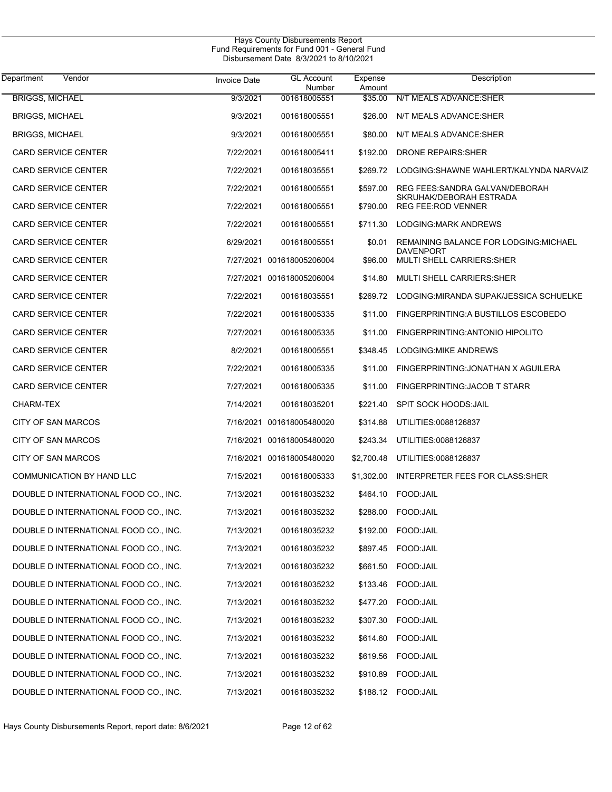| <b>Department</b><br>Vendor           | <b>Invoice Date</b> | <b>GL Account</b><br>Number | Expense<br>Amount | Description                                           |
|---------------------------------------|---------------------|-----------------------------|-------------------|-------------------------------------------------------|
| <b>BRIGGS, MICHAEL</b>                | 9/3/2021            | 001618005551                | \$35.00           | N/T MEALS ADVANCE: SHER                               |
| <b>BRIGGS, MICHAEL</b>                | 9/3/2021            | 001618005551                | \$26.00           | N/T MEALS ADVANCE: SHER                               |
| <b>BRIGGS, MICHAEL</b>                | 9/3/2021            | 001618005551                | \$80.00           | N/T MEALS ADVANCE: SHER                               |
| <b>CARD SERVICE CENTER</b>            | 7/22/2021           | 001618005411                | \$192.00          | DRONE REPAIRS: SHER                                   |
| CARD SERVICE CENTER                   | 7/22/2021           | 001618035551                | \$269.72          | LODGING:SHAWNE WAHLERT/KALYNDA NARVAIZ                |
| <b>CARD SERVICE CENTER</b>            | 7/22/2021           | 001618005551                | \$597.00          | REG FEES: SANDRA GALVAN/DEBORAH                       |
| CARD SERVICE CENTER                   | 7/22/2021           | 001618005551                | \$790.00          | SKRUHAK/DEBORAH ESTRADA<br><b>REG FEE:ROD VENNER</b>  |
| <b>CARD SERVICE CENTER</b>            | 7/22/2021           | 001618005551                | \$711.30          | LODGING: MARK ANDREWS                                 |
| CARD SERVICE CENTER                   | 6/29/2021           | 001618005551                | \$0.01            | REMAINING BALANCE FOR LODGING: MICHAEL                |
| <b>CARD SERVICE CENTER</b>            |                     | 7/27/2021 001618005206004   | \$96.00           | <b>DAVENPORT</b><br><b>MULTI SHELL CARRIERS: SHER</b> |
| CARD SERVICE CENTER                   |                     | 7/27/2021 001618005206004   | \$14.80           | <b>MULTI SHELL CARRIERS: SHER</b>                     |
| <b>CARD SERVICE CENTER</b>            | 7/22/2021           | 001618035551                | \$269.72          | LODGING: MIRANDA SUPAK/JESSICA SCHUELKE               |
| CARD SERVICE CENTER                   | 7/22/2021           | 001618005335                | \$11.00           | FINGERPRINTING: A BUSTILLOS ESCOBEDO                  |
| <b>CARD SERVICE CENTER</b>            | 7/27/2021           | 001618005335                | \$11.00           | FINGERPRINTING: ANTONIO HIPOLITO                      |
| CARD SERVICE CENTER                   | 8/2/2021            | 001618005551                | \$348.45          | LODGING: MIKE ANDREWS                                 |
| <b>CARD SERVICE CENTER</b>            | 7/22/2021           | 001618005335                | \$11.00           | FINGERPRINTING: JONATHAN X AGUILERA                   |
| <b>CARD SERVICE CENTER</b>            | 7/27/2021           | 001618005335                | \$11.00           | FINGERPRINTING: JACOB T STARR                         |
| <b>CHARM-TEX</b>                      | 7/14/2021           | 001618035201                | \$221.40          | <b>SPIT SOCK HOODS: JAIL</b>                          |
| CITY OF SAN MARCOS                    |                     | 7/16/2021 001618005480020   | \$314.88          | UTILITIES:0088126837                                  |
| CITY OF SAN MARCOS                    |                     | 7/16/2021 001618005480020   | \$243.34          | UTILITIES:0088126837                                  |
| CITY OF SAN MARCOS                    |                     | 7/16/2021 001618005480020   | \$2,700.48        | UTILITIES:0088126837                                  |
| COMMUNICATION BY HAND LLC             | 7/15/2021           | 001618005333                | \$1,302.00        | INTERPRETER FEES FOR CLASS: SHER                      |
| DOUBLE D INTERNATIONAL FOOD CO., INC. | 7/13/2021           | 001618035232                | \$464.10          | FOOD:JAIL                                             |
| DOUBLE D INTERNATIONAL FOOD CO., INC. | 7/13/2021           | 001618035232                | \$288.00          | FOOD:JAIL                                             |
| DOUBLE D INTERNATIONAL FOOD CO., INC. | 7/13/2021           | 001618035232                |                   | \$192.00 FOOD:JAIL                                    |
| DOUBLE D INTERNATIONAL FOOD CO., INC. | 7/13/2021           | 001618035232                | \$897.45          | FOOD:JAIL                                             |
| DOUBLE D INTERNATIONAL FOOD CO., INC. | 7/13/2021           | 001618035232                | \$661.50          | FOOD:JAIL                                             |
| DOUBLE D INTERNATIONAL FOOD CO., INC. | 7/13/2021           | 001618035232                | \$133.46          | FOOD:JAIL                                             |
| DOUBLE D INTERNATIONAL FOOD CO., INC. | 7/13/2021           | 001618035232                | \$477.20          | FOOD:JAIL                                             |
| DOUBLE D INTERNATIONAL FOOD CO., INC. | 7/13/2021           | 001618035232                | \$307.30          | FOOD:JAIL                                             |
| DOUBLE D INTERNATIONAL FOOD CO., INC. | 7/13/2021           | 001618035232                | \$614.60          | FOOD:JAIL                                             |
| DOUBLE D INTERNATIONAL FOOD CO., INC. | 7/13/2021           | 001618035232                | \$619.56          | FOOD:JAIL                                             |
| DOUBLE D INTERNATIONAL FOOD CO., INC. | 7/13/2021           | 001618035232                | \$910.89          | FOOD:JAIL                                             |
| DOUBLE D INTERNATIONAL FOOD CO., INC. | 7/13/2021           | 001618035232                | \$188.12          | FOOD:JAIL                                             |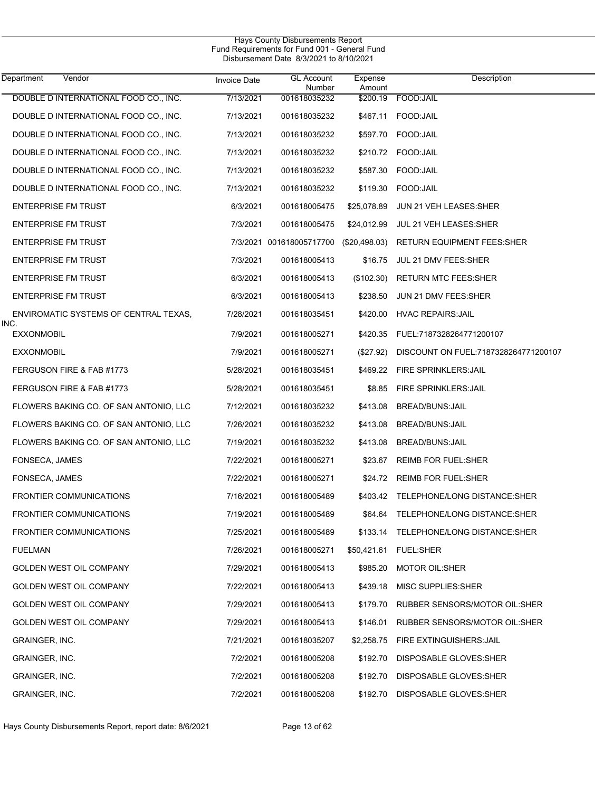| Hays County Disbursements Report<br>Fund Requirements for Fund 001 - General Fund<br>Disbursement Date 8/3/2021 to 8/10/2021 |                     |                             |                   |                                       |  |  |
|------------------------------------------------------------------------------------------------------------------------------|---------------------|-----------------------------|-------------------|---------------------------------------|--|--|
| Department<br>Vendor                                                                                                         | <b>Invoice Date</b> | <b>GL Account</b><br>Number | Expense<br>Amount | Description                           |  |  |
| DOUBLE D INTERNATIONAL FOOD CO., INC.                                                                                        | 7/13/2021           | 001618035232                | \$200.19          | FOOD: JAIL                            |  |  |
| DOUBLE D INTERNATIONAL FOOD CO., INC.                                                                                        | 7/13/2021           | 001618035232                | \$467.11          | FOOD:JAIL                             |  |  |
| DOUBLE D INTERNATIONAL FOOD CO., INC.                                                                                        | 7/13/2021           | 001618035232                | \$597.70          | FOOD: JAIL                            |  |  |
| DOUBLE D INTERNATIONAL FOOD CO., INC.                                                                                        | 7/13/2021           | 001618035232                | \$210.72          | FOOD:JAIL                             |  |  |
| DOUBLE D INTERNATIONAL FOOD CO., INC.                                                                                        | 7/13/2021           | 001618035232                | \$587.30          | FOOD:JAIL                             |  |  |
| DOUBLE D INTERNATIONAL FOOD CO., INC.                                                                                        | 7/13/2021           | 001618035232                | \$119.30          | FOOD:JAIL                             |  |  |
| <b>ENTERPRISE FM TRUST</b>                                                                                                   | 6/3/2021            | 001618005475                | \$25,078.89       | JUN 21 VEH LEASES: SHER               |  |  |
| <b>ENTERPRISE FM TRUST</b>                                                                                                   | 7/3/2021            | 001618005475                | \$24,012.99       | JUL 21 VEH LEASES:SHER                |  |  |
| <b>ENTERPRISE FM TRUST</b>                                                                                                   |                     | 7/3/2021 001618005717700    | (\$20,498.03)     | RETURN EQUIPMENT FEES:SHER            |  |  |
| <b>ENTERPRISE FM TRUST</b>                                                                                                   | 7/3/2021            | 001618005413                | \$16.75           | JUL 21 DMV FEES: SHER                 |  |  |
| <b>ENTERPRISE FM TRUST</b>                                                                                                   | 6/3/2021            | 001618005413                | $(\$102.30)$      | <b>RETURN MTC FEES:SHER</b>           |  |  |
| <b>ENTERPRISE FM TRUST</b>                                                                                                   | 6/3/2021            | 001618005413                | \$238.50          | JUN 21 DMV FEES: SHER                 |  |  |
| ENVIROMATIC SYSTEMS OF CENTRAL TEXAS,<br>INC.                                                                                | 7/28/2021           | 001618035451                | \$420.00          | <b>HVAC REPAIRS: JAIL</b>             |  |  |
| <b>EXXONMOBIL</b>                                                                                                            | 7/9/2021            | 001618005271                | \$420.35          | FUEL:7187328264771200107              |  |  |
| <b>EXXONMOBIL</b>                                                                                                            | 7/9/2021            | 001618005271                | $(\$27.92)$       | DISCOUNT ON FUEL:7187328264771200107  |  |  |
| FERGUSON FIRE & FAB #1773                                                                                                    | 5/28/2021           | 001618035451                |                   | \$469.22 FIRE SPRINKLERS: JAIL        |  |  |
| FERGUSON FIRE & FAB #1773                                                                                                    | 5/28/2021           | 001618035451                | \$8.85            | FIRE SPRINKLERS: JAIL                 |  |  |
| FLOWERS BAKING CO. OF SAN ANTONIO, LLC                                                                                       | 7/12/2021           | 001618035232                | \$413.08          | BREAD/BUNS: JAIL                      |  |  |
| FLOWERS BAKING CO. OF SAN ANTONIO, LLC                                                                                       | 7/26/2021           | 001618035232                | \$413.08          | BREAD/BUNS: JAIL                      |  |  |
| FLOWERS BAKING CO. OF SAN ANTONIO, LLC                                                                                       | 7/19/2021           | 001618035232                | \$413.08          | BREAD/BUNS: JAIL                      |  |  |
| FONSECA, JAMES                                                                                                               | 7/22/2021           | 001618005271                | \$23.67           | <b>REIMB FOR FUEL:SHER</b>            |  |  |
| FONSECA, JAMES                                                                                                               | 7/22/2021           | 001618005271                | \$24.72           | REIMB FOR FUEL:SHER                   |  |  |
| <b>FRONTIER COMMUNICATIONS</b>                                                                                               | 7/16/2021           | 001618005489                |                   | \$403.42 TELEPHONE/LONG DISTANCE:SHER |  |  |
| <b>FRONTIER COMMUNICATIONS</b>                                                                                               | 7/19/2021           | 001618005489                |                   | \$64.64 TELEPHONE/LONG DISTANCE:SHER  |  |  |
| <b>FRONTIER COMMUNICATIONS</b>                                                                                               | 7/25/2021           | 001618005489                |                   | \$133.14 TELEPHONE/LONG DISTANCE:SHER |  |  |
| <b>FUELMAN</b>                                                                                                               | 7/26/2021           | 001618005271                |                   | \$50,421.61 FUEL:SHER                 |  |  |
| <b>GOLDEN WEST OIL COMPANY</b>                                                                                               | 7/29/2021           | 001618005413                | \$985.20          | <b>MOTOR OIL:SHER</b>                 |  |  |
| <b>GOLDEN WEST OIL COMPANY</b>                                                                                               | 7/22/2021           | 001618005413                | \$439.18          | MISC SUPPLIES:SHER                    |  |  |
| GOLDEN WEST OIL COMPANY                                                                                                      | 7/29/2021           | 001618005413                | \$179.70          | RUBBER SENSORS/MOTOR OIL:SHER         |  |  |
| <b>GOLDEN WEST OIL COMPANY</b>                                                                                               | 7/29/2021           | 001618005413                | \$146.01          | RUBBER SENSORS/MOTOR OIL:SHER         |  |  |
| GRAINGER, INC.                                                                                                               | 7/21/2021           | 001618035207                |                   | \$2,258.75 FIRE EXTINGUISHERS: JAIL   |  |  |
| GRAINGER, INC.                                                                                                               | 7/2/2021            | 001618005208                | \$192.70          | DISPOSABLE GLOVES:SHER                |  |  |
| GRAINGER, INC.                                                                                                               | 7/2/2021            | 001618005208                | \$192.70          | DISPOSABLE GLOVES:SHER                |  |  |
| GRAINGER, INC.                                                                                                               | 7/2/2021            | 001618005208                |                   | \$192.70 DISPOSABLE GLOVES:SHER       |  |  |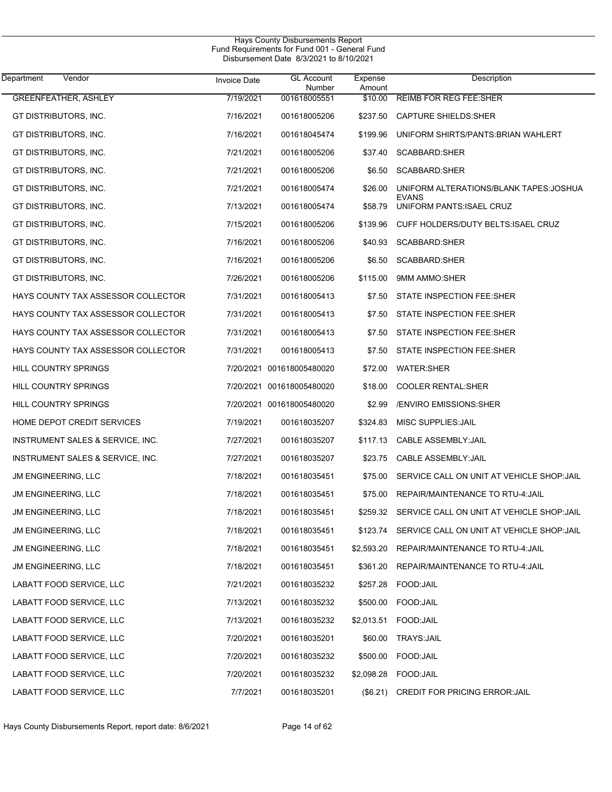| Department<br>Vendor               | <b>Invoice Date</b> | <b>GL Account</b><br>Number | Expense<br>Amount | Description                                        |
|------------------------------------|---------------------|-----------------------------|-------------------|----------------------------------------------------|
| <b>GREENFEATHER, ASHLEY</b>        | 7/19/2021           | 001618005551                | \$10.00           | <b>REIMB FOR REG FEE:SHER</b>                      |
| GT DISTRIBUTORS, INC.              | 7/16/2021           | 001618005206                | \$237.50          | <b>CAPTURE SHIELDS: SHER</b>                       |
| GT DISTRIBUTORS, INC.              | 7/16/2021           | 001618045474                | \$199.96          | UNIFORM SHIRTS/PANTS: BRIAN WAHLERT                |
| GT DISTRIBUTORS, INC.              | 7/21/2021           | 001618005206                | \$37.40           | SCABBARD:SHER                                      |
| GT DISTRIBUTORS, INC.              | 7/21/2021           | 001618005206                | \$6.50            | SCABBARD:SHER                                      |
| GT DISTRIBUTORS, INC.              | 7/21/2021           | 001618005474                | \$26.00           | UNIFORM ALTERATIONS/BLANK TAPES: JOSHUA            |
| GT DISTRIBUTORS, INC.              | 7/13/2021           | 001618005474                | \$58.79           | <b>EVANS</b><br>UNIFORM PANTS: ISAEL CRUZ          |
| GT DISTRIBUTORS, INC.              | 7/15/2021           | 001618005206                | \$139.96          | CUFF HOLDERS/DUTY BELTS: ISAEL CRUZ                |
| GT DISTRIBUTORS, INC.              | 7/16/2021           | 001618005206                | \$40.93           | SCABBARD:SHER                                      |
| GT DISTRIBUTORS, INC.              | 7/16/2021           | 001618005206                | \$6.50            | SCABBARD:SHER                                      |
| GT DISTRIBUTORS, INC.              | 7/26/2021           | 001618005206                | \$115.00          | 9MM AMMO:SHER                                      |
| HAYS COUNTY TAX ASSESSOR COLLECTOR | 7/31/2021           | 001618005413                | \$7.50            | STATE INSPECTION FEE:SHER                          |
| HAYS COUNTY TAX ASSESSOR COLLECTOR | 7/31/2021           | 001618005413                | \$7.50            | STATE INSPECTION FEE:SHER                          |
| HAYS COUNTY TAX ASSESSOR COLLECTOR | 7/31/2021           | 001618005413                | \$7.50            | STATE INSPECTION FEE:SHER                          |
| HAYS COUNTY TAX ASSESSOR COLLECTOR | 7/31/2021           | 001618005413                | \$7.50            | STATE INSPECTION FEE:SHER                          |
| HILL COUNTRY SPRINGS               |                     | 7/20/2021 001618005480020   | \$72.00           | <b>WATER:SHER</b>                                  |
| HILL COUNTRY SPRINGS               |                     | 7/20/2021 001618005480020   | \$18.00           | <b>COOLER RENTAL:SHER</b>                          |
| HILL COUNTRY SPRINGS               |                     | 7/20/2021 001618005480020   | \$2.99            | <b>ENVIRO EMISSIONS: SHER</b>                      |
| HOME DEPOT CREDIT SERVICES         | 7/19/2021           | 001618035207                | \$324.83          | MISC SUPPLIES: JAIL                                |
| INSTRUMENT SALES & SERVICE, INC.   | 7/27/2021           | 001618035207                | \$117.13          | CABLE ASSEMBLY: JAIL                               |
| INSTRUMENT SALES & SERVICE, INC.   | 7/27/2021           | 001618035207                | \$23.75           | CABLE ASSEMBLY: JAIL                               |
| <b>JM ENGINEERING, LLC</b>         | 7/18/2021           | 001618035451                | \$75.00           | SERVICE CALL ON UNIT AT VEHICLE SHOP: JAIL         |
| <b>JM ENGINEERING, LLC</b>         | 7/18/2021           | 001618035451                | \$75.00           | REPAIR/MAINTENANCE TO RTU-4: JAIL                  |
| <b>JM ENGINEERING, LLC</b>         | 7/18/2021           | 001618035451                |                   | \$259.32 SERVICE CALL ON UNIT AT VEHICLE SHOP:JAIL |
| <b>JM ENGINEERING, LLC</b>         | 7/18/2021           | 001618035451                | \$123.74          | SERVICE CALL ON UNIT AT VEHICLE SHOP: JAIL         |
| JM ENGINEERING, LLC                | 7/18/2021           | 001618035451                | \$2,593.20        | REPAIR/MAINTENANCE TO RTU-4: JAIL                  |
| JM ENGINEERING, LLC                | 7/18/2021           | 001618035451                | \$361.20          | REPAIR/MAINTENANCE TO RTU-4: JAIL                  |
| LABATT FOOD SERVICE, LLC           | 7/21/2021           | 001618035232                | \$257.28          | FOOD: JAIL                                         |
| LABATT FOOD SERVICE, LLC           | 7/13/2021           | 001618035232                | \$500.00          | FOOD: JAIL                                         |
| LABATT FOOD SERVICE, LLC           | 7/13/2021           | 001618035232                | \$2,013.51        | FOOD: JAIL                                         |
| LABATT FOOD SERVICE, LLC           | 7/20/2021           | 001618035201                | \$60.00           | TRAYS: JAIL                                        |
| LABATT FOOD SERVICE, LLC           | 7/20/2021           | 001618035232                | \$500.00          | FOOD:JAIL                                          |
| LABATT FOOD SERVICE, LLC           | 7/20/2021           | 001618035232                | \$2,098.28        | FOOD: JAIL                                         |
| LABATT FOOD SERVICE, LLC           | 7/7/2021            | 001618035201                | (\$6.21)          | <b>CREDIT FOR PRICING ERROR: JAIL</b>              |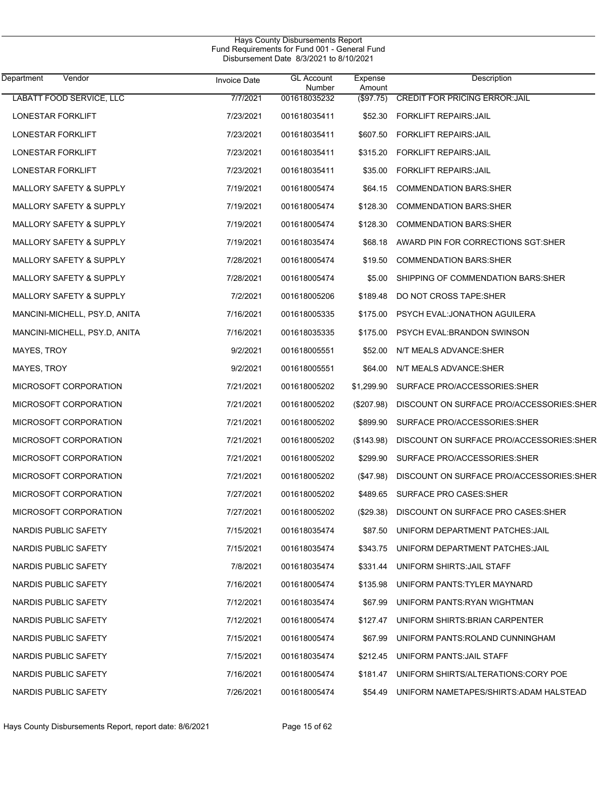| <b>Department</b><br>Vendor   | <b>Invoice Date</b> | <b>GL Account</b><br>Number | Expense<br>Amount | Description                              |
|-------------------------------|---------------------|-----------------------------|-------------------|------------------------------------------|
| LABATT FOOD SERVICE, LLC      | 7/7/2021            | 001618035232                | (\$97.75)         | <b>CREDIT FOR PRICING ERROR: JAIL</b>    |
| LONESTAR FORKLIFT             | 7/23/2021           | 001618035411                | \$52.30           | <b>FORKLIFT REPAIRS: JAIL</b>            |
| LONESTAR FORKLIFT             | 7/23/2021           | 001618035411                | \$607.50          | <b>FORKLIFT REPAIRS: JAIL</b>            |
| LONESTAR FORKLIFT             | 7/23/2021           | 001618035411                | \$315.20          | <b>FORKLIFT REPAIRS: JAIL</b>            |
| LONESTAR FORKLIFT             | 7/23/2021           | 001618035411                | \$35.00           | <b>FORKLIFT REPAIRS: JAIL</b>            |
| MALLORY SAFETY & SUPPLY       | 7/19/2021           | 001618005474                | \$64.15           | <b>COMMENDATION BARS SHER</b>            |
| MALLORY SAFETY & SUPPLY       | 7/19/2021           | 001618005474                | \$128.30          | <b>COMMENDATION BARS: SHER</b>           |
| MALLORY SAFETY & SUPPLY       | 7/19/2021           | 001618005474                | \$128.30          | <b>COMMENDATION BARS: SHER</b>           |
| MALLORY SAFETY & SUPPLY       | 7/19/2021           | 001618035474                | \$68.18           | AWARD PIN FOR CORRECTIONS SGT:SHER       |
| MALLORY SAFETY & SUPPLY       | 7/28/2021           | 001618005474                | \$19.50           | <b>COMMENDATION BARS:SHER</b>            |
| MALLORY SAFETY & SUPPLY       | 7/28/2021           | 001618005474                | \$5.00            | SHIPPING OF COMMENDATION BARS: SHER      |
| MALLORY SAFETY & SUPPLY       | 7/2/2021            | 001618005206                | \$189.48          | DO NOT CROSS TAPE: SHER                  |
| MANCINI-MICHELL, PSY.D, ANITA | 7/16/2021           | 001618005335                | \$175.00          | PSYCH EVAL: JONATHON AGUILERA            |
| MANCINI-MICHELL, PSY.D, ANITA | 7/16/2021           | 001618035335                | \$175.00          | <b>PSYCH EVAL: BRANDON SWINSON</b>       |
| MAYES, TROY                   | 9/2/2021            | 001618005551                | \$52.00           | N/T MEALS ADVANCE:SHER                   |
| MAYES, TROY                   | 9/2/2021            | 001618005551                | \$64.00           | N/T MEALS ADVANCE:SHER                   |
| MICROSOFT CORPORATION         | 7/21/2021           | 001618005202                | \$1,299.90        | SURFACE PRO/ACCESSORIES:SHER             |
| MICROSOFT CORPORATION         | 7/21/2021           | 001618005202                | $(\$207.98)$      | DISCOUNT ON SURFACE PRO/ACCESSORIES:SHER |
| MICROSOFT CORPORATION         | 7/21/2021           | 001618005202                | \$899.90          | SURFACE PRO/ACCESSORIES: SHER            |
| MICROSOFT CORPORATION         | 7/21/2021           | 001618005202                | (\$143.98)        | DISCOUNT ON SURFACE PRO/ACCESSORIES:SHER |
| MICROSOFT CORPORATION         | 7/21/2021           | 001618005202                | \$299.90          | SURFACE PRO/ACCESSORIES:SHER             |
| MICROSOFT CORPORATION         | 7/21/2021           | 001618005202                | (\$47.98)         | DISCOUNT ON SURFACE PRO/ACCESSORIES:SHER |
| MICROSOFT CORPORATION         | 7/27/2021           | 001618005202                | \$489.65          | SURFACE PRO CASES: SHER                  |
| MICROSOFT CORPORATION         | 7/27/2021           | 001618005202                | (\$29.38)         | DISCOUNT ON SURFACE PRO CASES: SHER      |
| NARDIS PUBLIC SAFETY          | 7/15/2021           | 001618035474                | \$87.50           | UNIFORM DEPARTMENT PATCHES: JAIL         |
| NARDIS PUBLIC SAFETY          | 7/15/2021           | 001618035474                | \$343.75          | UNIFORM DEPARTMENT PATCHES: JAIL         |
| NARDIS PUBLIC SAFETY          | 7/8/2021            | 001618035474                | \$331.44          | UNIFORM SHIRTS: JAIL STAFF               |
| NARDIS PUBLIC SAFETY          | 7/16/2021           | 001618005474                | \$135.98          | UNIFORM PANTS TYLER MAYNARD              |
| NARDIS PUBLIC SAFETY          | 7/12/2021           | 001618035474                | \$67.99           | UNIFORM PANTS: RYAN WIGHTMAN             |
| NARDIS PUBLIC SAFETY          | 7/12/2021           | 001618005474                | \$127.47          | UNIFORM SHIRTS: BRIAN CARPENTER          |
| NARDIS PUBLIC SAFETY          | 7/15/2021           | 001618005474                | \$67.99           | UNIFORM PANTS: ROLAND CUNNINGHAM         |
| NARDIS PUBLIC SAFETY          | 7/15/2021           | 001618035474                | \$212.45          | UNIFORM PANTS: JAIL STAFF                |
| NARDIS PUBLIC SAFETY          | 7/16/2021           | 001618005474                | \$181.47          | UNIFORM SHIRTS/ALTERATIONS:CORY POE      |
| NARDIS PUBLIC SAFETY          | 7/26/2021           | 001618005474                | \$54.49           | UNIFORM NAMETAPES/SHIRTS: ADAM HALSTEAD  |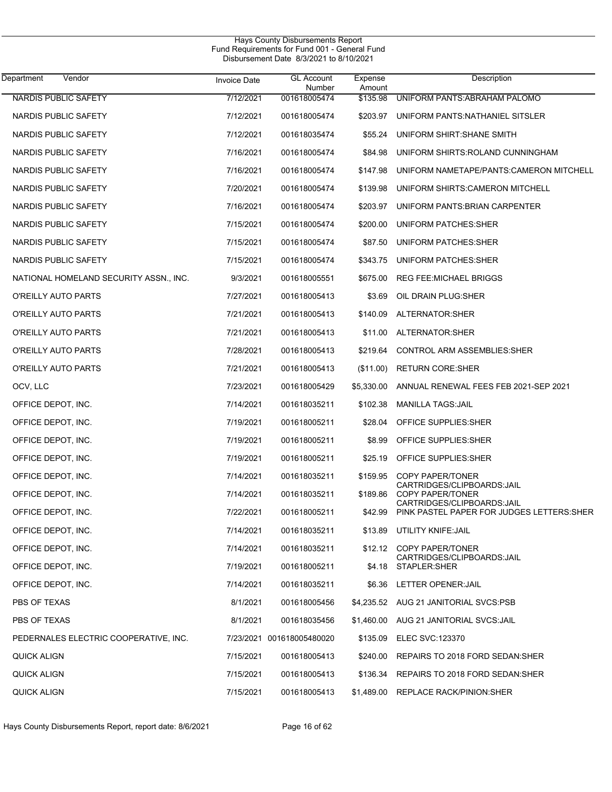| Hays County Disbursements Report<br>Fund Requirements for Fund 001 - General Fund<br>Disbursement Date 8/3/2021 to 8/10/2021 |              |                             |                   |                                                                          |  |  |
|------------------------------------------------------------------------------------------------------------------------------|--------------|-----------------------------|-------------------|--------------------------------------------------------------------------|--|--|
| Vendor<br>Department                                                                                                         | Invoice Date | <b>GL Account</b><br>Number | Expense<br>Amount | Description                                                              |  |  |
| <b>NARDIS PUBLIC SAFETY</b>                                                                                                  | 7/12/2021    | 001618005474                | \$135.98          | UNIFORM PANTS: ABRAHAM PALOMO                                            |  |  |
| NARDIS PUBLIC SAFETY                                                                                                         | 7/12/2021    | 001618005474                | \$203.97          | UNIFORM PANTS:NATHANIEL SITSLER                                          |  |  |
| NARDIS PUBLIC SAFETY                                                                                                         | 7/12/2021    | 001618035474                | \$55.24           | UNIFORM SHIRT: SHANE SMITH                                               |  |  |
| NARDIS PUBLIC SAFETY                                                                                                         | 7/16/2021    | 001618005474                | \$84.98           | UNIFORM SHIRTS: ROLAND CUNNINGHAM                                        |  |  |
| NARDIS PUBLIC SAFETY                                                                                                         | 7/16/2021    | 001618005474                | \$147.98          | UNIFORM NAMETAPE/PANTS: CAMERON MITCHELL                                 |  |  |
| NARDIS PUBLIC SAFETY                                                                                                         | 7/20/2021    | 001618005474                | \$139.98          | UNIFORM SHIRTS: CAMERON MITCHELL                                         |  |  |
| NARDIS PUBLIC SAFETY                                                                                                         | 7/16/2021    | 001618005474                | \$203.97          | UNIFORM PANTS: BRIAN CARPENTER                                           |  |  |
| NARDIS PUBLIC SAFETY                                                                                                         | 7/15/2021    | 001618005474                | \$200.00          | UNIFORM PATCHES: SHER                                                    |  |  |
| NARDIS PUBLIC SAFETY                                                                                                         | 7/15/2021    | 001618005474                | \$87.50           | <b>UNIFORM PATCHES:SHER</b>                                              |  |  |
| NARDIS PUBLIC SAFETY                                                                                                         | 7/15/2021    | 001618005474                | \$343.75          | UNIFORM PATCHES: SHER                                                    |  |  |
| NATIONAL HOMELAND SECURITY ASSN., INC.                                                                                       | 9/3/2021     | 001618005551                | \$675.00          | <b>REG FEE:MICHAEL BRIGGS</b>                                            |  |  |
| O'REILLY AUTO PARTS                                                                                                          | 7/27/2021    | 001618005413                | \$3.69            | OIL DRAIN PLUG:SHER                                                      |  |  |
| O'REILLY AUTO PARTS                                                                                                          | 7/21/2021    | 001618005413                | \$140.09          | ALTERNATOR: SHER                                                         |  |  |
| O'REILLY AUTO PARTS                                                                                                          | 7/21/2021    | 001618005413                | \$11.00           | ALTERNATOR: SHER                                                         |  |  |
| O'REILLY AUTO PARTS                                                                                                          | 7/28/2021    | 001618005413                | \$219.64          | CONTROL ARM ASSEMBLIES SHER                                              |  |  |
| O'REILLY AUTO PARTS                                                                                                          | 7/21/2021    | 001618005413                | (\$11.00)         | <b>RETURN CORE:SHER</b>                                                  |  |  |
| OCV, LLC                                                                                                                     | 7/23/2021    | 001618005429                | \$5,330.00        | ANNUAL RENEWAL FEES FEB 2021-SEP 2021                                    |  |  |
| OFFICE DEPOT, INC.                                                                                                           | 7/14/2021    | 001618035211                | \$102.38          | <b>MANILLA TAGS: JAIL</b>                                                |  |  |
| OFFICE DEPOT, INC.                                                                                                           | 7/19/2021    | 001618005211                | \$28.04           | OFFICE SUPPLIES: SHER                                                    |  |  |
| OFFICE DEPOT, INC.                                                                                                           | 7/19/2021    | 001618005211                | \$8.99            | OFFICE SUPPLIES: SHER                                                    |  |  |
| OFFICE DEPOT, INC.                                                                                                           | 7/19/2021    | 001618005211                | \$25.19           | OFFICE SUPPLIES: SHER                                                    |  |  |
| OFFICE DEPOT, INC.                                                                                                           | 7/14/2021    | 001618035211                | \$159.95          | <b>COPY PAPER/TONER</b>                                                  |  |  |
| OFFICE DEPOT, INC.                                                                                                           | 7/14/2021    | 001618035211                | \$189.86          | CARTRIDGES/CLIPBOARDS:JAIL<br><b>COPY PAPER/TONER</b>                    |  |  |
| OFFICE DEPOT, INC.                                                                                                           | 7/22/2021    | 001618005211                | \$42.99           | CARTRIDGES/CLIPBOARDS:JAIL<br>PINK PASTEL PAPER FOR JUDGES LETTERS: SHER |  |  |
| OFFICE DEPOT, INC.                                                                                                           | 7/14/2021    | 001618035211                | \$13.89           | UTILITY KNIFE: JAIL                                                      |  |  |
| OFFICE DEPOT, INC.                                                                                                           | 7/14/2021    | 001618035211                | \$12.12           | COPY PAPER/TONER                                                         |  |  |
| OFFICE DEPOT, INC.                                                                                                           | 7/19/2021    | 001618005211                | \$4.18            | CARTRIDGES/CLIPBOARDS:JAIL<br>STAPLER: SHER                              |  |  |
| OFFICE DEPOT, INC.                                                                                                           | 7/14/2021    | 001618035211                |                   | \$6.36 LETTER OPENER: JAIL                                               |  |  |
| PBS OF TEXAS                                                                                                                 | 8/1/2021     | 001618005456                |                   | \$4,235.52 AUG 21 JANITORIAL SVCS:PSB                                    |  |  |
| PBS OF TEXAS                                                                                                                 | 8/1/2021     | 001618035456                |                   | \$1,460.00 AUG 21 JANITORIAL SVCS:JAIL                                   |  |  |
| PEDERNALES ELECTRIC COOPERATIVE, INC.                                                                                        |              | 7/23/2021 001618005480020   | \$135.09          | ELEC SVC:123370                                                          |  |  |
| QUICK ALIGN                                                                                                                  | 7/15/2021    | 001618005413                | \$240.00          | REPAIRS TO 2018 FORD SEDAN: SHER                                         |  |  |
| QUICK ALIGN                                                                                                                  | 7/15/2021    | 001618005413                | \$136.34          | REPAIRS TO 2018 FORD SEDAN: SHER                                         |  |  |
| <b>QUICK ALIGN</b>                                                                                                           | 7/15/2021    | 001618005413                | \$1,489.00        | <b>REPLACE RACK/PINION:SHER</b>                                          |  |  |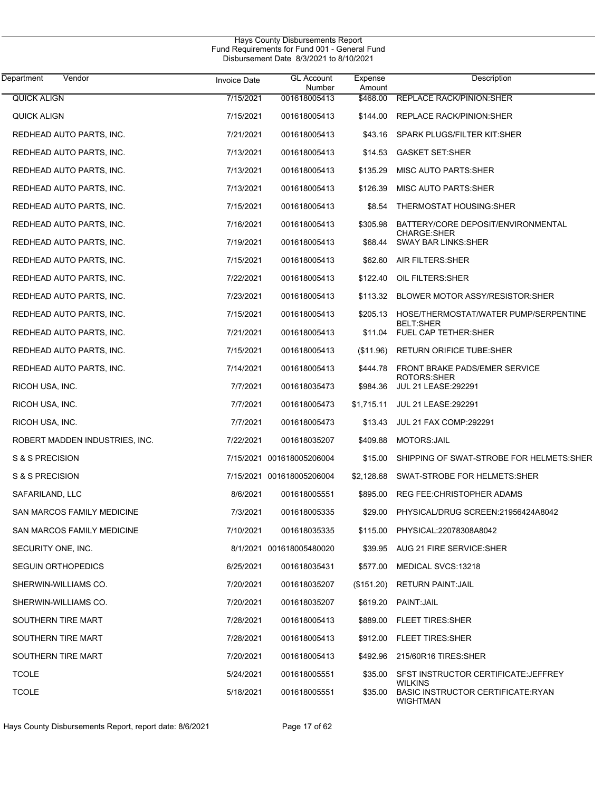| Department<br>Vendor           | <b>Invoice Date</b> | <b>GL Account</b>         | Expense    | Description                                                            |
|--------------------------------|---------------------|---------------------------|------------|------------------------------------------------------------------------|
|                                |                     | Number                    | Amount     |                                                                        |
| <b>QUICK ALIGN</b>             | 7/15/2021           | 001618005413              | \$468.00   | <b>REPLACE RACK/PINION: SHER</b>                                       |
| QUICK ALIGN                    | 7/15/2021           | 001618005413              | \$144.00   | REPLACE RACK/PINION: SHER                                              |
| REDHEAD AUTO PARTS, INC.       | 7/21/2021           | 001618005413              | \$43.16    | SPARK PLUGS/FILTER KIT:SHER                                            |
| REDHEAD AUTO PARTS, INC.       | 7/13/2021           | 001618005413              | \$14.53    | <b>GASKET SET:SHER</b>                                                 |
| REDHEAD AUTO PARTS, INC.       | 7/13/2021           | 001618005413              | \$135.29   | MISC AUTO PARTS: SHER                                                  |
| REDHEAD AUTO PARTS, INC.       | 7/13/2021           | 001618005413              | \$126.39   | MISC AUTO PARTS:SHER                                                   |
| REDHEAD AUTO PARTS, INC.       | 7/15/2021           | 001618005413              | \$8.54     | THERMOSTAT HOUSING:SHER                                                |
| REDHEAD AUTO PARTS, INC.       | 7/16/2021           | 001618005413              | \$305.98   | BATTERY/CORE DEPOSIT/ENVIRONMENTAL<br><b>CHARGE:SHER</b>               |
| REDHEAD AUTO PARTS, INC.       | 7/19/2021           | 001618005413              | \$68.44    | <b>SWAY BAR LINKS: SHER</b>                                            |
| REDHEAD AUTO PARTS, INC.       | 7/15/2021           | 001618005413              | \$62.60    | AIR FILTERS: SHER                                                      |
| REDHEAD AUTO PARTS, INC.       | 7/22/2021           | 001618005413              | \$122.40   | OIL FILTERS: SHER                                                      |
| REDHEAD AUTO PARTS, INC.       | 7/23/2021           | 001618005413              | \$113.32   | BLOWER MOTOR ASSY/RESISTOR: SHER                                       |
| REDHEAD AUTO PARTS, INC.       | 7/15/2021           | 001618005413              | \$205.13   | HOSE/THERMOSTAT/WATER PUMP/SERPENTINE<br><b>BELT:SHER</b>              |
| REDHEAD AUTO PARTS, INC.       | 7/21/2021           | 001618005413              | \$11.04    | FUEL CAP TETHER: SHER                                                  |
| REDHEAD AUTO PARTS, INC.       | 7/15/2021           | 001618005413              | (\$11.96)  | <b>RETURN ORIFICE TUBE:SHER</b>                                        |
| REDHEAD AUTO PARTS, INC.       | 7/14/2021           | 001618005413              | \$444.78   | <b>FRONT BRAKE PADS/EMER SERVICE</b><br><b>ROTORS:SHER</b>             |
| RICOH USA, INC.                | 7/7/2021            | 001618035473              | \$984.36   | JUL 21 LEASE: 292291                                                   |
| RICOH USA, INC.                | 7/7/2021            | 001618005473              | \$1,715.11 | <b>JUL 21 LEASE: 292291</b>                                            |
| RICOH USA, INC.                | 7/7/2021            | 001618005473              | \$13.43    | <b>JUL 21 FAX COMP:292291</b>                                          |
| ROBERT MADDEN INDUSTRIES, INC. | 7/22/2021           | 001618035207              | \$409.88   | MOTORS: JAIL                                                           |
| S & S PRECISION                |                     | 7/15/2021 001618005206004 | \$15.00    | SHIPPING OF SWAT-STROBE FOR HELMETS:SHER                               |
| S & S PRECISION                |                     | 7/15/2021 001618005206004 | \$2,128.68 | SWAT-STROBE FOR HELMETS: SHER                                          |
| SAFARILAND, LLC                | 8/6/2021            | 001618005551              | \$895.00   | <b>REG FEE:CHRISTOPHER ADAMS</b>                                       |
| SAN MARCOS FAMILY MEDICINE     | 7/3/2021            | 001618005335              | \$29.00    | PHYSICAL/DRUG SCREEN:21956424A8042                                     |
| SAN MARCOS FAMILY MEDICINE     | 7/10/2021           | 001618035335              |            | \$115.00 PHYSICAL:22078308A8042                                        |
| SECURITY ONE, INC.             |                     | 8/1/2021 001618005480020  | \$39.95    | AUG 21 FIRE SERVICE: SHER                                              |
| <b>SEGUIN ORTHOPEDICS</b>      | 6/25/2021           | 001618035431              | \$577.00   | MEDICAL SVCS:13218                                                     |
| SHERWIN-WILLIAMS CO.           | 7/20/2021           | 001618035207              | (\$151.20) | <b>RETURN PAINT JAIL</b>                                               |
| SHERWIN-WILLIAMS CO.           | 7/20/2021           | 001618035207              | \$619.20   | PAINT: JAIL                                                            |
| SOUTHERN TIRE MART             | 7/28/2021           | 001618005413              | \$889.00   | <b>FLEET TIRES: SHER</b>                                               |
| SOUTHERN TIRE MART             | 7/28/2021           | 001618005413              | \$912.00   | FLEET TIRES: SHER                                                      |
| SOUTHERN TIRE MART             | 7/20/2021           | 001618005413              | \$492.96   | 215/60R16 TIRES: SHER                                                  |
| <b>TCOLE</b>                   | 5/24/2021           | 001618005551              | \$35.00    | SFST INSTRUCTOR CERTIFICATE: JEFFREY                                   |
| <b>TCOLE</b>                   | 5/18/2021           | 001618005551              | \$35.00    | <b>WILKINS</b><br>BASIC INSTRUCTOR CERTIFICATE:RYAN<br><b>WIGHTMAN</b> |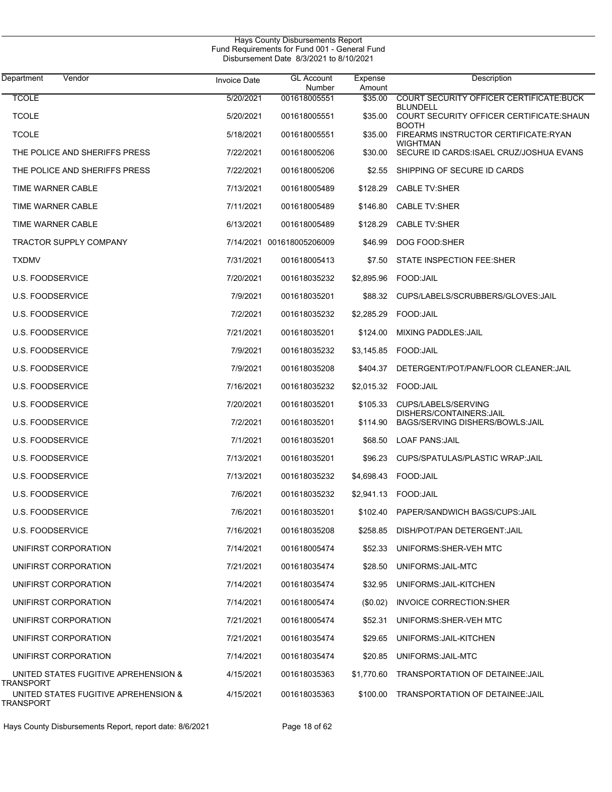J.

| Department<br>Vendor                                     | <b>Invoice Date</b> | <b>GL Account</b><br>Number | Expense<br>Amount | Description                                                  |
|----------------------------------------------------------|---------------------|-----------------------------|-------------------|--------------------------------------------------------------|
| <b>TCOLE</b>                                             | 5/20/2021           | 001618005551                | \$35.00           | COURT SECURITY OFFICER CERTIFICATE BUCK                      |
| <b>TCOLE</b>                                             | 5/20/2021           | 001618005551                | \$35.00           | BLUNDELL<br>COURT SECURITY OFFICER CERTIFICATE: SHAUN        |
| <b>TCOLE</b>                                             | 5/18/2021           | 001618005551                | \$35.00           | <b>BOOTH</b><br>FIREARMS INSTRUCTOR CERTIFICATE:RYAN         |
| THE POLICE AND SHERIFFS PRESS                            | 7/22/2021           | 001618005206                | \$30.00           | <b>WIGHTMAN</b><br>SECURE ID CARDS ISAEL CRUZ/JOSHUA EVANS   |
| THE POLICE AND SHERIFFS PRESS                            | 7/22/2021           | 001618005206                | \$2.55            | SHIPPING OF SECURE ID CARDS                                  |
| TIME WARNER CABLE                                        | 7/13/2021           | 001618005489                | \$128.29          | <b>CABLE TV:SHER</b>                                         |
| <b>TIME WARNER CABLE</b>                                 | 7/11/2021           | 001618005489                | \$146.80          | <b>CABLE TV:SHER</b>                                         |
| TIME WARNER CABLE                                        | 6/13/2021           | 001618005489                | \$128.29          | <b>CABLE TV:SHER</b>                                         |
| TRACTOR SUPPLY COMPANY                                   |                     | 7/14/2021 001618005206009   | \$46.99           | DOG FOOD:SHER                                                |
| TXDMV                                                    | 7/31/2021           | 001618005413                | \$7.50            | STATE INSPECTION FEE:SHER                                    |
| <b>U.S. FOODSERVICE</b>                                  | 7/20/2021           | 001618035232                | \$2,895.96        | FOOD: JAIL                                                   |
| <b>U.S. FOODSERVICE</b>                                  | 7/9/2021            | 001618035201                | \$88.32           | CUPS/LABELS/SCRUBBERS/GLOVES:JAIL                            |
| <b>U.S. FOODSERVICE</b>                                  | 7/2/2021            | 001618035232                | \$2,285.29        | FOOD: JAIL                                                   |
| <b>U.S. FOODSERVICE</b>                                  | 7/21/2021           | 001618035201                | \$124.00          | <b>MIXING PADDLES: JAIL</b>                                  |
| <b>U.S. FOODSERVICE</b>                                  | 7/9/2021            | 001618035232                | \$3,145.85        | FOOD: JAIL                                                   |
| <b>U.S. FOODSERVICE</b>                                  | 7/9/2021            | 001618035208                | \$404.37          | DETERGENT/POT/PAN/FLOOR CLEANER:JAIL                         |
| <b>U.S. FOODSERVICE</b>                                  | 7/16/2021           | 001618035232                | \$2,015.32        | FOOD: JAIL                                                   |
| <b>U.S. FOODSERVICE</b>                                  | 7/20/2021           | 001618035201                | \$105.33          | CUPS/LABELS/SERVING                                          |
| <b>U.S. FOODSERVICE</b>                                  | 7/2/2021            | 001618035201                | \$114.90          | DISHERS/CONTAINERS: JAIL<br>BAGS/SERVING DISHERS/BOWLS: JAIL |
| <b>U.S. FOODSERVICE</b>                                  | 7/1/2021            | 001618035201                | \$68.50           | <b>LOAF PANS: JAIL</b>                                       |
| <b>U.S. FOODSERVICE</b>                                  | 7/13/2021           | 001618035201                | \$96.23           | CUPS/SPATULAS/PLASTIC WRAP:JAIL                              |
| <b>U.S. FOODSERVICE</b>                                  | 7/13/2021           | 001618035232                | \$4,698.43        | FOOD:JAIL                                                    |
| <b>U.S. FOODSERVICE</b>                                  | 7/6/2021            | 001618035232                | \$2,941.13        | FOOD:JAIL                                                    |
| <b>U.S. FOODSERVICE</b>                                  | 7/6/2021            | 001618035201                |                   | \$102.40 PAPER/SANDWICH BAGS/CUPS: JAIL                      |
| <b>U.S. FOODSERVICE</b>                                  | 7/16/2021           | 001618035208                | \$258.85          | DISH/POT/PAN DETERGENT: JAIL                                 |
| UNIFIRST CORPORATION                                     | 7/14/2021           | 001618005474                | \$52.33           | UNIFORMS: SHER-VEH MTC                                       |
| UNIFIRST CORPORATION                                     | 7/21/2021           | 001618035474                | \$28.50           | UNIFORMS: JAIL-MTC                                           |
| UNIFIRST CORPORATION                                     | 7/14/2021           | 001618035474                | \$32.95           | UNIFORMS: JAIL-KITCHEN                                       |
| UNIFIRST CORPORATION                                     | 7/14/2021           | 001618005474                | (\$0.02)          | INVOICE CORRECTION: SHER                                     |
| UNIFIRST CORPORATION                                     | 7/21/2021           | 001618005474                | \$52.31           | UNIFORMS: SHER-VEH MTC                                       |
| UNIFIRST CORPORATION                                     | 7/21/2021           | 001618035474                | \$29.65           | UNIFORMS: JAIL-KITCHEN                                       |
| UNIFIRST CORPORATION                                     | 7/14/2021           | 001618035474                | \$20.85           | UNIFORMS: JAIL-MTC                                           |
| UNITED STATES FUGITIVE APREHENSION &<br><b>TRANSPORT</b> | 4/15/2021           | 001618035363                | \$1,770.60        | TRANSPORTATION OF DETAINEE JAIL                              |
| UNITED STATES FUGITIVE APREHENSION &<br>TRANSPORT        | 4/15/2021           | 001618035363                | \$100.00          | TRANSPORTATION OF DETAINEE: JAIL                             |

Hays County Disbursements Report, report date: 8/6/2021 Page 18 of 62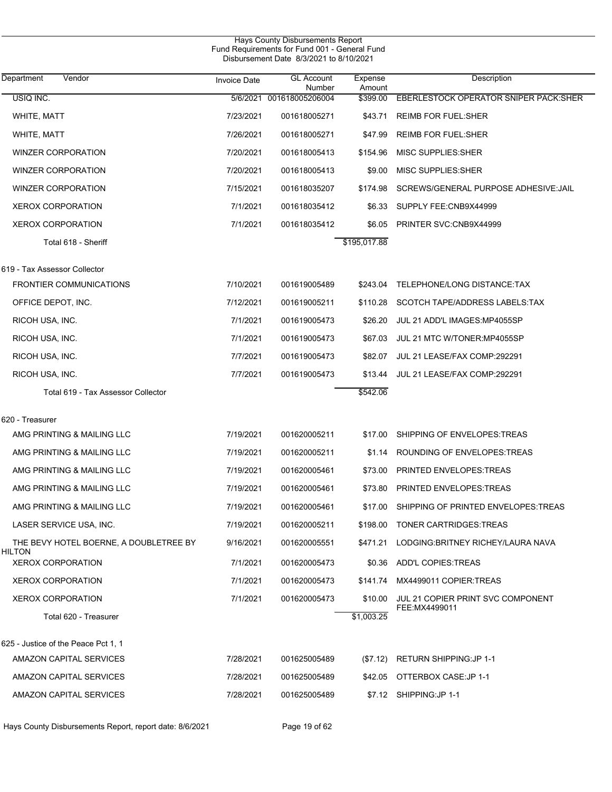|                                                  |                     | Hays County Disbursements Report<br>Fund Requirements for Fund 001 - General Fund<br>Disbursement Date 8/3/2021 to 8/10/2021 |                   |                                        |
|--------------------------------------------------|---------------------|------------------------------------------------------------------------------------------------------------------------------|-------------------|----------------------------------------|
| Vendor<br>Department                             | <b>Invoice Date</b> | <b>GL Account</b><br>Number                                                                                                  | Expense<br>Amount | Description                            |
| USIQ INC.                                        |                     | 5/6/2021 001618005206004                                                                                                     | \$399.00          | EBERLESTOCK OPERATOR SNIPER PACK: SHER |
| WHITE, MATT                                      | 7/23/2021           | 001618005271                                                                                                                 | \$43.71           | <b>REIMB FOR FUEL:SHER</b>             |
| WHITE, MATT                                      | 7/26/2021           | 001618005271                                                                                                                 | \$47.99           | <b>REIMB FOR FUEL:SHER</b>             |
| WINZER CORPORATION                               | 7/20/2021           | 001618005413                                                                                                                 | \$154.96          | MISC SUPPLIES: SHER                    |
| WINZER CORPORATION                               | 7/20/2021           | 001618005413                                                                                                                 | \$9.00            | MISC SUPPLIES: SHER                    |
| <b>WINZER CORPORATION</b>                        | 7/15/2021           | 001618035207                                                                                                                 | \$174.98          | SCREWS/GENERAL PURPOSE ADHESIVE: JAIL  |
| <b>XEROX CORPORATION</b>                         | 7/1/2021            | 001618035412                                                                                                                 | \$6.33            | SUPPLY FEE:CNB9X44999                  |
| <b>XEROX CORPORATION</b>                         | 7/1/2021            | 001618035412                                                                                                                 | \$6.05            | PRINTER SVC:CNB9X44999                 |
| Total 618 - Sheriff                              |                     |                                                                                                                              | \$195,017.88      |                                        |
| 619 - Tax Assessor Collector                     |                     |                                                                                                                              |                   |                                        |
| <b>FRONTIER COMMUNICATIONS</b>                   | 7/10/2021           | 001619005489                                                                                                                 | \$243.04          | TELEPHONE/LONG DISTANCE:TAX            |
| OFFICE DEPOT, INC.                               | 7/12/2021           | 001619005211                                                                                                                 | \$110.28          | SCOTCH TAPE/ADDRESS LABELS: TAX        |
| RICOH USA, INC.                                  | 7/1/2021            | 001619005473                                                                                                                 | \$26.20           | JUL 21 ADD'L IMAGES: MP4055SP          |
| RICOH USA, INC.                                  | 7/1/2021            | 001619005473                                                                                                                 | \$67.03           | JUL 21 MTC W/TONER:MP4055SP            |
| RICOH USA, INC.                                  | 7/7/2021            | 001619005473                                                                                                                 | \$82.07           | JUL 21 LEASE/FAX COMP:292291           |
| RICOH USA, INC.                                  | 7/7/2021            | 001619005473                                                                                                                 | \$13.44           | JUL 21 LEASE/FAX COMP:292291           |
| Total 619 - Tax Assessor Collector               |                     |                                                                                                                              | \$542.06          |                                        |
| 620 - Treasurer                                  |                     |                                                                                                                              |                   |                                        |
| AMG PRINTING & MAILING LLC                       | 7/19/2021           | 001620005211                                                                                                                 | \$17.00           | SHIPPING OF ENVELOPES: TREAS           |
| AMG PRINTING & MAILING LLC                       | 7/19/2021           | 001620005211                                                                                                                 | \$1.14            | ROUNDING OF ENVELOPES: TREAS           |
| AMG PRINTING & MAILING LLC                       | 7/19/2021           | 001620005461                                                                                                                 | \$73.00           | PRINTED ENVELOPES: TREAS               |
| AMG PRINTING & MAILING LLC                       | 7/19/2021           | 001620005461                                                                                                                 | \$73.80           | PRINTED ENVELOPES: TREAS               |
| AMG PRINTING & MAILING LLC                       | 7/19/2021           | 001620005461                                                                                                                 | \$17.00           | SHIPPING OF PRINTED ENVELOPES TREAS    |
| LASER SERVICE USA, INC.                          | 7/19/2021           | 001620005211                                                                                                                 | \$198.00          | TONER CARTRIDGES: TREAS                |
| THE BEVY HOTEL BOERNE, A DOUBLETREE BY<br>HILTON | 9/16/2021           | 001620005551                                                                                                                 | \$471.21          | LODGING:BRITNEY RICHEY/LAURA NAVA      |
| <b>XEROX CORPORATION</b>                         | 7/1/2021            | 001620005473                                                                                                                 | \$0.36            | ADD'L COPIES:TREAS                     |
| <b>XEROX CORPORATION</b>                         | 7/1/2021            | 001620005473                                                                                                                 | \$141.74          | MX4499011 COPIER TREAS                 |
| <b>XEROX CORPORATION</b>                         | 7/1/2021            | 001620005473                                                                                                                 | \$10.00           | JUL 21 COPIER PRINT SVC COMPONENT      |
| Total 620 - Treasurer                            |                     |                                                                                                                              | \$1,003.25        | FEE: MX4499011                         |
| 625 - Justice of the Peace Pct 1, 1              |                     |                                                                                                                              |                   |                                        |
| AMAZON CAPITAL SERVICES                          | 7/28/2021           | 001625005489                                                                                                                 | (\$7.12)          | <b>RETURN SHIPPING:JP 1-1</b>          |
| AMAZON CAPITAL SERVICES                          | 7/28/2021           | 001625005489                                                                                                                 |                   | \$42.05 OTTERBOX CASE:JP 1-1           |
| AMAZON CAPITAL SERVICES                          | 7/28/2021           | 001625005489                                                                                                                 |                   | \$7.12 SHIPPING: JP 1-1                |
|                                                  |                     |                                                                                                                              |                   |                                        |

Hays County Disbursements Report, report date: 8/6/2021 Page 19 of 62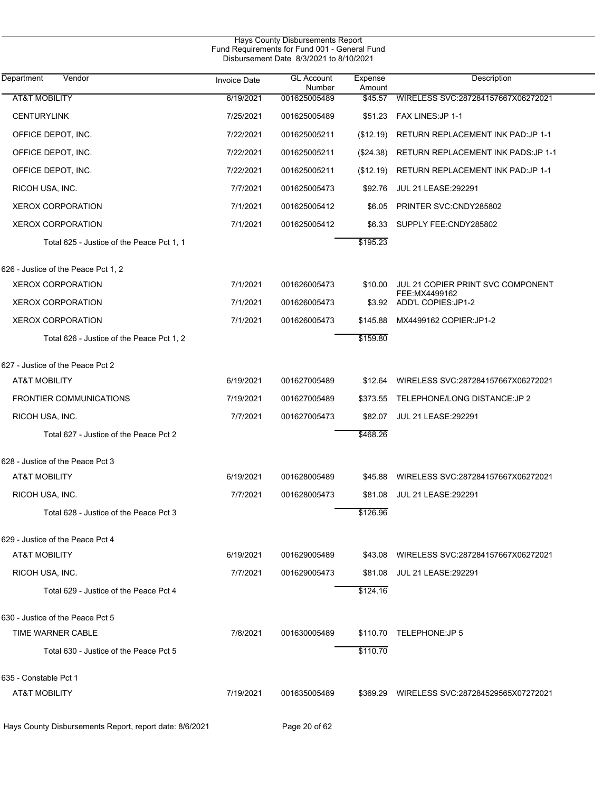|                                                         |                     | Hays County Disbursements Report<br>Fund Requirements for Fund 001 - General Fund<br>Disbursement Date 8/3/2021 to 8/10/2021 |                   |                                                     |
|---------------------------------------------------------|---------------------|------------------------------------------------------------------------------------------------------------------------------|-------------------|-----------------------------------------------------|
| Vendor<br>Department                                    | <b>Invoice Date</b> | <b>GL Account</b><br>Number                                                                                                  | Expense<br>Amount | Description                                         |
| <b>AT&amp;T MOBILITY</b>                                | 6/19/2021           | 001625005489                                                                                                                 | \$45.57           | WIRELESS SVC:287284157667X06272021                  |
| <b>CENTURYLINK</b>                                      | 7/25/2021           | 001625005489                                                                                                                 | \$51.23           | FAX LINES: JP 1-1                                   |
| OFFICE DEPOT, INC.                                      | 7/22/2021           | 001625005211                                                                                                                 | (\$12.19)         | RETURN REPLACEMENT INK PAD: JP 1-1                  |
| OFFICE DEPOT, INC.                                      | 7/22/2021           | 001625005211                                                                                                                 | $(\$24.38)$       | RETURN REPLACEMENT INK PADS: JP 1-1                 |
| OFFICE DEPOT, INC.                                      | 7/22/2021           | 001625005211                                                                                                                 | (\$12.19)         | RETURN REPLACEMENT INK PAD: JP 1-1                  |
| RICOH USA, INC.                                         | 7/7/2021            | 001625005473                                                                                                                 | \$92.76           | <b>JUL 21 LEASE: 292291</b>                         |
| <b>XEROX CORPORATION</b>                                | 7/1/2021            | 001625005412                                                                                                                 | \$6.05            | PRINTER SVC:CNDY285802                              |
| <b>XEROX CORPORATION</b>                                | 7/1/2021            | 001625005412                                                                                                                 | \$6.33            | SUPPLY FEE:CNDY285802                               |
| Total 625 - Justice of the Peace Pct 1, 1               |                     |                                                                                                                              | \$195.23          |                                                     |
| 626 - Justice of the Peace Pct 1, 2                     |                     |                                                                                                                              |                   |                                                     |
| <b>XEROX CORPORATION</b>                                | 7/1/2021            | 001626005473                                                                                                                 | \$10.00           | JUL 21 COPIER PRINT SVC COMPONENT<br>FEE: MX4499162 |
| <b>XEROX CORPORATION</b>                                | 7/1/2021            | 001626005473                                                                                                                 | \$3.92            | ADD'L COPIES: JP1-2                                 |
| <b>XEROX CORPORATION</b>                                | 7/1/2021            | 001626005473                                                                                                                 | \$145.88          | MX4499162 COPIER: JP1-2                             |
| Total 626 - Justice of the Peace Pct 1, 2               |                     |                                                                                                                              | \$159.80          |                                                     |
| 627 - Justice of the Peace Pct 2                        |                     |                                                                                                                              |                   |                                                     |
| AT&T MOBILITY                                           | 6/19/2021           | 001627005489                                                                                                                 | \$12.64           | WIRELESS SVC:287284157667X06272021                  |
| <b>FRONTIER COMMUNICATIONS</b>                          | 7/19/2021           | 001627005489                                                                                                                 | \$373.55          | TELEPHONE/LONG DISTANCE: JP 2                       |
| RICOH USA, INC.                                         | 7/7/2021            | 001627005473                                                                                                                 | \$82.07           | <b>JUL 21 LEASE:292291</b>                          |
| Total 627 - Justice of the Peace Pct 2                  |                     |                                                                                                                              | \$468.26          |                                                     |
| 628 - Justice of the Peace Pct 3                        |                     |                                                                                                                              |                   |                                                     |
| <b>AT&amp;T MOBILITY</b>                                | 6/19/2021           | 001628005489                                                                                                                 | \$45.88           | WIRELESS SVC:287284157667X06272021                  |
| RICOH USA, INC.                                         | 7/7/2021            | 001628005473                                                                                                                 | \$81.08           | JUL 21 LEASE: 292291                                |
| Total 628 - Justice of the Peace Pct 3                  |                     |                                                                                                                              | \$126.96          |                                                     |
| 629 - Justice of the Peace Pct 4                        |                     |                                                                                                                              |                   |                                                     |
| <b>AT&amp;T MOBILITY</b>                                | 6/19/2021           | 001629005489                                                                                                                 | \$43.08           | WIRELESS SVC:287284157667X06272021                  |
| RICOH USA, INC.                                         | 7/7/2021            | 001629005473                                                                                                                 | \$81.08           | JUL 21 LEASE:292291                                 |
| Total 629 - Justice of the Peace Pct 4                  |                     |                                                                                                                              | \$124.16          |                                                     |
| 630 - Justice of the Peace Pct 5                        |                     |                                                                                                                              |                   |                                                     |
| TIME WARNER CABLE                                       | 7/8/2021            | 001630005489                                                                                                                 | \$110.70          | TELEPHONE:JP 5                                      |
| Total 630 - Justice of the Peace Pct 5                  |                     |                                                                                                                              | \$110.70          |                                                     |
| 635 - Constable Pct 1                                   |                     |                                                                                                                              |                   |                                                     |
| <b>AT&amp;T MOBILITY</b>                                | 7/19/2021           | 001635005489                                                                                                                 |                   | \$369.29 WIRELESS SVC:287284529565X07272021         |
| Hays County Disbursements Report, report date: 8/6/2021 |                     | Page 20 of 62                                                                                                                |                   |                                                     |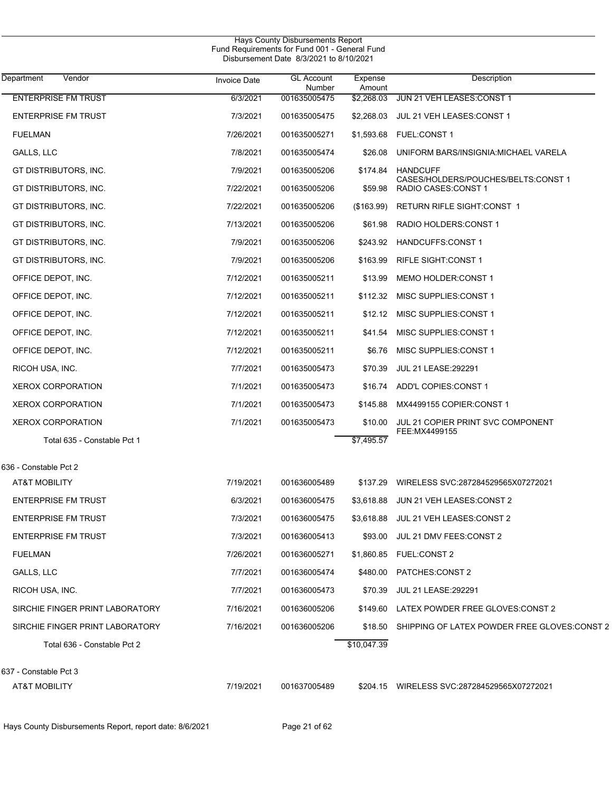|                                 |                     | Hays County Disbursements Report<br>Fund Requirements for Fund 001 - General Fund<br>Disbursement Date 8/3/2021 to 8/10/2021 |                   |                                                             |
|---------------------------------|---------------------|------------------------------------------------------------------------------------------------------------------------------|-------------------|-------------------------------------------------------------|
| <b>Department</b><br>Vendor     | <b>Invoice Date</b> | <b>GL Account</b><br>Number                                                                                                  | Expense<br>Amount | Description                                                 |
| <b>ENTERPRISE FM TRUST</b>      | 6/3/2021            | 001635005475                                                                                                                 | \$2,268.03        | JUN 21 VEH LEASES: CONST 1                                  |
| <b>ENTERPRISE FM TRUST</b>      | 7/3/2021            | 001635005475                                                                                                                 | \$2,268.03        | JUL 21 VEH LEASES: CONST 1                                  |
| <b>FUELMAN</b>                  | 7/26/2021           | 001635005271                                                                                                                 | \$1,593.68        | <b>FUEL:CONST1</b>                                          |
| GALLS, LLC                      | 7/8/2021            | 001635005474                                                                                                                 | \$26.08           | UNIFORM BARS/INSIGNIA: MICHAEL VARELA                       |
| GT DISTRIBUTORS, INC.           | 7/9/2021            | 001635005206                                                                                                                 | \$174.84          | <b>HANDCUFF</b>                                             |
| GT DISTRIBUTORS, INC.           | 7/22/2021           | 001635005206                                                                                                                 | \$59.98           | CASES/HOLDERS/POUCHES/BELTS:CONST 1<br>RADIO CASES: CONST 1 |
| GT DISTRIBUTORS, INC.           | 7/22/2021           | 001635005206                                                                                                                 | (\$163.99)        | RETURN RIFLE SIGHT:CONST 1                                  |
| GT DISTRIBUTORS, INC.           | 7/13/2021           | 001635005206                                                                                                                 | \$61.98           | RADIO HOLDERS: CONST 1                                      |
| GT DISTRIBUTORS, INC.           | 7/9/2021            | 001635005206                                                                                                                 | \$243.92          | HANDCUFFS:CONST 1                                           |
| GT DISTRIBUTORS, INC.           | 7/9/2021            | 001635005206                                                                                                                 | \$163.99          | <b>RIFLE SIGHT:CONST 1</b>                                  |
| OFFICE DEPOT, INC.              | 7/12/2021           | 001635005211                                                                                                                 | \$13.99           | MEMO HOLDER: CONST 1                                        |
| OFFICE DEPOT, INC.              | 7/12/2021           | 001635005211                                                                                                                 | \$112.32          | MISC SUPPLIES: CONST 1                                      |
| OFFICE DEPOT, INC.              | 7/12/2021           | 001635005211                                                                                                                 | \$12.12           | MISC SUPPLIES: CONST 1                                      |
| OFFICE DEPOT, INC.              | 7/12/2021           | 001635005211                                                                                                                 | \$41.54           | MISC SUPPLIES: CONST 1                                      |
| OFFICE DEPOT, INC.              | 7/12/2021           | 001635005211                                                                                                                 | \$6.76            | MISC SUPPLIES: CONST 1                                      |
| RICOH USA, INC.                 | 7/7/2021            | 001635005473                                                                                                                 | \$70.39           | JUL 21 LEASE: 292291                                        |
| <b>XEROX CORPORATION</b>        | 7/1/2021            | 001635005473                                                                                                                 | \$16.74           | ADD'L COPIES: CONST 1                                       |
| <b>XEROX CORPORATION</b>        | 7/1/2021            | 001635005473                                                                                                                 | \$145.88          | MX4499155 COPIER:CONST 1                                    |
| <b>XEROX CORPORATION</b>        | 7/1/2021            | 001635005473                                                                                                                 | \$10.00           | JUL 21 COPIER PRINT SVC COMPONENT                           |
| Total 635 - Constable Pct 1     |                     |                                                                                                                              | \$7,495.57        | FEE: MX4499155                                              |
| 636 - Constable Pct 2           |                     |                                                                                                                              |                   |                                                             |
| AT&T MOBILITY                   | 7/19/2021           | 001636005489                                                                                                                 |                   | \$137.29 WIRELESS SVC:287284529565X07272021                 |
| <b>ENTERPRISE FM TRUST</b>      | 6/3/2021            | 001636005475                                                                                                                 | \$3.618.88        | JUN 21 VEH LEASES CONST 2                                   |
| <b>ENTERPRISE FM TRUST</b>      | 7/3/2021            | 001636005475                                                                                                                 |                   | \$3,618.88 JUL 21 VEH LEASES: CONST 2                       |
| <b>ENTERPRISE FM TRUST</b>      | 7/3/2021            | 001636005413                                                                                                                 | \$93.00           | JUL 21 DMV FEES:CONST 2                                     |
| <b>FUELMAN</b>                  | 7/26/2021           | 001636005271                                                                                                                 |                   |                                                             |
| GALLS, LLC                      | 7/7/2021            | 001636005474                                                                                                                 | \$480.00          | PATCHES:CONST 2                                             |
| RICOH USA, INC.                 | 7/7/2021            | 001636005473                                                                                                                 | \$70.39           | <b>JUL 21 LEASE:292291</b>                                  |
| SIRCHIE FINGER PRINT LABORATORY | 7/16/2021           | 001636005206                                                                                                                 |                   | \$149.60 LATEX POWDER FREE GLOVES:CONST 2                   |
| SIRCHIE FINGER PRINT LABORATORY | 7/16/2021           | 001636005206                                                                                                                 | \$18.50           | SHIPPING OF LATEX POWDER FREE GLOVES:CONST 2                |
| Total 636 - Constable Pct 2     |                     |                                                                                                                              | \$10,047.39       |                                                             |
| 637 - Constable Pct 3           |                     |                                                                                                                              |                   |                                                             |
| <b>AT&amp;T MOBILITY</b>        | 7/19/2021           | 001637005489                                                                                                                 |                   | \$204.15 WIRELESS SVC:287284529565X07272021                 |
|                                 |                     |                                                                                                                              |                   |                                                             |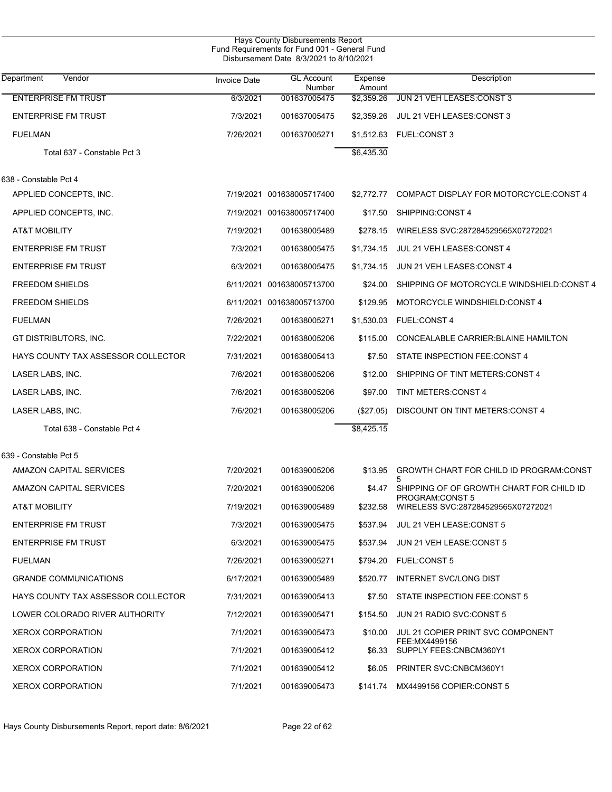| Hays County Disbursements Report<br>Fund Requirements for Fund 001 - General Fund<br>Disbursement Date 8/3/2021 to 8/10/2021 |                     |                             |                   |                                                       |  |  |
|------------------------------------------------------------------------------------------------------------------------------|---------------------|-----------------------------|-------------------|-------------------------------------------------------|--|--|
| Department<br>Vendor                                                                                                         | <b>Invoice Date</b> | <b>GL Account</b><br>Number | Expense<br>Amount | Description                                           |  |  |
| <b>ENTERPRISE FM TRUST</b>                                                                                                   | 6/3/2021            | 001637005475                | \$2.359.26        | JUN 21 VEH LEASES CONST 3                             |  |  |
| <b>ENTERPRISE FM TRUST</b>                                                                                                   | 7/3/2021            | 001637005475                | \$2,359.26        | JUL 21 VEH LEASES: CONST 3                            |  |  |
| <b>FUELMAN</b>                                                                                                               | 7/26/2021           | 001637005271                | \$1,512.63        | <b>FUEL:CONST3</b>                                    |  |  |
| Total 637 - Constable Pct 3                                                                                                  |                     |                             | \$6,435.30        |                                                       |  |  |
| 638 - Constable Pct 4                                                                                                        |                     |                             |                   |                                                       |  |  |
| APPLIED CONCEPTS, INC.                                                                                                       |                     | 7/19/2021 001638005717400   | \$2,772.77        | COMPACT DISPLAY FOR MOTORCYCLE: CONST 4               |  |  |
| APPLIED CONCEPTS, INC.                                                                                                       |                     | 7/19/2021 001638005717400   | \$17.50           | SHIPPING:CONST 4                                      |  |  |
| <b>AT&amp;T MOBILITY</b>                                                                                                     | 7/19/2021           | 001638005489                | \$278.15          | WIRELESS SVC:287284529565X07272021                    |  |  |
| <b>ENTERPRISE FM TRUST</b>                                                                                                   | 7/3/2021            | 001638005475                | \$1,734.15        | JUL 21 VEH LEASES: CONST 4                            |  |  |
| <b>ENTERPRISE FM TRUST</b>                                                                                                   | 6/3/2021            | 001638005475                | \$1,734.15        | JUN 21 VEH LEASES: CONST 4                            |  |  |
| <b>FREEDOM SHIELDS</b>                                                                                                       |                     | 6/11/2021 001638005713700   | \$24.00           | SHIPPING OF MOTORCYCLE WINDSHIELD:CONST 4             |  |  |
| <b>FREEDOM SHIELDS</b>                                                                                                       |                     | 6/11/2021 001638005713700   | \$129.95          | MOTORCYCLE WINDSHIELD:CONST 4                         |  |  |
| <b>FUELMAN</b>                                                                                                               | 7/26/2021           | 001638005271                | \$1,530.03        | <b>FUEL:CONST 4</b>                                   |  |  |
| GT DISTRIBUTORS, INC.                                                                                                        | 7/22/2021           | 001638005206                | \$115.00          | CONCEALABLE CARRIER: BLAINE HAMILTON                  |  |  |
| HAYS COUNTY TAX ASSESSOR COLLECTOR                                                                                           | 7/31/2021           | 001638005413                | \$7.50            | STATE INSPECTION FEE:CONST 4                          |  |  |
| LASER LABS, INC.                                                                                                             | 7/6/2021            | 001638005206                | \$12.00           | SHIPPING OF TINT METERS: CONST 4                      |  |  |
| LASER LABS, INC.                                                                                                             | 7/6/2021            | 001638005206                | \$97.00           | <b>TINT METERS: CONST 4</b>                           |  |  |
| LASER LABS, INC.                                                                                                             | 7/6/2021            | 001638005206                | (\$27.05)         | DISCOUNT ON TINT METERS: CONST 4                      |  |  |
| Total 638 - Constable Pct 4                                                                                                  |                     |                             | \$8,425.15        |                                                       |  |  |
| 639 - Constable Pct 5                                                                                                        |                     |                             |                   |                                                       |  |  |
| AMAZON CAPITAL SERVICES                                                                                                      | 7/20/2021           | 001639005206                | \$13.95           | GROWTH CHART FOR CHILD ID PROGRAM:CONST               |  |  |
| AMAZON CAPITAL SERVICES                                                                                                      | 7/20/2021           | 001639005206                |                   | 5<br>\$4.47 SHIPPING OF OF GROWTH CHART FOR CHILD ID  |  |  |
| AT&T MOBILITY                                                                                                                | 7/19/2021           | 001639005489                | \$232.58          | PROGRAM:CONST 5<br>WIRELESS SVC:287284529565X07272021 |  |  |
| <b>ENTERPRISE FM TRUST</b>                                                                                                   | 7/3/2021            | 001639005475                |                   | \$537.94 JUL 21 VEH LEASE: CONST 5                    |  |  |
| <b>ENTERPRISE FM TRUST</b>                                                                                                   | 6/3/2021            | 001639005475                | \$537.94          | JUN 21 VEH LEASE:CONST 5                              |  |  |
| <b>FUELMAN</b>                                                                                                               | 7/26/2021           | 001639005271                |                   | \$794.20 FUEL:CONST 5                                 |  |  |
| <b>GRANDE COMMUNICATIONS</b>                                                                                                 | 6/17/2021           | 001639005489                | \$520.77          | INTERNET SVC/LONG DIST                                |  |  |
| HAYS COUNTY TAX ASSESSOR COLLECTOR                                                                                           | 7/31/2021           | 001639005413                | \$7.50            | STATE INSPECTION FEE:CONST 5                          |  |  |
| LOWER COLORADO RIVER AUTHORITY                                                                                               | 7/12/2021           | 001639005471                | \$154.50          | JUN 21 RADIO SVC:CONST 5                              |  |  |
| <b>XEROX CORPORATION</b>                                                                                                     | 7/1/2021            | 001639005473                | \$10.00           | JUL 21 COPIER PRINT SVC COMPONENT                     |  |  |
| <b>XEROX CORPORATION</b>                                                                                                     | 7/1/2021            | 001639005412                |                   | FEE:MX4499156<br>\$6.33 SUPPLY FEES:CNBCM360Y1        |  |  |
| <b>XEROX CORPORATION</b>                                                                                                     | 7/1/2021            | 001639005412                |                   | \$6.05 PRINTER SVC:CNBCM360Y1                         |  |  |
| <b>XEROX CORPORATION</b>                                                                                                     | 7/1/2021            | 001639005473                |                   | \$141.74 MX4499156 COPIER:CONST 5                     |  |  |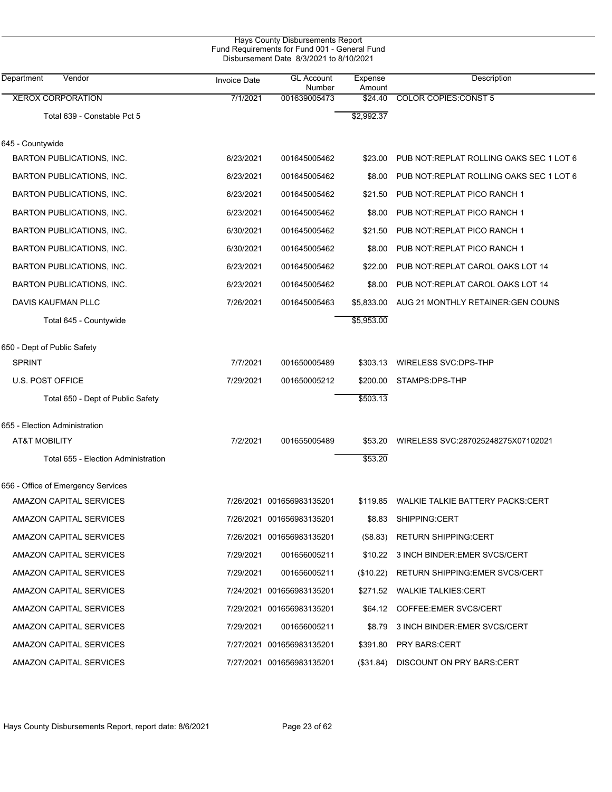|                                     | Hays County Disbursements Report<br>Fund Requirements for Fund 001 - General Fund<br>Disbursement Date 8/3/2021 to 8/10/2021 |                             |                   |                                           |  |
|-------------------------------------|------------------------------------------------------------------------------------------------------------------------------|-----------------------------|-------------------|-------------------------------------------|--|
| Vendor<br>Department                | <b>Invoice Date</b>                                                                                                          | <b>GL Account</b><br>Number | Expense<br>Amount | Description                               |  |
| <b>XEROX CORPORATION</b>            | 7/1/2021                                                                                                                     | 001639005473                | \$24.40           | <b>COLOR COPIES: CONST 5</b>              |  |
| Total 639 - Constable Pct 5         |                                                                                                                              |                             | \$2,992.37        |                                           |  |
| 645 - Countywide                    |                                                                                                                              |                             |                   |                                           |  |
| BARTON PUBLICATIONS, INC.           | 6/23/2021                                                                                                                    | 001645005462                | \$23.00           | PUB NOT: REPLAT ROLLING OAKS SEC 1 LOT 6  |  |
| BARTON PUBLICATIONS, INC.           | 6/23/2021                                                                                                                    | 001645005462                | \$8.00            | PUB NOT REPLAT ROLLING OAKS SEC 1 LOT 6   |  |
| BARTON PUBLICATIONS, INC.           | 6/23/2021                                                                                                                    | 001645005462                | \$21.50           | PUB NOT: REPLAT PICO RANCH 1              |  |
| BARTON PUBLICATIONS, INC.           | 6/23/2021                                                                                                                    | 001645005462                | \$8.00            | PUB NOT: REPLAT PICO RANCH 1              |  |
| BARTON PUBLICATIONS, INC.           | 6/30/2021                                                                                                                    | 001645005462                | \$21.50           | PUB NOT: REPLAT PICO RANCH 1              |  |
| BARTON PUBLICATIONS, INC.           | 6/30/2021                                                                                                                    | 001645005462                | \$8.00            | PUB NOT: REPLAT PICO RANCH 1              |  |
| BARTON PUBLICATIONS, INC.           | 6/23/2021                                                                                                                    | 001645005462                | \$22.00           | PUB NOT REPLAT CAROL OAKS LOT 14          |  |
| <b>BARTON PUBLICATIONS, INC.</b>    | 6/23/2021                                                                                                                    | 001645005462                | \$8.00            | PUB NOT: REPLAT CAROL OAKS LOT 14         |  |
| DAVIS KAUFMAN PLLC                  | 7/26/2021                                                                                                                    | 001645005463                | \$5,833.00        | AUG 21 MONTHLY RETAINER: GEN COUNS        |  |
| Total 645 - Countywide              |                                                                                                                              |                             | \$5,953.00        |                                           |  |
| 650 - Dept of Public Safety         |                                                                                                                              |                             |                   |                                           |  |
| <b>SPRINT</b>                       | 7/7/2021                                                                                                                     | 001650005489                | \$303.13          | WIRELESS SVC:DPS-THP                      |  |
| <b>U.S. POST OFFICE</b>             | 7/29/2021                                                                                                                    | 001650005212                | \$200.00          | STAMPS:DPS-THP                            |  |
| Total 650 - Dept of Public Safety   |                                                                                                                              |                             | \$503.13          |                                           |  |
| 655 - Election Administration       |                                                                                                                              |                             |                   |                                           |  |
| <b>AT&amp;T MOBILITY</b>            | 7/2/2021                                                                                                                     | 001655005489                | \$53.20           | WIRELESS SVC:287025248275X07102021        |  |
| Total 655 - Election Administration |                                                                                                                              |                             | \$53.20           |                                           |  |
| 656 - Office of Emergency Services  |                                                                                                                              |                             |                   |                                           |  |
| AMAZON CAPITAL SERVICES             |                                                                                                                              | 7/26/2021 001656983135201   |                   | \$119.85 WALKIE TALKIE BATTERY PACKS:CERT |  |
| AMAZON CAPITAL SERVICES             |                                                                                                                              | 7/26/2021 001656983135201   |                   | \$8.83 SHIPPING:CERT                      |  |
| AMAZON CAPITAL SERVICES             |                                                                                                                              | 7/26/2021 001656983135201   | (\$8.83)          | <b>RETURN SHIPPING:CERT</b>               |  |
| AMAZON CAPITAL SERVICES             | 7/29/2021                                                                                                                    | 001656005211                |                   | \$10.22 3 INCH BINDER: EMER SVCS/CERT     |  |
| AMAZON CAPITAL SERVICES             | 7/29/2021                                                                                                                    | 001656005211                | (\$10.22)         | RETURN SHIPPING: EMER SVCS/CERT           |  |
| AMAZON CAPITAL SERVICES             |                                                                                                                              | 7/24/2021 001656983135201   |                   | \$271.52 WALKIE TALKIES:CERT              |  |
| AMAZON CAPITAL SERVICES             |                                                                                                                              | 7/29/2021 001656983135201   |                   | \$64.12 COFFEE.EMER SVCS/CERT             |  |
| AMAZON CAPITAL SERVICES             | 7/29/2021                                                                                                                    | 001656005211                |                   | \$8.79 3 INCH BINDER: EMER SVCS/CERT      |  |
| AMAZON CAPITAL SERVICES             |                                                                                                                              | 7/27/2021 001656983135201   | \$391.80          | <b>PRY BARS:CERT</b>                      |  |
| AMAZON CAPITAL SERVICES             |                                                                                                                              | 7/27/2021 001656983135201   | (\$31.84)         | DISCOUNT ON PRY BARS:CERT                 |  |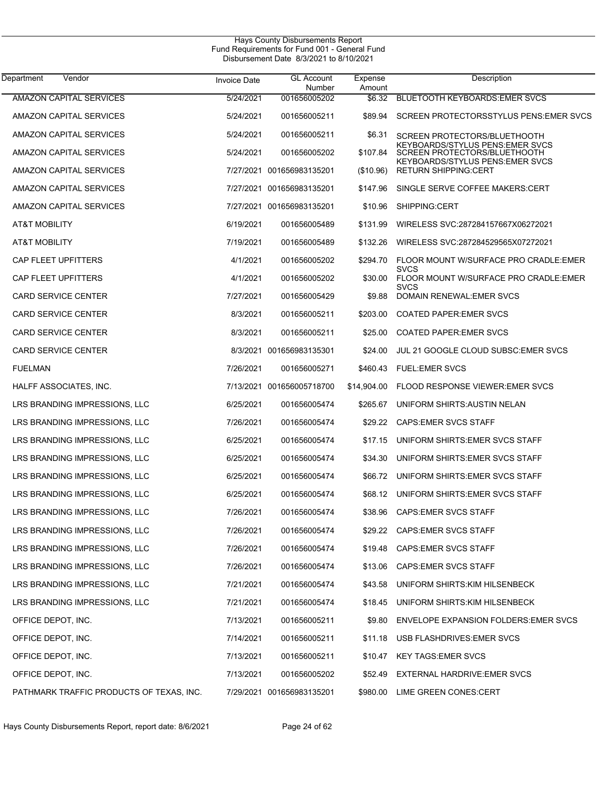| Department<br>Vendor                     | Invoice Date | <b>GL Account</b><br>Number | Expense<br>Amount | Description                                                     |
|------------------------------------------|--------------|-----------------------------|-------------------|-----------------------------------------------------------------|
| <b>AMAZON CAPITAL SERVICES</b>           | 5/24/2021    | 001656005202                | \$6.32            | <b>BLUETOOTH KEYBOARDS: EMER SVCS</b>                           |
| AMAZON CAPITAL SERVICES                  | 5/24/2021    | 001656005211                | \$89.94           | SCREEN PROTECTORSSTYLUS PENS: EMER SVCS                         |
| AMAZON CAPITAL SERVICES                  | 5/24/2021    | 001656005211                | \$6.31            | <b>SCREEN PROTECTORS/BLUETHOOTH</b>                             |
| AMAZON CAPITAL SERVICES                  | 5/24/2021    | 001656005202                | \$107.84          | KEYBOARDS/STYLUS PENS:EMER SVCS<br>SCREEN PROTECTORS/BLUETHOOTH |
| AMAZON CAPITAL SERVICES                  | 7/27/2021    | 001656983135201             | (\$10.96)         | KEYBOARDS/STYLUS PENS:EMER SVCS<br><b>RETURN SHIPPING CERT</b>  |
| AMAZON CAPITAL SERVICES                  | 7/27/2021    | 001656983135201             | \$147.96          | SINGLE SERVE COFFEE MAKERS:CERT                                 |
| AMAZON CAPITAL SERVICES                  | 7/27/2021    | 001656983135201             | \$10.96           | SHIPPING:CERT                                                   |
| AT&T MOBILITY                            | 6/19/2021    | 001656005489                | \$131.99          | WIRELESS SVC:287284157667X06272021                              |
| AT&T MOBILITY                            | 7/19/2021    | 001656005489                | \$132.26          | WIRELESS SVC:287284529565X07272021                              |
| <b>CAP FLEET UPFITTERS</b>               | 4/1/2021     | 001656005202                | \$294.70          | FLOOR MOUNT W/SURFACE PRO CRADLE:EMER                           |
| <b>CAP FLEET UPFITTERS</b>               | 4/1/2021     | 001656005202                | \$30.00           | <b>SVCS</b><br>FLOOR MOUNT W/SURFACE PRO CRADLE:EMER            |
| <b>CARD SERVICE CENTER</b>               | 7/27/2021    | 001656005429                | \$9.88            | <b>SVCS</b><br>DOMAIN RENEWAL: EMER SVCS                        |
| <b>CARD SERVICE CENTER</b>               | 8/3/2021     | 001656005211                | \$203.00          | <b>COATED PAPER EMER SVCS</b>                                   |
| <b>CARD SERVICE CENTER</b>               | 8/3/2021     | 001656005211                | \$25.00           | <b>COATED PAPER EMER SVCS</b>                                   |
| <b>CARD SERVICE CENTER</b>               | 8/3/2021     | 001656983135301             | \$24.00           | JUL 21 GOOGLE CLOUD SUBSC: EMER SVCS                            |
| <b>FUELMAN</b>                           | 7/26/2021    | 001656005271                | \$460.43          | <b>FUEL:EMER SVCS</b>                                           |
| HALFF ASSOCIATES, INC.                   |              | 7/13/2021 001656005718700   | \$14,904.00       | <b>FLOOD RESPONSE VIEWER: EMER SVCS</b>                         |
| LRS BRANDING IMPRESSIONS, LLC            | 6/25/2021    | 001656005474                | \$265.67          | UNIFORM SHIRTS: AUSTIN NELAN                                    |
| LRS BRANDING IMPRESSIONS, LLC            | 7/26/2021    | 001656005474                | \$29.22           | <b>CAPS:EMER SVCS STAFF</b>                                     |
| LRS BRANDING IMPRESSIONS, LLC            | 6/25/2021    | 001656005474                | \$17.15           | UNIFORM SHIRTS EMER SVCS STAFF                                  |
| LRS BRANDING IMPRESSIONS, LLC            | 6/25/2021    | 001656005474                | \$34.30           | UNIFORM SHIRTS EMER SVCS STAFF                                  |
| LRS BRANDING IMPRESSIONS, LLC            | 6/25/2021    | 001656005474                | \$66.72           | UNIFORM SHIRTS EMER SVCS STAFF                                  |
| LRS BRANDING IMPRESSIONS, LLC            | 6/25/2021    | 001656005474                | \$68.12           | UNIFORM SHIRTS EMER SVCS STAFF                                  |
| LRS BRANDING IMPRESSIONS, LLC            | 7/26/2021    | 001656005474                | \$38.96           | <b>CAPS:EMER SVCS STAFF</b>                                     |
| LRS BRANDING IMPRESSIONS, LLC            | 7/26/2021    | 001656005474                |                   | \$29.22 CAPS:EMER SVCS STAFF                                    |
| LRS BRANDING IMPRESSIONS, LLC            | 7/26/2021    | 001656005474                | \$19.48           | <b>CAPS:EMER SVCS STAFF</b>                                     |
| LRS BRANDING IMPRESSIONS, LLC            | 7/26/2021    | 001656005474                | \$13.06           | <b>CAPS:EMER SVCS STAFF</b>                                     |
| LRS BRANDING IMPRESSIONS, LLC            | 7/21/2021    | 001656005474                | \$43.58           | UNIFORM SHIRTS: KIM HILSENBECK                                  |
| LRS BRANDING IMPRESSIONS, LLC            | 7/21/2021    | 001656005474                | \$18.45           | UNIFORM SHIRTS: KIM HILSENBECK                                  |
| OFFICE DEPOT, INC.                       | 7/13/2021    | 001656005211                | \$9.80            | ENVELOPE EXPANSION FOLDERS: EMER SVCS                           |
| OFFICE DEPOT, INC.                       | 7/14/2021    | 001656005211                | \$11.18           | USB FLASHDRIVES: EMER SVCS                                      |
| OFFICE DEPOT, INC.                       | 7/13/2021    | 001656005211                | \$10.47           | <b>KEY TAGS: EMER SVCS</b>                                      |
| OFFICE DEPOT, INC.                       | 7/13/2021    | 001656005202                | \$52.49           | EXTERNAL HARDRIVE: EMER SVCS                                    |
| PATHMARK TRAFFIC PRODUCTS OF TEXAS, INC. |              | 7/29/2021 001656983135201   | \$980.00          | LIME GREEN CONES:CERT                                           |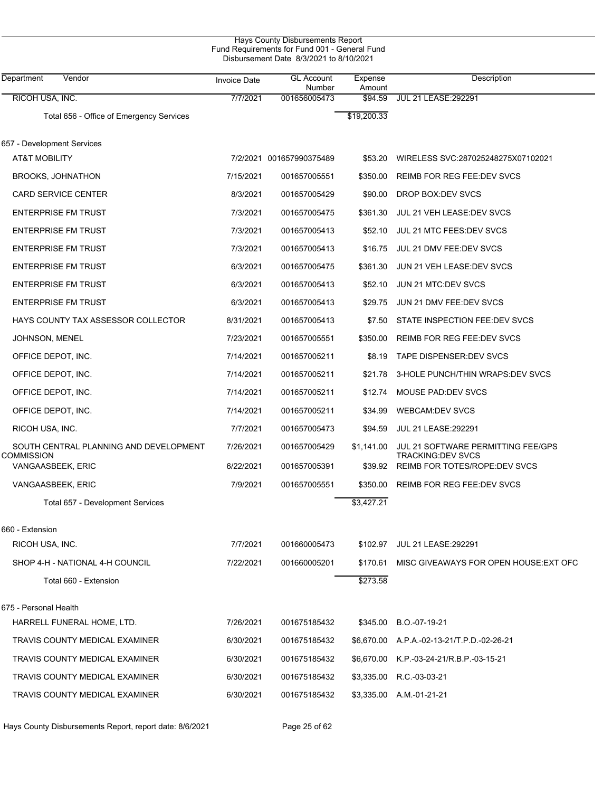| Hays County Disbursements Report<br>Fund Requirements for Fund 001 - General Fund<br>Disbursement Date 8/3/2021 to 8/10/2021 |                     |                             |                   |                                                                |  |  |
|------------------------------------------------------------------------------------------------------------------------------|---------------------|-----------------------------|-------------------|----------------------------------------------------------------|--|--|
| Department<br>Vendor                                                                                                         | <b>Invoice Date</b> | <b>GL Account</b><br>Number | Expense<br>Amount | <b>Description</b>                                             |  |  |
| RICOH USA, INC.                                                                                                              | 7/7/2021            | 001656005473                | \$94.59           | <b>JUL 21 LEASE: 292291</b>                                    |  |  |
| Total 656 - Office of Emergency Services                                                                                     |                     |                             | \$19,200.33       |                                                                |  |  |
| 657 - Development Services                                                                                                   |                     |                             |                   |                                                                |  |  |
| AT&T MOBILITY                                                                                                                |                     | 7/2/2021 001657990375489    | \$53.20           | WIRELESS SVC:287025248275X07102021                             |  |  |
| <b>BROOKS, JOHNATHON</b>                                                                                                     | 7/15/2021           | 001657005551                | \$350.00          | <b>REIMB FOR REG FEE DEV SVCS</b>                              |  |  |
| <b>CARD SERVICE CENTER</b>                                                                                                   | 8/3/2021            | 001657005429                | \$90.00           | DROP BOX:DEV SVCS                                              |  |  |
| <b>ENTERPRISE FM TRUST</b>                                                                                                   | 7/3/2021            | 001657005475                | \$361.30          | JUL 21 VEH LEASE: DEV SVCS                                     |  |  |
| <b>ENTERPRISE FM TRUST</b>                                                                                                   | 7/3/2021            | 001657005413                | \$52.10           | <b>JUL 21 MTC FEES: DEV SVCS</b>                               |  |  |
| <b>ENTERPRISE FM TRUST</b>                                                                                                   | 7/3/2021            | 001657005413                | \$16.75           | JUL 21 DMV FEE:DEV SVCS                                        |  |  |
| <b>ENTERPRISE FM TRUST</b>                                                                                                   | 6/3/2021            | 001657005475                | \$361.30          | JUN 21 VEH LEASE: DEV SVCS                                     |  |  |
| <b>ENTERPRISE FM TRUST</b>                                                                                                   | 6/3/2021            | 001657005413                | \$52.10           | JUN 21 MTC:DEV SVCS                                            |  |  |
| <b>ENTERPRISE FM TRUST</b>                                                                                                   | 6/3/2021            | 001657005413                | \$29.75           | JUN 21 DMV FEE:DEV SVCS                                        |  |  |
| HAYS COUNTY TAX ASSESSOR COLLECTOR                                                                                           | 8/31/2021           | 001657005413                | \$7.50            | STATE INSPECTION FEE:DEV SVCS                                  |  |  |
| JOHNSON, MENEL                                                                                                               | 7/23/2021           | 001657005551                | \$350.00          | REIMB FOR REG FEE DEV SVCS                                     |  |  |
| OFFICE DEPOT, INC.                                                                                                           | 7/14/2021           | 001657005211                | \$8.19            | TAPE DISPENSER: DEV SVCS                                       |  |  |
| OFFICE DEPOT, INC.                                                                                                           | 7/14/2021           | 001657005211                | \$21.78           | 3-HOLE PUNCH/THIN WRAPS:DEV SVCS                               |  |  |
| OFFICE DEPOT, INC.                                                                                                           | 7/14/2021           | 001657005211                | \$12.74           | MOUSE PAD DEV SVCS                                             |  |  |
| OFFICE DEPOT, INC.                                                                                                           | 7/14/2021           | 001657005211                | \$34.99           | <b>WEBCAM:DEV SVCS</b>                                         |  |  |
| RICOH USA, INC.                                                                                                              | 7/7/2021            | 001657005473                | \$94.59           | <b>JUL 21 LEASE: 292291</b>                                    |  |  |
| SOUTH CENTRAL PLANNING AND DEVELOPMENT<br><b>COMMISSION</b>                                                                  | 7/26/2021           | 001657005429                | \$1,141.00        | JUL 21 SOFTWARE PERMITTING FEE/GPS<br><b>TRACKING:DEV SVCS</b> |  |  |
| VANGAASBEEK, ERIC                                                                                                            | 6/22/2021           | 001657005391                | \$39.92           | <b>REIMB FOR TOTES/ROPE:DEV SVCS</b>                           |  |  |
| VANGAASBEEK, ERIC                                                                                                            | 7/9/2021            | 001657005551                |                   | \$350.00 REIMB FOR REG FEE:DEV SVCS                            |  |  |
| Total 657 - Development Services                                                                                             |                     |                             | \$3,427.21        |                                                                |  |  |
| 660 - Extension                                                                                                              |                     |                             |                   |                                                                |  |  |
| RICOH USA, INC.                                                                                                              | 7/7/2021            | 001660005473                |                   | \$102.97 JUL 21 LEASE:292291                                   |  |  |
| SHOP 4-H - NATIONAL 4-H COUNCIL                                                                                              | 7/22/2021           | 001660005201                |                   | \$170.61 MISC GIVEAWAYS FOR OPEN HOUSE EXT OFC                 |  |  |
| Total 660 - Extension                                                                                                        |                     |                             | \$273.58          |                                                                |  |  |
| 675 - Personal Health                                                                                                        |                     |                             |                   |                                                                |  |  |
| HARRELL FUNERAL HOME, LTD.                                                                                                   | 7/26/2021           | 001675185432                |                   | \$345.00 B.O.-07-19-21                                         |  |  |
| TRAVIS COUNTY MEDICAL EXAMINER                                                                                               | 6/30/2021           | 001675185432                |                   | \$6,670.00 A.P.A.-02-13-21/T.P.D.-02-26-21                     |  |  |
| TRAVIS COUNTY MEDICAL EXAMINER                                                                                               | 6/30/2021           | 001675185432                |                   | \$6,670.00 K.P.-03-24-21/R.B.P.-03-15-21                       |  |  |
| TRAVIS COUNTY MEDICAL EXAMINER                                                                                               | 6/30/2021           | 001675185432                | \$3,335.00        | R.C.-03-03-21                                                  |  |  |
| TRAVIS COUNTY MEDICAL EXAMINER                                                                                               | 6/30/2021           | 001675185432                |                   | \$3,335.00 A.M.-01-21-21                                       |  |  |

Hays County Disbursements Report, report date: 8/6/2021 Page 25 of 62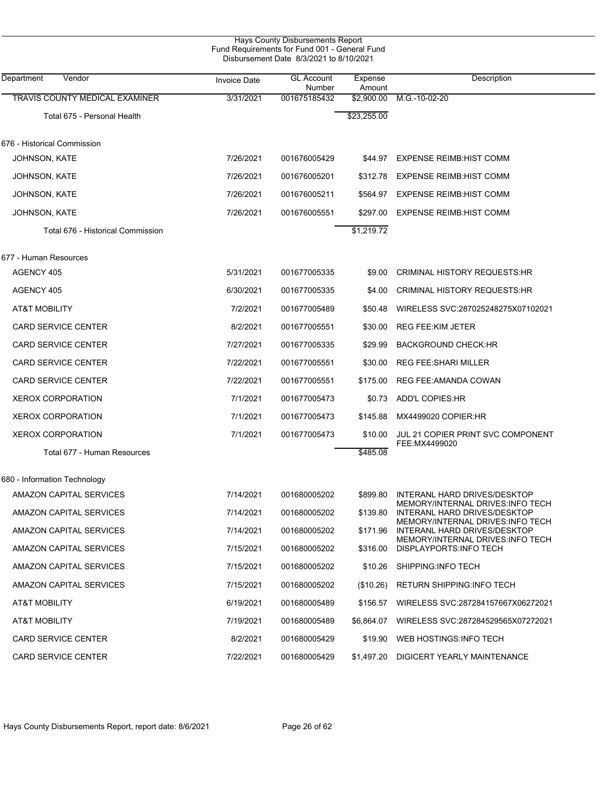|                                   |                     | Hays County Disbursements Report<br>Fund Requirements for Fund 001 - General Fund<br>Disbursement Date 8/3/2021 to 8/10/2021 |                   |                                                                   |
|-----------------------------------|---------------------|------------------------------------------------------------------------------------------------------------------------------|-------------------|-------------------------------------------------------------------|
| Department<br>Vendor              | <b>Invoice Date</b> | <b>GL Account</b><br>Number                                                                                                  | Expense<br>Amount | Description                                                       |
| TRAVIS COUNTY MEDICAL EXAMINER    | 3/31/2021           | 001675185432                                                                                                                 | \$2,900.00        | M.G.-10-02-20                                                     |
| Total 675 - Personal Health       |                     |                                                                                                                              | \$23,255.00       |                                                                   |
| 676 - Historical Commission       |                     |                                                                                                                              |                   |                                                                   |
| <b>JOHNSON, KATE</b>              | 7/26/2021           | 001676005429                                                                                                                 | \$44.97           | <b>EXPENSE REIMB: HIST COMM</b>                                   |
| <b>JOHNSON, KATE</b>              | 7/26/2021           | 001676005201                                                                                                                 | \$312.78          | <b>EXPENSE REIMB: HIST COMM</b>                                   |
| JOHNSON, KATE                     | 7/26/2021           | 001676005211                                                                                                                 | \$564.97          | <b>EXPENSE REIMB:HIST COMM</b>                                    |
| JOHNSON, KATE                     | 7/26/2021           | 001676005551                                                                                                                 | \$297.00          | <b>EXPENSE REIMB:HIST COMM</b>                                    |
| Total 676 - Historical Commission |                     |                                                                                                                              | \$1,219.72        |                                                                   |
| 677 - Human Resources             |                     |                                                                                                                              |                   |                                                                   |
| AGENCY 405                        | 5/31/2021           | 001677005335                                                                                                                 | \$9.00            | <b>CRIMINAL HISTORY REQUESTS:HR</b>                               |
| AGENCY 405                        | 6/30/2021           | 001677005335                                                                                                                 | \$4.00            | CRIMINAL HISTORY REQUESTS:HR                                      |
| AT&T MOBILITY                     | 7/2/2021            | 001677005489                                                                                                                 | \$50.48           | WIRELESS SVC:287025248275X07102021                                |
| <b>CARD SERVICE CENTER</b>        | 8/2/2021            | 001677005551                                                                                                                 | \$30.00           | <b>REG FEE: KIM JETER</b>                                         |
| CARD SERVICE CENTER               | 7/27/2021           | 001677005335                                                                                                                 | \$29.99           | <b>BACKGROUND CHECK:HR</b>                                        |
| CARD SERVICE CENTER               | 7/22/2021           | 001677005551                                                                                                                 | \$30.00           | <b>REG FEE: SHARI MILLER</b>                                      |
| CARD SERVICE CENTER               | 7/22/2021           | 001677005551                                                                                                                 | \$175.00          | REG FEE: AMANDA COWAN                                             |
| <b>XEROX CORPORATION</b>          | 7/1/2021            | 001677005473                                                                                                                 | \$0.73            | <b>ADD'L COPIES:HR</b>                                            |
| <b>XEROX CORPORATION</b>          | 7/1/2021            | 001677005473                                                                                                                 | \$145.88          | MX4499020 COPIER:HR                                               |
| <b>XEROX CORPORATION</b>          | 7/1/2021            | 001677005473                                                                                                                 | \$10.00           | JUL 21 COPIER PRINT SVC COMPONENT                                 |
| Total 677 - Human Resources       |                     |                                                                                                                              | \$485.08          | FEE:MX4499020                                                     |
| 680 - Information Technology      |                     |                                                                                                                              |                   |                                                                   |
| AMAZON CAPITAL SERVICES           | 7/14/2021           | 001680005202                                                                                                                 | \$899.80          | INTERANL HARD DRIVES/DESKTOP<br>MEMORY/INTERNAL DRIVES:INFO TECH  |
| AMAZON CAPITAL SERVICES           | 7/14/2021           | 001680005202                                                                                                                 | \$139.80          | INTERANL HARD DRIVES/DESKTOP<br>MEMORY/INTERNAL DRIVES: INFO TECH |
| AMAZON CAPITAL SERVICES           | 7/14/2021           | 001680005202                                                                                                                 | \$171.96          | INTERANL HARD DRIVES/DESKTOP                                      |
| AMAZON CAPITAL SERVICES           | 7/15/2021           | 001680005202                                                                                                                 | \$316.00          | MEMORY/INTERNAL DRIVES: INFO TECH<br>DISPLAYPORTS: INFO TECH      |
| AMAZON CAPITAL SERVICES           | 7/15/2021           | 001680005202                                                                                                                 | \$10.26           | SHIPPING:INFO TECH                                                |
| AMAZON CAPITAL SERVICES           | 7/15/2021           | 001680005202                                                                                                                 | (\$10.26)         | RETURN SHIPPING INFO TECH                                         |
| AT&T MOBILITY                     | 6/19/2021           | 001680005489                                                                                                                 | \$156.57          | WIRELESS SVC:287284157667X06272021                                |
| AT&T MOBILITY                     | 7/19/2021           | 001680005489                                                                                                                 | \$6,864.07        | WIRELESS SVC:287284529565X07272021                                |
| <b>CARD SERVICE CENTER</b>        | 8/2/2021            | 001680005429                                                                                                                 | \$19.90           | WEB HOSTINGS: INFO TECH                                           |
| <b>CARD SERVICE CENTER</b>        | 7/22/2021           | 001680005429                                                                                                                 | \$1,497.20        | DIGICERT YEARLY MAINTENANCE                                       |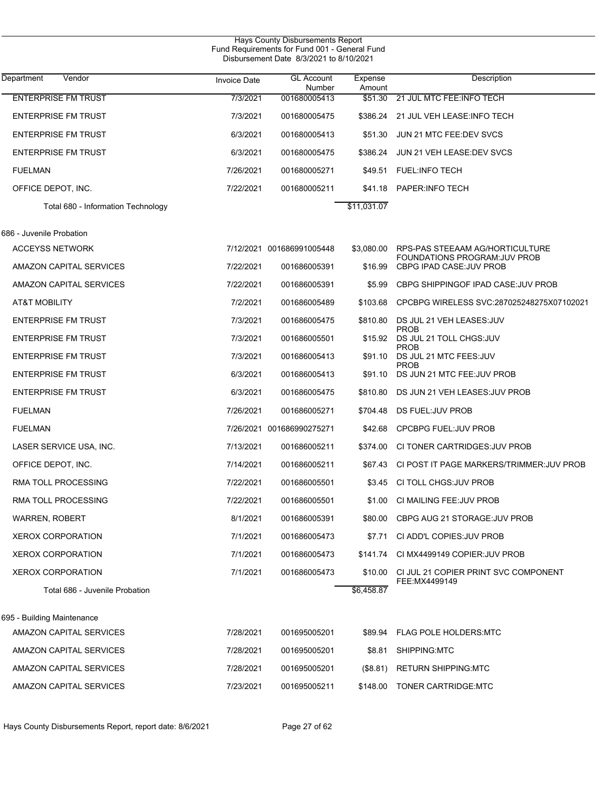| <b>Hays County Disbursements Report</b><br>Fund Requirements for Fund 001 - General Fund<br>Disbursement Date 8/3/2021 to 8/10/2021 |                     |                             |                   |                                                           |  |  |
|-------------------------------------------------------------------------------------------------------------------------------------|---------------------|-----------------------------|-------------------|-----------------------------------------------------------|--|--|
| Department<br>Vendor                                                                                                                | <b>Invoice Date</b> | <b>GL Account</b><br>Number | Expense<br>Amount | Description                                               |  |  |
| <b>ENTERPRISE FM TRUST</b>                                                                                                          | 7/3/2021            | 001680005413                | \$51.30           | 21 JUL MTC FEE: INFO TECH                                 |  |  |
| <b>ENTERPRISE FM TRUST</b>                                                                                                          | 7/3/2021            | 001680005475                | \$386.24          | 21 JUL VEH LEASE: INFO TECH                               |  |  |
| <b>ENTERPRISE FM TRUST</b>                                                                                                          | 6/3/2021            | 001680005413                | \$51.30           | JUN 21 MTC FEE:DEV SVCS                                   |  |  |
| <b>ENTERPRISE FM TRUST</b>                                                                                                          | 6/3/2021            | 001680005475                | \$386.24          | JUN 21 VEH LEASE: DEV SVCS                                |  |  |
| <b>FUELMAN</b>                                                                                                                      | 7/26/2021           | 001680005271                | \$49.51           | <b>FUEL:INFO TECH</b>                                     |  |  |
| OFFICE DEPOT, INC.                                                                                                                  | 7/22/2021           | 001680005211                | \$41.18           | PAPER: INFO TECH                                          |  |  |
| Total 680 - Information Technology                                                                                                  |                     |                             | \$11,031.07       |                                                           |  |  |
| 686 - Juvenile Probation                                                                                                            |                     |                             |                   |                                                           |  |  |
| <b>ACCEYSS NETWORK</b>                                                                                                              |                     | 7/12/2021 001686991005448   | \$3,080.00        | RPS-PAS STEEAAM AG/HORTICULTURE                           |  |  |
| AMAZON CAPITAL SERVICES                                                                                                             | 7/22/2021           | 001686005391                | \$16.99           | FOUNDATIONS PROGRAM: JUV PROB<br>CBPG IPAD CASE: JUV PROB |  |  |
| AMAZON CAPITAL SERVICES                                                                                                             | 7/22/2021           | 001686005391                | \$5.99            | CBPG SHIPPINGOF IPAD CASE: JUV PROB                       |  |  |
| AT&T MOBILITY                                                                                                                       | 7/2/2021            | 001686005489                | \$103.68          | CPCBPG WIRELESS SVC:287025248275X07102021                 |  |  |
| <b>ENTERPRISE FM TRUST</b>                                                                                                          | 7/3/2021            | 001686005475                | \$810.80          | DS JUL 21 VEH LEASES: JUV                                 |  |  |
| <b>ENTERPRISE FM TRUST</b>                                                                                                          | 7/3/2021            | 001686005501                | \$15.92           | <b>PROB</b><br>DS JUL 21 TOLL CHGS: JUV                   |  |  |
| <b>ENTERPRISE FM TRUST</b>                                                                                                          | 7/3/2021            | 001686005413                | \$91.10           | <b>PROB</b><br>DS JUL 21 MTC FEES: JUV                    |  |  |
| <b>ENTERPRISE FM TRUST</b>                                                                                                          | 6/3/2021            | 001686005413                | \$91.10           | <b>PROB</b><br>DS JUN 21 MTC FEE: JUV PROB                |  |  |
| <b>ENTERPRISE FM TRUST</b>                                                                                                          | 6/3/2021            | 001686005475                | \$810.80          | DS JUN 21 VEH LEASES: JUV PROB                            |  |  |
| <b>FUELMAN</b>                                                                                                                      | 7/26/2021           | 001686005271                | \$704.48          | DS FUEL: JUV PROB                                         |  |  |
| <b>FUELMAN</b>                                                                                                                      |                     | 7/26/2021 001686990275271   | \$42.68           | <b>CPCBPG FUEL: JUV PROB</b>                              |  |  |
| LASER SERVICE USA, INC.                                                                                                             | 7/13/2021           | 001686005211                | \$374.00          | CI TONER CARTRIDGES: JUV PROB                             |  |  |
| OFFICE DEPOT, INC.                                                                                                                  | 7/14/2021           | 001686005211                | \$67.43           | CI POST IT PAGE MARKERS/TRIMMER: JUV PROB                 |  |  |
| RMA TOLL PROCESSING                                                                                                                 | 7/22/2021           | 001686005501                |                   | \$3.45 CI TOLL CHGS: JUV PROB                             |  |  |
| RMA TOLL PROCESSING                                                                                                                 | 7/22/2021           | 001686005501                | \$1.00            | CI MAILING FEE: JUV PROB                                  |  |  |
| <b>WARREN, ROBERT</b>                                                                                                               | 8/1/2021            | 001686005391                | \$80.00           | CBPG AUG 21 STORAGE: JUV PROB                             |  |  |
| <b>XEROX CORPORATION</b>                                                                                                            | 7/1/2021            | 001686005473                | \$7.71            | CI ADD'L COPIES: JUV PROB                                 |  |  |
| <b>XEROX CORPORATION</b>                                                                                                            | 7/1/2021            | 001686005473                | \$141.74          | CI MX4499149 COPIER: JUV PROB                             |  |  |
| <b>XEROX CORPORATION</b>                                                                                                            | 7/1/2021            | 001686005473                | \$10.00           | CI JUL 21 COPIER PRINT SVC COMPONENT                      |  |  |
| Total 686 - Juvenile Probation                                                                                                      |                     |                             | \$6,458.87        | FEE:MX4499149                                             |  |  |
| 695 - Building Maintenance                                                                                                          |                     |                             |                   |                                                           |  |  |
| AMAZON CAPITAL SERVICES                                                                                                             | 7/28/2021           | 001695005201                | \$89.94           | <b>FLAG POLE HOLDERS: MTC</b>                             |  |  |
| AMAZON CAPITAL SERVICES                                                                                                             | 7/28/2021           | 001695005201                | \$8.81            | SHIPPING:MTC                                              |  |  |
| AMAZON CAPITAL SERVICES                                                                                                             | 7/28/2021           | 001695005201                | (\$8.81)          | <b>RETURN SHIPPING:MTC</b>                                |  |  |
| AMAZON CAPITAL SERVICES                                                                                                             | 7/23/2021           | 001695005211                | \$148.00          | TONER CARTRIDGE.MTC                                       |  |  |

Hays County Disbursements Report, report date: 8/6/2021 Page 27 of 62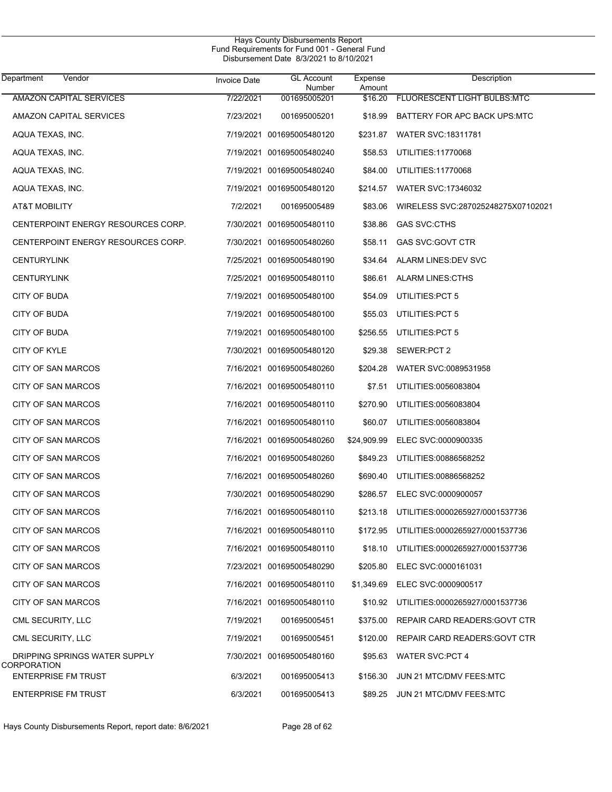| Department<br>Vendor                      | <b>Invoice Date</b> | <b>GL Account</b><br>Number | Expense<br>Amount | Description                              |
|-------------------------------------------|---------------------|-----------------------------|-------------------|------------------------------------------|
| <b>AMAZON CAPITAL SERVICES</b>            | 7/22/2021           | 001695005201                | \$16.20           | FLUORESCENT LIGHT BULBS:MTC              |
| AMAZON CAPITAL SERVICES                   | 7/23/2021           | 001695005201                | \$18.99           | BATTERY FOR APC BACK UPS:MTC             |
| AQUA TEXAS, INC.                          |                     | 7/19/2021 001695005480120   | \$231.87          | <b>WATER SVC:18311781</b>                |
| AQUA TEXAS, INC.                          |                     | 7/19/2021 001695005480240   | \$58.53           | UTILITIES:11770068                       |
| AQUA TEXAS, INC.                          |                     | 7/19/2021 001695005480240   | \$84.00           | UTILITIES:11770068                       |
| AQUA TEXAS, INC.                          |                     | 7/19/2021 001695005480120   | \$214.57          | <b>WATER SVC: 17346032</b>               |
| <b>AT&amp;T MOBILITY</b>                  | 7/2/2021            | 001695005489                | \$83.06           | WIRELESS SVC:287025248275X07102021       |
| CENTERPOINT ENERGY RESOURCES CORP.        |                     | 7/30/2021 001695005480110   | \$38.86           | <b>GAS SVC:CTHS</b>                      |
| CENTERPOINT ENERGY RESOURCES CORP.        |                     | 7/30/2021 001695005480260   | \$58.11           | GAS SVC:GOVT CTR                         |
| <b>CENTURYLINK</b>                        |                     | 7/25/2021 001695005480190   | \$34.64           | ALARM LINES: DEV SVC                     |
| <b>CENTURYLINK</b>                        |                     | 7/25/2021 001695005480110   | \$86.61           | <b>ALARM LINES: CTHS</b>                 |
| <b>CITY OF BUDA</b>                       |                     | 7/19/2021 001695005480100   | \$54.09           | UTILITIES: PCT 5                         |
| <b>CITY OF BUDA</b>                       |                     | 7/19/2021 001695005480100   | \$55.03           | UTILITIES: PCT 5                         |
| <b>CITY OF BUDA</b>                       |                     | 7/19/2021 001695005480100   | \$256.55          | UTILITIES: PCT 5                         |
| <b>CITY OF KYLE</b>                       |                     | 7/30/2021 001695005480120   | \$29.38           | SEWER:PCT 2                              |
| CITY OF SAN MARCOS                        |                     | 7/16/2021 001695005480260   | \$204.28          | WATER SVC:0089531958                     |
| CITY OF SAN MARCOS                        |                     | 7/16/2021 001695005480110   | \$7.51            | UTILITIES:0056083804                     |
| CITY OF SAN MARCOS                        |                     | 7/16/2021 001695005480110   | \$270.90          | UTILITIES:0056083804                     |
| CITY OF SAN MARCOS                        |                     | 7/16/2021 001695005480110   | \$60.07           | UTILITIES:0056083804                     |
| CITY OF SAN MARCOS                        |                     | 7/16/2021 001695005480260   | \$24,909.99       | ELEC SVC:0000900335                      |
| CITY OF SAN MARCOS                        |                     | 7/16/2021 001695005480260   | \$849.23          | UTILITIES:00886568252                    |
| CITY OF SAN MARCOS                        |                     | 7/16/2021 001695005480260   | \$690.40          | UTILITIES:00886568252                    |
| CITY OF SAN MARCOS                        |                     | 7/30/2021 001695005480290   | \$286.57          | ELEC SVC:0000900057                      |
| CITY OF SAN MARCOS                        |                     | 7/16/2021 001695005480110   | \$213.18          | UTILITIES:0000265927/0001537736          |
| CITY OF SAN MARCOS                        |                     | 7/16/2021 001695005480110   |                   | \$172.95 UTILITIES:0000265927/0001537736 |
| <b>CITY OF SAN MARCOS</b>                 |                     | 7/16/2021 001695005480110   | \$18.10           | UTILITIES:0000265927/0001537736          |
| CITY OF SAN MARCOS                        |                     | 7/23/2021 001695005480290   | \$205.80          | ELEC SVC:0000161031                      |
| CITY OF SAN MARCOS                        |                     | 7/16/2021 001695005480110   | \$1,349.69        | ELEC SVC:0000900517                      |
| CITY OF SAN MARCOS                        |                     | 7/16/2021 001695005480110   | \$10.92           | UTILITIES:0000265927/0001537736          |
| CML SECURITY, LLC                         | 7/19/2021           | 001695005451                | \$375.00          | REPAIR CARD READERS: GOVT CTR            |
| CML SECURITY, LLC                         | 7/19/2021           | 001695005451                | \$120.00          | REPAIR CARD READERS: GOVT CTR            |
| DRIPPING SPRINGS WATER SUPPLY             |                     | 7/30/2021 001695005480160   | \$95.63           | <b>WATER SVC:PCT 4</b>                   |
| CORPORATION<br><b>ENTERPRISE FM TRUST</b> | 6/3/2021            | 001695005413                | \$156.30          | JUN 21 MTC/DMV FEES MTC                  |
| <b>ENTERPRISE FM TRUST</b>                | 6/3/2021            | 001695005413                |                   | \$89.25 JUN 21 MTC/DMV FEES:MTC          |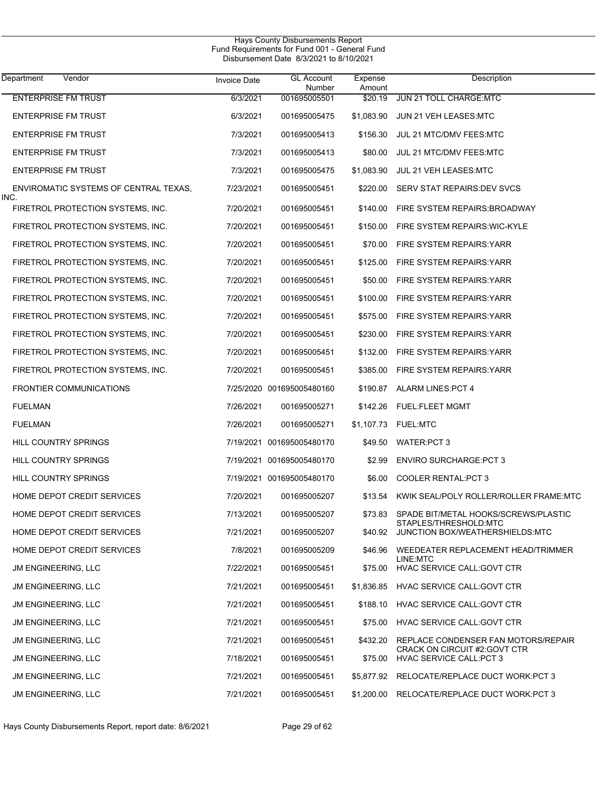| <b>Department</b><br>Vendor                   | <b>Invoice Date</b> | <b>GL Account</b><br>Number | Expense<br>Amount | Description                                                           |
|-----------------------------------------------|---------------------|-----------------------------|-------------------|-----------------------------------------------------------------------|
| <b>ENTERPRISE FM TRUST</b>                    | 6/3/2021            | 001695005501                | \$20.19           | JUN 21 TOLL CHARGE:MTC                                                |
| <b>ENTERPRISE FM TRUST</b>                    | 6/3/2021            | 001695005475                | \$1,083.90        | JUN 21 VEH LEASES:MTC                                                 |
| <b>ENTERPRISE FM TRUST</b>                    | 7/3/2021            | 001695005413                | \$156.30          | JUL 21 MTC/DMV FEES:MTC                                               |
| <b>ENTERPRISE FM TRUST</b>                    | 7/3/2021            | 001695005413                | \$80.00           | JUL 21 MTC/DMV FEES:MTC                                               |
| <b>ENTERPRISE FM TRUST</b>                    | 7/3/2021            | 001695005475                | \$1,083.90        | JUL 21 VEH LEASES:MTC                                                 |
| ENVIROMATIC SYSTEMS OF CENTRAL TEXAS,<br>INC. | 7/23/2021           | 001695005451                | \$220.00          | SERV STAT REPAIRS: DEV SVCS                                           |
| FIRETROL PROTECTION SYSTEMS, INC.             | 7/20/2021           | 001695005451                | \$140.00          | FIRE SYSTEM REPAIRS: BROADWAY                                         |
| FIRETROL PROTECTION SYSTEMS, INC.             | 7/20/2021           | 001695005451                | \$150.00          | FIRE SYSTEM REPAIRS WIC-KYLE                                          |
| FIRETROL PROTECTION SYSTEMS, INC.             | 7/20/2021           | 001695005451                | \$70.00           | FIRE SYSTEM REPAIRS: YARR                                             |
| FIRETROL PROTECTION SYSTEMS, INC.             | 7/20/2021           | 001695005451                | \$125.00          | FIRE SYSTEM REPAIRS: YARR                                             |
| FIRETROL PROTECTION SYSTEMS, INC.             | 7/20/2021           | 001695005451                | \$50.00           | FIRE SYSTEM REPAIRS: YARR                                             |
| FIRETROL PROTECTION SYSTEMS, INC.             | 7/20/2021           | 001695005451                | \$100.00          | FIRE SYSTEM REPAIRS YARR                                              |
| FIRETROL PROTECTION SYSTEMS, INC.             | 7/20/2021           | 001695005451                | \$575.00          | FIRE SYSTEM REPAIRS:YARR                                              |
| FIRETROL PROTECTION SYSTEMS, INC.             | 7/20/2021           | 001695005451                | \$230.00          | FIRE SYSTEM REPAIRS: YARR                                             |
| FIRETROL PROTECTION SYSTEMS, INC.             | 7/20/2021           | 001695005451                | \$132.00          | FIRE SYSTEM REPAIRS: YARR                                             |
| FIRETROL PROTECTION SYSTEMS, INC.             | 7/20/2021           | 001695005451                |                   | \$385.00 FIRE SYSTEM REPAIRS: YARR                                    |
| <b>FRONTIER COMMUNICATIONS</b>                |                     | 7/25/2020 001695005480160   |                   | \$190.87 ALARM LINES: PCT 4                                           |
| <b>FUELMAN</b>                                | 7/26/2021           | 001695005271                |                   | \$142.26 FUEL:FLEET MGMT                                              |
| <b>FUELMAN</b>                                | 7/26/2021           | 001695005271                |                   | \$1,107.73 FUEL.MTC                                                   |
| HILL COUNTRY SPRINGS                          |                     | 7/19/2021 001695005480170   |                   | \$49.50 WATER:PCT 3                                                   |
| HILL COUNTRY SPRINGS                          |                     | 7/19/2021 001695005480170   | \$2.99            | <b>ENVIRO SURCHARGE:PCT 3</b>                                         |
| HILL COUNTRY SPRINGS                          |                     | 7/19/2021 001695005480170   | \$6.00            | COOLER RENTAL: PCT 3                                                  |
| HOME DEPOT CREDIT SERVICES                    | 7/20/2021           | 001695005207                | \$13.54           | KWIK SEAL/POLY ROLLER/ROLLER FRAME:MTC                                |
| HOME DEPOT CREDIT SERVICES                    | 7/13/2021           | 001695005207                |                   | \$73.83 SPADE BIT/METAL HOOKS/SCREWS/PLASTIC<br>STAPLES/THRESHOLD:MTC |
| HOME DEPOT CREDIT SERVICES                    | 7/21/2021           | 001695005207                |                   | \$40.92 JUNCTION BOX/WEATHERSHIELDS:MTC                               |
| HOME DEPOT CREDIT SERVICES                    | 7/8/2021            | 001695005209                |                   | \$46.96 WEEDEATER REPLACEMENT HEAD/TRIMMER<br>LINE:MTC                |
| <b>JM ENGINEERING, LLC</b>                    | 7/22/2021           | 001695005451                | \$75.00           | <b>HVAC SERVICE CALL: GOVT CTR</b>                                    |
| JM ENGINEERING, LLC                           | 7/21/2021           | 001695005451                |                   | \$1,836.85 HVAC SERVICE CALL:GOVT CTR                                 |
| JM ENGINEERING, LLC                           | 7/21/2021           | 001695005451                |                   | \$188.10 HVAC SERVICE CALL: GOVT CTR                                  |
| JM ENGINEERING, LLC                           | 7/21/2021           | 001695005451                |                   | \$75.00 HVAC SERVICE CALL: GOVT CTR                                   |
| JM ENGINEERING, LLC                           | 7/21/2021           | 001695005451                | \$432.20          | REPLACE CONDENSER FAN MOTORS/REPAIR                                   |
| JM ENGINEERING, LLC                           | 7/18/2021           | 001695005451                | \$75.00           | CRACK ON CIRCUIT #2:GOVT CTR<br><b>HVAC SERVICE CALL:PCT 3</b>        |
| JM ENGINEERING, LLC                           | 7/21/2021           | 001695005451                |                   | \$5,877.92 RELOCATE/REPLACE DUCT WORK: PCT 3                          |
| JM ENGINEERING, LLC                           | 7/21/2021           | 001695005451                |                   | \$1,200.00 RELOCATE/REPLACE DUCT WORK:PCT 3                           |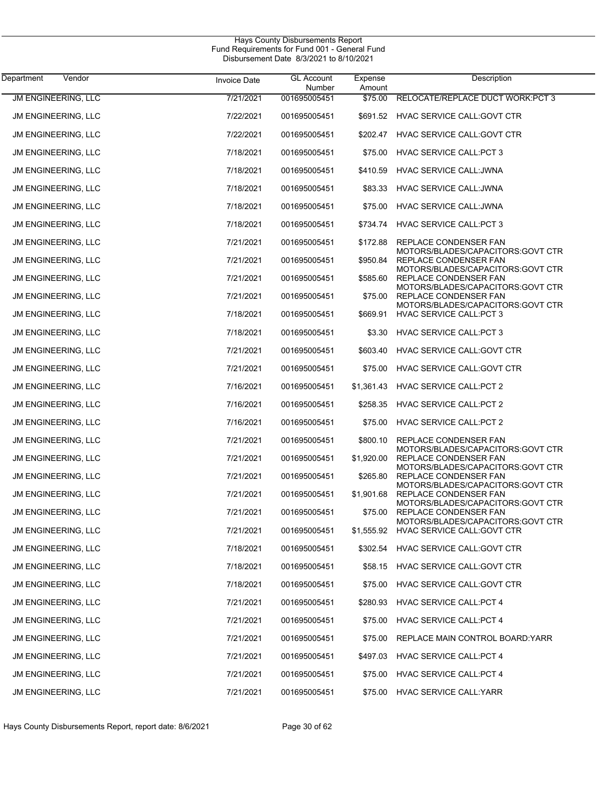| Vendor<br>Department       | <b>Invoice Date</b> | <b>GL Account</b>      | Expense           | Description                                                                                     |
|----------------------------|---------------------|------------------------|-------------------|-------------------------------------------------------------------------------------------------|
| <b>JM ENGINEERING, LLC</b> | 7/21/2021           | Number<br>001695005451 | Amount<br>\$75.00 | RELOCATE/REPLACE DUCT WORK:PCT 3                                                                |
| JM ENGINEERING, LLC        | 7/22/2021           | 001695005451           | \$691.52          | HVAC SERVICE CALL: GOVT CTR                                                                     |
| <b>JM ENGINEERING, LLC</b> | 7/22/2021           | 001695005451           | \$202.47          | HVAC SERVICE CALL: GOVT CTR                                                                     |
| <b>JM ENGINEERING, LLC</b> | 7/18/2021           | 001695005451           | \$75.00           | <b>HVAC SERVICE CALL:PCT 3</b>                                                                  |
| <b>JM ENGINEERING, LLC</b> | 7/18/2021           | 001695005451           | \$410.59          | <b>HVAC SERVICE CALL: JWNA</b>                                                                  |
| <b>JM ENGINEERING, LLC</b> | 7/18/2021           | 001695005451           | \$83.33           | HVAC SERVICE CALL: JWNA                                                                         |
| <b>JM ENGINEERING, LLC</b> | 7/18/2021           | 001695005451           | \$75.00           | <b>HVAC SERVICE CALL: JWNA</b>                                                                  |
| <b>JM ENGINEERING, LLC</b> | 7/18/2021           | 001695005451           | \$734.74          | HVAC SERVICE CALL: PCT 3                                                                        |
| <b>JM ENGINEERING, LLC</b> | 7/21/2021           | 001695005451           | \$172.88          | REPLACE CONDENSER FAN                                                                           |
| <b>JM ENGINEERING, LLC</b> | 7/21/2021           | 001695005451           | \$950.84          | MOTORS/BLADES/CAPACITORS:GOVT CTR<br>REPLACE CONDENSER FAN                                      |
| <b>JM ENGINEERING, LLC</b> | 7/21/2021           | 001695005451           | \$585.60          | MOTORS/BLADES/CAPACITORS:GOVT CTR<br>REPLACE CONDENSER FAN<br>MOTORS/BLADES/CAPACITORS:GOVT CTR |
| <b>JM ENGINEERING, LLC</b> | 7/21/2021           | 001695005451           | \$75.00           | REPLACE CONDENSER FAN<br>MOTORS/BLADES/CAPACITORS: GOVT CTR                                     |
| <b>JM ENGINEERING, LLC</b> | 7/18/2021           | 001695005451           | \$669.91          | <b>HVAC SERVICE CALL: PCT 3</b>                                                                 |
| <b>JM ENGINEERING, LLC</b> | 7/18/2021           | 001695005451           | \$3.30            | <b>HVAC SERVICE CALL: PCT 3</b>                                                                 |
| <b>JM ENGINEERING, LLC</b> | 7/21/2021           | 001695005451           | \$603.40          | HVAC SERVICE CALL: GOVT CTR                                                                     |
| <b>JM ENGINEERING, LLC</b> | 7/21/2021           | 001695005451           | \$75.00           | HVAC SERVICE CALL: GOVT CTR                                                                     |
| <b>JM ENGINEERING, LLC</b> | 7/16/2021           | 001695005451           | \$1,361.43        | <b>HVAC SERVICE CALL:PCT 2</b>                                                                  |
| <b>JM ENGINEERING, LLC</b> | 7/16/2021           | 001695005451           | \$258.35          | HVAC SERVICE CALL:PCT 2                                                                         |
| <b>JM ENGINEERING, LLC</b> | 7/16/2021           | 001695005451           | \$75.00           | HVAC SERVICE CALL:PCT 2                                                                         |
| <b>JM ENGINEERING, LLC</b> | 7/21/2021           | 001695005451           | \$800.10          | REPLACE CONDENSER FAN<br>MOTORS/BLADES/CAPACITORS:GOVT CTR                                      |
| <b>JM ENGINEERING, LLC</b> | 7/21/2021           | 001695005451           | \$1,920.00        | REPLACE CONDENSER FAN<br>MOTORS/BLADES/CAPACITORS:GOVT CTR                                      |
| <b>JM ENGINEERING, LLC</b> | 7/21/2021           | 001695005451           | \$265.80          | REPLACE CONDENSER FAN<br>MOTORS/BLADES/CAPACITORS:GOVT CTR                                      |
| <b>JM ENGINEERING, LLC</b> | 7/21/2021           | 001695005451           | \$1,901.68        | REPLACE CONDENSER FAN<br>MOTORS/BLADES/CAPACITORS:GOVT CTR                                      |
| <b>JM ENGINEERING, LLC</b> | 7/21/2021           | 001695005451           | \$75.00           | REPLACE CONDENSER FAN<br>MOTORS/BLADES/CAPACITORS:GOVT CTR                                      |
| <b>JM ENGINEERING, LLC</b> | 7/21/2021           | 001695005451           | \$1,555.92        | <b>HVAC SERVICE CALL: GOVT CTR</b>                                                              |
| <b>JM ENGINEERING, LLC</b> | 7/18/2021           | 001695005451           | \$302.54          | HVAC SERVICE CALL: GOVT CTR                                                                     |
| JM ENGINEERING, LLC        | 7/18/2021           | 001695005451           | \$58.15           | HVAC SERVICE CALL: GOVT CTR                                                                     |
| JM ENGINEERING, LLC        | 7/18/2021           | 001695005451           | \$75.00           | HVAC SERVICE CALL: GOVT CTR                                                                     |
| JM ENGINEERING, LLC        | 7/21/2021           | 001695005451           | \$280.93          | <b>HVAC SERVICE CALL:PCT 4</b>                                                                  |
| JM ENGINEERING, LLC        | 7/21/2021           | 001695005451           | \$75.00           | <b>HVAC SERVICE CALL:PCT 4</b>                                                                  |
| JM ENGINEERING, LLC        | 7/21/2021           | 001695005451           | \$75.00           | REPLACE MAIN CONTROL BOARD YARR                                                                 |
| JM ENGINEERING, LLC        | 7/21/2021           | 001695005451           | \$497.03          | <b>HVAC SERVICE CALL:PCT 4</b>                                                                  |
| JM ENGINEERING, LLC        | 7/21/2021           | 001695005451           | \$75.00           | <b>HVAC SERVICE CALL:PCT 4</b>                                                                  |
| JM ENGINEERING, LLC        | 7/21/2021           | 001695005451           | \$75.00           | <b>HVAC SERVICE CALL: YARR</b>                                                                  |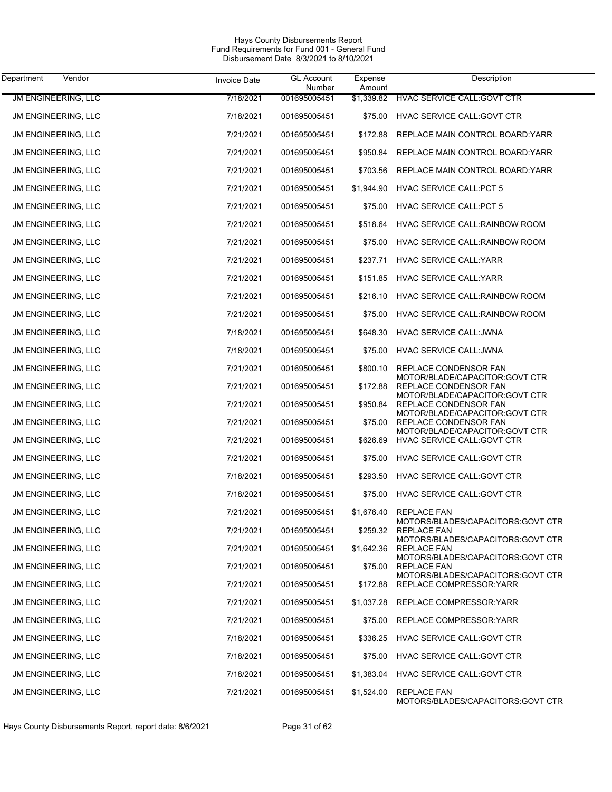| Department<br>Vendor       | <b>Invoice Date</b> | <b>GL Account</b><br>Number | Expense<br>Amount | Description                                                   |
|----------------------------|---------------------|-----------------------------|-------------------|---------------------------------------------------------------|
| <b>JM ENGINEERING, LLC</b> | 7/18/2021           | 001695005451                | \$1,339.82        | HVAC SERVICE CALL: GOVT CTR                                   |
| JM ENGINEERING, LLC        | 7/18/2021           | 001695005451                | \$75.00           | HVAC SERVICE CALL: GOVT CTR                                   |
| JM ENGINEERING, LLC        | 7/21/2021           | 001695005451                | \$172.88          | REPLACE MAIN CONTROL BOARD: YARR                              |
| JM ENGINEERING, LLC        | 7/21/2021           | 001695005451                | \$950.84          | REPLACE MAIN CONTROL BOARD: YARR                              |
| JM ENGINEERING, LLC        | 7/21/2021           | 001695005451                | \$703.56          | REPLACE MAIN CONTROL BOARD: YARR                              |
| JM ENGINEERING, LLC        | 7/21/2021           | 001695005451                | \$1,944.90        | <b>HVAC SERVICE CALL:PCT 5</b>                                |
| JM ENGINEERING, LLC        | 7/21/2021           | 001695005451                | \$75.00           | <b>HVAC SERVICE CALL:PCT 5</b>                                |
| JM ENGINEERING, LLC        | 7/21/2021           | 001695005451                | \$518.64          | HVAC SERVICE CALL: RAINBOW ROOM                               |
| JM ENGINEERING, LLC        | 7/21/2021           | 001695005451                | \$75.00           | HVAC SERVICE CALL: RAINBOW ROOM                               |
| JM ENGINEERING, LLC        | 7/21/2021           | 001695005451                | \$237.71          | <b>HVAC SERVICE CALL: YARR</b>                                |
| JM ENGINEERING, LLC        | 7/21/2021           | 001695005451                | \$151.85          | <b>HVAC SERVICE CALL: YARR</b>                                |
| JM ENGINEERING, LLC        | 7/21/2021           | 001695005451                | \$216.10          | HVAC SERVICE CALL: RAINBOW ROOM                               |
| JM ENGINEERING, LLC        | 7/21/2021           | 001695005451                | \$75.00           | HVAC SERVICE CALL: RAINBOW ROOM                               |
| JM ENGINEERING, LLC        | 7/18/2021           | 001695005451                | \$648.30          | HVAC SERVICE CALL: JWNA                                       |
| JM ENGINEERING, LLC        | 7/18/2021           | 001695005451                | \$75.00           | HVAC SERVICE CALL: JWNA                                       |
| JM ENGINEERING, LLC        | 7/21/2021           | 001695005451                | \$800.10          | REPLACE CONDENSOR FAN                                         |
| JM ENGINEERING, LLC        | 7/21/2021           | 001695005451                | \$172.88          | MOTOR/BLADE/CAPACITOR:GOVT CTR<br>REPLACE CONDENSOR FAN       |
| JM ENGINEERING, LLC        | 7/21/2021           | 001695005451                | \$950.84          | MOTOR/BLADE/CAPACITOR:GOVT CTR<br>REPLACE CONDENSOR FAN       |
| JM ENGINEERING, LLC        | 7/21/2021           | 001695005451                | \$75.00           | MOTOR/BLADE/CAPACITOR:GOVT CTR<br>REPLACE CONDENSOR FAN       |
| JM ENGINEERING, LLC        | 7/21/2021           | 001695005451                | \$626.69          | MOTOR/BLADE/CAPACITOR:GOVT CTR<br>HVAC SERVICE CALL: GOVT CTR |
| JM ENGINEERING, LLC        | 7/21/2021           | 001695005451                | \$75.00           | HVAC SERVICE CALL: GOVT CTR                                   |
| JM ENGINEERING, LLC        | 7/18/2021           | 001695005451                | \$293.50          | HVAC SERVICE CALL: GOVT CTR                                   |
| JM ENGINEERING, LLC        | 7/18/2021           | 001695005451                | \$75.00           | HVAC SERVICE CALL: GOVT CTR                                   |
| <b>JM ENGINEERING, LLC</b> | 7/21/2021           | 001695005451                | \$1,676.40        | <b>REPLACE FAN</b>                                            |
| <b>JM ENGINEERING, LLC</b> | 7/21/2021           | 001695005451                | \$259.32          | MOTORS/BLADES/CAPACITORS:GOVT CTR<br><b>REPLACE FAN</b>       |
| JM ENGINEERING, LLC        | 7/21/2021           | 001695005451                | \$1,642.36        | MOTORS/BLADES/CAPACITORS: GOVT CTR<br><b>REPLACE FAN</b>      |
| JM ENGINEERING, LLC        | 7/21/2021           | 001695005451                | \$75.00           | MOTORS/BLADES/CAPACITORS: GOVT CTR<br><b>REPLACE FAN</b>      |
| JM ENGINEERING, LLC        | 7/21/2021           | 001695005451                | \$172.88          | MOTORS/BLADES/CAPACITORS:GOVT CTR<br>REPLACE COMPRESSOR YARR  |
| JM ENGINEERING, LLC        | 7/21/2021           | 001695005451                | \$1,037.28        | REPLACE COMPRESSOR: YARR                                      |
| JM ENGINEERING, LLC        | 7/21/2021           | 001695005451                | \$75.00           | REPLACE COMPRESSOR: YARR                                      |
| JM ENGINEERING, LLC        | 7/18/2021           | 001695005451                | \$336.25          | HVAC SERVICE CALL: GOVT CTR                                   |
| JM ENGINEERING, LLC        | 7/18/2021           | 001695005451                | \$75.00           | HVAC SERVICE CALL: GOVT CTR                                   |
| JM ENGINEERING, LLC        | 7/18/2021           | 001695005451                | \$1,383.04        | HVAC SERVICE CALL: GOVT CTR                                   |
| JM ENGINEERING, LLC        | 7/21/2021           | 001695005451                | \$1,524.00        | <b>REPLACE FAN</b><br>MOTORS/BLADES/CAPACITORS: GOVT CTR      |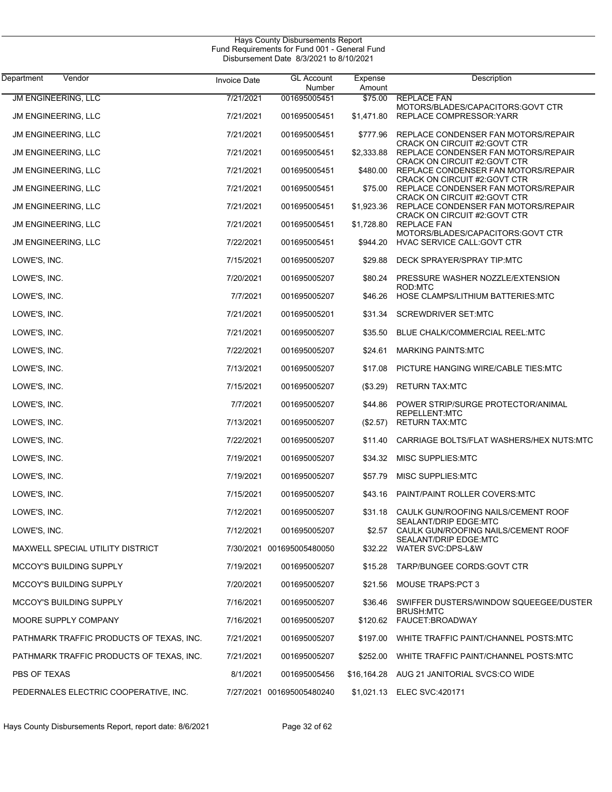| Department<br>Vendor                     | <b>Invoice Date</b> | <b>GL Account</b><br>Number | Expense<br>Amount | Description                                                                                                |
|------------------------------------------|---------------------|-----------------------------|-------------------|------------------------------------------------------------------------------------------------------------|
| <b>JM ENGINEERING, LLC</b>               | 7/21/2021           | 001695005451                | \$75.00           | <b>REPLACE FAN</b>                                                                                         |
| JM ENGINEERING, LLC                      | 7/21/2021           | 001695005451                | \$1,471.80        | MOTORS/BLADES/CAPACITORS:GOVT CTR<br>REPLACE COMPRESSOR: YARR                                              |
| JM ENGINEERING, LLC                      | 7/21/2021           | 001695005451                | \$777.96          | REPLACE CONDENSER FAN MOTORS/REPAIR<br><b>CRACK ON CIRCUIT #2:GOVT CTR</b>                                 |
| JM ENGINEERING, LLC                      | 7/21/2021           | 001695005451                | \$2,333.88        | REPLACE CONDENSER FAN MOTORS/REPAIR                                                                        |
| JM ENGINEERING, LLC                      | 7/21/2021           | 001695005451                | \$480.00          | CRACK ON CIRCUIT #2:GOVT CTR<br>REPLACE CONDENSER FAN MOTORS/REPAIR<br><b>CRACK ON CIRCUIT #2:GOVT CTR</b> |
| JM ENGINEERING, LLC                      | 7/21/2021           | 001695005451                | \$75.00           | REPLACE CONDENSER FAN MOTORS/REPAIR<br>CRACK ON CIRCUIT #2:GOVT CTR                                        |
| JM ENGINEERING, LLC                      | 7/21/2021           | 001695005451                | \$1,923.36        | REPLACE CONDENSER FAN MOTORS/REPAIR<br>CRACK ON CIRCUIT #2:GOVT CTR                                        |
| JM ENGINEERING, LLC                      | 7/21/2021           | 001695005451                | \$1,728.80        | <b>REPLACE FAN</b><br>MOTORS/BLADES/CAPACITORS: GOVT CTR                                                   |
| JM ENGINEERING, LLC                      | 7/22/2021           | 001695005451                | \$944.20          | HVAC SERVICE CALL: GOVT CTR                                                                                |
| LOWE'S, INC.                             | 7/15/2021           | 001695005207                | \$29.88           | DECK SPRAYER/SPRAY TIP:MTC                                                                                 |
| LOWE'S, INC.                             | 7/20/2021           | 001695005207                | \$80.24           | PRESSURE WASHER NOZZLE/EXTENSION<br>ROD:MTC                                                                |
| LOWE'S, INC.                             | 7/7/2021            | 001695005207                | \$46.26           | HOSE CLAMPS/LITHIUM BATTERIES:MTC                                                                          |
| LOWE'S, INC.                             | 7/21/2021           | 001695005201                | \$31.34           | <b>SCREWDRIVER SET:MTC</b>                                                                                 |
| LOWE'S, INC.                             | 7/21/2021           | 001695005207                | \$35.50           | BLUE CHALK/COMMERCIAL REEL:MTC                                                                             |
| LOWE'S, INC.                             | 7/22/2021           | 001695005207                | \$24.61           | <b>MARKING PAINTS: MTC</b>                                                                                 |
| LOWE'S, INC.                             | 7/13/2021           | 001695005207                | \$17.08           | PICTURE HANGING WIRE/CABLE TIES:MTC                                                                        |
| LOWE'S, INC.                             | 7/15/2021           | 001695005207                | (\$3.29)          | <b>RETURN TAX:MTC</b>                                                                                      |
| LOWE'S, INC.                             | 7/7/2021            | 001695005207                | \$44.86           | POWER STRIP/SURGE PROTECTOR/ANIMAL<br>REPELLENT:MTC                                                        |
| LOWE'S, INC.                             | 7/13/2021           | 001695005207                | (\$2.57)          | <b>RETURN TAX:MTC</b>                                                                                      |
| LOWE'S, INC.                             | 7/22/2021           | 001695005207                | \$11.40           | CARRIAGE BOLTS/FLAT WASHERS/HEX NUTS:MTC                                                                   |
| LOWE'S, INC.                             | 7/19/2021           | 001695005207                | \$34.32           | MISC SUPPLIES:MTC                                                                                          |
| LOWE'S, INC.                             | 7/19/2021           | 001695005207                | \$57.79           | MISC SUPPLIES:MTC                                                                                          |
| LOWE'S, INC.                             | 7/15/2021           | 001695005207                | \$43.16           | PAINT/PAINT ROLLER COVERS:MTC                                                                              |
| LOWE'S, INC.                             | 7/12/2021           | 001695005207                | \$31.18           | CAULK GUN/ROOFING NAILS/CEMENT ROOF<br>SEALANT/DRIP EDGE:MTC                                               |
| LOWE'S, INC.                             | 7/12/2021           | 001695005207                | \$2.57            | CAULK GUN/ROOFING NAILS/CEMENT ROOF<br>SEALANT/DRIP EDGE:MTC                                               |
| MAXWELL SPECIAL UTILITY DISTRICT         |                     | 7/30/2021 001695005480050   | \$32.22           | WATER SVC:DPS-L&W                                                                                          |
| <b>MCCOY'S BUILDING SUPPLY</b>           | 7/19/2021           | 001695005207                | \$15.28           | TARP/BUNGEE CORDS: GOVT CTR                                                                                |
| <b>MCCOY'S BUILDING SUPPLY</b>           | 7/20/2021           | 001695005207                | \$21.56           | <b>MOUSE TRAPS:PCT 3</b>                                                                                   |
| <b>MCCOY'S BUILDING SUPPLY</b>           | 7/16/2021           | 001695005207                | \$36.46           | SWIFFER DUSTERS/WINDOW SQUEEGEE/DUSTER<br><b>BRUSH:MTC</b>                                                 |
| MOORE SUPPLY COMPANY                     | 7/16/2021           | 001695005207                | \$120.62          | FAUCET:BROADWAY                                                                                            |
| PATHMARK TRAFFIC PRODUCTS OF TEXAS, INC. | 7/21/2021           | 001695005207                | \$197.00          | WHITE TRAFFIC PAINT/CHANNEL POSTS:MTC                                                                      |
| PATHMARK TRAFFIC PRODUCTS OF TEXAS, INC. | 7/21/2021           | 001695005207                | \$252.00          | WHITE TRAFFIC PAINT/CHANNEL POSTS:MTC                                                                      |
| PBS OF TEXAS                             | 8/1/2021            | 001695005456                | \$16,164.28       | AUG 21 JANITORIAL SVCS:CO WIDE                                                                             |
| PEDERNALES ELECTRIC COOPERATIVE, INC.    |                     | 7/27/2021 001695005480240   | \$1,021.13        | <b>ELEC SVC:420171</b>                                                                                     |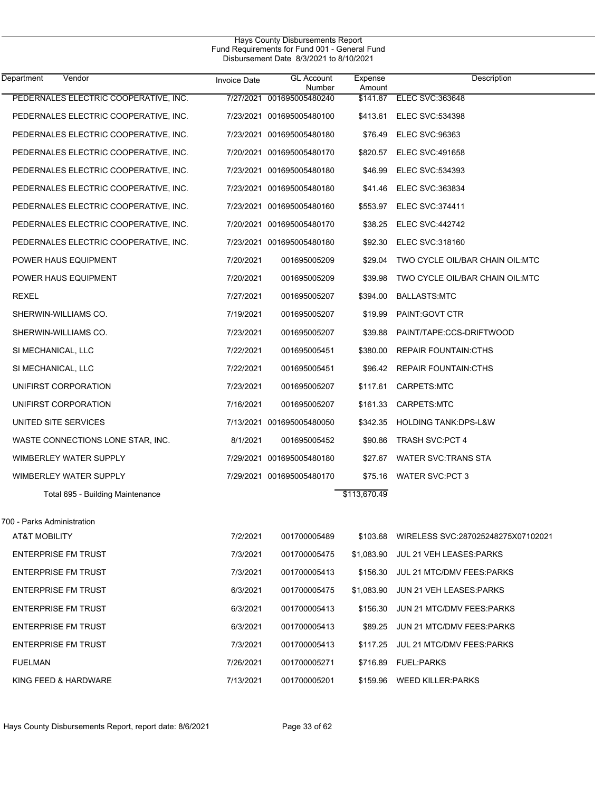| Department<br>Vendor                  | <b>Invoice Date</b> | <b>GL Account</b><br>Number | Expense<br>Amount | Description                                 |
|---------------------------------------|---------------------|-----------------------------|-------------------|---------------------------------------------|
| PEDERNALES ELECTRIC COOPERATIVE, INC. |                     | 7/27/2021 001695005480240   |                   | \$141.87 ELEC SVC:363648                    |
| PEDERNALES ELECTRIC COOPERATIVE, INC. |                     | 7/23/2021 001695005480100   | \$413.61          | <b>ELEC SVC:534398</b>                      |
| PEDERNALES ELECTRIC COOPERATIVE, INC. |                     | 7/23/2021 001695005480180   | \$76.49           | <b>ELEC SVC:96363</b>                       |
| PEDERNALES ELECTRIC COOPERATIVE, INC. |                     | 7/20/2021 001695005480170   |                   | \$820.57 ELEC SVC:491658                    |
| PEDERNALES ELECTRIC COOPERATIVE, INC. |                     | 7/23/2021 001695005480180   | \$46.99           | <b>ELEC SVC:534393</b>                      |
| PEDERNALES ELECTRIC COOPERATIVE, INC. |                     | 7/23/2021 001695005480180   |                   | \$41.46 ELEC SVC:363834                     |
| PEDERNALES ELECTRIC COOPERATIVE, INC. |                     | 7/23/2021 001695005480160   |                   | \$553.97 ELEC SVC:374411                    |
| PEDERNALES ELECTRIC COOPERATIVE, INC. |                     | 7/20/2021 001695005480170   |                   | \$38.25 ELEC SVC:442742                     |
| PEDERNALES ELECTRIC COOPERATIVE, INC. |                     | 7/23/2021 001695005480180   | \$92.30           | <b>ELEC SVC:318160</b>                      |
| POWER HAUS EQUIPMENT                  | 7/20/2021           | 001695005209                | \$29.04           | TWO CYCLE OIL/BAR CHAIN OIL:MTC             |
| POWER HAUS EQUIPMENT                  | 7/20/2021           | 001695005209                | \$39.98           | TWO CYCLE OIL/BAR CHAIN OIL:MTC             |
| REXEL                                 | 7/27/2021           | 001695005207                | \$394.00          | BALLASTS:MTC                                |
| SHERWIN-WILLIAMS CO.                  | 7/19/2021           | 001695005207                | \$19.99           | PAINT: GOVT CTR                             |
| SHERWIN-WILLIAMS CO.                  | 7/23/2021           | 001695005207                | \$39.88           | PAINT/TAPE:CCS-DRIFTWOOD                    |
| SI MECHANICAL, LLC                    | 7/22/2021           | 001695005451                | \$380.00          | <b>REPAIR FOUNTAIN:CTHS</b>                 |
| SI MECHANICAL, LLC                    | 7/22/2021           | 001695005451                |                   | \$96.42 REPAIR FOUNTAIN:CTHS                |
| UNIFIRST CORPORATION                  | 7/23/2021           | 001695005207                | \$117.61          | CARPETS:MTC                                 |
| UNIFIRST CORPORATION                  | 7/16/2021           | 001695005207                | \$161.33          | CARPETS:MTC                                 |
| UNITED SITE SERVICES                  |                     | 7/13/2021 001695005480050   | \$342.35          | HOLDING TANK:DPS-L&W                        |
| WASTE CONNECTIONS LONE STAR, INC.     | 8/1/2021            | 001695005452                | \$90.86           | <b>TRASH SVC:PCT 4</b>                      |
| WIMBERLEY WATER SUPPLY                |                     | 7/29/2021 001695005480180   | \$27.67           | WATER SVC:TRANS STA                         |
| WIMBERLEY WATER SUPPLY                |                     | 7/29/2021 001695005480170   |                   | \$75.16 WATER SVC:PCT 3                     |
| Total 695 - Building Maintenance      |                     |                             | \$113,670.49      |                                             |
| 700 - Parks Administration            |                     |                             |                   |                                             |
| AT&T MOBILITY                         | 7/2/2021            | 001700005489                |                   | \$103.68 WIRELESS SVC:287025248275X07102021 |
| <b>ENTERPRISE FM TRUST</b>            | 7/3/2021            | 001700005475                |                   | \$1,083.90 JUL 21 VEH LEASES:PARKS          |
| <b>ENTERPRISE FM TRUST</b>            | 7/3/2021            | 001700005413                | \$156.30          | JUL 21 MTC/DMV FEES PARKS                   |
| <b>ENTERPRISE FM TRUST</b>            | 6/3/2021            | 001700005475                | \$1,083.90        | JUN 21 VEH LEASES:PARKS                     |
| <b>ENTERPRISE FM TRUST</b>            | 6/3/2021            | 001700005413                | \$156.30          | JUN 21 MTC/DMV FEES PARKS                   |
| <b>ENTERPRISE FM TRUST</b>            | 6/3/2021            | 001700005413                | \$89.25           | JUN 21 MTC/DMV FEES PARKS                   |
| <b>ENTERPRISE FM TRUST</b>            | 7/3/2021            | 001700005413                | \$117.25          | JUL 21 MTC/DMV FEES PARKS                   |
| <b>FUELMAN</b>                        | 7/26/2021           | 001700005271                |                   | \$716.89 FUEL:PARKS                         |
| KING FEED & HARDWARE                  | 7/13/2021           | 001700005201                |                   | \$159.96 WEED KILLER: PARKS                 |
|                                       |                     |                             |                   |                                             |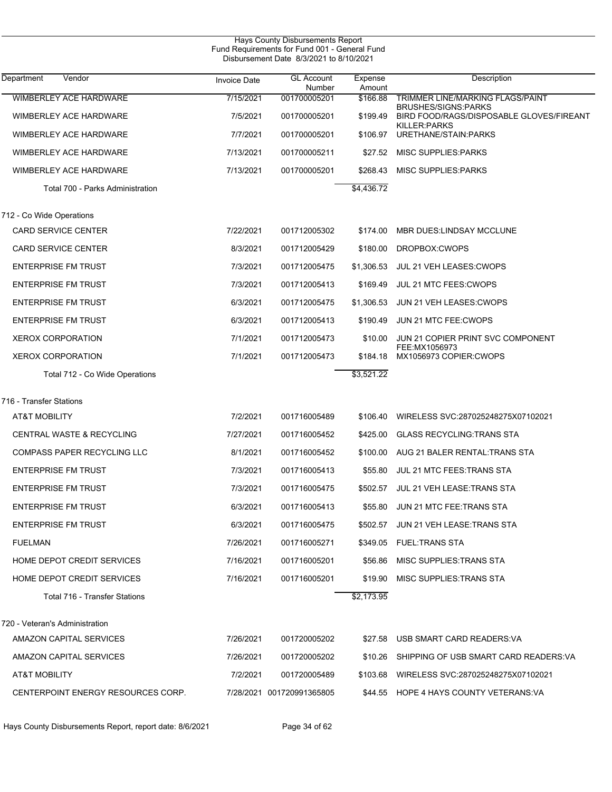| <b>Hays County Disbursements Report</b><br>Fund Requirements for Fund 001 - General Fund<br>Disbursement Date 8/3/2021 to 8/10/2021 |              |                             |                   |                                                                        |  |
|-------------------------------------------------------------------------------------------------------------------------------------|--------------|-----------------------------|-------------------|------------------------------------------------------------------------|--|
| <b>Department</b><br>Vendor                                                                                                         | Invoice Date | <b>GL Account</b><br>Number | Expense<br>Amount | Description                                                            |  |
| <b>WIMBERLEY ACE HARDWARE</b>                                                                                                       | 7/15/2021    | 001700005201                | \$166.88          | <b>TRIMMER LINE/MARKING FLAGS/PAINT</b>                                |  |
| WIMBERLEY ACE HARDWARE                                                                                                              | 7/5/2021     | 001700005201                | \$199.49          | <b>BRUSHES/SIGNS:PARKS</b><br>BIRD FOOD/RAGS/DISPOSABLE GLOVES/FIREANT |  |
| WIMBERLEY ACE HARDWARE                                                                                                              | 7/7/2021     | 001700005201                | \$106.97          | KILLER: PARKS<br>URETHANE/STAIN:PARKS                                  |  |
| WIMBERLEY ACE HARDWARE                                                                                                              | 7/13/2021    | 001700005211                | \$27.52           | <b>MISC SUPPLIES PARKS</b>                                             |  |
| WIMBERLEY ACE HARDWARE                                                                                                              | 7/13/2021    | 001700005201                | \$268.43          | <b>MISC SUPPLIES: PARKS</b>                                            |  |
| Total 700 - Parks Administration                                                                                                    |              |                             | \$4,436.72        |                                                                        |  |
| 712 - Co Wide Operations                                                                                                            |              |                             |                   |                                                                        |  |
| <b>CARD SERVICE CENTER</b>                                                                                                          | 7/22/2021    | 001712005302                | \$174.00          | MBR DUES: LINDSAY MCCLUNE                                              |  |
| <b>CARD SERVICE CENTER</b>                                                                                                          | 8/3/2021     | 001712005429                | \$180.00          | DROPBOX:CWOPS                                                          |  |
| <b>ENTERPRISE FM TRUST</b>                                                                                                          | 7/3/2021     | 001712005475                | \$1,306.53        | JUL 21 VEH LEASES: CWOPS                                               |  |
| <b>ENTERPRISE FM TRUST</b>                                                                                                          | 7/3/2021     | 001712005413                | \$169.49          | JUL 21 MTC FEES: CWOPS                                                 |  |
| <b>ENTERPRISE FM TRUST</b>                                                                                                          | 6/3/2021     | 001712005475                | \$1,306.53        | JUN 21 VEH LEASES: CWOPS                                               |  |
| <b>ENTERPRISE FM TRUST</b>                                                                                                          | 6/3/2021     | 001712005413                | \$190.49          | JUN 21 MTC FEE: CWOPS                                                  |  |
| <b>XEROX CORPORATION</b>                                                                                                            | 7/1/2021     | 001712005473                | \$10.00           | JUN 21 COPIER PRINT SVC COMPONENT                                      |  |
| <b>XEROX CORPORATION</b>                                                                                                            | 7/1/2021     | 001712005473                | \$184.18          | FEE:MX1056973<br>MX1056973 COPIER:CWOPS                                |  |
| Total 712 - Co Wide Operations                                                                                                      |              |                             | \$3,521.22        |                                                                        |  |
| 716 - Transfer Stations                                                                                                             |              |                             |                   |                                                                        |  |
| <b>AT&amp;T MOBILITY</b>                                                                                                            | 7/2/2021     | 001716005489                | \$106.40          | WIRELESS SVC:287025248275X07102021                                     |  |
| <b>CENTRAL WASTE &amp; RECYCLING</b>                                                                                                | 7/27/2021    | 001716005452                | \$425.00          | <b>GLASS RECYCLING: TRANS STA</b>                                      |  |
| COMPASS PAPER RECYCLING LLC                                                                                                         | 8/1/2021     | 001716005452                | \$100.00          | AUG 21 BALER RENTAL: TRANS STA                                         |  |
| <b>ENTERPRISE FM TRUST</b>                                                                                                          | 7/3/2021     | 001716005413                | \$55.80           | <b>JUL 21 MTC FEES: TRANS STA</b>                                      |  |
| <b>ENTERPRISE FM TRUST</b>                                                                                                          | 7/3/2021     | 001716005475                |                   | \$502.57 JUL 21 VEH LEASE: TRANS STA                                   |  |
| <b>ENTERPRISE FM TRUST</b>                                                                                                          | 6/3/2021     | 001716005413                | \$55.80           | JUN 21 MTC FEE:TRANS STA                                               |  |
| <b>ENTERPRISE FM TRUST</b>                                                                                                          | 6/3/2021     | 001716005475                |                   | \$502.57 JUN 21 VEH LEASE:TRANS STA                                    |  |
| <b>FUELMAN</b>                                                                                                                      | 7/26/2021    | 001716005271                | \$349.05          | <b>FUEL:TRANS STA</b>                                                  |  |
| HOME DEPOT CREDIT SERVICES                                                                                                          | 7/16/2021    | 001716005201                | \$56.86           | MISC SUPPLIES TRANS STA                                                |  |
| HOME DEPOT CREDIT SERVICES                                                                                                          | 7/16/2021    | 001716005201                | \$19.90           | MISC SUPPLIES TRANS STA                                                |  |
| Total 716 - Transfer Stations                                                                                                       |              |                             | \$2,173.95        |                                                                        |  |
| 720 - Veteran's Administration                                                                                                      |              |                             |                   |                                                                        |  |
| AMAZON CAPITAL SERVICES                                                                                                             | 7/26/2021    | 001720005202                |                   | \$27.58 USB SMART CARD READERS: VA                                     |  |
| AMAZON CAPITAL SERVICES                                                                                                             | 7/26/2021    | 001720005202                | \$10.26           | SHIPPING OF USB SMART CARD READERS:VA                                  |  |
| AT&T MOBILITY                                                                                                                       | 7/2/2021     | 001720005489                | \$103.68          | WIRELESS SVC:287025248275X07102021                                     |  |
| CENTERPOINT ENERGY RESOURCES CORP.                                                                                                  |              | 7/28/2021 001720991365805   |                   | \$44.55 HOPE 4 HAYS COUNTY VETERANS: VA                                |  |

Hays County Disbursements Report, report date: 8/6/2021 Page 34 of 62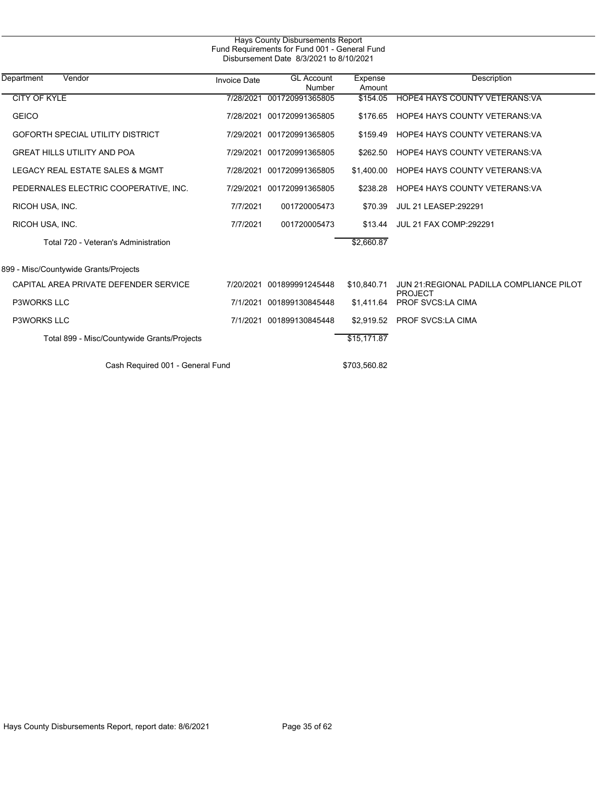| Hays County Disbursements Report<br>Fund Requirements for Fund 001 - General Fund<br>Disbursement Date 8/3/2021 to 8/10/2021 |                     |                             |                   |                                                      |  |
|------------------------------------------------------------------------------------------------------------------------------|---------------------|-----------------------------|-------------------|------------------------------------------------------|--|
| Vendor<br>Department                                                                                                         | <b>Invoice Date</b> | <b>GL</b> Account<br>Number | Expense<br>Amount | Description                                          |  |
| <b>CITY OF KYLE</b>                                                                                                          | 7/28/2021           | 001720991365805             | \$154.05          | <b>HOPE4 HAYS COUNTY VETERANS VA</b>                 |  |
| <b>GEICO</b>                                                                                                                 | 7/28/2021           | 001720991365805             | \$176.65          | <b>HOPE4 HAYS COUNTY VETERANS VA</b>                 |  |
| <b>GOFORTH SPECIAL UTILITY DISTRICT</b>                                                                                      | 7/29/2021           | 001720991365805             | \$159.49          | <b>HOPE4 HAYS COUNTY VETERANS VA</b>                 |  |
| <b>GREAT HILLS UTILITY AND POA</b>                                                                                           | 7/29/2021           | 001720991365805             | \$262.50          | <b>HOPE4 HAYS COUNTY VETERANS VA</b>                 |  |
| LEGACY REAL ESTATE SALES & MGMT                                                                                              | 7/28/2021           | 001720991365805             | \$1,400.00        | <b>HOPE4 HAYS COUNTY VETERANS VA</b>                 |  |
| PEDERNALES ELECTRIC COOPERATIVE, INC.                                                                                        |                     | 7/29/2021 001720991365805   | \$238.28          | <b>HOPE4 HAYS COUNTY VETERANS VA</b>                 |  |
| RICOH USA, INC.                                                                                                              | 7/7/2021            | 001720005473                | \$70.39           | <b>JUL 21 LEASEP:292291</b>                          |  |
| RICOH USA, INC.                                                                                                              | 7/7/2021            | 001720005473                | \$13.44           | <b>JUL 21 FAX COMP:292291</b>                        |  |
| Total 720 - Veteran's Administration                                                                                         |                     |                             | \$2,660.87        |                                                      |  |
| 899 - Misc/Countywide Grants/Projects                                                                                        |                     |                             |                   |                                                      |  |
| CAPITAL AREA PRIVATE DEFENDER SERVICE                                                                                        | 7/20/2021           | 001899991245448             | \$10.840.71       | JUN 21: REGIONAL PADILLA COMPLIANCE PILOT<br>PROJECT |  |
| <b>P3WORKS LLC</b>                                                                                                           | 7/1/2021            | 001899130845448             | \$1,411.64        | <b>PROF SVCS:LA CIMA</b>                             |  |
| <b>P3WORKS LLC</b>                                                                                                           | 7/1/2021            | 001899130845448             | \$2.919.52        | <b>PROF SVCS:LA CIMA</b>                             |  |
| Total 899 - Misc/Countywide Grants/Projects                                                                                  |                     |                             | \$15, 171.87      |                                                      |  |
| Cash Required 001 - General Fund                                                                                             |                     |                             | \$703,560.82      |                                                      |  |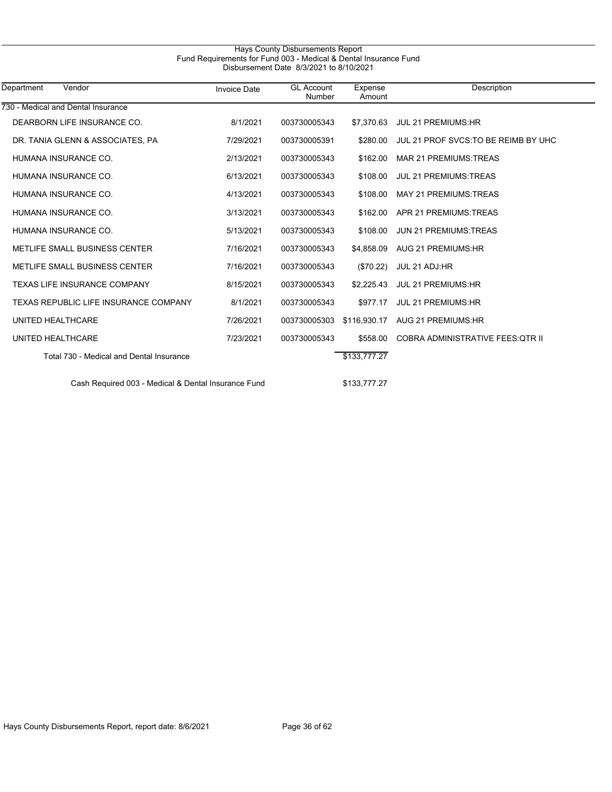| Hays County Disbursements Report                                 |  |
|------------------------------------------------------------------|--|
| Fund Requirements for Fund 003 - Medical & Dental Insurance Fund |  |
| Disbursement Date 8/3/2021 to 8/10/2021                          |  |

| Department<br>Vendor                                | <b>Invoice Date</b> | <b>GL Account</b><br>Number | Expense<br>Amount | Description                              |
|-----------------------------------------------------|---------------------|-----------------------------|-------------------|------------------------------------------|
| 730 - Medical and Dental Insurance                  |                     |                             |                   |                                          |
| DEARBORN LIFE INSURANCE CO.                         | 8/1/2021            | 003730005343                | \$7,370.63        | <b>JUL 21 PREMIUMS:HR</b>                |
| DR. TANIA GLENN & ASSOCIATES, PA                    | 7/29/2021           | 003730005391                | \$280.00          | JUL 21 PROF SVCS. TO BE REIMB BY UHC     |
| HUMANA INSURANCE CO.                                | 2/13/2021           | 003730005343                | \$162.00          | MAR 21 PREMIUMS: TREAS                   |
| HUMANA INSURANCE CO.                                | 6/13/2021           | 003730005343                | \$108.00          | <b>JUL 21 PREMIUMS: TREAS</b>            |
| HUMANA INSURANCE CO.                                | 4/13/2021           | 003730005343                | \$108.00          | <b>MAY 21 PREMIUMS: TREAS</b>            |
| HUMANA INSURANCE CO.                                | 3/13/2021           | 003730005343                | \$162.00          | APR 21 PREMIUMS: TREAS                   |
| HUMANA INSURANCE CO.                                | 5/13/2021           | 003730005343                | \$108.00          | <b>JUN 21 PREMIUMS: TREAS</b>            |
| METLIFE SMALL BUSINESS CENTER                       | 7/16/2021           | 003730005343                | \$4,858.09        | <b>AUG 21 PREMIUMS:HR</b>                |
| METLIFE SMALL BUSINESS CENTER                       | 7/16/2021           | 003730005343                | (\$70.22)         | JUL 21 ADJ:HR                            |
| <b>TEXAS LIFE INSURANCE COMPANY</b>                 | 8/15/2021           | 003730005343                | \$2,225.43        | JUL 21 PREMIUMS:HR                       |
| TEXAS REPUBLIC LIFE INSURANCE COMPANY               | 8/1/2021            | 003730005343                | \$977.17          | <b>JUL 21 PREMIUMS:HR</b>                |
| UNITED HEALTHCARE                                   | 7/26/2021           | 003730005303                | \$116,930.17      | AUG 21 PREMIUMS: HR                      |
| UNITED HEALTHCARE                                   | 7/23/2021           | 003730005343                | \$558.00          | <b>COBRA ADMINISTRATIVE FEES: QTR II</b> |
| Total 730 - Medical and Dental Insurance            |                     |                             | \$133,777.27      |                                          |
| Cash Required 003 - Medical & Dental Insurance Fund |                     |                             | \$133,777.27      |                                          |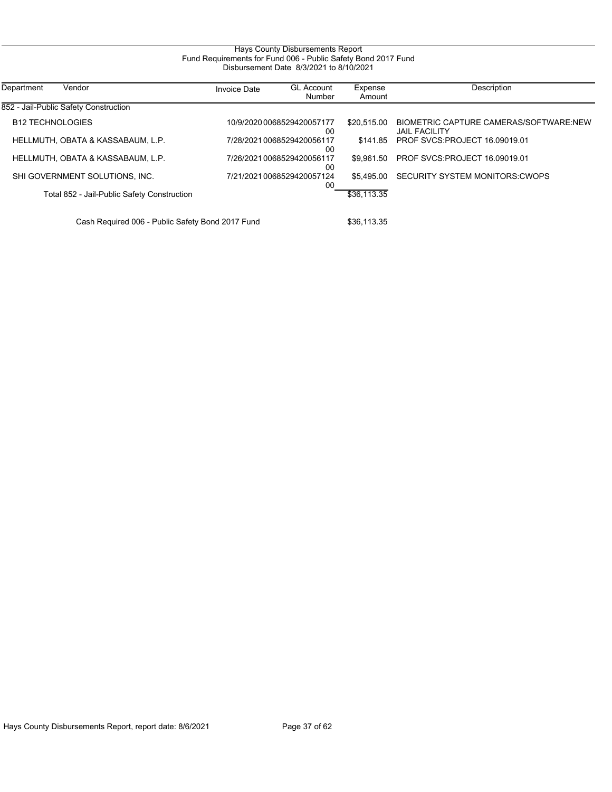### Hays County Disbursements Report Fund Requirements for Fund 006 - Public Safety Bond 2017 Fund Disbursement Date 8/3/2021 to 8/10/2021

| Department<br>Vendor                             | <b>Invoice Date</b> | <b>GL Account</b><br>Number      | Expense<br>Amount | Description                                                    |
|--------------------------------------------------|---------------------|----------------------------------|-------------------|----------------------------------------------------------------|
| 852 - Jail-Public Safety Construction            |                     |                                  |                   |                                                                |
| <b>B12 TECHNOLOGIES</b>                          |                     | 10/9/2020 0068529420057177<br>00 | \$20,515.00       | BIOMETRIC CAPTURE CAMERAS/SOFTWARE.NEW<br><b>JAIL FACILITY</b> |
| HELLMUTH, OBATA & KASSABAUM, L.P.                |                     | 7/28/20210068529420056117<br>00  | \$141.85          | <b>PROF SVCS: PROJECT 16.09019.01</b>                          |
| HELLMUTH. OBATA & KASSABAUM. L.P.                |                     | 7/26/20210068529420056117<br>00  | \$9.961.50        | <b>PROF SVCS: PROJECT 16.09019.01</b>                          |
| SHI GOVERNMENT SOLUTIONS, INC.                   |                     | 7/21/20210068529420057124<br>00  | \$5.495.00        | SECURITY SYSTEM MONITORS CWOPS                                 |
| Total 852 - Jail-Public Safety Construction      |                     |                                  | \$36,113.35       |                                                                |
| Cash Required 006 - Public Safety Bond 2017 Fund |                     |                                  | \$36.113.35       |                                                                |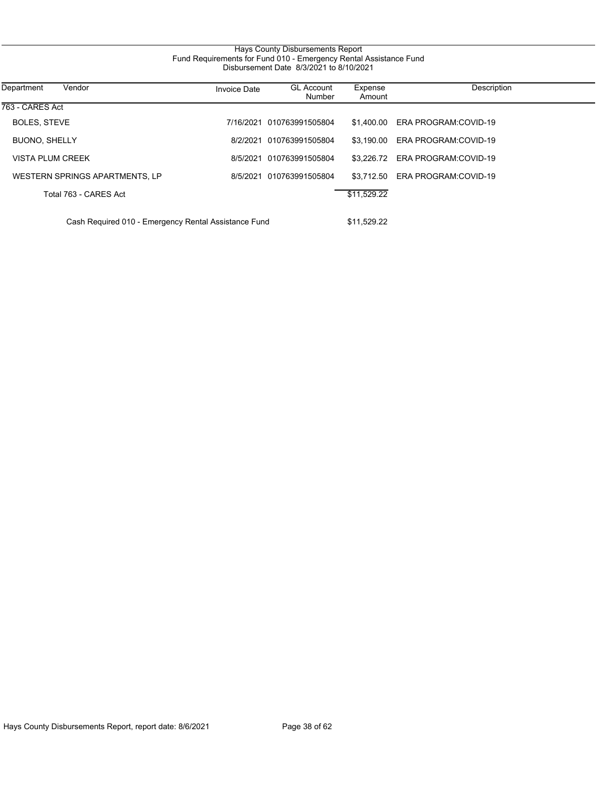## Hays County Disbursements Report Fund Requirements for Fund 010 - Emergency Rental Assistance Fund Disbursement Date 8/3/2021 to 8/10/2021

| Department<br>Vendor                                 | <b>Invoice Date</b> | <b>GL Account</b><br>Number | Expense<br>Amount | Description                     |
|------------------------------------------------------|---------------------|-----------------------------|-------------------|---------------------------------|
| 763 - CARES Act                                      |                     |                             |                   |                                 |
| BOLES, STEVE                                         |                     | 7/16/2021 010763991505804   |                   | \$1,400.00 ERA PROGRAM:COVID-19 |
| <b>BUONO, SHELLY</b>                                 |                     | 8/2/2021 010763991505804    | \$3.190.00        | ERA PROGRAM:COVID-19            |
| VISTA PLUM CREEK                                     |                     | 8/5/2021 010763991505804    |                   | \$3.226.72 ERA PROGRAM:COVID-19 |
| WESTERN SPRINGS APARTMENTS, LP                       |                     | 8/5/2021 010763991505804    | \$3.712.50        | ERA PROGRAM:COVID-19            |
| Total 763 - CARES Act                                |                     |                             | \$11,529.22       |                                 |
| Cash Required 010 - Emergency Rental Assistance Fund |                     |                             |                   |                                 |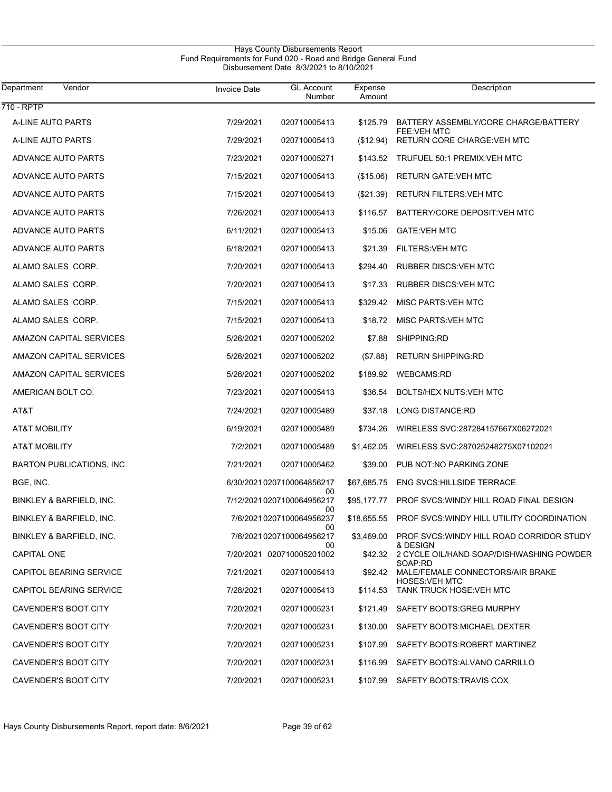#### Hays County Disbursements Report Fund Requirements for Fund 020 - Road and Bridge General Fund Disbursement Date 8/3/2021 to 8/10/2021

| Department<br>Vendor           | <b>Invoice Date</b> | <b>GL Account</b><br>Number           | Expense<br>Amount | Description                                                                  |
|--------------------------------|---------------------|---------------------------------------|-------------------|------------------------------------------------------------------------------|
| 710 - RPTP                     |                     |                                       |                   |                                                                              |
| A-LINE AUTO PARTS              | 7/29/2021           | 020710005413                          | \$125.79          | BATTERY ASSEMBLY/CORE CHARGE/BATTERY<br><b>FEE:VEH MTC</b>                   |
| A-LINE AUTO PARTS              | 7/29/2021           | 020710005413                          | (\$12.94)         | RETURN CORE CHARGE: VEH MTC                                                  |
| ADVANCE AUTO PARTS             | 7/23/2021           | 020710005271                          | \$143.52          | TRUFUEL 50:1 PREMIX:VEH MTC                                                  |
| ADVANCE AUTO PARTS             | 7/15/2021           | 020710005413                          | (\$15.06)         | <b>RETURN GATE: VEH MTC</b>                                                  |
| ADVANCE AUTO PARTS             | 7/15/2021           | 020710005413                          | $(\$21.39)$       | RETURN FILTERS: VEH MTC                                                      |
| ADVANCE AUTO PARTS             | 7/26/2021           | 020710005413                          | \$116.57          | BATTERY/CORE DEPOSIT: VEH MTC                                                |
| ADVANCE AUTO PARTS             | 6/11/2021           | 020710005413                          | \$15.06           | <b>GATE:VEH MTC</b>                                                          |
| ADVANCE AUTO PARTS             | 6/18/2021           | 020710005413                          | \$21.39           | <b>FILTERS: VEH MTC</b>                                                      |
| ALAMO SALES CORP.              | 7/20/2021           | 020710005413                          | \$294.40          | <b>RUBBER DISCS: VEH MTC</b>                                                 |
| ALAMO SALES CORP.              | 7/20/2021           | 020710005413                          | \$17.33           | <b>RUBBER DISCS: VEH MTC</b>                                                 |
| ALAMO SALES CORP.              | 7/15/2021           | 020710005413                          | \$329.42          | MISC PARTS: VEH MTC                                                          |
| ALAMO SALES CORP.              | 7/15/2021           | 020710005413                          | \$18.72           | <b>MISC PARTS: VEH MTC</b>                                                   |
| AMAZON CAPITAL SERVICES        | 5/26/2021           | 020710005202                          | \$7.88            | SHIPPING:RD                                                                  |
| <b>AMAZON CAPITAL SERVICES</b> | 5/26/2021           | 020710005202                          | (\$7.88)          | <b>RETURN SHIPPING:RD</b>                                                    |
| AMAZON CAPITAL SERVICES        | 5/26/2021           | 020710005202                          | \$189.92          | <b>WEBCAMS:RD</b>                                                            |
| AMERICAN BOLT CO.              | 7/23/2021           | 020710005413                          | \$36.54           | BOLTS/HEX NUTS: VEH MTC                                                      |
| AT&T                           | 7/24/2021           | 020710005489                          | \$37.18           | LONG DISTANCE:RD                                                             |
| AT&T MOBILITY                  | 6/19/2021           | 020710005489                          | \$734.26          | WIRELESS SVC:287284157667X06272021                                           |
| AT&T MOBILITY                  | 7/2/2021            | 020710005489                          | \$1,462.05        | WIRELESS SVC:287025248275X07102021                                           |
| BARTON PUBLICATIONS, INC.      | 7/21/2021           | 020710005462                          | \$39.00           | PUB NOT:NO PARKING ZONE                                                      |
| BGE, INC.                      |                     | 6/30/2021 0207100064856217            | \$67,685.75       | <b>ENG SVCS:HILLSIDE TERRACE</b>                                             |
| BINKLEY & BARFIELD, INC.       |                     | 00<br>7/12/20210207100064956217<br>00 | \$95,177.77       | PROF SVCS: WINDY HILL ROAD FINAL DESIGN                                      |
| BINKLEY & BARFIELD, INC.       |                     | 7/6/2021 0207100064956237<br>00       |                   | \$18,655.55 PROF SVCS: WINDY HILL UTILITY COORDINATION                       |
| BINKLEY & BARFIELD, INC.       |                     | 7/6/2021 0207100064956217<br>00       |                   | \$3,469.00 PROF SVCS:WINDY HILL ROAD CORRIDOR STUDY<br>& DESIGN              |
| <b>CAPITAL ONE</b>             |                     | 7/20/2021 020710005201002             |                   | \$42.32 2 CYCLE OIL/HAND SOAP/DISHWASHING POWDER                             |
| CAPITOL BEARING SERVICE        | 7/21/2021           | 020710005413                          |                   | SOAP:RD<br>\$92.42 MALE/FEMALE CONNECTORS/AIR BRAKE<br><b>HOSES: VEH MTC</b> |
| CAPITOL BEARING SERVICE        | 7/28/2021           | 020710005413                          |                   | \$114.53 TANK TRUCK HOSE: VEH MTC                                            |
| <b>CAVENDER'S BOOT CITY</b>    | 7/20/2021           | 020710005231                          |                   | \$121.49 SAFETY BOOTS: GREG MURPHY                                           |
| CAVENDER'S BOOT CITY           | 7/20/2021           | 020710005231                          | \$130.00          | SAFETY BOOTS: MICHAEL DEXTER                                                 |
| CAVENDER'S BOOT CITY           | 7/20/2021           | 020710005231                          | \$107.99          | SAFETY BOOTS: ROBERT MARTINEZ                                                |
| CAVENDER'S BOOT CITY           | 7/20/2021           | 020710005231                          | \$116.99          | SAFETY BOOTS: ALVANO CARRILLO                                                |
| CAVENDER'S BOOT CITY           | 7/20/2021           | 020710005231                          |                   | \$107.99 SAFETY BOOTS:TRAVIS COX                                             |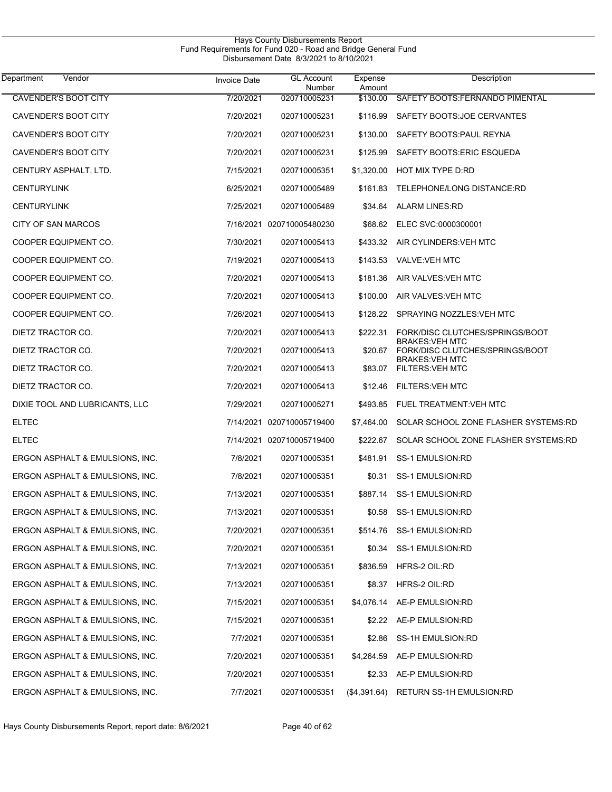| Vendor<br>Department            | <b>Invoice Date</b> | <b>GL Account</b><br>Number | Expense<br>Amount | Description                                               |  |
|---------------------------------|---------------------|-----------------------------|-------------------|-----------------------------------------------------------|--|
| <b>CAVENDER'S BOOT CITY</b>     | 7/20/2021           | 020710005231                | \$130.00          | SAFETY BOOTS: FERNANDO PIMENTAL                           |  |
| CAVENDER'S BOOT CITY            | 7/20/2021           | 020710005231                | \$116.99          | SAFETY BOOTS: JOE CERVANTES                               |  |
| CAVENDER'S BOOT CITY            | 7/20/2021           | 020710005231                | \$130.00          | SAFETY BOOTS: PAUL REYNA                                  |  |
| CAVENDER'S BOOT CITY            | 7/20/2021           | 020710005231                | \$125.99          | SAFETY BOOTS: ERIC ESQUEDA                                |  |
| CENTURY ASPHALT, LTD.           | 7/15/2021           | 020710005351                | \$1,320.00        | HOT MIX TYPE D.RD                                         |  |
| <b>CENTURYLINK</b>              | 6/25/2021           | 020710005489                | \$161.83          | TELEPHONE/LONG DISTANCE:RD                                |  |
| <b>CENTURYLINK</b>              | 7/25/2021           | 020710005489                | \$34.64           | <b>ALARM LINES:RD</b>                                     |  |
| CITY OF SAN MARCOS              |                     | 7/16/2021 020710005480230   | \$68.62           | ELEC SVC:0000300001                                       |  |
| COOPER EQUIPMENT CO.            | 7/30/2021           | 020710005413                | \$433.32          | AIR CYLINDERS: VEH MTC                                    |  |
| COOPER EQUIPMENT CO.            | 7/19/2021           | 020710005413                | \$143.53          | <b>VALVE:VEH MTC</b>                                      |  |
| COOPER EQUIPMENT CO.            | 7/20/2021           | 020710005413                | \$181.36          | AIR VALVES: VEH MTC                                       |  |
| COOPER EQUIPMENT CO.            | 7/20/2021           | 020710005413                | \$100.00          | AIR VALVES VEH MTC                                        |  |
| COOPER EQUIPMENT CO.            | 7/26/2021           | 020710005413                | \$128.22          | SPRAYING NOZZLES VEH MTC                                  |  |
| DIETZ TRACTOR CO.               | 7/20/2021           | 020710005413                | \$222.31          | FORK/DISC CLUTCHES/SPRINGS/BOOT                           |  |
| DIETZ TRACTOR CO.               | 7/20/2021           | 020710005413                | \$20.67           | <b>BRAKES: VEH MTC</b><br>FORK/DISC CLUTCHES/SPRINGS/BOOT |  |
| DIETZ TRACTOR CO.               | 7/20/2021           | 020710005413                | \$83.07           | <b>BRAKES: VEH MTC</b><br><b>FILTERS: VEH MTC</b>         |  |
| DIETZ TRACTOR CO.               | 7/20/2021           | 020710005413                | \$12.46           | <b>FILTERS: VEH MTC</b>                                   |  |
| DIXIE TOOL AND LUBRICANTS, LLC  | 7/29/2021           | 020710005271                | \$493.85          | FUEL TREATMENT: VEH MTC                                   |  |
| <b>ELTEC</b>                    |                     | 7/14/2021 020710005719400   | \$7,464.00        | SOLAR SCHOOL ZONE FLASHER SYSTEMS:RD                      |  |
| <b>ELTEC</b>                    |                     | 7/14/2021 020710005719400   | \$222.67          | SOLAR SCHOOL ZONE FLASHER SYSTEMS:RD                      |  |
| ERGON ASPHALT & EMULSIONS, INC. | 7/8/2021            | 020710005351                | \$481.91          | SS-1 EMULSION:RD                                          |  |
| ERGON ASPHALT & EMULSIONS, INC. | 7/8/2021            | 020710005351                | \$0.31            | SS-1 EMULSION:RD                                          |  |
| ERGON ASPHALT & EMULSIONS, INC. | 7/13/2021           | 020710005351                |                   | \$887.14 SS-1 EMULSION:RD                                 |  |
| ERGON ASPHALT & EMULSIONS, INC. | 7/13/2021           | 020710005351                |                   | \$0.58 SS-1 EMULSION:RD                                   |  |
| ERGON ASPHALT & EMULSIONS, INC. | 7/20/2021           | 020710005351                |                   | \$514.76 SS-1 EMULSION:RD                                 |  |
| ERGON ASPHALT & EMULSIONS, INC. | 7/20/2021           | 020710005351                | \$0.34            | SS-1 EMULSION:RD                                          |  |
| ERGON ASPHALT & EMULSIONS, INC. | 7/13/2021           | 020710005351                | \$836.59          | HFRS-2 OIL:RD                                             |  |
| ERGON ASPHALT & EMULSIONS, INC. | 7/13/2021           | 020710005351                | \$8.37            | HFRS-2 OIL:RD                                             |  |
| ERGON ASPHALT & EMULSIONS, INC. | 7/15/2021           | 020710005351                | \$4,076.14        | AE-P EMULSION:RD                                          |  |
| ERGON ASPHALT & EMULSIONS, INC. | 7/15/2021           | 020710005351                | \$2.22            | AE-P EMULSION:RD                                          |  |
| ERGON ASPHALT & EMULSIONS, INC. | 7/7/2021            | 020710005351                | \$2.86            | SS-1H EMULSION:RD                                         |  |
| ERGON ASPHALT & EMULSIONS, INC. | 7/20/2021           | 020710005351                | \$4,264.59        | AE-P EMULSION:RD                                          |  |
| ERGON ASPHALT & EMULSIONS, INC. | 7/20/2021           | 020710005351                | \$2.33            | AE-P EMULSION:RD                                          |  |
| ERGON ASPHALT & EMULSIONS, INC. | 7/7/2021            | 020710005351                | (\$4,391.64)      | RETURN SS-1H EMULSION:RD                                  |  |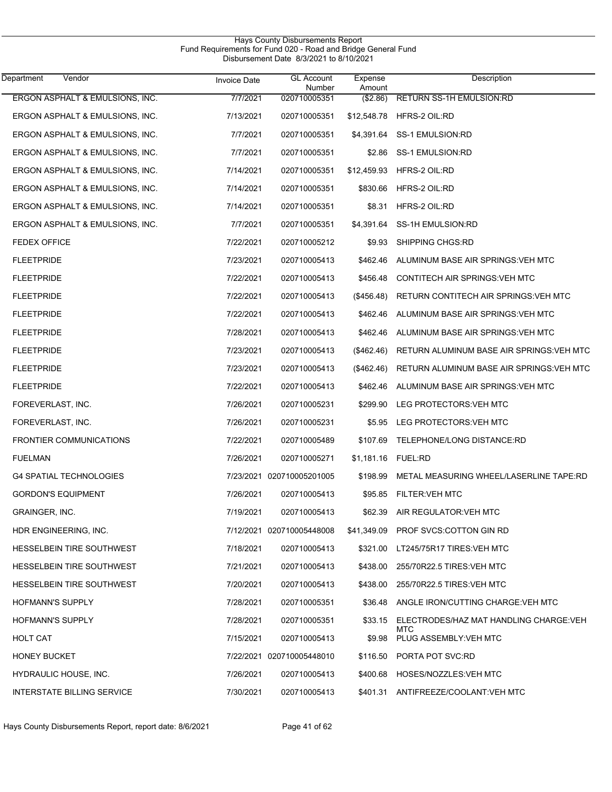| Vendor<br>Department              | <b>Invoice Date</b> | <b>GL Account</b><br>Number | Expense<br>Amount | Description                               |
|-----------------------------------|---------------------|-----------------------------|-------------------|-------------------------------------------|
| ERGON ASPHALT & EMULSIONS, INC.   | 7/7/2021            | 020710005351                | (\$2.86)          | <b>RETURN SS-1H EMULSION:RD</b>           |
| ERGON ASPHALT & EMULSIONS, INC.   | 7/13/2021           | 020710005351                | \$12,548.78       | HFRS-2 OIL:RD                             |
| ERGON ASPHALT & EMULSIONS, INC.   | 7/7/2021            | 020710005351                | \$4,391.64        | SS-1 EMULSION:RD                          |
| ERGON ASPHALT & EMULSIONS, INC.   | 7/7/2021            | 020710005351                | \$2.86            | <b>SS-1 EMULSION:RD</b>                   |
| ERGON ASPHALT & EMULSIONS, INC.   | 7/14/2021           | 020710005351                | \$12,459.93       | HFRS-2 OIL:RD                             |
| ERGON ASPHALT & EMULSIONS, INC.   | 7/14/2021           | 020710005351                | \$830.66          | HFRS-2 OIL:RD                             |
| ERGON ASPHALT & EMULSIONS, INC.   | 7/14/2021           | 020710005351                | \$8.31            | HFRS-2 OIL:RD                             |
| ERGON ASPHALT & EMULSIONS, INC.   | 7/7/2021            | 020710005351                | \$4,391.64        | SS-1H EMULSION:RD                         |
| <b>FEDEX OFFICE</b>               | 7/22/2021           | 020710005212                | \$9.93            | SHIPPING CHGS:RD                          |
| <b>FLEETPRIDE</b>                 | 7/23/2021           | 020710005413                | \$462.46          | ALUMINUM BASE AIR SPRINGS: VEH MTC        |
| <b>FLEETPRIDE</b>                 | 7/22/2021           | 020710005413                | \$456.48          | CONTITECH AIR SPRINGS VEH MTC             |
| <b>FLEETPRIDE</b>                 | 7/22/2021           | 020710005413                | (\$456.48)        | RETURN CONTITECH AIR SPRINGS VEH MTC      |
| <b>FLEETPRIDE</b>                 | 7/22/2021           | 020710005413                | \$462.46          | ALUMINUM BASE AIR SPRINGS VEH MTC         |
| <b>FLEETPRIDE</b>                 | 7/28/2021           | 020710005413                | \$462.46          | ALUMINUM BASE AIR SPRINGS VEH MTC         |
| <b>FLEETPRIDE</b>                 | 7/23/2021           | 020710005413                | (\$462.46)        | RETURN ALUMINUM BASE AIR SPRINGS: VEH MTC |
| <b>FLEETPRIDE</b>                 | 7/23/2021           | 020710005413                | (\$462.46)        | RETURN ALUMINUM BASE AIR SPRINGS: VEH MTC |
| <b>FLEETPRIDE</b>                 | 7/22/2021           | 020710005413                | \$462.46          | ALUMINUM BASE AIR SPRINGS VEH MTC         |
| FOREVERLAST, INC.                 | 7/26/2021           | 020710005231                | \$299.90          | LEG PROTECTORS: VEH MTC                   |
| FOREVERLAST, INC.                 | 7/26/2021           | 020710005231                | \$5.95            | LEG PROTECTORS: VEH MTC                   |
| <b>FRONTIER COMMUNICATIONS</b>    | 7/22/2021           | 020710005489                | \$107.69          | TELEPHONE/LONG DISTANCE:RD                |
| <b>FUELMAN</b>                    | 7/26/2021           | 020710005271                | \$1,181.16        | <b>FUEL:RD</b>                            |
| <b>G4 SPATIAL TECHNOLOGIES</b>    |                     | 7/23/2021 020710005201005   | \$198.99          | METAL MEASURING WHEEL/LASERLINE TAPE:RD   |
| <b>GORDON'S EQUIPMENT</b>         | 7/26/2021           | 020710005413                |                   | \$95.85 FILTER: VEH MTC                   |
| GRAINGER, INC.                    | 7/19/2021           | 020710005413                | \$62.39           | AIR REGULATOR: VEH MTC                    |
| HDR ENGINEERING, INC.             |                     | 7/12/2021 020710005448008   |                   | \$41,349.09 PROF SVCS:COTTON GIN RD       |
| HESSELBEIN TIRE SOUTHWEST         | 7/18/2021           | 020710005413                | \$321.00          | LT245/75R17 TIRES: VEH MTC                |
| HESSELBEIN TIRE SOUTHWEST         | 7/21/2021           | 020710005413                | \$438.00          | 255/70R22.5 TIRES: VEH MTC                |
| HESSELBEIN TIRE SOUTHWEST         | 7/20/2021           | 020710005413                | \$438.00          | 255/70R22.5 TIRES: VEH MTC                |
| <b>HOFMANN'S SUPPLY</b>           | 7/28/2021           | 020710005351                | \$36.48           | ANGLE IRON/CUTTING CHARGE: VEH MTC        |
| <b>HOFMANN'S SUPPLY</b>           | 7/28/2021           | 020710005351                | \$33.15           | ELECTRODES/HAZ MAT HANDLING CHARGE: VEH   |
| <b>HOLT CAT</b>                   | 7/15/2021           | 020710005413                |                   | MTC<br>\$9.98 PLUG ASSEMBLY VEH MTC       |
| <b>HONEY BUCKET</b>               |                     | 7/22/2021 020710005448010   | \$116.50          | PORTA POT SVC:RD                          |
| HYDRAULIC HOUSE, INC.             | 7/26/2021           | 020710005413                | \$400.68          | HOSES/NOZZLES: VEH MTC                    |
| <b>INTERSTATE BILLING SERVICE</b> | 7/30/2021           | 020710005413                | \$401.31          | ANTIFREEZE/COOLANT: VEH MTC               |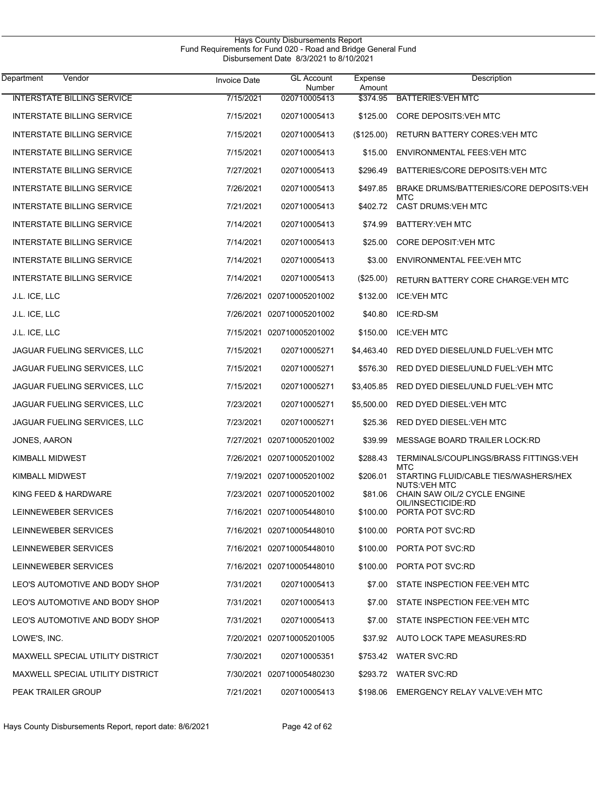| Vendor<br>Department                    | <b>Invoice Date</b> | <b>GL Account</b><br><b>Number</b> | Expense<br>Amount | Description                                                  |
|-----------------------------------------|---------------------|------------------------------------|-------------------|--------------------------------------------------------------|
| <b>INTERSTATE BILLING SERVICE</b>       | 7/15/2021           | 020710005413                       | \$374.95          | <b>BATTERIES: VEH MTC</b>                                    |
| <b>INTERSTATE BILLING SERVICE</b>       | 7/15/2021           | 020710005413                       | \$125.00          | <b>CORE DEPOSITS VEH MTC</b>                                 |
| <b>INTERSTATE BILLING SERVICE</b>       | 7/15/2021           | 020710005413                       | (\$125.00)        | RETURN BATTERY CORES: VEH MTC                                |
| <b>INTERSTATE BILLING SERVICE</b>       | 7/15/2021           | 020710005413                       | \$15.00           | ENVIRONMENTAL FEES: VEH MTC                                  |
| <b>INTERSTATE BILLING SERVICE</b>       | 7/27/2021           | 020710005413                       | \$296.49          | BATTERIES/CORE DEPOSITS: VEH MTC                             |
| <b>INTERSTATE BILLING SERVICE</b>       | 7/26/2021           | 020710005413                       | \$497.85          | BRAKE DRUMS/BATTERIES/CORE DEPOSITS: VEH                     |
| <b>INTERSTATE BILLING SERVICE</b>       | 7/21/2021           | 020710005413                       | \$402.72          | MTC<br>CAST DRUMS: VEH MTC                                   |
| <b>INTERSTATE BILLING SERVICE</b>       | 7/14/2021           | 020710005413                       | \$74.99           | <b>BATTERY: VEH MTC</b>                                      |
| <b>INTERSTATE BILLING SERVICE</b>       | 7/14/2021           | 020710005413                       | \$25.00           | CORE DEPOSIT: VEH MTC                                        |
| <b>INTERSTATE BILLING SERVICE</b>       | 7/14/2021           | 020710005413                       | \$3.00            | ENVIRONMENTAL FEE: VEH MTC                                   |
| <b>INTERSTATE BILLING SERVICE</b>       | 7/14/2021           | 020710005413                       | (\$25.00)         | <b>RETURN BATTERY CORE CHARGE: VEH MTC</b>                   |
| J.L. ICE, LLC                           |                     | 7/26/2021 020710005201002          | \$132.00          | <b>ICE:VEH MTC</b>                                           |
| J.L. ICE, LLC                           |                     | 7/26/2021 020710005201002          | \$40.80           | ICE:RD-SM                                                    |
| J.L. ICE, LLC                           |                     | 7/15/2021 020710005201002          | \$150.00          | <b>ICE:VEH MTC</b>                                           |
| JAGUAR FUELING SERVICES, LLC            | 7/15/2021           | 020710005271                       | \$4,463.40        | RED DYED DIESEL/UNLD FUEL: VEH MTC                           |
| JAGUAR FUELING SERVICES, LLC            | 7/15/2021           | 020710005271                       | \$576.30          | RED DYED DIESEL/UNLD FUEL: VEH MTC                           |
| JAGUAR FUELING SERVICES, LLC            | 7/15/2021           | 020710005271                       | \$3,405.85        | RED DYED DIESEL/UNLD FUEL: VEH MTC                           |
| JAGUAR FUELING SERVICES, LLC            | 7/23/2021           | 020710005271                       | \$5,500.00        | RED DYED DIESEL: VEH MTC                                     |
| JAGUAR FUELING SERVICES, LLC            | 7/23/2021           | 020710005271                       | \$25.36           | RED DYED DIESEL: VEH MTC                                     |
| JONES, AARON                            |                     | 7/27/2021 020710005201002          | \$39.99           | MESSAGE BOARD TRAILER LOCK: RD                               |
| KIMBALL MIDWEST                         |                     | 7/26/2021 020710005201002          | \$288.43          | TERMINALS/COUPLINGS/BRASS FITTINGS: VEH<br><b>MTC</b>        |
| KIMBALL MIDWEST                         |                     | 7/19/2021 020710005201002          | \$206.01          | STARTING FLUID/CABLE TIES/WASHERS/HEX<br><b>NUTS:VEH MTC</b> |
| KING FEED & HARDWARE                    |                     | 7/23/2021 020710005201002          |                   | \$81.06 CHAIN SAW OIL/2 CYCLE ENGINE<br>OIL/INSECTICIDE:RD   |
| LEINNEWEBER SERVICES                    |                     | 7/16/2021 020710005448010          |                   | \$100.00 PORTA POT SVC:RD                                    |
| LEINNEWEBER SERVICES                    |                     | 7/16/2021 020710005448010          |                   | \$100.00 PORTA POT SVC:RD                                    |
| LEINNEWEBER SERVICES                    |                     | 7/16/2021 020710005448010          |                   | \$100.00 PORTA POT SVC:RD                                    |
| LEINNEWEBER SERVICES                    |                     | 7/16/2021 020710005448010          |                   | \$100.00 PORTA POT SVC:RD                                    |
| LEO'S AUTOMOTIVE AND BODY SHOP          | 7/31/2021           | 020710005413                       |                   | \$7.00 STATE INSPECTION FEE.VEH MTC                          |
| LEO'S AUTOMOTIVE AND BODY SHOP          | 7/31/2021           | 020710005413                       | \$7.00            | STATE INSPECTION FEE:VEH MTC                                 |
| LEO'S AUTOMOTIVE AND BODY SHOP          | 7/31/2021           | 020710005413                       | \$7.00            | STATE INSPECTION FEE: VEH MTC                                |
| LOWE'S, INC.                            |                     | 7/20/2021 020710005201005          |                   | \$37.92 AUTO LOCK TAPE MEASURES:RD                           |
| <b>MAXWELL SPECIAL UTILITY DISTRICT</b> | 7/30/2021           | 020710005351                       |                   | \$753.42 WATER SVC:RD                                        |
| MAXWELL SPECIAL UTILITY DISTRICT        |                     | 7/30/2021 020710005480230          |                   | \$293.72 WATER SVC:RD                                        |
| PEAK TRAILER GROUP                      | 7/21/2021           | 020710005413                       |                   | \$198.06 EMERGENCY RELAY VALVE: VEH MTC                      |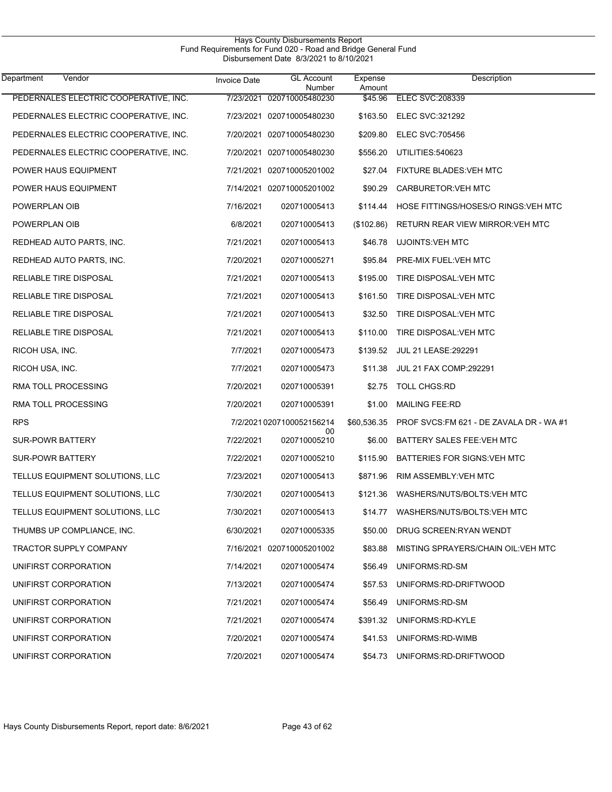| Vendor<br>Department                  | <b>Invoice Date</b> | <b>GL Account</b><br>Number | Expense<br>Amount | Description                              |
|---------------------------------------|---------------------|-----------------------------|-------------------|------------------------------------------|
| PEDERNALES ELECTRIC COOPERATIVE, INC. | 7/23/2021           | 020710005480230             | \$45.96           | <b>ELEC SVC: 208339</b>                  |
| PEDERNALES ELECTRIC COOPERATIVE. INC. |                     | 7/23/2021 020710005480230   | \$163.50          | ELEC SVC:321292                          |
| PEDERNALES ELECTRIC COOPERATIVE, INC. |                     | 7/20/2021 020710005480230   | \$209.80          | <b>ELEC SVC:705456</b>                   |
| PEDERNALES ELECTRIC COOPERATIVE, INC. |                     | 7/20/2021 020710005480230   | \$556.20          | UTILITIES:540623                         |
| POWER HAUS EQUIPMENT                  |                     | 7/21/2021 020710005201002   | \$27.04           | <b>FIXTURE BLADES: VEH MTC</b>           |
| POWER HAUS EQUIPMENT                  |                     | 7/14/2021 020710005201002   | \$90.29           | <b>CARBURETOR: VEH MTC</b>               |
| POWERPLAN OIB                         | 7/16/2021           | 020710005413                | \$114.44          | HOSE FITTINGS/HOSES/O RINGS: VEH MTC     |
| POWERPLAN OIB                         | 6/8/2021            | 020710005413                | (\$102.86)        | RETURN REAR VIEW MIRROR: VEH MTC         |
| REDHEAD AUTO PARTS, INC.              | 7/21/2021           | 020710005413                | \$46.78           | <b>UJOINTS: VEH MTC</b>                  |
| REDHEAD AUTO PARTS, INC.              | 7/20/2021           | 020710005271                | \$95.84           | PRE-MIX FUEL: VEH MTC                    |
| <b>RELIABLE TIRE DISPOSAL</b>         | 7/21/2021           | 020710005413                | \$195.00          | TIRE DISPOSAL: VEH MTC                   |
| <b>RELIABLE TIRE DISPOSAL</b>         | 7/21/2021           | 020710005413                | \$161.50          | TIRE DISPOSAL: VEH MTC                   |
| <b>RELIABLE TIRE DISPOSAL</b>         | 7/21/2021           | 020710005413                | \$32.50           | TIRE DISPOSAL: VEH MTC                   |
| <b>RELIABLE TIRE DISPOSAL</b>         | 7/21/2021           | 020710005413                | \$110.00          | TIRE DISPOSAL: VEH MTC                   |
| RICOH USA, INC.                       | 7/7/2021            | 020710005473                | \$139.52          | <b>JUL 21 LEASE: 292291</b>              |
| RICOH USA, INC.                       | 7/7/2021            | 020710005473                | \$11.38           | <b>JUL 21 FAX COMP:292291</b>            |
| RMA TOLL PROCESSING                   | 7/20/2021           | 020710005391                | \$2.75            | <b>TOLL CHGS:RD</b>                      |
| RMA TOLL PROCESSING                   | 7/20/2021           | 020710005391                | \$1.00            | <b>MAILING FEE:RD</b>                    |
| <b>RPS</b>                            |                     | 7/2/2021 0207100052156214   | \$60,536.35       | PROF SVCS: FM 621 - DE ZAVALA DR - WA #1 |
| <b>SUR-POWR BATTERY</b>               | 7/22/2021           | 00<br>020710005210          | \$6.00            | BATTERY SALES FEE: VEH MTC               |
| <b>SUR-POWR BATTERY</b>               | 7/22/2021           | 020710005210                | \$115.90          | BATTERIES FOR SIGNS: VEH MTC             |
| TELLUS EQUIPMENT SOLUTIONS, LLC       | 7/23/2021           | 020710005413                | \$871.96          | RIM ASSEMBLY: VEH MTC                    |
| TELLUS EQUIPMENT SOLUTIONS, LLC       | 7/30/2021           | 020710005413                |                   | \$121.36 WASHERS/NUTS/BOLTS: VEH MTC     |
| TELLUS EQUIPMENT SOLUTIONS, LLC       | 7/30/2021           | 020710005413                | \$14.77           | WASHERS/NUTS/BOLTS: VEH MTC              |
| THUMBS UP COMPLIANCE, INC.            | 6/30/2021           | 020710005335                | \$50.00           | DRUG SCREEN: RYAN WENDT                  |
| <b>TRACTOR SUPPLY COMPANY</b>         |                     | 7/16/2021 020710005201002   | \$83.88           | MISTING SPRAYERS/CHAIN OIL: VEH MTC      |
| UNIFIRST CORPORATION                  | 7/14/2021           | 020710005474                | \$56.49           | UNIFORMS:RD-SM                           |
| UNIFIRST CORPORATION                  | 7/13/2021           | 020710005474                | \$57.53           | UNIFORMS:RD-DRIFTWOOD                    |
| UNIFIRST CORPORATION                  | 7/21/2021           | 020710005474                | \$56.49           | UNIFORMS:RD-SM                           |
| UNIFIRST CORPORATION                  | 7/21/2021           | 020710005474                | \$391.32          | UNIFORMS:RD-KYLE                         |
| UNIFIRST CORPORATION                  | 7/20/2021           | 020710005474                | \$41.53           | UNIFORMS:RD-WIMB                         |
| UNIFIRST CORPORATION                  | 7/20/2021           | 020710005474                | \$54.73           | UNIFORMS:RD-DRIFTWOOD                    |

 $\overline{\phantom{0}}$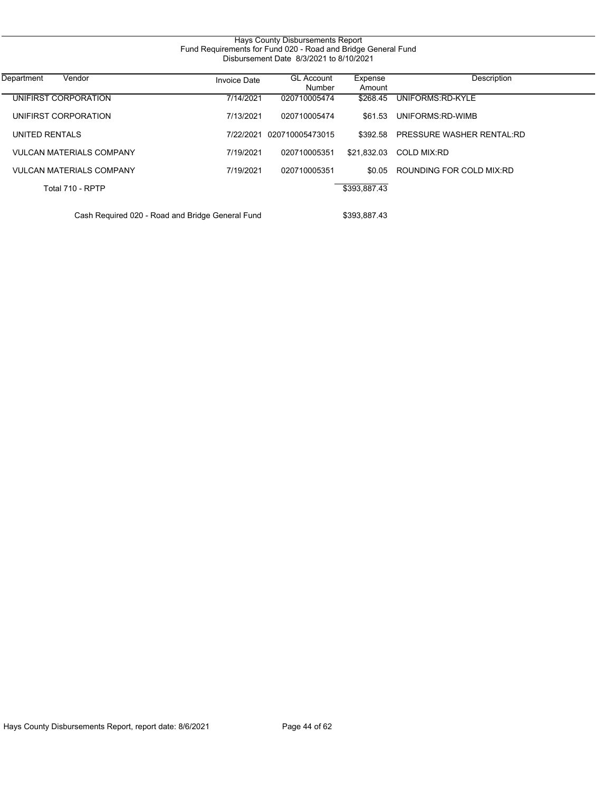| Hays County Disbursements Report<br>Fund Requirements for Fund 020 - Road and Bridge General Fund<br>Disbursement Date 8/3/2021 to 8/10/2021 |              |                             |                   |                           |  |  |
|----------------------------------------------------------------------------------------------------------------------------------------------|--------------|-----------------------------|-------------------|---------------------------|--|--|
| Vendor<br>Department                                                                                                                         | Invoice Date | <b>GL Account</b><br>Number | Expense<br>Amount | Description               |  |  |
| UNIFIRST CORPORATION                                                                                                                         | 7/14/2021    | 020710005474                | \$268.45          | UNIFORMS:RD-KYLE          |  |  |
| UNIFIRST CORPORATION                                                                                                                         | 7/13/2021    | 020710005474                | \$61.53           | UNIFORMS:RD-WIMB          |  |  |
| UNITED RENTALS                                                                                                                               | 7/22/2021    | 020710005473015             | \$392.58          | PRESSURE WASHER RENTAL:RD |  |  |
| <b>VULCAN MATERIALS COMPANY</b>                                                                                                              | 7/19/2021    | 020710005351                | \$21.832.03       | <b>COLD MIX:RD</b>        |  |  |
| <b>VULCAN MATERIALS COMPANY</b>                                                                                                              | 7/19/2021    | 020710005351                | \$0.05            | ROUNDING FOR COLD MIX:RD  |  |  |
| Total 710 - RPTP                                                                                                                             |              |                             | \$393,887.43      |                           |  |  |
| Cash Required 020 - Road and Bridge General Fund                                                                                             |              |                             | \$393,887.43      |                           |  |  |

Hays County Disbursements Report, report date: 8/6/2021 Page 44 of 62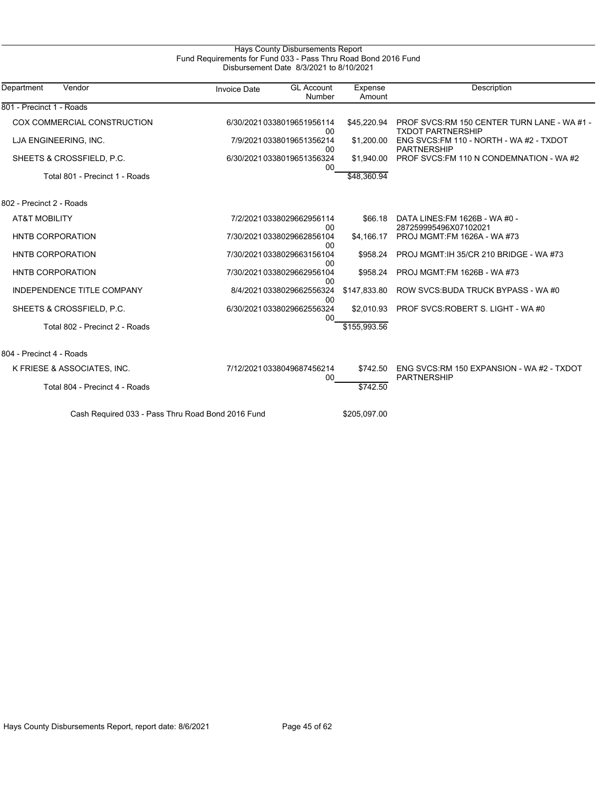| Department<br>Vendor              | <b>Invoice Date</b> | <b>GL Account</b><br>Number     | Expense<br>Amount | Description                                                             |
|-----------------------------------|---------------------|---------------------------------|-------------------|-------------------------------------------------------------------------|
| 801 - Precinct 1 - Roads          |                     |                                 |                   |                                                                         |
| COX COMMERCIAL CONSTRUCTION       |                     | 6/30/20210338019651956114<br>00 | \$45,220.94       | PROF SVCS:RM 150 CENTER TURN LANE - WA #1 -<br><b>TXDOT PARTNERSHIP</b> |
| LJA ENGINEERING, INC.             |                     | 7/9/2021 0338019651356214<br>00 | \$1,200.00        | ENG SVCS: FM 110 - NORTH - WA #2 - TXDOT<br><b>PARTNERSHIP</b>          |
| SHEETS & CROSSFIELD, P.C.         |                     | 6/30/20210338019651356324<br>00 | \$1,940.00        | PROF SVCS: FM 110 N CONDEMNATION - WA#2                                 |
| Total 801 - Precinct 1 - Roads    |                     |                                 | \$48.360.94       |                                                                         |
| 802 - Precinct 2 - Roads          |                     |                                 |                   |                                                                         |
| <b>AT&amp;T MOBILITY</b>          |                     | 7/2/2021 0338029662956114<br>00 | \$66.18           | DATA LINES: FM 1626B - WA #0 -<br>287259995496X07102021                 |
| <b>HNTB CORPORATION</b>           |                     | 7/30/20210338029662856104<br>00 | \$4,166.17        | PROJ MGMT:FM 1626A - WA #73                                             |
| HNTB CORPORATION                  |                     | 7/30/20210338029663156104<br>00 | \$958.24          | PROJ MGMT: IH 35/CR 210 BRIDGE - WA #73                                 |
| <b>HNTB CORPORATION</b>           |                     | 7/30/20210338029662956104<br>00 | \$958.24          | PROJ MGMT:FM 1626B - WA #73                                             |
| <b>INDEPENDENCE TITLE COMPANY</b> |                     | 8/4/2021 0338029662556324       | \$147,833.80      | ROW SVCS BUDA TRUCK BYPASS - WA #0                                      |
| SHEETS & CROSSFIELD, P.C.         |                     | 00<br>6/30/20210338029662556324 | \$2.010.93        | PROF SVCS: ROBERT S. LIGHT - WA #0                                      |
| Total 802 - Precinct 2 - Roads    |                     | 00                              | \$155,993.56      |                                                                         |
| 804 - Precinct 4 - Roads          |                     |                                 |                   |                                                                         |
| K FRIESE & ASSOCIATES, INC.       |                     | 7/12/20210338049687456214       | \$742.50          | ENG SVCS:RM 150 EXPANSION - WA #2 - TXDOT<br><b>PARTNERSHIP</b>         |
| Total 804 - Precinct 4 - Roads    |                     | 00                              | \$742.50          |                                                                         |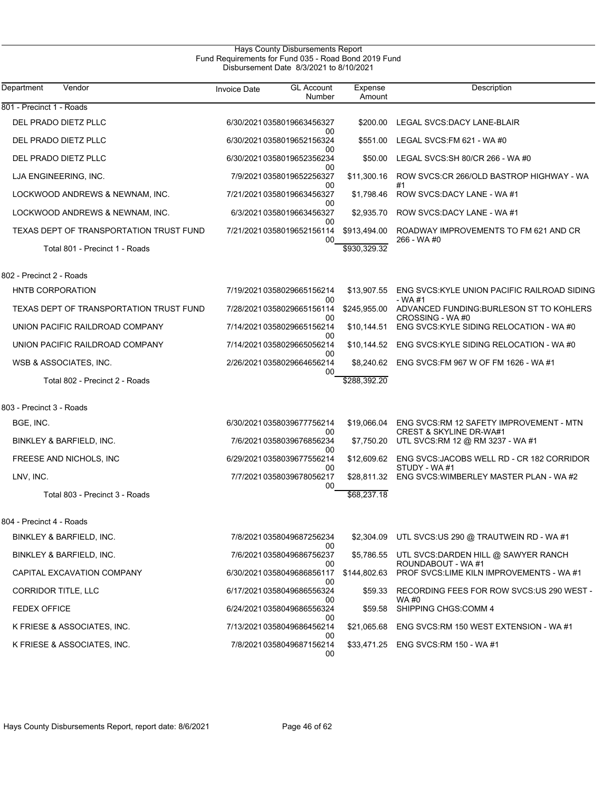### Hays County Disbursements Report Fund Requirements for Fund 035 - Road Bond 2019 Fund Disbursement Date 8/3/2021 to 8/10/2021

| Department<br>Vendor                    | <b>Invoice Date</b>        | <b>GL Account</b><br>Number           | Expense<br>Amount | Description                                                            |
|-----------------------------------------|----------------------------|---------------------------------------|-------------------|------------------------------------------------------------------------|
| 801 - Precinct 1 - Roads                |                            |                                       |                   |                                                                        |
| DEL PRADO DIETZ PLLC                    | 6/30/2021 0358019663456327 |                                       | \$200.00          | LEGAL SVCS: DACY LANE-BLAIR                                            |
| DEL PRADO DIETZ PLLC                    |                            | 00<br>6/30/20210358019652156324       | \$551.00          | LEGAL SVCS: FM 621 - WA #0                                             |
| DEL PRADO DIETZ PLLC                    |                            | 00<br>6/30/2021 0358019652356234      | \$50.00           | LEGAL SVCS:SH 80/CR 266 - WA #0                                        |
| LJA ENGINEERING, INC.                   |                            | 00<br>7/9/2021 0358019652256327       | \$11,300.16       | ROW SVCS:CR 266/OLD BASTROP HIGHWAY - WA                               |
| LOCKWOOD ANDREWS & NEWNAM, INC.         |                            | 00<br>7/21/20210358019663456327       | \$1,798.46        | #1<br>ROW SVCS:DACY LANE - WA #1                                       |
| LOCKWOOD ANDREWS & NEWNAM, INC.         |                            | 00<br>6/3/2021 0358019663456327       | \$2,935.70        | ROW SVCS:DACY LANE - WA #1                                             |
| TEXAS DEPT OF TRANSPORTATION TRUST FUND |                            | 00<br>7/21/2021 0358019652156114      | \$913,494.00      | ROADWAY IMPROVEMENTS TO FM 621 AND CR                                  |
| Total 801 - Precinct 1 - Roads          |                            | 00                                    | \$930,329.32      | 266 - WA #0                                                            |
| 802 - Precinct 2 - Roads                |                            |                                       |                   |                                                                        |
| <b>HNTB CORPORATION</b>                 | 7/19/20210358029665156214  |                                       | \$13,907.55       | ENG SVCS: KYLE UNION PACIFIC RAILROAD SIDING                           |
| TEXAS DEPT OF TRANSPORTATION TRUST FUND |                            | 00<br>7/28/20210358029665156114       | \$245,955.00      | - WA #1<br>ADVANCED FUNDING: BURLESON ST TO KOHLERS                    |
| UNION PACIFIC RAILDROAD COMPANY         | 7/14/20210358029665156214  | 00                                    | \$10,144.51       | CROSSING - WA #0<br>ENG SVCS: KYLE SIDING RELOCATION - WA #0           |
| UNION PACIFIC RAILDROAD COMPANY         |                            | 00<br>7/14/20210358029665056214       | \$10,144.52       | ENG SVCS:KYLE SIDING RELOCATION - WA #0                                |
| WSB & ASSOCIATES, INC.                  |                            | 00<br>2/26/20210358029664656214       | \$8,240.62        | ENG SVCS: FM 967 W OF FM 1626 - WA #1                                  |
| Total 802 - Precinct 2 - Roads          |                            | 00                                    | \$288,392.20      |                                                                        |
| 803 - Precinct 3 - Roads                |                            |                                       |                   |                                                                        |
| BGE, INC.                               | 6/30/20210358039677756214  |                                       | \$19,066.04       | ENG SVCS: RM 12 SAFETY IMPROVEMENT - MTN                               |
| BINKLEY & BARFIELD, INC.                |                            | 00<br>7/6/2021 0358039676856234       | \$7,750.20        | <b>CREST &amp; SKYLINE DR-WA#1</b><br>UTL SVCS:RM 12 @ RM 3237 - WA #1 |
| FREESE AND NICHOLS, INC                 |                            | 00<br>6/29/20210358039677556214       | \$12,609.62       | ENG SVCS: JACOBS WELL RD - CR 182 CORRIDOR                             |
| LNV, INC.                               |                            | 00<br>7/7/2021 0358039678056217       | \$28,811.32       | STUDY - WA#1<br>ENG SVCS: WIMBERLEY MASTER PLAN - WA #2                |
| Total 803 - Precinct 3 - Roads          |                            | 00                                    | \$68,237.18       |                                                                        |
| 804 - Precinct 4 - Roads                |                            |                                       |                   |                                                                        |
| BINKLEY & BARFIELD, INC.                |                            | 7/8/2021 0358049687256234             |                   | \$2,304.09 UTL SVCS.US 290 @ TRAUTWEIN RD - WA #1                      |
| BINKLEY & BARFIELD, INC.                |                            | 00<br>7/6/2021 0358049686756237       |                   | \$5,786.55 UTL SVCS:DARDEN HILL @ SAWYER RANCH                         |
| CAPITAL EXCAVATION COMPANY              |                            | 00<br>6/30/20210358049686856117       | \$144,802.63      | ROUNDABOUT - WA #1<br>PROF SVCS: LIME KILN IMPROVEMENTS - WA #1        |
| <b>CORRIDOR TITLE, LLC</b>              |                            | 00<br>6/17/20210358049686556324       | \$59.33           | RECORDING FEES FOR ROW SVCS: US 290 WEST -                             |
| FEDEX OFFICE                            | 6/24/20210358049686556324  | 00                                    | \$59.58           | WA #0<br>SHIPPING CHGS: COMM 4                                         |
| K FRIESE & ASSOCIATES, INC.             |                            | 00<br>7/13/20210358049686456214       | \$21,065.68       | ENG SVCS:RM 150 WEST EXTENSION - WA #1                                 |
| K FRIESE & ASSOCIATES, INC.             |                            | 00<br>7/8/2021 0358049687156214<br>00 | \$33,471.25       | ENG SVCS:RM 150 - WA #1                                                |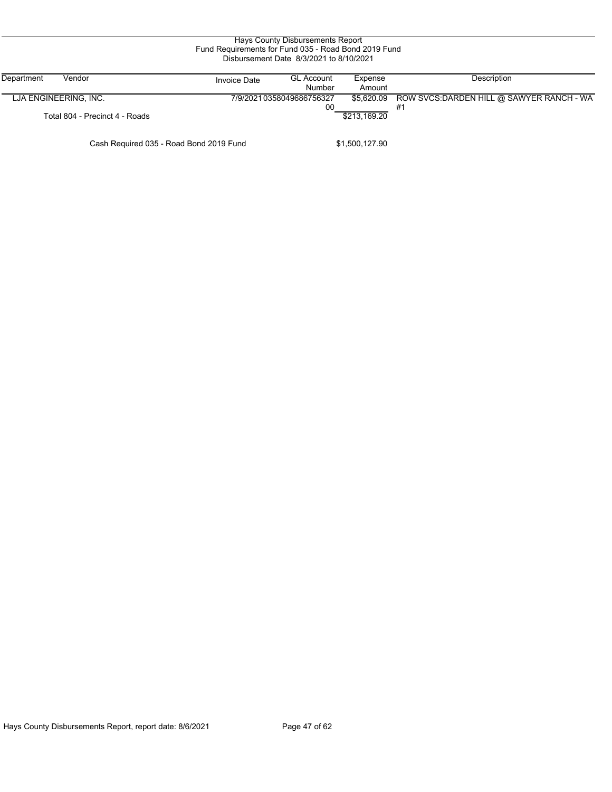|                                         | Fund Requirements for Fund 035 - Road Bond 2019 Fund | Hays County Disbursements Report<br>Disbursement Date 8/3/2021 to 8/10/2021 |                   |                                                 |
|-----------------------------------------|------------------------------------------------------|-----------------------------------------------------------------------------|-------------------|-------------------------------------------------|
| Department<br>Vendor                    | <b>Invoice Date</b>                                  | <b>GL Account</b><br>Number                                                 | Expense<br>Amount | Description                                     |
| LJA ENGINEERING, INC.                   |                                                      | 7/9/2021 0358049686756327<br>00                                             | \$5.620.09        | ROW SVCS: DARDEN HILL @ SAWYER RANCH - WA<br>#1 |
| Total 804 - Precinct 4 - Roads          |                                                      |                                                                             | \$213.169.20      |                                                 |
| Cash Required 035 - Road Bond 2019 Fund |                                                      |                                                                             | \$1,500,127.90    |                                                 |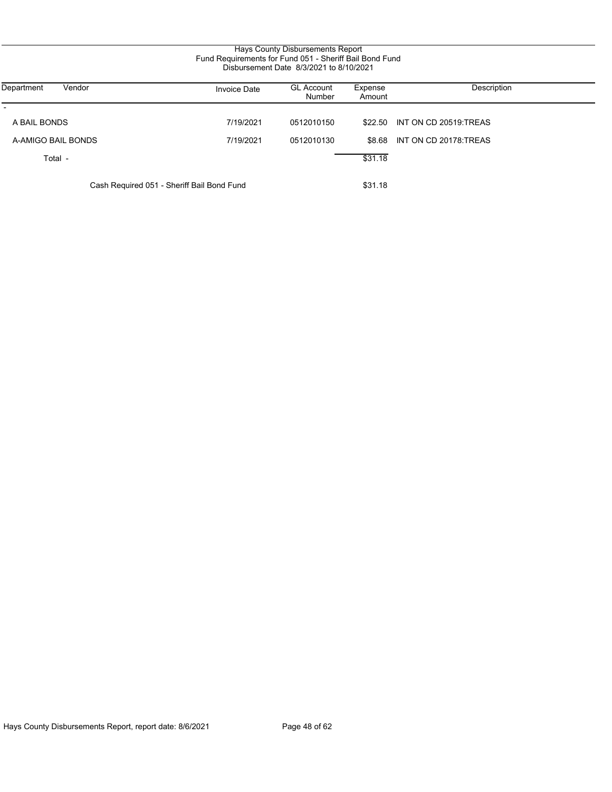## Hays County Disbursements Report Fund Requirements for Fund 051 - Sheriff Bail Bond Fund Disbursement Date 8/3/2021 to 8/10/2021

| Department<br>Vendor                       | <b>Invoice Date</b> | <b>GL Account</b><br><b>Number</b> | Expense<br>Amount | Description                   |
|--------------------------------------------|---------------------|------------------------------------|-------------------|-------------------------------|
| A BAIL BONDS                               | 7/19/2021           | 0512010150                         |                   | \$22.50 INT ON CD 20519.TREAS |
| A-AMIGO BAIL BONDS                         | 7/19/2021           | 0512010130                         | \$8.68            | INT ON CD 20178 TREAS         |
| Total -                                    |                     |                                    | \$31.18           |                               |
| Cash Required 051 - Sheriff Bail Bond Fund |                     | \$31.18                            |                   |                               |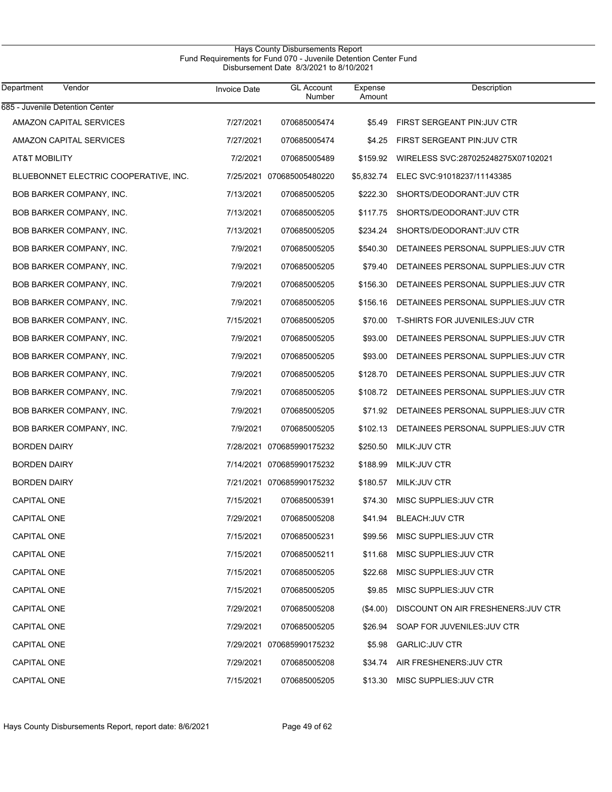#### Hays County Disbursements Report Fund Requirements for Fund 070 - Juvenile Detention Center Fund Disbursement Date 8/3/2021 to 8/10/2021

| Department<br>Vendor                  | <b>Invoice Date</b> | <b>GL Account</b><br>Number | Expense<br>Amount | Description                          |
|---------------------------------------|---------------------|-----------------------------|-------------------|--------------------------------------|
| 685 - Juvenile Detention Center       |                     |                             |                   |                                      |
| AMAZON CAPITAL SERVICES               | 7/27/2021           | 070685005474                | \$5.49            | FIRST SERGEANT PIN: JUV CTR          |
| AMAZON CAPITAL SERVICES               | 7/27/2021           | 070685005474                | \$4.25            | FIRST SERGEANT PIN: JUV CTR          |
| AT&T MOBILITY                         | 7/2/2021            | 070685005489                | \$159.92          | WIRELESS SVC:287025248275X07102021   |
| BLUEBONNET ELECTRIC COOPERATIVE, INC. |                     | 7/25/2021 070685005480220   | \$5,832.74        | ELEC SVC:91018237/11143385           |
| BOB BARKER COMPANY, INC.              | 7/13/2021           | 070685005205                | \$222.30          | SHORTS/DEODORANT: JUV CTR            |
| BOB BARKER COMPANY, INC.              | 7/13/2021           | 070685005205                | \$117.75          | SHORTS/DEODORANT: JUV CTR            |
| BOB BARKER COMPANY, INC.              | 7/13/2021           | 070685005205                | \$234.24          | SHORTS/DEODORANT: JUV CTR            |
| BOB BARKER COMPANY, INC.              | 7/9/2021            | 070685005205                | \$540.30          | DETAINEES PERSONAL SUPPLIES: JUV CTR |
| BOB BARKER COMPANY, INC.              | 7/9/2021            | 070685005205                | \$79.40           | DETAINEES PERSONAL SUPPLIES: JUV CTR |
| BOB BARKER COMPANY, INC.              | 7/9/2021            | 070685005205                | \$156.30          | DETAINEES PERSONAL SUPPLIES: JUV CTR |
| BOB BARKER COMPANY, INC.              | 7/9/2021            | 070685005205                | \$156.16          | DETAINEES PERSONAL SUPPLIES: JUV CTR |
| BOB BARKER COMPANY, INC.              | 7/15/2021           | 070685005205                | \$70.00           | T-SHIRTS FOR JUVENILES: JUV CTR      |
| BOB BARKER COMPANY, INC.              | 7/9/2021            | 070685005205                | \$93.00           | DETAINEES PERSONAL SUPPLIES: JUV CTR |
| BOB BARKER COMPANY, INC.              | 7/9/2021            | 070685005205                | \$93.00           | DETAINEES PERSONAL SUPPLIES: JUV CTR |
| BOB BARKER COMPANY, INC.              | 7/9/2021            | 070685005205                | \$128.70          | DETAINEES PERSONAL SUPPLIES: JUV CTR |
| BOB BARKER COMPANY, INC.              | 7/9/2021            | 070685005205                | \$108.72          | DETAINEES PERSONAL SUPPLIES: JUV CTR |
| BOB BARKER COMPANY, INC.              | 7/9/2021            | 070685005205                | \$71.92           | DETAINEES PERSONAL SUPPLIES: JUV CTR |
| BOB BARKER COMPANY, INC.              | 7/9/2021            | 070685005205                | \$102.13          | DETAINEES PERSONAL SUPPLIES: JUV CTR |
| <b>BORDEN DAIRY</b>                   |                     | 7/28/2021 070685990175232   | \$250.50          | MILK: JUV CTR                        |
| <b>BORDEN DAIRY</b>                   |                     | 7/14/2021 070685990175232   | \$188.99          | MILK: JUV CTR                        |
| <b>BORDEN DAIRY</b>                   |                     | 7/21/2021 070685990175232   | \$180.57          | MILK: JUV CTR                        |
| CAPITAL ONE                           | 7/15/2021           | 070685005391                | \$74.30           | MISC SUPPLIES: JUV CTR               |
| <b>CAPITAL ONE</b>                    | 7/29/2021           | 070685005208                | \$41.94           | <b>BLEACH: JUV CTR</b>               |
| CAPITAL ONE                           | 7/15/2021           | 070685005231                | \$99.56           | MISC SUPPLIES: JUV CTR               |
| CAPITAL ONE                           | 7/15/2021           | 070685005211                | \$11.68           | MISC SUPPLIES: JUV CTR               |
| CAPITAL ONE                           | 7/15/2021           | 070685005205                | \$22.68           | MISC SUPPLIES: JUV CTR               |
| CAPITAL ONE                           | 7/15/2021           | 070685005205                | \$9.85            | MISC SUPPLIES: JUV CTR               |
| CAPITAL ONE                           | 7/29/2021           | 070685005208                | (\$4.00)          | DISCOUNT ON AIR FRESHENERS: JUV CTR  |
| CAPITAL ONE                           | 7/29/2021           | 070685005205                | \$26.94           | SOAP FOR JUVENILES: JUV CTR          |
| CAPITAL ONE                           |                     | 7/29/2021 070685990175232   | \$5.98            | <b>GARLIC:JUV CTR</b>                |
| CAPITAL ONE                           | 7/29/2021           | 070685005208                | \$34.74           | AIR FRESHENERS: JUV CTR              |
| CAPITAL ONE                           | 7/15/2021           | 070685005205                | \$13.30           | MISC SUPPLIES: JUV CTR               |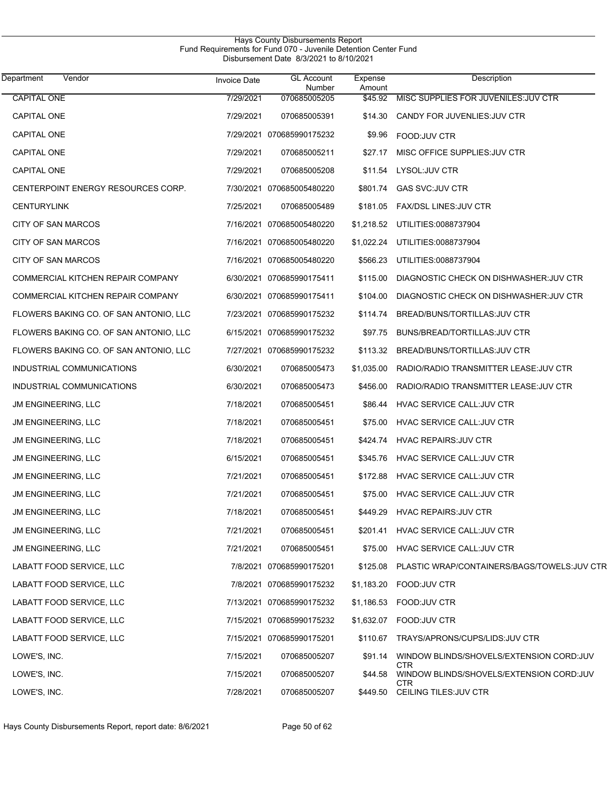| Vendor<br>Department                   | <b>Invoice Date</b> | <b>GL Account</b><br>Number | Expense<br>Amount | Description                                     |
|----------------------------------------|---------------------|-----------------------------|-------------------|-------------------------------------------------|
| <b>CAPITAL ONE</b>                     | 7/29/2021           | 070685005205                | \$45.92           | MISC SUPPLIES FOR JUVENILES: JUV CTR            |
| CAPITAL ONE                            | 7/29/2021           | 070685005391                | \$14.30           | CANDY FOR JUVENLIES.JUV CTR                     |
| <b>CAPITAL ONE</b>                     | 7/29/2021           | 070685990175232             | \$9.96            | FOOD:JUV CTR                                    |
| <b>CAPITAL ONE</b>                     | 7/29/2021           | 070685005211                | \$27.17           | MISC OFFICE SUPPLIES: JUV CTR                   |
| <b>CAPITAL ONE</b>                     | 7/29/2021           | 070685005208                | \$11.54           | LYSOL:JUV CTR                                   |
| CENTERPOINT ENERGY RESOURCES CORP.     |                     | 7/30/2021 070685005480220   | \$801.74          | <b>GAS SVC:JUV CTR</b>                          |
| <b>CENTURYLINK</b>                     | 7/25/2021           | 070685005489                | \$181.05          | <b>FAX/DSL LINES: JUV CTR</b>                   |
| CITY OF SAN MARCOS                     | 7/16/2021           | 070685005480220             | \$1,218.52        | UTILITIES:0088737904                            |
| CITY OF SAN MARCOS                     | 7/16/2021           | 070685005480220             | \$1,022.24        | UTILITIES:0088737904                            |
| CITY OF SAN MARCOS                     |                     | 7/16/2021 070685005480220   | \$566.23          | UTILITIES:0088737904                            |
| COMMERCIAL KITCHEN REPAIR COMPANY      | 6/30/2021           | 070685990175411             | \$115.00          | DIAGNOSTIC CHECK ON DISHWASHER: JUV CTR         |
| COMMERCIAL KITCHEN REPAIR COMPANY      | 6/30/2021           | 070685990175411             | \$104.00          | DIAGNOSTIC CHECK ON DISHWASHER: JUV CTR         |
| FLOWERS BAKING CO. OF SAN ANTONIO, LLC | 7/23/2021           | 070685990175232             | \$114.74          | BREAD/BUNS/TORTILLAS: JUV CTR                   |
| FLOWERS BAKING CO. OF SAN ANTONIO, LLC | 6/15/2021           | 070685990175232             | \$97.75           | BUNS/BREAD/TORTILLAS: JUV CTR                   |
| FLOWERS BAKING CO. OF SAN ANTONIO, LLC | 7/27/2021           | 070685990175232             | \$113.32          | BREAD/BUNS/TORTILLAS: JUV CTR                   |
| INDUSTRIAL COMMUNICATIONS              | 6/30/2021           | 070685005473                | \$1,035.00        | RADIO/RADIO TRANSMITTER LEASE: JUV CTR          |
| INDUSTRIAL COMMUNICATIONS              | 6/30/2021           | 070685005473                | \$456.00          | RADIO/RADIO TRANSMITTER LEASE: JUV CTR          |
| JM ENGINEERING, LLC                    | 7/18/2021           | 070685005451                | \$86.44           | <b>HVAC SERVICE CALL: JUV CTR</b>               |
| JM ENGINEERING, LLC                    | 7/18/2021           | 070685005451                | \$75.00           | HVAC SERVICE CALL: JUV CTR                      |
| JM ENGINEERING, LLC                    | 7/18/2021           | 070685005451                | \$424.74          | <b>HVAC REPAIRS: JUV CTR</b>                    |
| JM ENGINEERING, LLC                    | 6/15/2021           | 070685005451                | \$345.76          | HVAC SERVICE CALL: JUV CTR                      |
| JM ENGINEERING, LLC                    | 7/21/2021           | 070685005451                | \$172.88          | HVAC SERVICE CALL: JUV CTR                      |
| JM ENGINEERING, LLC                    | 7/21/2021           | 070685005451                |                   | \$75.00 HVAC SERVICE CALL: JUV CTR              |
| <b>JM ENGINEERING, LLC</b>             | 7/18/2021           | 070685005451                | \$449.29          | HVAC REPAIRS: JUV CTR                           |
| JM ENGINEERING, LLC                    | 7/21/2021           | 070685005451                | \$201.41          | <b>HVAC SERVICE CALL: JUV CTR</b>               |
| JM ENGINEERING, LLC                    | 7/21/2021           | 070685005451                | \$75.00           | HVAC SERVICE CALL: JUV CTR                      |
| LABATT FOOD SERVICE, LLC               |                     | 7/8/2021 070685990175201    | \$125.08          | PLASTIC WRAP/CONTAINERS/BAGS/TOWELS: JUV CTR    |
| LABATT FOOD SERVICE, LLC               |                     | 7/8/2021 070685990175232    | \$1,183.20        | FOOD: JUV CTR                                   |
| LABATT FOOD SERVICE, LLC               |                     | 7/13/2021 070685990175232   | \$1,186.53        | FOOD: JUV CTR                                   |
| LABATT FOOD SERVICE, LLC               |                     | 7/15/2021 070685990175232   | \$1,632.07        | FOOD: JUV CTR                                   |
| LABATT FOOD SERVICE, LLC               |                     | 7/15/2021 070685990175201   | \$110.67          | TRAYS/APRONS/CUPS/LIDS: JUV CTR                 |
| LOWE'S, INC.                           | 7/15/2021           | 070685005207                | \$91.14           | WINDOW BLINDS/SHOVELS/EXTENSION CORD:JUV        |
| LOWE'S, INC.                           | 7/15/2021           | 070685005207                | \$44.58           | CTR<br>WINDOW BLINDS/SHOVELS/EXTENSION CORD:JUV |
| LOWE'S, INC.                           | 7/28/2021           | 070685005207                | \$449.50          | CTR<br>CEILING TILES: JUV CTR                   |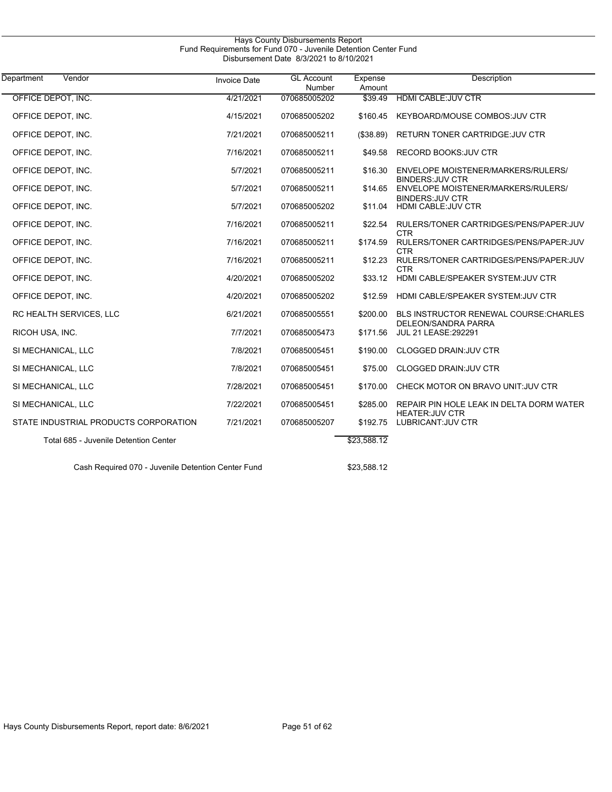| <b>Hays County Disbursements Report</b><br>Fund Requirements for Fund 070 - Juvenile Detention Center Fund<br>Disbursement Date 8/3/2021 to 8/10/2021 |                     |                                    |                   |                                                                     |  |  |
|-------------------------------------------------------------------------------------------------------------------------------------------------------|---------------------|------------------------------------|-------------------|---------------------------------------------------------------------|--|--|
| Vendor<br>Department                                                                                                                                  | <b>Invoice Date</b> | <b>GL Account</b><br><b>Number</b> | Expense<br>Amount | Description                                                         |  |  |
| OFFICE DEPOT, INC.                                                                                                                                    | 4/21/2021           | 070685005202                       | \$39.49           | <b>HDMI CABLE:JUV CTR</b>                                           |  |  |
| OFFICE DEPOT, INC.                                                                                                                                    | 4/15/2021           | 070685005202                       | \$160.45          | KEYBOARD/MOUSE COMBOS: JUV CTR                                      |  |  |
| OFFICE DEPOT, INC.                                                                                                                                    | 7/21/2021           | 070685005211                       | (\$38.89)         | RETURN TONER CARTRIDGE: JUV CTR                                     |  |  |
| OFFICE DEPOT, INC.                                                                                                                                    | 7/16/2021           | 070685005211                       | \$49.58           | RECORD BOOKS: JUV CTR                                               |  |  |
| OFFICE DEPOT, INC.                                                                                                                                    | 5/7/2021            | 070685005211                       | \$16.30           | ENVELOPE MOISTENER/MARKERS/RULERS/<br><b>BINDERS: JUV CTR</b>       |  |  |
| OFFICE DEPOT, INC.                                                                                                                                    | 5/7/2021            | 070685005211                       | \$14.65           | ENVELOPE MOISTENER/MARKERS/RULERS/                                  |  |  |
| OFFICE DEPOT, INC.                                                                                                                                    | 5/7/2021            | 070685005202                       | \$11.04           | <b>BINDERS: JUV CTR</b><br>HDMI CABLE: JUV CTR                      |  |  |
| OFFICE DEPOT, INC.                                                                                                                                    | 7/16/2021           | 070685005211                       | \$22.54           | RULERS/TONER CARTRIDGES/PENS/PAPER:JUV<br><b>CTR</b>                |  |  |
| OFFICE DEPOT, INC.                                                                                                                                    | 7/16/2021           | 070685005211                       | \$174.59          | RULERS/TONER CARTRIDGES/PENS/PAPER:JUV<br><b>CTR</b>                |  |  |
| OFFICE DEPOT, INC.                                                                                                                                    | 7/16/2021           | 070685005211                       | \$12.23           | RULERS/TONER CARTRIDGES/PENS/PAPER:JUV<br><b>CTR</b>                |  |  |
| OFFICE DEPOT, INC.                                                                                                                                    | 4/20/2021           | 070685005202                       | \$33.12           | HDMI CABLE/SPEAKER SYSTEM: JUV CTR                                  |  |  |
| OFFICE DEPOT, INC.                                                                                                                                    | 4/20/2021           | 070685005202                       | \$12.59           | HDMI CABLE/SPEAKER SYSTEM: JUV CTR                                  |  |  |
| RC HEALTH SERVICES, LLC                                                                                                                               | 6/21/2021           | 070685005551                       | \$200.00          | <b>BLS INSTRUCTOR RENEWAL COURSE CHARLES</b><br>DELEON/SANDRA PARRA |  |  |
| RICOH USA, INC.                                                                                                                                       | 7/7/2021            | 070685005473                       | \$171.56          | <b>JUL 21 LEASE: 292291</b>                                         |  |  |
| SI MECHANICAL, LLC                                                                                                                                    | 7/8/2021            | 070685005451                       | \$190.00          | CLOGGED DRAIN: JUV CTR                                              |  |  |
| SI MECHANICAL, LLC                                                                                                                                    | 7/8/2021            | 070685005451                       | \$75.00           | <b>CLOGGED DRAIN JUV CTR</b>                                        |  |  |
| SI MECHANICAL, LLC                                                                                                                                    | 7/28/2021           | 070685005451                       | \$170.00          | CHECK MOTOR ON BRAVO UNIT: JUV CTR                                  |  |  |
| SI MECHANICAL, LLC                                                                                                                                    | 7/22/2021           | 070685005451                       | \$285.00          | REPAIR PIN HOLE LEAK IN DELTA DORM WATER<br><b>HEATER: JUV CTR</b>  |  |  |
| STATE INDUSTRIAL PRODUCTS CORPORATION                                                                                                                 | 7/21/2021           | 070685005207                       | \$192.75          | LUBRICANT: JUV CTR                                                  |  |  |
| Total 685 - Juvenile Detention Center                                                                                                                 |                     |                                    | \$23,588.12       |                                                                     |  |  |
| Cash Required 070 - Juvenile Detention Center Fund                                                                                                    |                     |                                    | \$23,588.12       |                                                                     |  |  |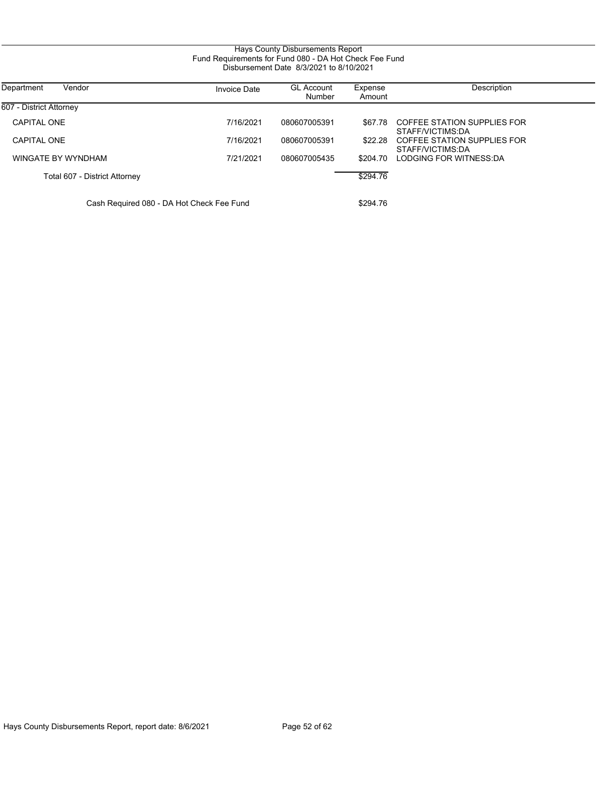#### Hays County Disbursements Report Fund Requirements for Fund 080 - DA Hot Check Fee Fund Disbursement Date 8/3/2021 to 8/10/2021

| Department<br>Vendor                      | <b>Invoice Date</b> | <b>GL Account</b><br>Number | Expense<br>Amount | Description                                     |
|-------------------------------------------|---------------------|-----------------------------|-------------------|-------------------------------------------------|
| 607 - District Attorney                   |                     |                             |                   |                                                 |
| CAPITAL ONE                               | 7/16/2021           | 080607005391                | \$67.78           | COFFEE STATION SUPPLIES FOR<br>STAFF/VICTIMS:DA |
| <b>CAPITAL ONE</b>                        | 7/16/2021           | 080607005391                | \$22.28           | COFFEE STATION SUPPLIES FOR<br>STAFF/VICTIMS:DA |
| WINGATE BY WYNDHAM                        | 7/21/2021           | 080607005435                | \$204.70          | LODGING FOR WITNESS:DA                          |
| Total 607 - District Attorney             |                     |                             | \$294.76          |                                                 |
| Cash Required 080 - DA Hot Check Fee Fund |                     |                             | \$294.76          |                                                 |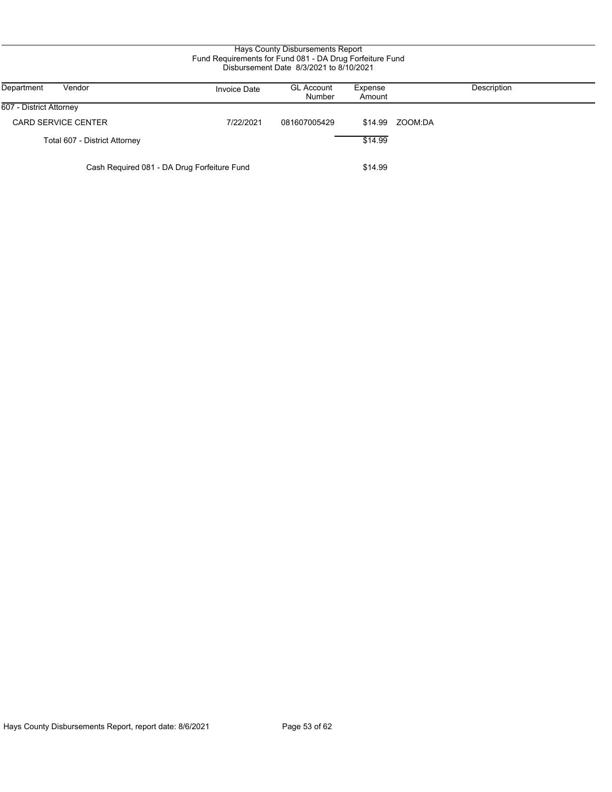#### Hays County Disbursements Report Fund Requirements for Fund 081 - DA Drug Forfeiture Fund Disbursement Date 8/3/2021 to 8/10/2021

| Vendor<br>Department                        | <b>Invoice Date</b> | <b>GL Account</b><br>Number | Expense<br>Amount | Description |
|---------------------------------------------|---------------------|-----------------------------|-------------------|-------------|
| 607 - District Attorney                     |                     |                             |                   |             |
| <b>CARD SERVICE CENTER</b>                  | 7/22/2021           | 081607005429                | \$14.99           | ZOOM:DA     |
| Total 607 - District Attorney               |                     |                             | \$14.99           |             |
| Cash Required 081 - DA Drug Forfeiture Fund |                     | \$14.99                     |                   |             |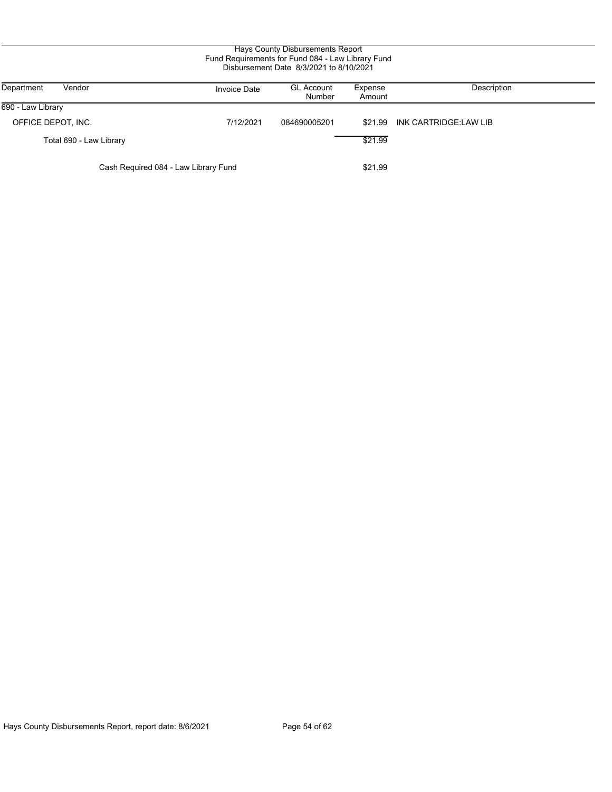#### Hays County Disbursements Report Fund Requirements for Fund 084 - Law Library Fund Disbursement Date 8/3/2021 to 8/10/2021

| Department<br>Vendor                 | <b>Invoice Date</b> | <b>GL Account</b><br>Number | Expense<br>Amount | Description           |
|--------------------------------------|---------------------|-----------------------------|-------------------|-----------------------|
| 690 - Law Library                    |                     |                             |                   |                       |
| OFFICE DEPOT, INC.                   | 7/12/2021           | 084690005201                | \$21.99           | INK CARTRIDGE:LAW LIB |
| Total 690 - Law Library              |                     |                             | \$21.99           |                       |
| Cash Required 084 - Law Library Fund |                     |                             | \$21.99           |                       |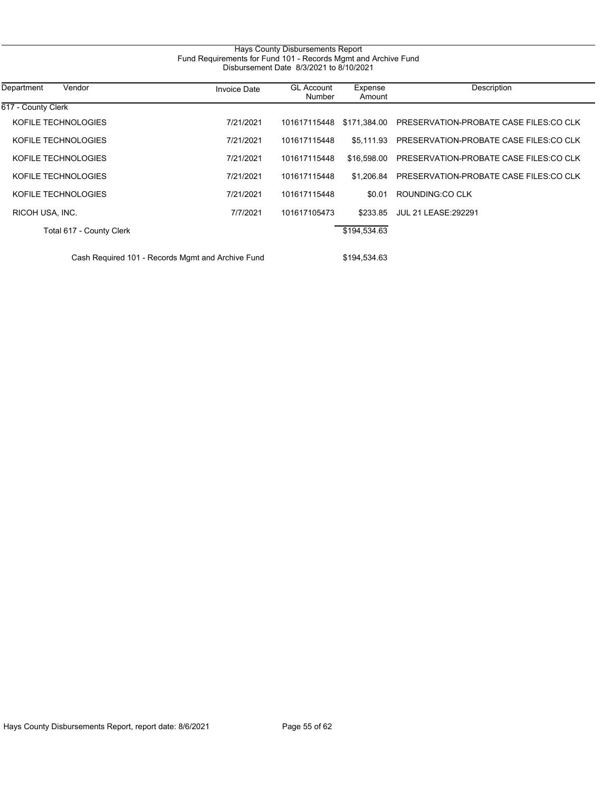| Vendor<br>Department                              | <b>Invoice Date</b> | <b>GL Account</b><br>Number | Expense<br>Amount | Description                            |
|---------------------------------------------------|---------------------|-----------------------------|-------------------|----------------------------------------|
| 617 - County Clerk                                |                     |                             |                   |                                        |
| KOFILE TECHNOLOGIES                               | 7/21/2021           | 101617115448                | \$171.384.00      | PRESERVATION-PROBATE CASE FILES:CO CLK |
| KOFILE TECHNOLOGIES                               | 7/21/2021           | 101617115448                | \$5.111.93        | PRESERVATION-PROBATE CASE FILES:CO CLK |
| KOFILE TECHNOLOGIES                               | 7/21/2021           | 101617115448                | \$16,598.00       | PRESERVATION-PROBATE CASE FILES:CO CLK |
| KOFILE TECHNOLOGIES                               | 7/21/2021           | 101617115448                | \$1.206.84        | PRESERVATION-PROBATE CASE FILES:CO CLK |
| KOFILE TECHNOLOGIES                               | 7/21/2021           | 101617115448                | \$0.01            | ROUNDING CO CLK                        |
| RICOH USA, INC.                                   | 7/7/2021            | 101617105473                | \$233.85          | <b>JUL 21 LEASE: 292291</b>            |
| Total 617 - County Clerk                          |                     |                             | \$194,534.63      |                                        |
| Cash Required 101 - Records Mgmt and Archive Fund |                     | \$194,534.63                |                   |                                        |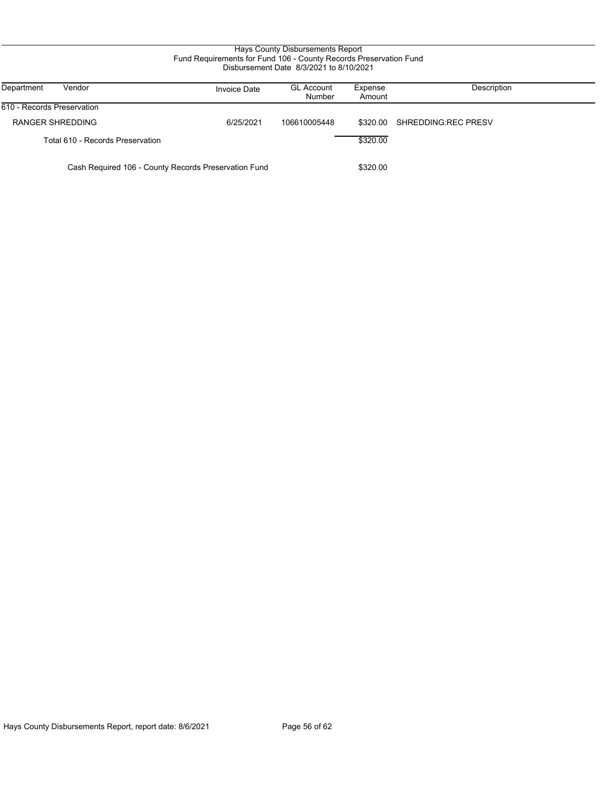### Hays County Disbursements Report Fund Requirements for Fund 106 - County Records Preservation Fund Disbursement Date 8/3/2021 to 8/10/2021

| Department<br>Vendor                                 | <b>Invoice Date</b> | <b>GL Account</b><br>Number | Expense<br>Amount | Description         |
|------------------------------------------------------|---------------------|-----------------------------|-------------------|---------------------|
| 610 - Records Preservation                           |                     |                             |                   |                     |
| <b>RANGER SHREDDING</b>                              | 6/25/2021           | 106610005448                | \$320.00          | SHREDDING REC PRESV |
| Total 610 - Records Preservation                     |                     |                             | \$320.00          |                     |
| Cash Required 106 - County Records Preservation Fund |                     | \$320.00                    |                   |                     |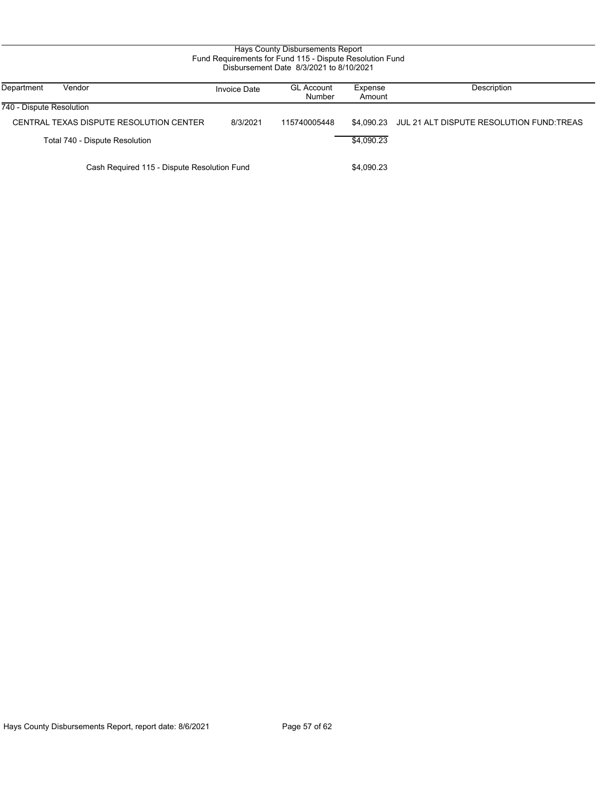| Fund Requirements for Fund 115 - Dispute Resolution Fund<br>Disbursement Date 8/3/2021 to 8/10/2021 |                                         |                     |                             |                   |                                          |  |
|-----------------------------------------------------------------------------------------------------|-----------------------------------------|---------------------|-----------------------------|-------------------|------------------------------------------|--|
| Department                                                                                          | Vendor                                  | <b>Invoice Date</b> | <b>GL Account</b><br>Number | Expense<br>Amount | Description                              |  |
| 740 - Dispute Resolution                                                                            |                                         |                     |                             |                   |                                          |  |
|                                                                                                     | CENTRAL TEXAS DISPUTE RESOLUTION CENTER | 8/3/2021            | 115740005448                | \$4.090.23        | JUL 21 ALT DISPUTE RESOLUTION FUND TREAS |  |
|                                                                                                     | Total 740 - Dispute Resolution          |                     |                             | \$4.090.23        |                                          |  |
| Cash Required 115 - Dispute Resolution Fund                                                         |                                         |                     | \$4,090.23                  |                   |                                          |  |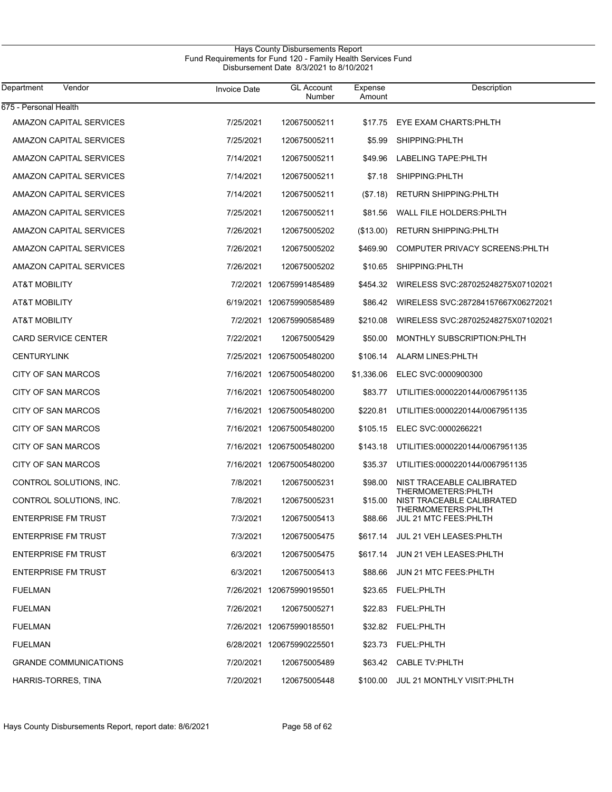#### Hays County Disbursements Report Fund Requirements for Fund 120 - Family Health Services Fund Disbursement Date 8/3/2021 to 8/10/2021

| Department<br>Vendor           | <b>Invoice Date</b> | <b>GL Account</b><br>Number | Expense<br>Amount | Description                                      |
|--------------------------------|---------------------|-----------------------------|-------------------|--------------------------------------------------|
| 675 - Personal Health          |                     |                             |                   |                                                  |
| AMAZON CAPITAL SERVICES        | 7/25/2021           | 120675005211                | \$17.75           | EYE EXAM CHARTS: PHLTH                           |
| AMAZON CAPITAL SERVICES        | 7/25/2021           | 120675005211                | \$5.99            | SHIPPING:PHLTH                                   |
| AMAZON CAPITAL SERVICES        | 7/14/2021           | 120675005211                | \$49.96           | LABELING TAPE: PHLTH                             |
| AMAZON CAPITAL SERVICES        | 7/14/2021           | 120675005211                | \$7.18            | SHIPPING:PHLTH                                   |
| AMAZON CAPITAL SERVICES        | 7/14/2021           | 120675005211                | (S7.18)           | <b>RETURN SHIPPING: PHLTH</b>                    |
| <b>AMAZON CAPITAL SERVICES</b> | 7/25/2021           | 120675005211                | \$81.56           | WALL FILE HOLDERS: PHLTH                         |
| AMAZON CAPITAL SERVICES        | 7/26/2021           | 120675005202                | (\$13.00)         | <b>RETURN SHIPPING: PHLTH</b>                    |
| <b>AMAZON CAPITAL SERVICES</b> | 7/26/2021           | 120675005202                | \$469.90          | COMPUTER PRIVACY SCREENS: PHLTH                  |
| AMAZON CAPITAL SERVICES        | 7/26/2021           | 120675005202                | \$10.65           | SHIPPING:PHLTH                                   |
| AT&T MOBILITY                  |                     | 7/2/2021 120675991485489    | \$454.32          | WIRELESS SVC:287025248275X07102021               |
| AT&T MOBILITY                  |                     | 6/19/2021 120675990585489   |                   | \$86.42 WIRELESS SVC:287284157667X06272021       |
| AT&T MOBILITY                  |                     | 7/2/2021 120675990585489    | \$210.08          | WIRELESS SVC:287025248275X07102021               |
| <b>CARD SERVICE CENTER</b>     | 7/22/2021           | 120675005429                | \$50.00           | MONTHLY SUBSCRIPTION: PHLTH                      |
| <b>CENTURYLINK</b>             |                     | 7/25/2021 120675005480200   | \$106.14          | ALARM LINES: PHLTH                               |
| CITY OF SAN MARCOS             |                     | 7/16/2021 120675005480200   | \$1,336.06        | ELEC SVC:0000900300                              |
| <b>CITY OF SAN MARCOS</b>      |                     | 7/16/2021 120675005480200   | \$83.77           | UTILITIES:0000220144/0067951135                  |
| <b>CITY OF SAN MARCOS</b>      |                     | 7/16/2021 120675005480200   | \$220.81          | UTILITIES:0000220144/0067951135                  |
| <b>CITY OF SAN MARCOS</b>      |                     | 7/16/2021 120675005480200   | \$105.15          | ELEC SVC:0000266221                              |
| CITY OF SAN MARCOS             |                     | 7/16/2021 120675005480200   | \$143.18          | UTILITIES:0000220144/0067951135                  |
| <b>CITY OF SAN MARCOS</b>      |                     | 7/16/2021 120675005480200   | \$35.37           | UTILITIES:0000220144/0067951135                  |
| CONTROL SOLUTIONS, INC.        | 7/8/2021            | 120675005231                | \$98.00           | NIST TRACEABLE CALIBRATED<br>THERMOMETERS: PHLTH |
| CONTROL SOLUTIONS, INC.        | 7/8/2021            | 120675005231                | \$15.00           | NIST TRACEABLE CALIBRATED<br>THERMOMETERS: PHLTH |
| <b>ENTERPRISE FM TRUST</b>     | 7/3/2021            | 120675005413                | \$88.66           | JUL 21 MTC FEES: PHLTH                           |
| <b>ENTERPRISE FM TRUST</b>     | 7/3/2021            | 120675005475                |                   | \$617.14 JUL 21 VEH LEASES: PHLTH                |
| <b>ENTERPRISE FM TRUST</b>     | 6/3/2021            | 120675005475                |                   | \$617.14 JUN 21 VEH LEASES: PHLTH                |
| <b>ENTERPRISE FM TRUST</b>     | 6/3/2021            | 120675005413                | \$88.66           | JUN 21 MTC FEES: PHLTH                           |
| <b>FUELMAN</b>                 |                     | 7/26/2021 120675990195501   | \$23.65           | FUEL:PHLTH                                       |
| <b>FUELMAN</b>                 | 7/26/2021           | 120675005271                | \$22.83           | FUEL:PHLTH                                       |
| <b>FUELMAN</b>                 |                     | 7/26/2021 120675990185501   |                   | \$32.82 FUEL:PHLTH                               |
| <b>FUELMAN</b>                 |                     | 6/28/2021 120675990225501   |                   | \$23.73 FUEL:PHLTH                               |
| <b>GRANDE COMMUNICATIONS</b>   | 7/20/2021           | 120675005489                |                   | \$63.42 CABLE TV:PHLTH                           |
| HARRIS-TORRES, TINA            | 7/20/2021           | 120675005448                | \$100.00          | JUL 21 MONTHLY VISIT: PHLTH                      |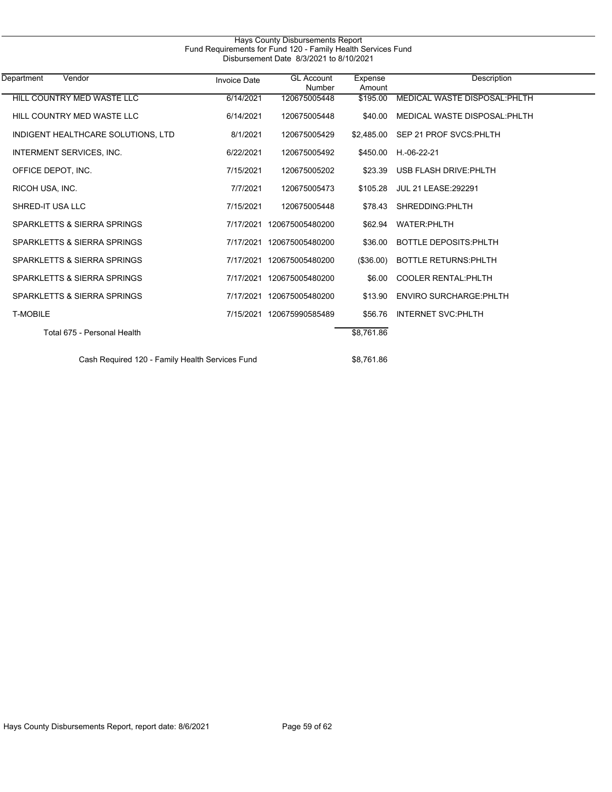| Department<br>Vendor                            | <b>Invoice Date</b> | <b>GL Account</b><br>Number | Expense<br>Amount | Description                    |  |
|-------------------------------------------------|---------------------|-----------------------------|-------------------|--------------------------------|--|
| HILL COUNTRY MED WASTE LLC                      | 6/14/2021           | 120675005448                | \$195.00          | MEDICAL WASTE DISPOSAL: PHLTH  |  |
| HILL COUNTRY MED WASTE LLC                      | 6/14/2021           | 120675005448                | \$40.00           | MEDICAL WASTE DISPOSAL: PHLTH  |  |
| INDIGENT HEALTHCARE SOLUTIONS, LTD              | 8/1/2021            | 120675005429                | \$2.485.00        | SEP 21 PROF SVCS: PHLTH        |  |
| INTERMENT SERVICES, INC.                        | 6/22/2021           | 120675005492                | \$450.00          | H.-06-22-21                    |  |
| OFFICE DEPOT, INC.                              | 7/15/2021           | 120675005202                | \$23.39           | USB FLASH DRIVE: PHLTH         |  |
| RICOH USA, INC.                                 | 7/7/2021            | 120675005473                | \$105.28          | <b>JUL 21 LEASE:292291</b>     |  |
| SHRED-IT USA LLC                                | 7/15/2021           | 120675005448                | \$78.43           | SHREDDING:PHLTH                |  |
| SPARKLETTS & SIERRA SPRINGS                     | 7/17/2021           | 120675005480200             | \$62.94           | <b>WATER:PHLTH</b>             |  |
| SPARKLETTS & SIERRA SPRINGS                     | 7/17/2021           | 120675005480200             | \$36.00           | <b>BOTTLE DEPOSITS: PHLTH</b>  |  |
| SPARKLETTS & SIERRA SPRINGS                     | 7/17/2021           | 120675005480200             | (\$36.00)         | <b>BOTTLE RETURNS: PHLTH</b>   |  |
| SPARKLETTS & SIERRA SPRINGS                     | 7/17/2021           | 120675005480200             | \$6.00            | <b>COOLER RENTAL: PHLTH</b>    |  |
| SPARKLETTS & SIERRA SPRINGS                     | 7/17/2021           | 120675005480200             | \$13.90           | <b>ENVIRO SURCHARGE: PHLTH</b> |  |
| <b>T-MOBILE</b>                                 |                     | 7/15/2021 120675990585489   | \$56.76           | <b>INTERNET SVC:PHLTH</b>      |  |
| Total 675 - Personal Health                     |                     |                             | \$8,761.86        |                                |  |
| Cash Required 120 - Family Health Services Fund |                     |                             | \$8.761.86        |                                |  |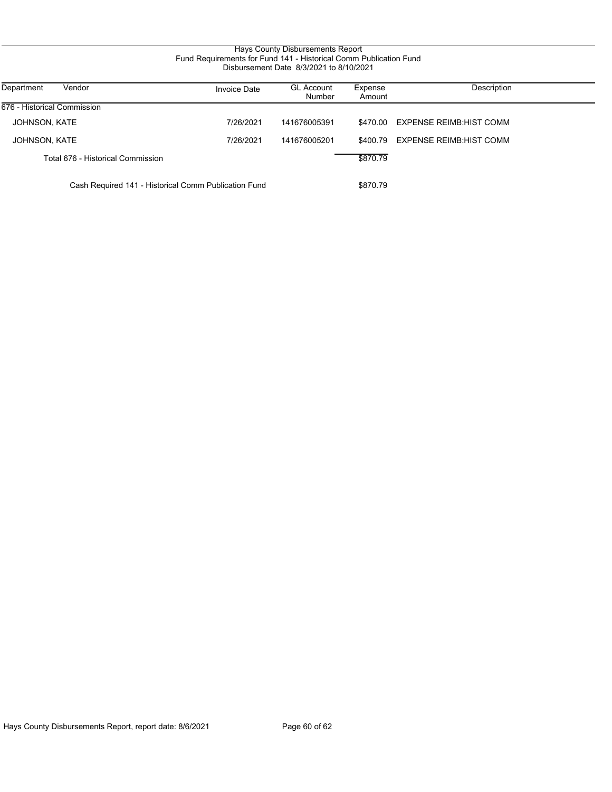## Hays County Disbursements Report Fund Requirements for Fund 141 - Historical Comm Publication Fund Disbursement Date 8/3/2021 to 8/10/2021

| Vendor<br>Department                                 | <b>Invoice Date</b> | <b>GL Account</b><br><b>Number</b> | Expense<br>Amount | Description                     |
|------------------------------------------------------|---------------------|------------------------------------|-------------------|---------------------------------|
| 676 - Historical Commission                          |                     |                                    |                   |                                 |
| JOHNSON, KATE                                        | 7/26/2021           | 141676005391                       | \$470.00          | EXPENSE REIMB HIST COMM         |
| JOHNSON, KATE                                        | 7/26/2021           | 141676005201                       | \$400.79          | <b>EXPENSE REIMB: HIST COMM</b> |
| Total 676 - Historical Commission                    |                     |                                    | \$870.79          |                                 |
| Cash Required 141 - Historical Comm Publication Fund |                     |                                    |                   |                                 |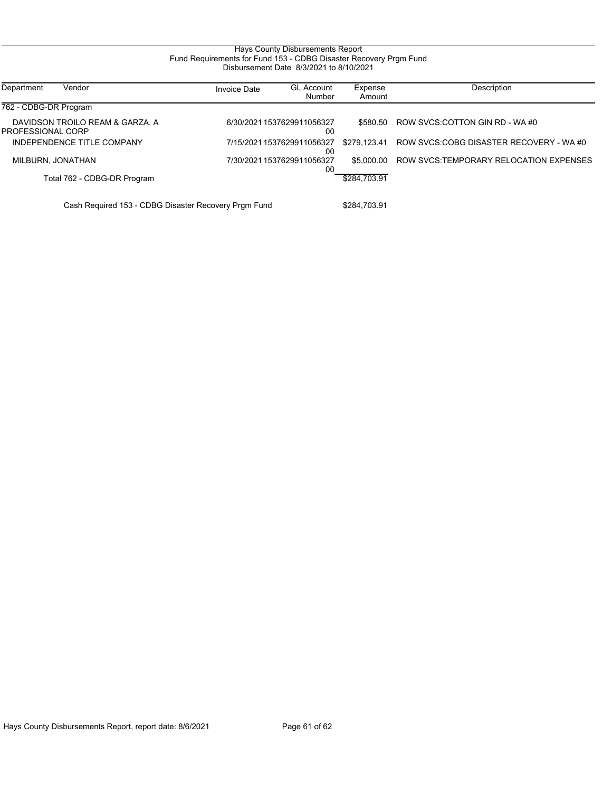#### Hays County Disbursements Report Fund Requirements for Fund 153 - CDBG Disaster Recovery Prgm Fund Disbursement Date 8/3/2021 to 8/10/2021

| Department<br>Vendor                                 | <b>Invoice Date</b> | <b>GL Account</b><br>Number      | Expense<br>Amount | Description                             |
|------------------------------------------------------|---------------------|----------------------------------|-------------------|-----------------------------------------|
| 762 - CDBG-DR Program                                |                     |                                  |                   |                                         |
| DAVIDSON TROILO REAM & GARZA, A<br>PROFESSIONAL CORP |                     | 6/30/2021 1537629911056327<br>00 | \$580.50          | ROW SVCS:COTTON GIN RD - WA #0          |
| INDEPENDENCE TITLE COMPANY                           |                     | 7/15/2021 1537629911056327<br>00 | \$279.123.41      | ROW SVCS:COBG DISASTER RECOVERY - WA #0 |
| MILBURN, JONATHAN                                    |                     | 7/30/2021 1537629911056327<br>00 | \$5,000.00        | ROW SVCS TEMPORARY RELOCATION EXPENSES  |
| Total 762 - CDBG-DR Program                          |                     |                                  | \$284.703.91      |                                         |
|                                                      |                     |                                  |                   |                                         |

Cash Required 153 - CDBG Disaster Recovery Prgm Fund \$284,703.91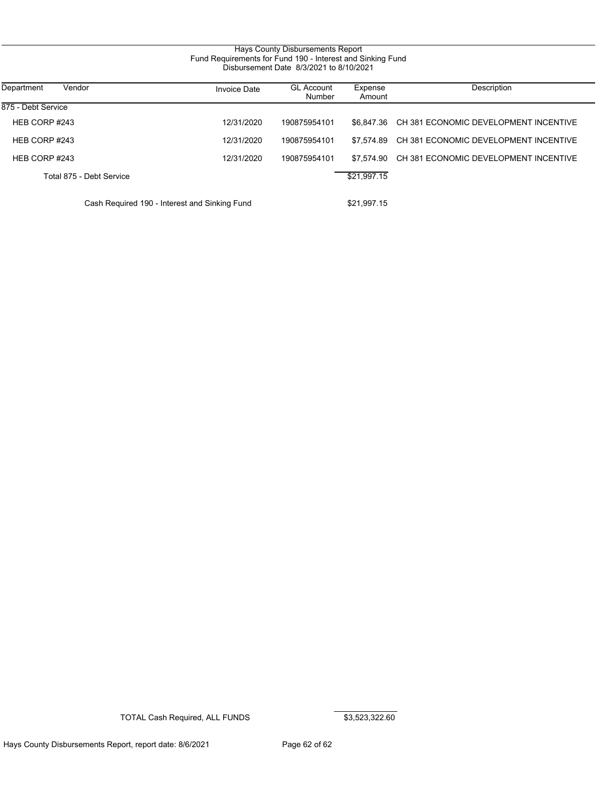### Hays County Disbursements Report Fund Requirements for Fund 190 - Interest and Sinking Fund Disbursement Date 8/3/2021 to 8/10/2021

| Department<br>Vendor                          | <b>Invoice Date</b> | <b>GL Account</b><br>Number | Expense<br>Amount | Description                           |
|-----------------------------------------------|---------------------|-----------------------------|-------------------|---------------------------------------|
| 875 - Debt Service                            |                     |                             |                   |                                       |
| HEB CORP #243                                 | 12/31/2020          | 190875954101                | \$6.847.36        | CH 381 ECONOMIC DEVELOPMENT INCENTIVE |
| HEB CORP #243                                 | 12/31/2020          | 190875954101                | \$7.574.89        | CH 381 ECONOMIC DEVELOPMENT INCENTIVE |
| HEB CORP #243                                 | 12/31/2020          | 190875954101                | \$7.574.90        | CH 381 ECONOMIC DEVELOPMENT INCENTIVE |
| Total 875 - Debt Service                      |                     |                             | \$21,997.15       |                                       |
| Cash Required 190 - Interest and Sinking Fund |                     |                             | \$21,997.15       |                                       |

TOTAL Cash Required, ALL FUNDS \$3,523,322.60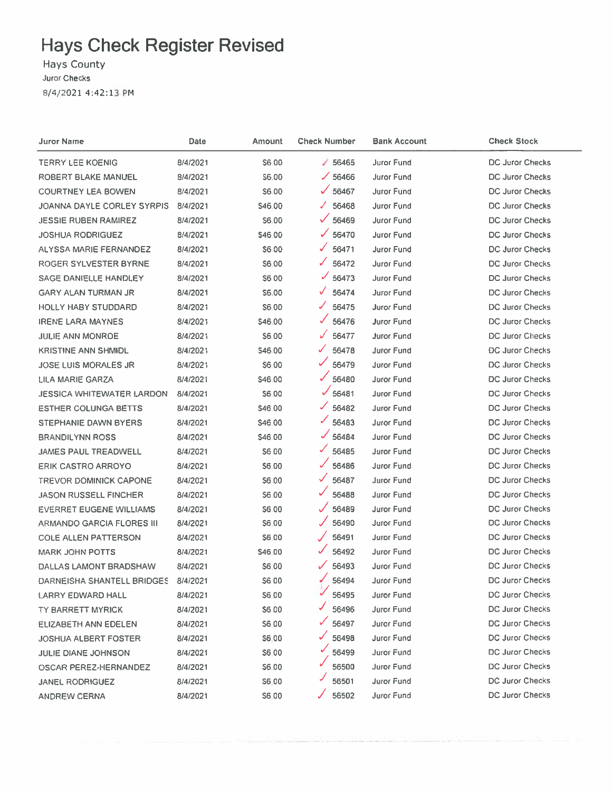# **Hays Check Register Revised**

Hays County Juror Checks 8/4/2021 4:42:13 PM

| Juror Name                       | Date     | Amount       | <b>Check Number</b>    | <b>Bank Account</b> | <b>Check Stock</b>     |
|----------------------------------|----------|--------------|------------------------|---------------------|------------------------|
| <b>TERRY LEE KOENIG</b>          | 8/4/2021 | \$6.00       | $\times$ 56465         | <b>Juror Fund</b>   | DC Juror Checks        |
| ROBERT BLAKE MANUEL              | 8/4/2021 | \$6.00       | $\times$ 56466         | Juror Fund          | <b>DC Juror Checks</b> |
| <b>COURTNEY LEA BOWEN</b>        | 8/4/2021 | \$6.00       | $\times$ 56467         | Juror Fund          | <b>DC Juror Checks</b> |
| JOANNA DAYLE CORLEY SYRPIS       | 8/4/2021 | \$46.00      | 56468<br>J.            | Juror Fund          | DC Juror Checks        |
| <b>JESSIE RUBEN RAMIREZ</b>      | 8/4/2021 | \$6.00       | ✓<br>56469             | Juror Fund          | <b>DC Juror Checks</b> |
| <b>JOSHUA RODRIGUEZ</b>          | 8/4/2021 | \$46,00      | 56470                  | Juror Fund          | <b>DC Juror Checks</b> |
| <b>ALYSSA MARIE FERNANDEZ</b>    | 8/4/2021 | \$6.00       | J<br>56471             | Juror Fund          | DC Juror Checks        |
| ROGER SYLVESTER BYRNE            | 8/4/2021 | \$6,00       | ✓<br>56472             | Juror Fund          | <b>DC Juror Checks</b> |
| SAGE DANIELLE HANDLEY            | 8/4/2021 | <b>S600</b>  | ✓<br>56473             | Juror Fund          | <b>DC Juror Checks</b> |
| GARY ALAN TURMAN JR              | 8/4/2021 | S6.00        | V<br>56474             | Juror Fund          | DC Juror Checks        |
| <b>HOLLY HABY STUDDARD</b>       | 8/4/2021 | S6.00        | 56475                  | Juror Fund          | DC Juror Checks        |
| <b>IRENE LARA MAYNES</b>         | 8/4/2021 | \$46.00      | 56476                  | <b>Juror Fund</b>   | DC Juror Checks        |
| <b>JULIE ANN MONROE</b>          | 8/4/2021 | \$6.00       | 56477                  | Juror Fund          | DC Juror Checks        |
| <b>KRISTINE ANN SHMIDL</b>       | 8/4/2021 | \$46.00      | ✓<br>56478             | <b>Juror Fund</b>   | <b>DC Juror Checks</b> |
| <b>JOSE LUIS MORALES JR</b>      | 8/4/2021 | \$6.00       | ✓<br>56479             | Juror Fund          | <b>DC Juror Checks</b> |
| LILA MARIE GARZA                 | 8/4/2021 | \$46.00      | 56480                  | <b>Juror Fund</b>   | <b>DC Juror Checks</b> |
| <b>JESSICA WHITEWATER LARDON</b> | 8/4/2021 | \$6.00       | $\mathcal{U}$<br>56481 | <b>Juror Fund</b>   | <b>DC Juror Checks</b> |
| <b>ESTHER COLUNGA BETTS</b>      | 8/4/2021 | \$46.00      | ✓<br>56482             | Juror Fund          | DC Juror Checks        |
| STEPHANIE DAWN BYERS             | 8/4/2021 | \$46.00      | ✔<br>56483             | Juror Fund          | DC Juror Checks        |
| <b>BRANDILYNN ROSS</b>           | 8/4/2021 | S46.00       | 56484                  | Juror Fund          | <b>DC Juror Checks</b> |
| <b>JAMES PAUL TREADWELL</b>      | 8/4/2021 | \$6.00       | ✓<br>56485             | Juror Fund          | <b>DC Juror Checks</b> |
| <b>ERIK CASTRO ARROYO</b>        | 8/4/2021 | \$6.00       | 56486                  | Juror Fund          | DC Juror Checks        |
| <b>TREVOR DOMINICK CAPONE</b>    | 8/4/2021 | <b>S6.00</b> | $\checkmark$<br>56487  | Juror Fund          | DC Juror Checks        |
| <b>JASON RUSSELL FINCHER</b>     | 8/4/2021 | S6.00        | ✓<br>56488             | Juror Fund          | <b>DC Juror Checks</b> |
| <b>EVERRET EUGENE WILLIAMS</b>   | 8/4/2021 | \$6.00       | 56489                  | Juror Fund          | <b>DC Juror Checks</b> |
| ARMANDO GARCIA FLORES III        | 8/4/2021 | S6.00        | 56490                  | Juror Fund          | <b>DC Juror Checks</b> |
| <b>COLE ALLEN PATTERSON</b>      | 8/4/2021 | \$6.00       | 56491                  | Juror Fund          | DC Juror Checks        |
| <b>MARK JOHN POTTS</b>           | 8/4/2021 | S46.00       | 56492                  | Juror Fund          | DC Juror Checks        |
| DALLAS LAMONT BRADSHAW           | 8/4/2021 | \$6.00       | $\checkmark$<br>56493  | Juror Fund          | DC Juror Checks        |
| DARNEISHA SHANTELL BRIDGES       | 8/4/2021 | <b>S6.00</b> | ✔<br>56494             | Juror Fund          | DC Juror Checks        |
| LARRY EDWARD HALL                | 8/4/2021 | \$6.00       | 56495                  | Juror Fund          | <b>DC Juror Checks</b> |
| <b>TY BARRETT MYRICK</b>         | 8/4/2021 | \$6.00       | 56496                  | Juror Fund          | <b>DC Juror Checks</b> |
| <b>ELIZABETH ANN EDELEN</b>      | 8/4/2021 | \$6.00       | ✓<br>56497             | Juror Fund          | DC Juror Checks        |
| <b>JOSHUA ALBERT FOSTER</b>      | 8/4/2021 | \$6.00       | 56498<br>✔             | Juror Fund          | DC Juror Checks        |
| <b>JULIE DIANE JOHNSON</b>       | 8/4/2021 | S6.00        | ✓<br>56499             | Juror Fund          | DC Juror Checks        |
| <b>OSCAR PEREZ-HERNANDEZ</b>     | 8/4/2021 | <b>S6.00</b> | 56500                  | Juror Fund          | DC Juror Checks        |
| <b>JANEL RODRIGUEZ</b>           | 8/4/2021 | S6.00        | 56501                  | <b>Juror Fund</b>   | DC Juror Checks        |
| ANDREW CERNA                     | 8/4/2021 | \$6.00       | 56502                  | Juror Fund          | DC Juror Checks        |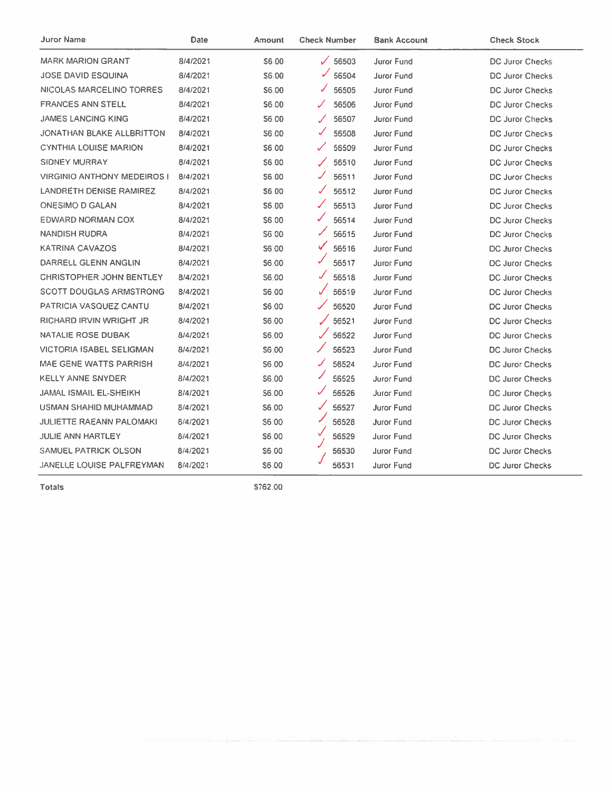| Juror Name                         | Date     | Amount       | <b>Check Number</b>            | <b>Bank Account</b> | <b>Check Stock</b>     |
|------------------------------------|----------|--------------|--------------------------------|---------------------|------------------------|
| <b>MARK MARION GRANT</b>           | 8/4/2021 | S6.00        | $\checkmark$<br>56503          | <b>Juror Fund</b>   | <b>DC Juror Checks</b> |
| <b>JOSE DAVID ESQUINA</b>          | 8/4/2021 | \$6.00       | $\blacktriangleright$<br>56504 | Juror Fund          | DC Juror Checks        |
| NICOLAS MARCELINO TORRES           | 8/4/2021 | \$6.00       | ✓<br>56505                     | Juror Fund          | DC Juror Checks        |
| <b>FRANCES ANN STELL</b>           | 8/4/2021 | \$6.00       | 56506                          | Juror Fund          | DC Juror Checks        |
| <b>JAMES LANCING KING</b>          | 8/4/2021 | S6.00        | 56507                          | Juror Fund          | DC Juror Checks        |
| JONATHAN BLAKE ALLBRITTON          | 8/4/2021 | S6.00        | J.<br>56508                    | Juror Fund          | DC Juror Checks        |
| <b>CYNTHIA LOUISE MARION</b>       | 8/4/2021 | S6.00        | 56509<br>✓                     | Juror Fund          | <b>DC Juror Checks</b> |
| SIDNEY MURRAY                      | 8/4/2021 | S6.00        | 56510                          | Juror Fund          | DC Juror Checks        |
| <b>VIRGINIO ANTHONY MEDEIROS I</b> | 8/4/2021 | S6.00        | S<br>56511                     | <b>Juror Fund</b>   | <b>DC Juror Checks</b> |
| <b>LANDRETH DENISE RAMIREZ</b>     | 8/4/2021 | S6.00        | ✓<br>56512                     | <b>Juror Fund</b>   | <b>DC Juror Checks</b> |
| <b>ONESIMO D GALAN</b>             | 8/4/2021 | S6.00        | ✓<br>56513                     | <b>Juror Fund</b>   | DC Juror Checks        |
| EDWARD NORMAN COX                  | 8/4/2021 | S6.00        | ✓<br>56514                     | <b>Juror Fund</b>   | DC Juror Checks        |
| <b>NANDISH RUDRA</b>               | 8/4/2021 | S6.00        | ✓<br>56515                     | <b>Juror Fund</b>   | <b>DC Juror Checks</b> |
| <b>KATRINA CAVAZOS</b>             | 8/4/2021 | S6.00        | ✔<br>56516                     | Juror Fund          | DC Juror Checks        |
| DARRELL GLENN ANGLIN               | 8/4/2021 | S6.00        | 56517                          | Juror Fund          | DC Juror Checks        |
| CHRISTOPHER JOHN BENTLEY           | 8/4/2021 | S6.00        | J<br>56518                     | <b>Juror Fund</b>   | <b>DC Juror Checks</b> |
| <b>SCOTT DOUGLAS ARMSTRONG</b>     | 8/4/2021 | \$6.00       | ✓<br>56519                     | Juror Fund          | DC Juror Checks        |
| <b>PATRICIA VASQUEZ CANTU</b>      | 8/4/2021 | S6.00        | 56520                          | Juror Fund          | <b>DC Juror Checks</b> |
| <b>RICHARD IRVIN WRIGHT JR</b>     | 8/4/2021 | \$6.00       | 56521                          | <b>Juror Fund</b>   | <b>DC Juror Checks</b> |
| NATALIE ROSE DUBAK                 | 8/4/2021 | \$6.00       | $\mathscr{I}$<br>56522         | Juror Fund          | <b>DC Juror Checks</b> |
| <b>VICTORIA ISABEL SELIGMAN</b>    | 8/4/2021 | S6.00        | ╱<br>56523                     | <b>Juror Fund</b>   | <b>DC Juror Checks</b> |
| MAE GENE WATTS PARRISH             | 8/4/2021 | S6.00        | J<br>56524                     | Juror Fund          | <b>DC Juror Checks</b> |
| <b>KELLY ANNE SNYDER</b>           | 8/4/2021 | <b>S6.00</b> | 56525                          | Juror Fund          | <b>DC Juror Checks</b> |
| JAMAL ISMAIL EL-SHEIKH             | 8/4/2021 | S6.00        | ✓<br>56526                     | Juror Fund          | <b>DC Juror Checks</b> |
| USMAN SHAHID MUHAMMAD              | 8/4/2021 | S6.00        | ✓<br>56527                     | <b>Juror Fund</b>   | <b>DC Juror Checks</b> |
| JULIETTE RAEANN PALOMAKI           | 8/4/2021 | S6.00        | 56528                          | <b>Juror Fund</b>   | DC Juror Checks        |
| <b>JULIE ANN HARTLEY</b>           | 8/4/2021 | S6.00        | √<br>56529                     | Juror Fund          | DC Juror Checks        |
| SAMUEL PATRICK OLSON               | 8/4/2021 | S6.00        | 56530                          | <b>Juror Fund</b>   | DC Juror Checks        |
| JANELLE LOUISE PALFREYMAN          | 8/4/2021 | S6.00        | 56531                          | <b>Juror Fund</b>   | DC Juror Checks        |

Totals

\$762,00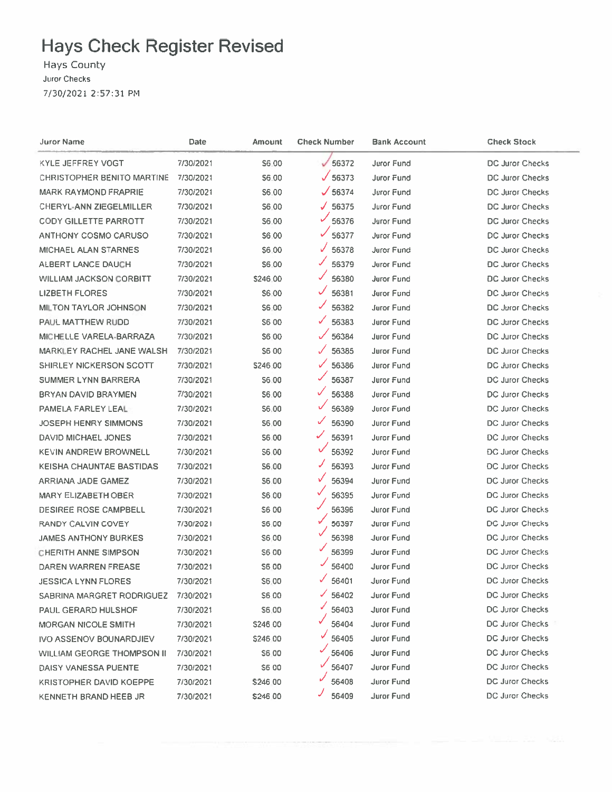# **Hays Check Register Revised**

Hays County Juror Checks 7/30/2021 2:57:31 PM

| Juror Name                     | Date      | Amount       | <b>Check Number</b> | <b>Bank Account</b> | <b>Check Stock</b>     |
|--------------------------------|-----------|--------------|---------------------|---------------------|------------------------|
| <b>KYLE JEFFREY VOGT</b>       | 7/30/2021 | S6.00        | $\times$ 56372      | Juror Fund          | DC Juror Checks        |
| CHRISTOPHER BENITO MARTINE     | 7/30/2021 | S6.00        | $\sqrt{56373}$      | <b>Juror Fund</b>   | DC Juror Checks        |
| <b>MARK RAYMOND FRAPRIE</b>    | 7/30/2021 | S6.00        | $\sqrt{56374}$      | Juror Fund          | DC Juror Checks        |
| <b>CHERYL-ANN ZIEGELMILLER</b> | 7/30/2021 | S6.00        | $\times$ 56375      | Juror Fund          | <b>DC Juror Checks</b> |
| <b>CODY GILLETTE PARROTT</b>   | 7/30/2021 | \$6.00       | ✓<br>56376          | Juror Fund          | DC Juror Checks        |
| <b>ANTHONY COSMO CARUSO</b>    | 7/30/2021 | S6 00        | ✓<br>56377          | Juror Fund          | <b>DC Juror Checks</b> |
| <b>MICHAEL ALAN STARNES</b>    | 7/30/2021 | \$6.00       | ✓<br>56378          | Juror Fund          | DC Juror Checks        |
| ALBERT LANCE DAUCH             | 7/30/2021 | \$6.00       | J<br>56379          | Juror Fund          | <b>DC Juror Checks</b> |
| <b>WILLIAM JACKSON CORBITT</b> | 7/30/2021 | \$246.00     | 56380               | Juror Fund          | <b>DC Juror Checks</b> |
| <b>LIZBETH FLORES</b>          | 7/30/2021 | S6.00        | ✓<br>56381          | Juror Fund          | DC Juror Checks        |
| <b>MILTON TAYLOR JOHNSON</b>   | 7/30/2021 | <b>S6.00</b> | ✔<br>56382          | Juror Fund          | DC Juror Checks        |
| PAUL MATTHEW RUDD              | 7/30/2021 | S6 00        | ✓<br>56383          | <b>Juror Fund</b>   | DC Juror Checks        |
| MICHELLE VARELA-BARRAZA        | 7/30/2021 | \$6.00       | 56384               | Juror Fund          | DC Juror Checks        |
| MARKLEY RACHEL JANE WALSH      | 7/30/2021 | <b>\$600</b> | 56385               | Juror Fund          | DC Juror Checks        |
| SHIRLEY NICKERSON SCOTT        | 7/30/2021 | \$246.00     | ✓<br>56386          | Juror Fund          | DC Juror Checks        |
| SUMMER LYNN BARRERA            | 7/30/2021 | S6.00        | 56387               | Juror Fund          | DC Juror Checks        |
| BRYAN DAVID BRAYMEN            | 7/30/2021 | S6.00        | ✓<br>56388          | Juror Fund          | <b>DC Juror Checks</b> |
| PAMELA FARLEY LEAL             | 7/30/2021 | \$6.00       | ✓<br>56389          | Juror Fund          | DC Juror Checks        |
| <b>JOSEPH HENRY SIMMONS</b>    | 7/30/2021 | S6.00        | ✓<br>56390          | Juror Fund          | DC Juror Checks        |
| DAVID MICHAEL JONES            | 7/30/2021 | <b>S6.00</b> | ✓<br>56391          | Juror Fund          | DC Juror Checks        |
| <b>KEVIN ANDREW BROWNELL</b>   | 7/30/2021 | S6.00        | ✓<br>56392          | Juror Fund          | <b>DC Juror Checks</b> |
| KEISHA CHAUNTAE BASTIDAS       | 7/30/2021 | S6.00        | ✓<br>56393          | Juror Fund          | DC Juror Checks        |
| ARRIANA JADE GAMEZ             | 7/30/2021 | 56.00        | ✓<br>56394          | Juror Fund          | DC Juror Checks        |
| <b>MARY ELIZABETH OBER</b>     | 7/30/2021 | \$6.00       | ✓<br>56395          | Juror Fund          | DC Juror Checks        |
| <b>DESIREE ROSE CAMPBELL</b>   | 7/30/2021 | <b>S600</b>  | 56396               | Juror Fund          | DC Juror Checks        |
| RANDY CALVIN COVEY             | 7/30/2021 | S6.00        | 56397               | <b>Juror Fund</b>   | DC Juror Checks        |
| <b>JAMES ANTHONY BURKES</b>    | 7/30/2021 | S6.00        | 56398               | <b>Juror Fund</b>   | DC Juror Checks        |
| <b>CHERITH ANNE SIMPSON</b>    | 7/30/2021 | S6 00        | 56399               | <b>Juror Fund</b>   | DC Juror Checks        |
| DAREN WARREN FREASE            | 7/30/2021 | <b>S600</b>  | 56400               | <b>Juror Fund</b>   | DC Juror Checks        |
| JESSICA LYNN FLORES            | 7/30/2021 | \$6.00       | ✓<br>56401          | Juror Fund          | <b>DC Juror Checks</b> |
| SABRINA MARGRET RODRIGUEZ      | 7/30/2021 | S6 00        | ✓<br>56402          | Juror Fund          | <b>DC Juror Checks</b> |
| <b>PAUL GERARD HULSHOF</b>     | 7/30/2021 | \$6.00       | 56403               | Juror Fund          | DC Juror Checks        |
| <b>MORGAN NICOLE SMITH</b>     | 7/30/2021 | \$246.00     | 56404               | <b>Juror Fund</b>   | DC Juror Checks        |
| <b>IVO ASSENOV BOUNARDJIEV</b> | 7/30/2021 | \$246.00     | 56405               | Juror Fund          | <b>DC Juror Checks</b> |
| WILLIAM GEORGE THOMPSON II     | 7/30/2021 | \$6.00       | 56406               | <b>Juror Fund</b>   | <b>DC Juror Checks</b> |
| DAISY VANESSA PUENTE           | 7/30/2021 | S6 00        | 56407               | Juror Fund          | DC Juror Checks        |
| <b>KRISTOPHER DAVID KOEPPE</b> | 7/30/2021 | \$246.00     | 56408               | Juror Fund          | <b>DC Juror Checks</b> |
| KENNETH BRAND HEEB JR          | 7/30/2021 | \$246.00     | 56409               | Juror Fund          | DC Juror Checks        |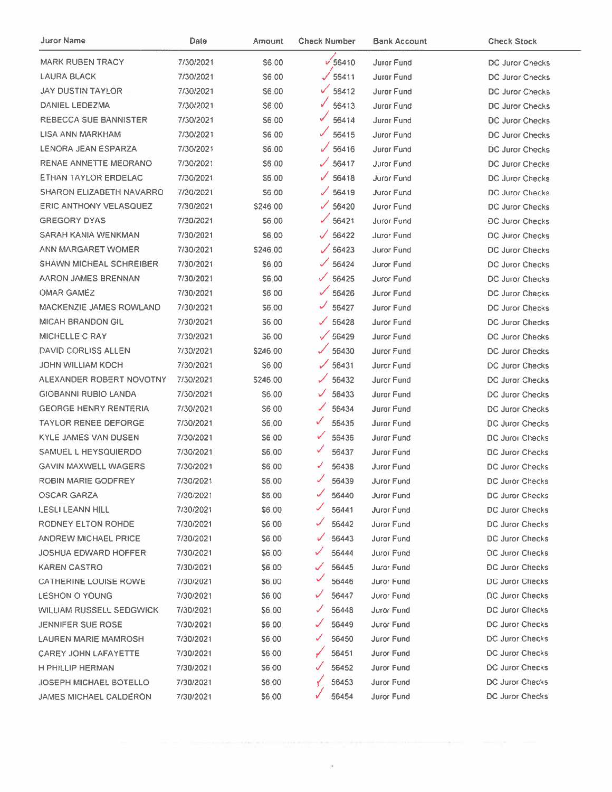| Juror Name                      | Date      | Amount       | <b>Check Number</b>   | <b>Bank Account</b> | <b>Check Stock</b>     |
|---------------------------------|-----------|--------------|-----------------------|---------------------|------------------------|
| <b>MARK RUBEN TRACY</b>         | 7/30/2021 | S6.00        | $\sqrt{56410}$        | <b>Juror Fund</b>   | DC Juror Checks        |
| <b>LAURA BLACK</b>              | 7/30/2021 | S6.00        | $\sqrt{56411}$        | <b>Juror Fund</b>   | DC Juror Checks        |
| <b>JAY DUSTIN TAYLOR</b>        | 7/30/2021 | \$6.00       | $\sqrt{56412}$        | Juror Fund          | DC Juror Checks        |
| DANIEL LEDEZMA                  | 7/30/2021 | S6.00        | $\sqrt{56413}$        | Juror Fund          | DC Juror Checks        |
| REBECCA SUE BANNISTER           | 7/30/2021 | <b>S6.00</b> | $\sqrt{56414}$        | <b>Juror Fund</b>   | <b>DC Juror Checks</b> |
| LISA ANN MARKHAM                | 7/30/2021 | \$6.00       | $\sqrt{56415}$        | Juror Fund          | <b>DC Juror Checks</b> |
| LENORA JEAN ESPARZA             | 7/30/2021 | \$6.00       | $\sqrt{56416}$        | <b>Juror Fund</b>   | DC Juror Checks        |
| RENAE ANNETTE MEDRANO           | 7/30/2021 | \$6.00       | $\frac{1}{56417}$     | Juror Fund          | DC Juror Checks        |
| ETHAN TAYLOR ERDELAC            | 7/30/2021 | \$6.00       | $\sqrt{56418}$        | Juror Fund          | DC Juror Checks        |
| SHARON ELIZABETH NAVARRO        | 7/30/2021 | S6.00        | /56419                | <b>Juror Fund</b>   | DC Juror Checks        |
| <b>ERIC ANTHONY VELASQUEZ</b>   | 7/30/2021 | \$246.00     | $\times$ 56420        | Juror Fund          | DC Juror Checks        |
| <b>GREGORY DYAS</b>             | 7/30/2021 | S6.00        | $\sqrt{56421}$        | <b>Juror Fund</b>   | <b>DC Juror Checks</b> |
| SARAH KANIA WENKMAN             | 7/30/2021 | \$6.00       | $\sqrt{56422}$        | Juror Fund          | DC Juror Checks        |
| ANN MARGARET WOMER              | 7/30/2021 | S246.00      | $\times$ 56423        | Juror Fund          | DC Juror Checks        |
| <b>SHAWN MICHEAL SCHREIBER</b>  | 7/30/2021 | \$6.00       | $\times$ 56424        | Juror Fund          | <b>DC Juror Checks</b> |
| AARON JAMES BRENNAN             | 7/30/2021 | S6.00        | $\sqrt{56425}$        | Juror Fund          | DC Juror Checks        |
| OMAR GAMEZ                      | 7/30/2021 | <b>\$600</b> | $\times$ 56426        | Juror Fund          | DC Juror Checks        |
| <b>MACKENZIE JAMES ROWLAND</b>  | 7/30/2021 | \$6.00       | 56427                 | Juror Fund          | DC Juror Checks        |
| <b>MICAH BRANDON GIL</b>        | 7/30/2021 | <b>S600</b>  | $\sqrt{56428}$        | Juror Fund          | DC Juror Checks        |
| MICHELLE C RAY                  | 7/30/2021 | <b>S6.00</b> | $\times$ 56429        | Juror Fund          | <b>DC Juror Checks</b> |
| DAVID CORLISS ALLEN             | 7/30/2021 | \$246.00     | S.<br>56430           | Juror Fund          | <b>DC Juror Checks</b> |
| <b>JOHN WILLIAM KOCH</b>        | 7/30/2021 | S6.00        | $\times$ 56431        | Juror Fund          | DC Juror Checks        |
| ALEXANDER ROBERT NOVOTNY        | 7/30/2021 | \$246.00     | ✓<br>56432            | Juror Fund          | DC Juror Checks        |
| <b>GIOBANNI RUBIO LANDA</b>     | 7/30/2021 | S6.00        | $\checkmark$<br>56433 | <b>Juror Fund</b>   | DC Juror Checks        |
| <b>GEORGE HENRY RENTERIA</b>    | 7/30/2021 | S6 00        | ╱<br>56434            | Juror Fund          | DC Juror Checks        |
| <b>TAYLOR RENEE DEFORGE</b>     | 7/30/2021 | \$6.00       | ✓<br>56435            | Juror Fund          | <b>DC Juror Checks</b> |
| KYLE JAMES VAN DUSEN            | 7/30/2021 | S6 00        | ✓<br>56436            | Juror Fund          | <b>DC Juror Checks</b> |
| SAMUEL L HEYSQUIERDO            | 7/30/2021 | \$6.00       | ✓<br>56437            | Juror Fund          | <b>DC Juror Checks</b> |
| <b>GAVIN MAXWELL WAGERS</b>     | 7/30/2021 | \$6.00       | 56438                 | Juror Fund          | DC Juror Checks        |
| ROBIN MARIE GODFREY             | 7/30/2021 | \$6.00       | 56439                 | Juror Fund          | DC Juror Checks        |
| OSCAR GARZA                     | 7/30/2021 | \$6.00       | 56440                 | Juror Fund          | DC Juror Checks        |
| <b>LESLI LEANN HILL</b>         | 7/30/2021 | \$6.00       | 56441                 | Juror Fund          | DC Juror Checks        |
| RODNEY ELTON ROHDE              | 7/30/2021 | S6 00        | 56442                 | Juror Fund          | DC Juror Checks        |
| <b>ANDREW MICHAEL PRICE</b>     | 7/30/2021 | \$6.00       | 56443                 | Juror Fund          | <b>DC Juror Checks</b> |
| <b>JOSHUA EDWARD HOFFER</b>     | 7/30/2021 | \$6.00       | 56444                 | <b>Juror Fund</b>   | <b>DC Juror Checks</b> |
| <b>KAREN CASTRO</b>             | 7/30/2021 | \$6,00       | 56445                 | Juror Fund          | <b>DC Juror Checks</b> |
| <b>CATHERINE LOUISE ROWE</b>    | 7/30/2021 | \$6.00       | 56446                 | Juror Fund          | DC Juror Checks        |
| <b>LESHON O YOUNG</b>           | 7/30/2021 | S6.00        | 56447                 | Juror Fund          | DC Juror Checks        |
| <b>WILLIAM RUSSELL SEDGWICK</b> | 7/30/2021 | \$6.00       | 56448                 | Juror Fund          | <b>DC Juror Checks</b> |
| <b>JENNIFER SUE ROSE</b>        | 7/30/2021 | \$6.00       | 56449                 | Juror Fund          | DC Juror Checks        |
| LAUREN MARIE MAMROSH            | 7/30/2021 | S6.00        | 56450                 | Juror Fund          | DC Juror Checks        |
| <b>CAREY JOHN LAFAYETTE</b>     | 7/30/2021 | S6 00        | 56451                 | <b>Juror Fund</b>   | DC Juror Checks        |
| H PHILLIP HERMAN                | 7/30/2021 | S6 00        | 56452                 | Juror Fund          | DC Juror Checks        |
| <b>JOSEPH MICHAEL BOTELLO</b>   | 7/30/2021 | \$6.00       | 56453                 | Juror Fund          | DC Juror Checks        |
| <b>JAMES MICHAEL CALDERON</b>   | 7/30/2021 | S6:00        | 56454                 | Juror Fund          | <b>DC Juror Checks</b> |

 $\bar{t}$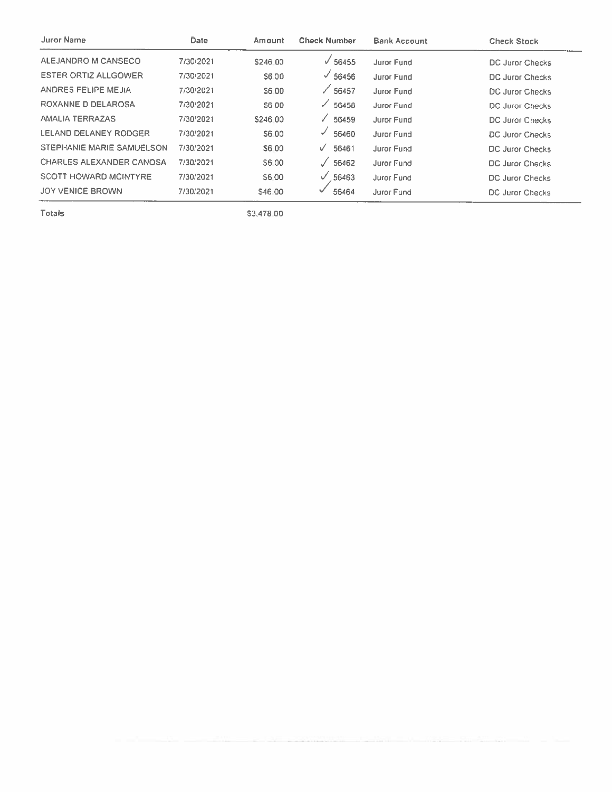| Juror Name                   | <b>Date</b> | Amount   | <b>Check Number</b> | <b>Bank Account</b> | <b>Check Stock</b>     |
|------------------------------|-------------|----------|---------------------|---------------------|------------------------|
| ALEJANDRO M CANSECO          | 7/30/2021   | \$246.00 | $\sqrt{56455}$      | <b>Juror Fund</b>   | DC Juror Checks        |
| <b>ESTER ORTIZ ALLGOWER</b>  | 7/30/2021   | S6.00    | $\sqrt{56456}$      | <b>Juror Fund</b>   | DC Juror Checks        |
| ANDRES FELIPE MEJIA          | 7/30/2021   | S6.00    | $\times$ 56457      | Juror Fund          | DC Juror Checks        |
| ROXANNE D DELAROSA           | 7/30/2021   | S6 00    | 56458               | Juror Fund          | DC Juror Checks        |
| AMALIA TERRAZAS              | 7/30/2021   | S246.00  | 56459<br>✓          | Juror Fund          | DC Juror Checks        |
| LELAND DELANEY RODGER        | 7/30/2021   | S6.00    | 56460<br>✔          | <b>Juror Fund</b>   | <b>DC Juror Checks</b> |
| STEPHANIE MARIE SAMUELSON    | 7/30/2021   | S6.00    | 56461<br>V          | Juror Fund          | DC Juror Checks        |
| CHARLES ALEXANDER CANOSA     | 7/30/2021   | S6.00    | 56462               | Juror Fund          | DC Juror Checks        |
| <b>SCOTT HOWARD MCINTYRE</b> | 7/30/2021   | S6.00    | .56463<br>✓         | Juror Fund          | DC Juror Checks        |
| JOY VENICE BROWN             | 7/30/2021   | S46.00   | 56464               | Juror Fund          | <b>DC Juror Checks</b> |
|                              |             |          |                     |                     |                        |

Totals

\$3,478.00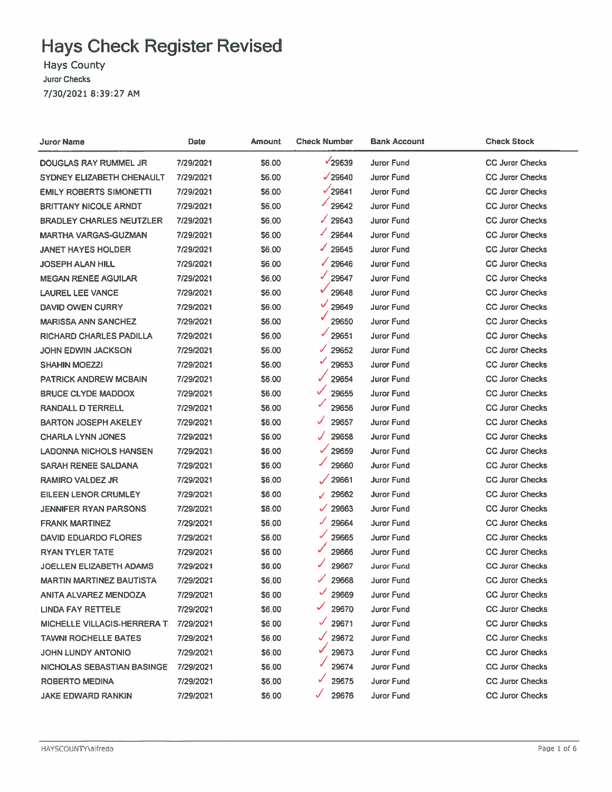# **Hays Check Register Revised**

**Hays County Juror Checks** 7/30/2021 8:39:27 AM

| Juror Name                          | <b>Date</b> | Amount       | <b>Check Number</b>   | <b>Bank Account</b> | <b>Check Stock</b>     |
|-------------------------------------|-------------|--------------|-----------------------|---------------------|------------------------|
| DOUGLAS RAY RUMMEL JR               | 7/29/2021   | \$6.00       | √29639                | <b>Juror Fund</b>   | <b>CC Juror Checks</b> |
| SYDNEY ELIZABETH CHENAULT           | 7/29/2021   | <b>S6.00</b> | $\sqrt{29640}$        | <b>Juror Fund</b>   | <b>CC Juror Checks</b> |
| <b>EMILY ROBERTS SIMONETTI</b>      | 7/29/2021   | \$6,00       | $\sqrt{29641}$        | <b>Juror Fund</b>   | <b>CC Juror Checks</b> |
| <b>BRITTANY NICOLE ARNDT</b>        | 7/29/2021   | \$6.00       | 29642                 | Juror Fund          | <b>CC Juror Checks</b> |
| <b>BRADLEY CHARLES NEUTZLER</b>     | 7/29/2021   | \$6.00       | ℐ<br>29643            | <b>Juror Fund</b>   | <b>CC Juror Checks</b> |
| <b>MARTHA VARGAS-GUZMAN</b>         | 7/29/2021   | \$6.00       | ✓<br>29644            | Juror Fund          | <b>CC Juror Checks</b> |
| <b>JANET HAYES HOLDER</b>           | 7/29/2021   | \$6.00       | ✓<br>29645            | Juror Fund          | <b>CC Juror Checks</b> |
| <b>JOSEPH ALAN HILL</b>             | 7/29/2021   | \$6.00       | $\sqrt{29646}$        | Juror Fund          | <b>CC Juror Checks</b> |
| <b>MEGAN RENEE AGUILAR</b>          | 7/29/2021   | \$6.00       | V<br>29647            | Juror Fund          | <b>CC Juror Checks</b> |
| <b>LAUREL LEE VANCE</b>             | 7/29/2021   | \$6.00       | 29648                 | Juror Fund          | <b>CC Juror Checks</b> |
| <b>DAVID OWEN CURRY</b>             | 7/29/2021   | \$6.00       | ✓<br>29649            | Juror Fund          | <b>CC Juror Checks</b> |
| <b>MARISSA ANN SANCHEZ</b>          | 7/29/2021   | \$6.00       | 29650                 | Juror Fund          | <b>CC Juror Checks</b> |
| RICHARD CHARLES PADILLA             | 7/29/2021   | \$6.00       | 29651                 | Juror Fund          | <b>CC Juror Checks</b> |
| JOHN EDWIN JACKSON                  | 7/29/2021   | 56.00        | ✓<br>29652            | Juror Fund          | <b>CC Juror Checks</b> |
| SHAHIN MOEZZI                       | 7/29/2021   | \$6.00       | ✓<br>29653            | Juror Fund          | <b>CC Juror Checks</b> |
| <b>PATRICK ANDREW MCBAIN</b>        | 7/29/2021   | \$6.00       | 29654                 | Juror Fund          | <b>CC Juror Checks</b> |
| <b>BRUCE CLYDE MADDOX</b>           | 7/29/2021   | \$6.00       | V<br>29655            | Juror Fund          | <b>CC Juror Checks</b> |
| <b>RANDALL D TERRELL</b>            | 7/29/2021   | \$6.00       | ✓<br>29656            | Juror Fund          | <b>CC Juror Checks</b> |
| <b>BARTON JOSEPH AKELEY</b>         | 7/29/2021   | \$6.00       | ✓<br>29657            | <b>Juror Fund</b>   | <b>CC Juror Checks</b> |
| <b>CHARLA LYNN JONES</b>            | 7/29/2021   | \$6.00       | J<br>29658            | <b>Juror Fund</b>   | <b>CC Juror Checks</b> |
| LADONNA NICHOLS HANSEN              | 7/29/2021   | \$6.00       | $\checkmark$<br>29659 | <b>Juror Fund</b>   | <b>CC Juror Checks</b> |
| SARAH RENEE SALDANA                 | 7/29/2021   | \$6.00       | ✔<br>29660            | <b>Juror Fund</b>   | <b>CC Juror Checks</b> |
| <b>RAMIRO VALDEZ JR</b>             | 7/29/2021   | \$6.00       | 29661                 | <b>Juror Fund</b>   | <b>CC Juror Checks</b> |
| EILEEN LENOR CRUMLEY                | 7/29/2021   | \$6.00       | 29662<br>✓            | <b>Juror Fund</b>   | <b>CC Juror Checks</b> |
| <b>JENNIFER RYAN PARSONS</b>        | 7/29/2021   | \$6.00       | 29663<br>✓            | <b>Juror Fund</b>   | <b>CC Juror Checks</b> |
| <b>FRANK MARTINEZ</b>               | 7/29/2021   | \$6.00       | J<br>29664            | <b>Juror Fund</b>   | <b>CC Juror Checks</b> |
| <b>DAVID EDUARDO FLORES</b>         | 7/29/2021   | \$6.00       | ✓<br>29665            | <b>Juror Fund</b>   | <b>CC Juror Checks</b> |
| <b>RYAN TYLER TATE</b>              | 7/29/2021   | \$6.00       | 29666                 | <b>Juror Fund</b>   | <b>CC Juror Checks</b> |
| <b>JOELLEN ELIZABETH ADAMS</b>      | 7/29/2021   | \$6.00       | 29667                 | <b>Juror Fund</b>   | <b>CC Juror Checks</b> |
| <b>MARTIN MARTINEZ BAUTISTA</b>     | 7/29/2021   | <b>S6.00</b> | ✓<br>29668            | Juror Fund          | <b>CC Juror Checks</b> |
| ANITA ALVAREZ MENDOZA               | 7/29/2021   | \$6.00       | 29669                 | Juror Fund          | <b>CC Juror Checks</b> |
| LINDA FAY RETTELE                   | 7/29/2021   | \$6.00       | 29670                 | Juror Fund          | <b>CC Juror Checks</b> |
| <b>MICHELLE VILLACIS-HERRERA TI</b> | 7/29/2021   | \$6.00       | ✓<br>29671            | Juror Fund          | <b>CC Juror Checks</b> |
| <b>TAWNI ROCHELLE BATES</b>         | 7/29/2021   | \$6.00       | $\checkmark$<br>29672 | Juror Fund          | <b>CC Juror Checks</b> |
| JOHN LUNDY ANTONIO                  | 7/29/2021   | \$6.00       | 29673                 | Juror Fund          | <b>CC Juror Checks</b> |
| NICHOLAS SEBASTIAN BASINGE          | 7/29/2021   | \$6.00       | 29674                 | Juror Fund          | <b>CC Juror Checks</b> |
| ROBERTO MEDINA                      | 7/29/2021   | \$6.00       | 29675<br>v            | <b>Juror Fund</b>   | <b>CC Juror Checks</b> |
| <b>JAKE EDWARD RANKIN</b>           | 7/29/2021   | \$6.00       | 29676<br>✓            | <b>Juror Fund</b>   | <b>CC Juror Checks</b> |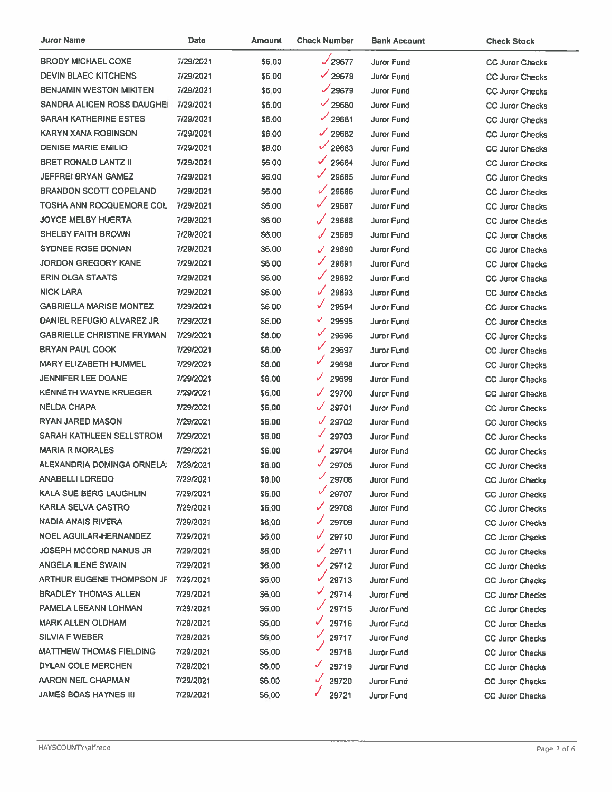| Juror Name                        | Date      | Amount       | <b>Check Number</b>   | <b>Bank Account</b> | <b>Check Stock</b>     |
|-----------------------------------|-----------|--------------|-----------------------|---------------------|------------------------|
| <b>BRODY MICHAEL COXE</b>         | 7/29/2021 | \$6.00       | $\sqrt{29677}$        | <b>Juror Fund</b>   | <b>CC Juror Checks</b> |
| <b>DEVIN BLAEC KITCHENS</b>       | 7/29/2021 | \$6.00       | $\frac{1}{29678}$     | Juror Fund          | <b>CC Juror Checks</b> |
| <b>BENJAMIN WESTON MIKITEN</b>    | 7/29/2021 | \$6.00       | $\sqrt{29679}$        | Juror Fund          | <b>CC Juror Checks</b> |
| SANDRA ALICEN ROSS DAUGHEI        | 7/29/2021 | \$6.00       | $\frac{1}{29680}$     | Juror Fund          | <b>CC Juror Checks</b> |
| SARAH KATHERINE ESTES             | 7/29/2021 | \$6.00       | $\frac{1}{29681}$     | Juror Fund          | <b>CC Juror Checks</b> |
| KARYN XANA ROBINSON               | 7/29/2021 | \$6.00       | J.<br>29682           | <b>Juror Fund</b>   | <b>CC Juror Checks</b> |
| <b>DENISE MARIE EMILIO</b>        | 7/29/2021 | \$6.00       | $\checkmark$<br>29683 | Juror Fund          | <b>CC Juror Checks</b> |
| <b>BRET RONALD LANTZ II</b>       | 7/29/2021 | \$6.00       | $\checkmark$<br>29684 | Juror Fund          | <b>CC Juror Checks</b> |
| JEFFREI BRYAN GAMEZ               | 7/29/2021 | <b>S6.00</b> | ✓<br>29685            | Juror Fund          | <b>CC Juror Checks</b> |
| <b>BRANDON SCOTT COPELAND</b>     | 7/29/2021 | <b>S6.00</b> | $\checkmark$<br>29686 | Juror Fund          | <b>CC Juror Checks</b> |
| TOSHA ANN ROCQUEMORE COL          | 7/29/2021 | S6.00        | 29687                 | Juror Fund          | <b>CC Juror Checks</b> |
| <b>JOYCE MELBY HUERTA</b>         | 7/29/2021 | \$6.00       | 29688                 | Juror Fund          | <b>CC Juror Checks</b> |
| <b>SHELBY FAITH BROWN</b>         | 7/29/2021 | \$6.00       | 29689                 | <b>Juror Fund</b>   | <b>CC Juror Checks</b> |
| <b>SYDNEE ROSE DONIAN</b>         | 7/29/2021 | S6.00        | 29690<br>J            | <b>Juror Fund</b>   | <b>CC Juror Checks</b> |
| JORDON GREGORY KANE               | 7/29/2021 | \$6.00       | ✓<br>29691            | Juror Fund          | <b>CC Juror Checks</b> |
| <b>ERIN OLGA STAATS</b>           | 7/29/2021 | \$6.00       | ✓<br>29692            | <b>Juror Fund</b>   | <b>CC Juror Checks</b> |
| <b>NICK LARA</b>                  | 7/29/2021 | \$6.00       | J<br>29693            | Juror Fund          | <b>CC Juror Checks</b> |
| <b>GABRIELLA MARISE MONTEZ</b>    | 7/29/2021 | \$6.00       | ✓<br>29694            | Juror Fund          | <b>CC Juror Checks</b> |
| DANIEL REFUGIO ALVAREZ JR         | 7/29/2021 | \$6.00       | ✓<br>29695            | Juror Fund          | <b>CC Juror Checks</b> |
| <b>GABRIELLE CHRISTINE FRYMAN</b> | 7/29/2021 | \$6.00       | ✓<br>29696            | Juror Fund          | <b>CC Juror Checks</b> |
| <b>BRYAN PAUL COOK</b>            | 7/29/2021 | \$6.00       | 29697                 | <b>Juror Fund</b>   | <b>CC Juror Checks</b> |
| <b>MARY ELIZABETH HUMMEL</b>      | 7/29/2021 | \$6.00       | v<br>29698            | Juror Fund          | <b>CC Juror Checks</b> |
| <b>JENNIFER LEE DOANE</b>         | 7/29/2021 | S6.00        | V<br>29699            | <b>Juror Fund</b>   | <b>CC Juror Checks</b> |
| <b>KENNETH WAYNE KRUEGER</b>      | 7/29/2021 | \$6.00       | ✓<br>29700            | <b>Juror Fund</b>   | <b>CC Juror Checks</b> |
| <b>NELDA CHAPA</b>                | 7/29/2021 | \$6.00       | 29701                 | <b>Juror Fund</b>   | <b>CC Juror Checks</b> |
| <b>RYAN JARED MASON</b>           | 7/29/2021 | \$6.00       | J<br>29702            | Juror Fund          | <b>CC Juror Checks</b> |
| SARAH KATHLEEN SELLSTROM          | 7/29/2021 | \$6.00       | ✓<br>29703            | Juror Fund          | <b>CC Juror Checks</b> |
| <b>MARIA R MORALES</b>            | 7/29/2021 | \$6.00       | ✓<br>29704            | <b>Juror Fund</b>   | <b>CC Juror Checks</b> |
| ALEXANDRIA DOMINGA ORNELA:        | 7/29/2021 | \$6.00       | 29705                 | <b>Juror Fund</b>   | <b>CC Juror Checks</b> |
| <b>ANABELLI LOREDO</b>            | 7/29/2021 | \$6.00       | J.<br>29706           | Juror Fund          | <b>CC Juror Checks</b> |
| KALA SUE BERG LAUGHLIN            | 7/29/2021 | \$6.00       | 29707                 | Juror Fund          | <b>CC Juror Checks</b> |
| KARLA SELVA CASTRO                | 7/29/2021 | \$6.00       | 29708                 | <b>Juror Fund</b>   | <b>CC Juror Checks</b> |
| NADIA ANAIS RIVERA                | 7/29/2021 | \$6.00       | 29709                 | <b>Juror Fund</b>   | <b>CC Juror Checks</b> |
| NOEL AGUILAR-HERNANDEZ            | 7/29/2021 | \$6.00       | 29710                 | <b>Juror Fund</b>   | <b>CC Juror Checks</b> |
| <b>JOSEPH MCCORD NANUS JR</b>     | 7/29/2021 | \$6.00       | V<br>29711            | Juror Fund          | <b>CC Juror Checks</b> |
| <b>ANGELA ILENE SWAIN</b>         | 7/29/2021 | \$6.00       | 29712                 | Juror Fund          | <b>CC Juror Checks</b> |
| ARTHUR EUGENE THOMPSON JF         | 7/29/2021 | \$6.00       | 29713                 | <b>Juror Fund</b>   | <b>CC Juror Checks</b> |
| <b>BRADLEY THOMAS ALLEN</b>       | 7/29/2021 | \$6.00       | 29714                 | Juror Fund          | <b>CC Juror Checks</b> |
| PAMELA LEEANN LOHMAN              | 7/29/2021 | \$6.00       | 29715                 | <b>Juror Fund</b>   | <b>CC Juror Checks</b> |
| <b>MARK ALLEN OLDHAM</b>          | 7/29/2021 | \$6.00       | ✓<br>29716            | Juror Fund          | <b>CC Juror Checks</b> |
| SILVIA F WEBER                    | 7/29/2021 | \$6.00       | 29717                 | Juror Fund          | <b>CC Juror Checks</b> |
| MATTHEW THOMAS FIELDING           | 7/29/2021 | \$6.00       | 29718                 | Juror Fund          | <b>CC Juror Checks</b> |
| DYLAN COLE MERCHEN                | 7/29/2021 | \$6.00       | ✓<br>29719            | Juror Fund          | <b>CC Juror Checks</b> |
| AARON NEIL CHAPMAN                | 7/29/2021 | \$6.00       | 29720                 | Juror Fund          | <b>CC Juror Checks</b> |
| JAMES BOAS HAYNES III             | 7/29/2021 | \$6.00       | 29721                 | Juror Fund          | <b>CC Juror Checks</b> |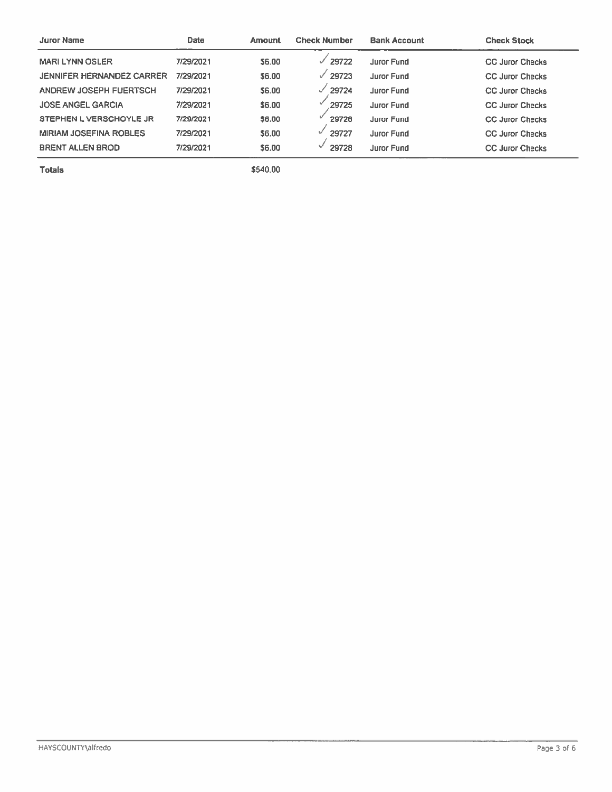| <b>Juror Name</b>                | Date      | <b>Amount</b> | <b>Check Number</b> | <b>Bank Account</b> | <b>Check Stock</b>     |
|----------------------------------|-----------|---------------|---------------------|---------------------|------------------------|
| <b>MARI LYNN OSLER</b>           | 7/29/2021 | 56.00         | $\sqrt{29722}$      | <b>Juror Fund</b>   | <b>CC Juror Checks</b> |
| <b>JENNIFER HERNANDEZ CARRER</b> | 7/29/2021 | 56.00         | 29723<br>✓          | Juror Fund          | <b>CC Juror Checks</b> |
| ANDREW JOSEPH FUERTSCH           | 7/29/2021 | 56.00         | 29724               | <b>Juror Fund</b>   | <b>CC Juror Checks</b> |
| <b>JOSE ANGEL GARCIA</b>         | 7/29/2021 | \$6.00        | 29725               | <b>Juror Fund</b>   | <b>CC Juror Checks</b> |
| STEPHEN L VERSCHOYLE JR          | 7/29/2021 | \$6.00        | 29726               | <b>Juror Fund</b>   | <b>CC Juror Checks</b> |
| <b>MIRIAM JOSEFINA ROBLES</b>    | 7/29/2021 | \$6.00        | 29727               | <b>Juror Fund</b>   | <b>CC Juror Checks</b> |
| <b>BRENT ALLEN BROD</b>          | 7/29/2021 | \$6.00        | 29728               | <b>Juror Fund</b>   | <b>CC Juror Checks</b> |

**Totals** 

\$540.00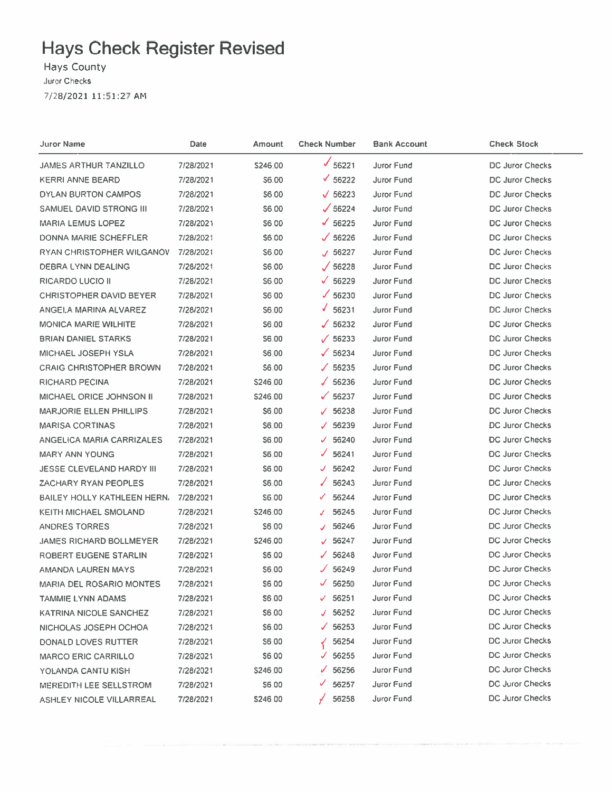# **Hays Check Register Revised**

Hays County Juror Checks 7/28/2021 11:51:27 AM

| Juror Name                       | Date      | Amount       | <b>Check Number</b>    | <b>Bank Account</b> | <b>Check Stock</b>     |
|----------------------------------|-----------|--------------|------------------------|---------------------|------------------------|
| JAMES ARTHUR TANZILLO            | 7/28/2021 | \$246.00     | ✔<br>56221             | Juror Fund          | DC Juror Checks        |
| <b>KERRI ANNE BEARD</b>          | 7/28/2021 | \$6.00       | $\times$ 56222         | Juror Fund          | DC Juror Checks        |
| DYLAN BURTON CAMPOS              | 7/28/2021 | 56.00        | $\sqrt{56223}$         | Juror Fund          | DC Juror Checks        |
| SAMUEL DAVID STRONG III          | 7/28/2021 | \$6.00       | $\sqrt{56224}$         | Juror Fund          | DC Juror Checks        |
| <b>MARIA LEMUS LOPEZ</b>         | 7/28/2021 | \$6,00       | $\sqrt{56225}$         | Juror Fund          | DC Juror Checks        |
| DONNA MARIE SCHEFFLER            | 7/28/2021 | \$6.00       | $\times$ 56226         | <b>Juror Fund</b>   | DC Juror Checks        |
| RYAN CHRISTOPHER WILGANOV        | 7/28/2021 | \$6.00       | 56227<br>J             | <b>Juror Fund</b>   | DC Juror Checks        |
| DEBRA LYNN DEALING               | 7/28/2021 | S6.00        | $\sqrt{56228}$         | <b>Juror Fund</b>   | DC Juror Checks        |
| RICARDO LUCIO II                 | 7/28/2021 | S6.00        | ✓<br>56229             | <b>Juror Fund</b>   | <b>DC Juror Checks</b> |
| <b>CHRISTOPHER DAVID BEYER</b>   | 7/28/2021 | S6 00        | $\times$ 56230         | Juror Fund          | DC Juror Checks        |
| ANGELA MARINA ALVAREZ            | 7/28/2021 | S6.00        | J.<br>56231            | Juror Fund          | DC Juror Checks        |
| <b>MONICA MARIE WILHITE</b>      | 7/28/2021 | S6.00        | $\mathcal{J}$<br>56232 | <b>Juror Fund</b>   | DC Juror Checks        |
| <b>BRIAN DANIEL STARKS</b>       | 7/28/2021 | <b>S6.00</b> | $\times$ 56233         | Juror Fund          | DC Juror Checks        |
| MICHAEL JOSEPH YSLA              | 7/28/2021 | <b>S6.00</b> | 56234<br>✓             | Juror Fund          | DC Juror Checks        |
| <b>CRAIG CHRISTOPHER BROWN</b>   | 7/28/2021 | \$6.00       | 56235<br>J.            | <b>Juror Fund</b>   | DC Juror Checks        |
| <b>RICHARD PECINA</b>            | 7/28/2021 | \$246.00     | 56236<br>$\sqrt{2}$    | Juror Fund          | <b>DC Juror Checks</b> |
| <b>MICHAEL ORICE JOHNSON II</b>  | 7/28/2021 | \$246.00     | ✓<br>56237             | Juror Fund          | DC Juror Checks        |
| <b>MARJORIE ELLEN PHILLIPS</b>   | 7/28/2021 | S6.00        | 56238<br>J.            | Juror Fund          | DC Juror Checks        |
| <b>MARISA CORTINAS</b>           | 7/28/2021 | <b>S6.00</b> | 56239<br>✓             | Juror Fund          | <b>DC Juror Checks</b> |
| ANGELICA MARIA CARRIZALES        | 7/28/2021 | S6.00        | 56240<br>✓             | Juror Fund          | <b>DC Juror Checks</b> |
| <b>MARY ANN YOUNG</b>            | 7/28/2021 | \$6.00       | 56241<br>✓             | Juror Fund          | <b>DC Juror Checks</b> |
| <b>JESSE CLEVELAND HARDY III</b> | 7/28/2021 | \$6.00       | 56242<br>J.            | Juror Fund          | DC Juror Checks        |
| ZACHARY RYAN PEOPLES             | 7/28/2021 | S6.00        | 56243                  | Juror Fund          | DC Juror Checks        |
| BAILEY HOLLY KATHLEEN HERN.      | 7/28/2021 | S6.00        | 56244<br>✓             | Juror Fund          | <b>DC Juror Checks</b> |
| <b>KEITH MICHAEL SMOLAND</b>     | 7/28/2021 | \$246.00     | 56245<br>J.            | <b>Juror Fund</b>   | DC Juror Checks        |
| ANDRES TORRES                    | 7/28/2021 | S6.00        | 56246<br>✓             | <b>Juror Fund</b>   | DC Juror Checks        |
| <b>JAMES RICHARD BOLLMEYER</b>   | 7/28/2021 | \$246.00     | 56247<br>$\mathcal{J}$ | <b>Juror Fund</b>   | DC Juror Checks        |
| ROBERT EUGENE STARLIN            | 7/28/2021 | \$6.00       | 56248                  | <b>Juror Fund</b>   | DC Juror Checks        |
| AMANDA LAUREN MAYS               | 7/28/2021 | \$6.00       | 56249<br>ℐ             | <b>Juror Fund</b>   | <b>DC Juror Checks</b> |
| <b>MARIA DEL ROSARIO MONTES</b>  | 7/28/2021 | S6.00        | J.<br>56250            | <b>Juror Fund</b>   | <b>DC Juror Checks</b> |
| TAMMIE LYNN ADAMS                | 7/28/2021 | \$6.00       | 56251<br>✓             | Juror Fund          | DC Juror Checks        |
| KATRINA NICOLE SANCHEZ           | 7/28/2021 | \$6.00       | 56252<br>J             | <b>Juror Fund</b>   | <b>DC Juror Checks</b> |
| NICHOLAS JOSEPH OCHOA            | 7/28/2021 | \$6.00       | 56253<br>J.            | Juror Fund          | DC Juror Checks        |
| DONALD LOVES RUTTER              | 7/28/2021 | \$6.00       | 56254                  | <b>Juror Fund</b>   | <b>DC Juror Checks</b> |
| <b>MARCO ERIC CARRILLO</b>       | 7/28/2021 | S6.00        | 56255<br>J             | <b>Juror Fund</b>   | <b>DC Juror Checks</b> |
| YOLANDA CANTU KISH               | 7/28/2021 | \$246.00     | 56256<br>V             | <b>Juror Fund</b>   | <b>DC Juror Checks</b> |
| <b>MEREDITH LEE SELLSTROM</b>    | 7/28/2021 | \$6.00       | 56257<br>v             | Juror Fund          | <b>DC Juror Checks</b> |
| ASHLEY NICOLE VILLARREAL         | 7/28/2021 | \$246.00     | 56258                  | Juror Fund          | <b>DC Juror Checks</b> |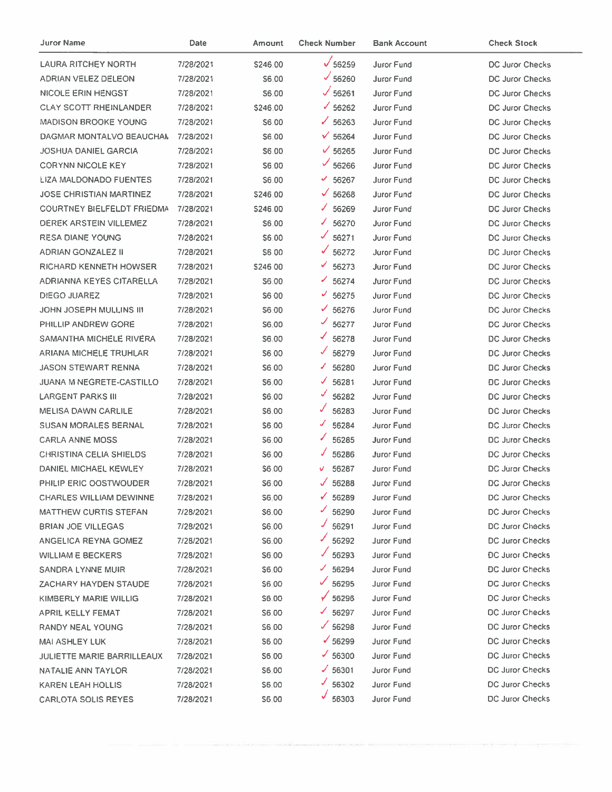| <b>Juror Name</b>                 | Date      | Amount       | <b>Check Number</b> | <b>Bank Account</b> | <b>Check Stock</b>     |
|-----------------------------------|-----------|--------------|---------------------|---------------------|------------------------|
| <b>LAURA RITCHEY NORTH</b>        | 7/28/2021 | S246.00      | $\sqrt{56259}$      | Juror Fund          | DC Juror Checks        |
| ADRIAN VELEZ DELEON               | 7/28/2021 | \$6.00       | $\frac{6}{56260}$   | Juror Fund          | DC Juror Checks        |
| <b>NICOLE ERIN HENGST</b>         | 7/28/2021 | \$6.00       | $\sqrt{56261}$      | Juror Fund          | DC Juror Checks        |
| <b>CLAY SCOTT RHEINLANDER</b>     | 7/28/2021 | \$246.00     | $\times$ 56262      | <b>Juror Fund</b>   | DC Juror Checks        |
| <b>MADISON BROOKE YOUNG</b>       | 7/28/2021 | S6.00        | $\times$ 56263      | <b>Juror Fund</b>   | DC Juror Checks        |
| DAGMAR MONTALVO BEAUCHAN          | 7/28/2021 | S6.00        | $\times$ 56264      | <b>Juror Fund</b>   | <b>DC Juror Checks</b> |
| <b>JOSHUA DANIEL GARCIA</b>       | 7/28/2021 | S6.00        | $\sqrt{56265}$      | Juror Fund          | DC Juror Checks        |
| <b>CORYNN NICOLE KEY</b>          | 7/28/2021 | \$6.00       | $\frac{656266}{ }$  | <b>Juror Fund</b>   | DC Juror Checks        |
| LIZA MALDONADO FUENTES            | 7/28/2021 | S6.00        | $\times$ 56267      | Juror Fund          | <b>DC Juror Checks</b> |
| <b>JOSE CHRISTIAN MARTINEZ</b>    | 7/28/2021 | \$246.00     | $\times$ 56268      | Juror Fund          | <b>DC Juror Checks</b> |
| <b>COURTNEY BIELFELDT FRIEDMA</b> | 7/28/2021 | \$246.00     | ✓<br>56269          | Juror Fund          | <b>DC Juror Checks</b> |
| DEREK ARSTEIN VILLEMEZ            | 7/28/2021 | <b>S6.00</b> | 56270<br>◢          | Juror Fund          | <b>DC Juror Checks</b> |
| <b>RESA DIANE YOUNG</b>           | 7/28/2021 | \$6.00       | 56271               | <b>Juror Fund</b>   | DC Juror Checks        |
| <b>ADRIAN GONZALEZ II</b>         | 7/28/2021 | \$6.00       | ✓<br>56272          | Juror Fund          | DC Juror Checks        |
| RICHARD KENNETH HOWSER            | 7/28/2021 | S246 00      | ✓<br>56273          | <b>Juror Fund</b>   | DC Juror Checks        |
| ADRIANNA KEYES CITARELLA          | 7/28/2021 | <b>S6.00</b> | ✓<br>56274          | <b>Juror Fund</b>   | DC Juror Checks        |
| DIEGO JUAREZ                      | 7/28/2021 | S6 00        | $-56275$            | Juror Fund          | DC Juror Checks        |
| JOHN JOSEPH MULLINS III           | 7/28/2021 | S6.00        | $\times$ 56276      | Juror Fund          | DC Juror Checks        |
| PHILLIP ANDREW GORE               | 7/28/2021 | S6.00        | ✓<br>56277          | <b>Juror Fund</b>   | DC Juror Checks        |
| SAMANTHA MICHELE RIVERA           | 7/28/2021 | S6.00        | ✔<br>56278          | Juror Fund          | DC Juror Checks        |
| ARIANA MICHELE TRUHLAR            | 7/28/2021 | S6.00        | J.<br>56279         | Juror Fund          | DC Juror Checks        |
| <b>JASON STEWART RENNA</b>        | 7/28/2021 | S6.00        | ◢<br>56280          | Juror Fund          | DC Juror Checks        |
| <b>JUANA M NEGRETE-CASTILLO</b>   | 7/28/2021 | \$6.00       | J.<br>56281         | Juror Fund          | <b>DC Juror Checks</b> |
| <b>LARGENT PARKS III</b>          | 7/28/2021 | \$6.00       | ✓<br>56282          | <b>Juror Fund</b>   | <b>DC Juror Checks</b> |
| <b>MELISA DAWN CARLILE</b>        | 7/28/2021 | S6.00        | 56283               | Juror Fund          | <b>DC Juror Checks</b> |
| <b>SUSAN MORALES BERNAL</b>       | 7/28/2021 | \$6.00       | J<br>56284          | <b>Juror Fund</b>   | <b>DC Juror Checks</b> |
| <b>CARLA ANNE MOSS</b>            | 7/28/2021 | \$6.00       | 56285               | <b>Juror Fund</b>   | <b>DC Juror Checks</b> |
| <b>CHRISTINA CELIA SHIELDS</b>    | 7/28/2021 | \$6.00       | 56286               | Juror Fund          | DC Juror Checks        |
| DANIEL MICHAEL KEWLEY             | 7/28/2021 | \$6.00       | 56287<br>v          | <b>Juror Fund</b>   | DC Juror Checks        |
| PHILIP ERIC OOSTWOUDER            | 7/28/2021 | S6.00        | 56288               | Juror Fund          | DC Juror Checks        |
| <b>CHARLES WILLIAM DEWINNE</b>    | 7/28/2021 | S6.00        | $\times$ 56289      | Juror Fund          | DC Juror Checks        |
| <b>MATTHEW CURTIS STEFAN</b>      | 7/28/2021 | S6.00        | 56290               | <b>Juror Fund</b>   | <b>DC Juror Checks</b> |
| <b>BRIAN JOE VILLEGAS</b>         | 7/28/2021 | S6.00        | 56291               | <b>Juror Fund</b>   | DC Juror Checks        |
| ANGELICA REYNA GOMEZ              | 7/28/2021 | S6.00        | 56292               | Juror Fund          | <b>DC Juror Checks</b> |
| <b>WILLIAM E BECKERS</b>          | 7/28/2021 | S6.00        | 56293               | <b>Juror Fund</b>   | <b>DC Juror Checks</b> |
| SANDRA LYNNE MUIR                 | 7/28/2021 | <b>S6.00</b> | $\times$ 56294      | <b>Juror Fund</b>   | <b>DC Juror Checks</b> |
| ZACHARY HAYDEN STAUDE             | 7/28/2021 | \$6.00       | $\times$ 56295      | <b>Juror Fund</b>   | <b>DC Juror Checks</b> |
| KIMBERLY MARIE WILLIG             | 7/28/2021 | \$6.00       | 56296               | Juror Fund          | DC Juror Checks        |
| <b>APRIL KELLY FEMAT</b>          | 7/28/2021 | \$6.00       | $\times$ 56297      | Juror Fund          | <b>DC Juror Checks</b> |
| RANDY NEAL YOUNG                  | 7/28/2021 | \$6.00       | $\times$ 56298      | Juror Fund          | DC Juror Checks        |
| MAI ASHLEY LUK                    | 7/28/2021 | \$6.00       | $\frac{1}{2}$ 56299 | Juror Fund          | <b>DC Juror Checks</b> |
| <b>JULIETTE MARIE BARRILLEAUX</b> | 7/28/2021 | \$6.00       | $\times$ 56300      | Juror Fund          | DC Juror Checks        |
| NATALIE ANN TAYLOR                | 7/28/2021 | \$6.00       | $\frac{1}{56301}$   | Juror Fund          | DC Juror Checks        |
| KAREN LEAH HOLLIS                 | 7/28/2021 | \$6.00       | $\frac{3}{56302}$   | Juror Fund          | DC Juror Checks        |
| <b>CARLOTA SOLIS REYES</b>        | 7/28/2021 | \$6.00       | $\frac{6}{56303}$   | Juror Fund          | <b>DC Juror Checks</b> |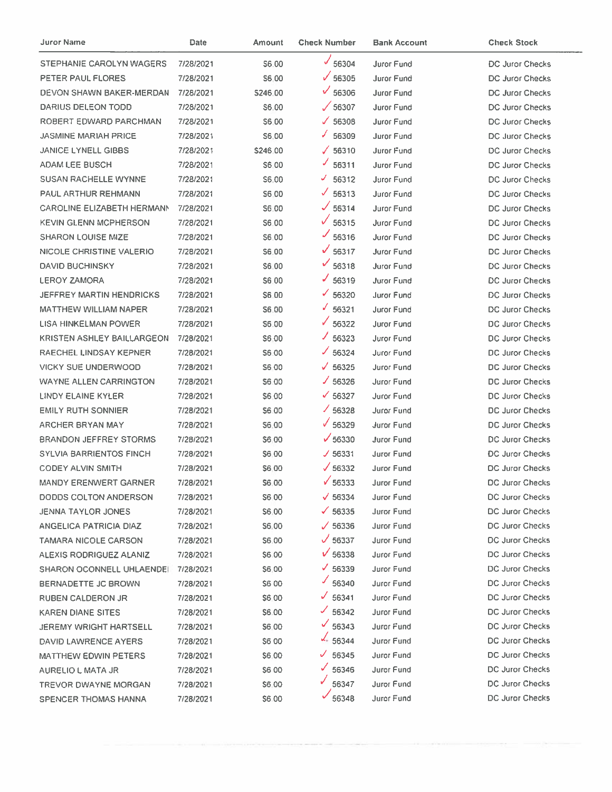| Juror Name                        | Date      | <b>Amount</b> | <b>Check Number</b> | <b>Bank Account</b> | <b>Check Stock</b>     |
|-----------------------------------|-----------|---------------|---------------------|---------------------|------------------------|
| STEPHANIE CAROLYN WAGERS          | 7/28/2021 | S6.00         | 56304               | <b>Juror Fund</b>   | <b>DC Juror Checks</b> |
| PETER PAUL FLORES                 | 7/28/2021 | <b>S6.00</b>  | $\sqrt{56305}$      | Juror Fund          | DC Juror Checks        |
| DEVON SHAWN BAKER-MERDAN          | 7/28/2021 | \$246.00      | $\sqrt{56306}$      | Juror Fund          | DC Juror Checks        |
| DARIUS DELEON TODD                | 7/28/2021 | S6.00         | $\sqrt{56307}$      | Juror Fund          | DC Juror Checks        |
| ROBERT EDWARD PARCHMAN            | 7/28/2021 | \$6.00        | $\times$ 56308      | Juror Fund          | DC Juror Checks        |
| <b>JASMINE MARIAH PRICE</b>       | 7/28/2021 | S6.00         | ◢<br>56309          | Juror Fund          | <b>DC Juror Checks</b> |
| <b>JANICE LYNELL GIBBS</b>        | 7/28/2021 | \$246.00      | $\sqrt{56310}$      | Juror Fund          | DC Juror Checks        |
| ADAM LEE BUSCH                    | 7/28/2021 | \$6.00        | 56311               | <b>Juror Fund</b>   | DC Juror Checks        |
| <b>SUSAN RACHELLE WYNNE</b>       | 7/28/2021 | \$6.00        | 56312<br>v          | Juror Fund          | <b>DC Juror Checks</b> |
| <b>PAUL ARTHUR REHMANN</b>        | 7/28/2021 | S6.00         | J.<br>56313         | Juror Fund          | <b>DC Juror Checks</b> |
| <b>CAROLINE ELIZABETH HERMANN</b> | 7/28/2021 | S6.00         | $\sqrt{56314}$      | Juror Fund          | <b>DC Juror Checks</b> |
| <b>KEVIN GLENN MCPHERSON</b>      | 7/28/2021 | S6.00         | $\sqrt{56315}$      | Juror Fund          | DC Juror Checks        |
| <b>SHARON LOUISE MIZE</b>         | 7/28/2021 | S6.00         | $\frac{1}{56316}$   | Juror Fund          | <b>DC Juror Checks</b> |
| NICOLE CHRISTINE VALERIO          | 7/28/2021 | <b>S6.00</b>  | $\sqrt{56317}$      | <b>Juror Fund</b>   | DC Juror Checks        |
| <b>DAVID BUCHINSKY</b>            | 7/28/2021 | \$6.00        | $\frac{656318}{ }$  | Juror Fund          | <b>DC Juror Checks</b> |
| <b>LEROY ZAMORA</b>               | 7/28/2021 | \$6.00        | $J$ 56319           | <b>Juror Fund</b>   | <b>DC Juror Checks</b> |
| <b>JEFFREY MARTIN HENDRICKS</b>   | 7/28/2021 | \$6.00        | $\times$ 56320      | Juror Fund          | <b>DC Juror Checks</b> |
| <b>MATTHEW WILLIAM NAPER</b>      | 7/28/2021 | S6.00         | $\frac{6}{56321}$   | Juror Fund          | DC Juror Checks        |
| LISA HINKELMAN POWER              | 7/28/2021 | S6.00         | $\times$ 56322      | Juror Fund          | DC Juror Checks        |
| KRISTEN ASHLEY BAILLARGEON        | 7/28/2021 | \$6.00        | $\times$ 56323      | Juror Fund          | DC Juror Checks        |
| RAECHEL LINDSAY KEPNER            | 7/28/2021 | S6.00         | $\times$ 56324      | Juror Fund          | DC Juror Checks        |
| <b>VICKY SUE UNDERWOOD</b>        | 7/28/2021 | S6.00         | $\times$ 56325      | Juror Fund          | DC Juror Checks        |
| <b>WAYNE ALLEN CARRINGTON</b>     | 7/28/2021 | \$6.00        | $\times$ 56326      | Juror Fund          | DC Juror Checks        |
| LINDY ELAINE KYLER                | 7/28/2021 | \$6,00        | $\times$ 56327      | Juror Fund          | DC Juror Checks        |
| <b>EMILY RUTH SONNIER</b>         | 7/28/2021 | \$6.00        | $\times$ 56328      | Juror Fund          | <b>DC Juror Checks</b> |
| <b>ARCHER BRYAN MAY</b>           | 7/28/2021 | \$6.00        | $\sqrt{56329}$      | Juror Fund          | <b>DC Juror Checks</b> |
| <b>BRANDON JEFFREY STORMS</b>     | 7/28/2021 | \$6,00        | $\times$ 56330      | <b>Juror Fund</b>   | DC Juror Checks        |
| <b>SYLVIA BARRIENTOS FINCH</b>    | 7/28/2021 | \$6,00        | J 56331             | <b>Juror Fund</b>   | <b>DC Juror Checks</b> |
| <b>CODEY ALVIN SMITH</b>          | 7/28/2021 | \$6,00        | $\sqrt{56332}$      | Juror Fund          | <b>DC Juror Checks</b> |
| <b>MANDY ERENWERT GARNER</b>      | 7/28/2021 | <b>S6.00</b>  | $\sqrt{56333}$      | Juror Fund          | DC Juror Checks        |
| <b>DODDS COLTON ANDERSON</b>      | 7/28/2021 | S6 00         | $\sqrt{56334}$      | Juror Fund          | <b>DC Juror Checks</b> |
| <b>JENNA TAYLOR JONES</b>         | 7/28/2021 | S6.00         | $\times$ 56335      | <b>Juror Fund</b>   | DC Juror Checks        |
| ANGELICA PATRICIA DIAZ            | 7/28/2021 | S6.00         | $\sqrt{56336}$      | Juror Fund          | DC Juror Checks        |
| <b>TAMARA NICOLE CARSON</b>       | 7/28/2021 | \$6,00        | $\sqrt{56337}$      | <b>Juror Fund</b>   | DC Juror Checks        |
| <b>ALEXIS RODRIGUEZ ALANIZ</b>    | 7/28/2021 | \$6.00        | $V$ 56338           | Juror Fund          | DC Juror Checks        |
| SHARON OCONNELL UHLAENDE!         | 7/28/2021 | \$6,00        | $\times$ 56339      | Juror Fund          | DC Juror Checks        |
| BERNADETTE JC BROWN               | 7/28/2021 | S6 00         | $\times$ 56340      | Juror Fund          | DC Juror Checks        |
| <b>RUBEN CALDERON JR</b>          | 7/28/2021 | \$6,00        | $\sqrt{56341}$      | Juror Fund          | <b>DC Juror Checks</b> |
| <b>KAREN DIANE SITES</b>          | 7/28/2021 | \$6.00        | $\times$ 56342      | Juror Fund          | <b>DC Juror Checks</b> |
| <b>JEREMY WRIGHT HARTSELL</b>     | 7/28/2021 | <b>S6.00</b>  | $\sqrt{56343}$      | Juror Fund          | DC Juror Checks        |
| DAVID LAWRENCE AYERS              | 7/28/2021 | \$6.00        | $\frac{1}{2}$ 56344 | Juror Fund          | <b>DC Juror Checks</b> |
| MATTHEW EDWIN PETERS              | 7/28/2021 | <b>S6.00</b>  | 56345<br>J          | Juror Fund          | DC Juror Checks        |
| AURELIO L MATA JR                 | 7/28/2021 | \$6.00        | 56346<br>✓          | Juror Fund          | DC Juror Checks        |
| <b>TREVOR DWAYNE MORGAN</b>       | 7/28/2021 | \$6,00        | √<br>56347          | Juror Fund          | <b>DC Juror Checks</b> |
| SPENCER THOMAS HANNA              | 7/28/2021 | \$6.00        | $\frac{656348}{ }$  | Juror Fund          | DC Juror Checks        |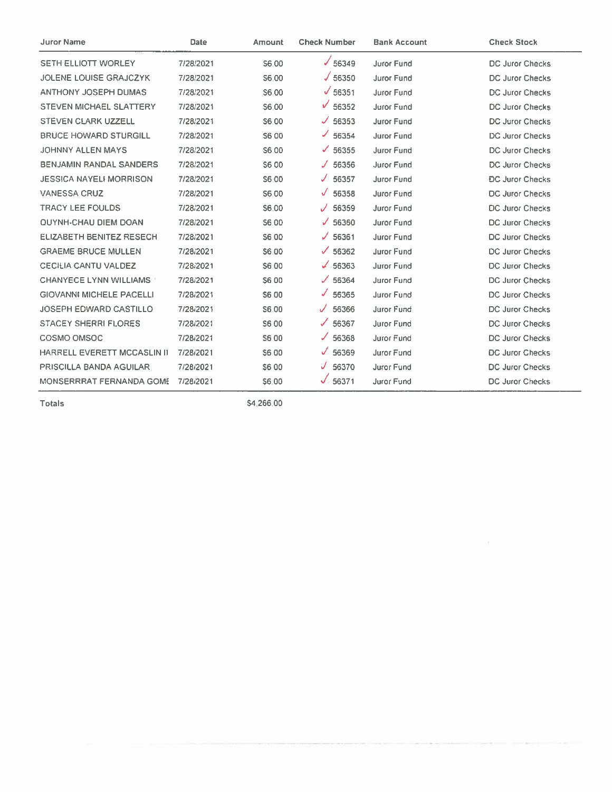| <b>Juror Name</b>                  | Date      | Amount       | <b>Check Number</b> | <b>Bank Account</b> | <b>Check Stock</b>     |
|------------------------------------|-----------|--------------|---------------------|---------------------|------------------------|
| <b>SETH ELLIOTT WORLEY</b>         | 7/28/2021 | S6.00        | $\times$ 56349      | Juror Fund          | <b>DC Juror Checks</b> |
| <b>JOLENE LOUISE GRAJCZYK</b>      | 7/28/2021 | S6.00        | J 56350             | Juror Fund          | DC Juror Checks        |
| <b>ANTHONY JOSEPH DUMAS</b>        | 7/28/2021 | S6.00        | $\sqrt{56351}$      | Juror Fund          | <b>DC Juror Checks</b> |
| STEVEN MICHAEL SLATTERY            | 7/28/2021 | S6.00        | $\sqrt{56352}$      | Juror Fund          | DC Juror Checks        |
| STEVEN CLARK UZZELL                | 7/28/2021 | S6.00        | $\times$ 56353      | Juror Fund          | DC Juror Checks        |
| <b>BRUCE HOWARD STURGILL</b>       | 7/28/2021 | <b>S600</b>  | $\times$ 56354      | Juror Fund          | DC Juror Checks        |
| JOHNNY ALLEN MAYS                  | 7/28/2021 | S6.00        | $\times$ 56355      | Juror Fund          | DC Juror Checks        |
| <b>BENJAMIN RANDAL SANDERS</b>     | 7/28/2021 | S6 00        | 56356<br>J.         | Juror Fund          | DC Juror Checks        |
| <b>JESSICA NAYELI MORRISON</b>     | 7/28/2021 | S6.00        | 56357<br>J.         | Juror Fund          | <b>DC Juror Checks</b> |
| <b>VANESSA CRUZ</b>                | 7/28/2021 | S6.00        | 56358<br>J.         | Juror Fund          | DC Juror Checks        |
| <b>TRACY LEE FOULDS</b>            | 7/28/2021 | S6.00        | 56359<br>✓          | Juror Fund          | <b>DC Juror Checks</b> |
| <b>QUYNH-CHAU DIEM DOAN</b>        | 7/28/2021 | S6.00        | $\times$ 56360      | <b>Juror Fund</b>   | <b>DC Juror Checks</b> |
| <b>ELIZABETH BENITEZ RESECH</b>    | 7/28/2021 | S6.00        | ✓<br>56361          | Juror Fund          | <b>DC Juror Checks</b> |
| <b>GRAEME BRUCE MULLEN</b>         | 7/28/2021 | S6.00        | $\times$ 56362      | <b>Juror Fund</b>   | DC Juror Checks        |
| <b>CECILIA CANTU VALDEZ</b>        | 7/28/2021 | S6.00        | $\sqrt{56363}$      | <b>Juror Fund</b>   | <b>DC Juror Checks</b> |
| <b>CHANYECE LYNN WILLIAMS</b>      | 7/28/2021 | S6.00        | $\times$ 56364      | Juror Fund          | DC Juror Checks        |
| <b>GIOVANNI MICHELE PACELLI</b>    | 7/28/2021 | S6.00        | J.<br>56365         | Juror Fund          | DC Juror Checks        |
| <b>JOSEPH EDWARD CASTILLO</b>      | 7/28/2021 | S6.00        | 56366<br>J          | Juror Fund          | DC Juror Checks        |
| <b>STACEY SHERRI FLORES</b>        | 7/28/2021 | S6 00        | 56367<br>✓          | Juror Fund          | <b>DC Juror Checks</b> |
| COSMO OMSOC                        | 7/28/2021 | S6.00        | 56368<br>J.         | Juror Fund          | <b>DC Juror Checks</b> |
| <b>HARRELL EVERETT MCCASLIN II</b> | 7/28/2021 | S6.00        | 56369               | Juror Fund          | <b>DC Juror Checks</b> |
| PRISCILLA BANDA AGUILAR            | 7/28/2021 | <b>S600</b>  | 56370<br>J          | Juror Fund          | <b>DC Juror Checks</b> |
| MONSERRRAT FERNANDA GOME           | 7/28/2021 | <b>S6.00</b> | $\sqrt{56371}$      | Juror Fund          | <b>DC Juror Checks</b> |

\$4,266.00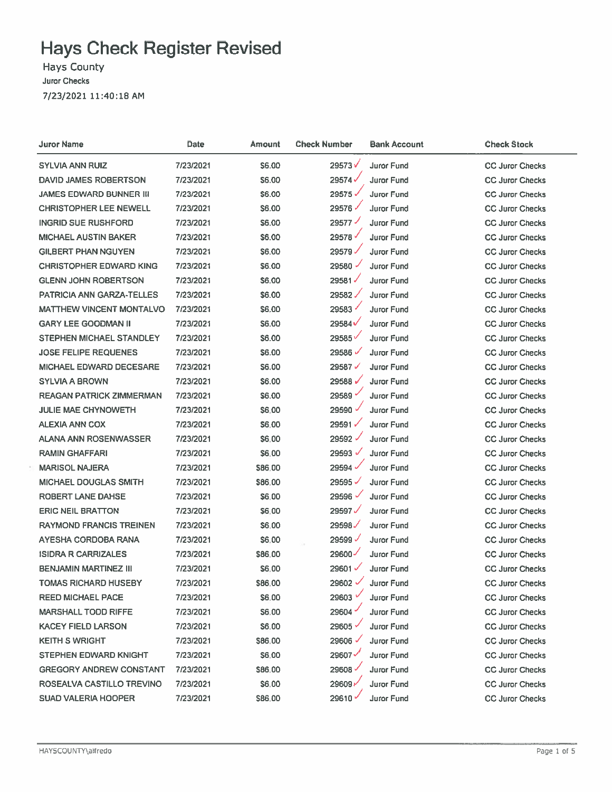## **Hays Check Register Revised**

Hays County **Juror Checks** 7/23/2021 11:40:18 AM

| Juror Name                      | Date      | Amount       | <b>Check Number</b> | <b>Bank Account</b> | <b>Check Stock</b>     |
|---------------------------------|-----------|--------------|---------------------|---------------------|------------------------|
| SYLVIA ANN RUIZ                 | 7/23/2021 | \$6.00       | 29573V              | Juror Fund          | <b>CC Juror Checks</b> |
| <b>DAVID JAMES ROBERTSON</b>    | 7/23/2021 | \$6.00       | 29574               | <b>Juror Fund</b>   | <b>CC Juror Checks</b> |
| JAMES EDWARD BUNNER III         | 7/23/2021 | \$6.00       | 29575               | Juror Fund          | <b>CC Juror Checks</b> |
| <b>CHRISTOPHER LEE NEWELL</b>   | 7/23/2021 | \$6.00       | 29576               | <b>Juror Fund</b>   | <b>CC Juror Checks</b> |
| <b>INGRID SUE RUSHFORD</b>      | 7/23/2021 | \$6.00       | 29577               | <b>Juror Fund</b>   | <b>CC Juror Checks</b> |
| MICHAEL AUSTIN BAKER            | 7/23/2021 | \$6.00       | 29578               | <b>Juror Fund</b>   | <b>CC Juror Checks</b> |
| <b>GILBERT PHAN NGUYEN</b>      | 7/23/2021 | S6.00        | 29579V              | <b>Juror Fund</b>   | <b>CC Juror Checks</b> |
| <b>CHRISTOPHER EDWARD KING</b>  | 7/23/2021 | \$6.00       | 29580               | <b>Juror Fund</b>   | <b>CC Juror Checks</b> |
| <b>GLENN JOHN ROBERTSON</b>     | 7/23/2021 | \$6.00       | 29581               | <b>Juror Fund</b>   | <b>CC Juror Checks</b> |
| PATRICIA ANN GARZA-TELLES       | 7/23/2021 | \$6.00       | 29582               | Juror Fund          | <b>CC Juror Checks</b> |
| MATTHEW VINCENT MONTALVO        | 7/23/2021 | \$6.00       | 29583               | Juror Fund          | <b>CC Juror Checks</b> |
| <b>GARY LEE GOODMAN II</b>      | 7/23/2021 | S6.00        | 29584 $\checkmark$  | Juror Fund          | <b>CC Juror Checks</b> |
| STEPHEN MICHAEL STANDLEY        | 7/23/2021 | \$6.00       | 29585               | <b>Juror Fund</b>   | <b>CC Juror Checks</b> |
| <b>JOSE FELIPE REQUENES</b>     | 7/23/2021 | \$6.00       | 29586               | Juror Fund          | <b>CC Juror Checks</b> |
| <b>MICHAEL EDWARD DECESARE</b>  | 7/23/2021 | <b>S6.00</b> | 29587√              | Juror Fund          | <b>CC Juror Checks</b> |
| <b>SYLVIA A BROWN</b>           | 7/23/2021 | \$6.00       | 29588               | <b>Juror Fund</b>   | <b>CC Juror Checks</b> |
| <b>REAGAN PATRICK ZIMMERMAN</b> | 7/23/2021 | \$6.00       | 29589               | <b>Juror Fund</b>   | <b>CC Juror Checks</b> |
| JULIE MAE CHYNOWETH             | 7/23/2021 | \$6.00       | 29590 V             | <b>Juror Fund</b>   | <b>CC Juror Checks</b> |
| <b>ALEXIA ANN COX</b>           | 7/23/2021 | <b>S6.00</b> | 29591               | <b>Juror Fund</b>   | <b>CC Juror Checks</b> |
| <b>ALANA ANN ROSENWASSER</b>    | 7/23/2021 | \$6.00       | 29592               | <b>Juror Fund</b>   | <b>CC Juror Checks</b> |
| <b>RAMIN GHAFFARI</b>           | 7/23/2021 | \$6.00       | 29593               | <b>Juror Fund</b>   | <b>CC Juror Checks</b> |
| <b>MARISOL NAJERA</b>           | 7/23/2021 | \$86.00      | 29594 $\checkmark$  | <b>Juror Fund</b>   | <b>CC Juror Checks</b> |
| <b>MICHAEL DOUGLAS SMITH</b>    | 7/23/2021 | \$86.00      | 29595 $\checkmark$  | <b>Juror Fund</b>   | <b>CC Juror Checks</b> |
| ROBERT LANE DAHSE               | 7/23/2021 | \$6.00       | 29596               | <b>Juror Fund</b>   | <b>CC Juror Checks</b> |
| <b>ERIC NEIL BRATTON</b>        | 7/23/2021 | \$6.00       | 29597               | <b>Juror Fund</b>   | <b>CC Juror Checks</b> |
| <b>RAYMOND FRANCIS TREINEN</b>  | 7/23/2021 | \$6.00       | 29598               | <b>Juror Fund</b>   | <b>CC Juror Checks</b> |
| AYESHA CORDOBA RANA             | 7/23/2021 | \$6.00       | 29599 V             | <b>Juror Fund</b>   | <b>CC Juror Checks</b> |
| <b>ISIDRA R CARRIZALES</b>      | 7/23/2021 | \$86.00      | 29600               | <b>Juror Fund</b>   | <b>CC Juror Checks</b> |
| BENJAMIN MARTINEZ III           | 7/23/2021 | \$6.00       | 29601 $\checkmark$  | Juror Fund          | <b>CC Juror Checks</b> |
| TOMAS RICHARD HUSEBY            | 7/23/2021 | \$86.00      | 29602 $\checkmark$  | <b>Juror Fund</b>   | <b>CC Juror Checks</b> |
| <b>REED MICHAEL PACE</b>        | 7/23/2021 | \$6.00       | 29603 V             | <b>Juror Fund</b>   | <b>CC Juror Checks</b> |
| <b>MARSHALL TODD RIFFE</b>      | 7/23/2021 | \$6.00       | 29604               | <b>Juror Fund</b>   | <b>CC Juror Checks</b> |
| <b>KACEY FIELD LARSON</b>       | 7/23/2021 | \$6.00       | 29605               | <b>Juror Fund</b>   | <b>CC Juror Checks</b> |
| <b>KEITH S WRIGHT</b>           | 7/23/2021 | \$86.00      | 29606               | Juror Fund          | <b>CC Juror Checks</b> |
| <b>STEPHEN EDWARD KNIGHT</b>    | 7/23/2021 | \$6.00       | 29607               | <b>Juror Fund</b>   | <b>CC Juror Checks</b> |
| <b>GREGORY ANDREW CONSTANT</b>  | 7/23/2021 | \$86.00      | 29608               | <b>Juror Fund</b>   | <b>CC Juror Checks</b> |
| ROSEALVA CASTILLO TREVINO       | 7/23/2021 | \$6.00       | 29609r              | <b>Juror Fund</b>   | <b>CC Juror Checks</b> |
| <b>SUAD VALERIA HOOPER</b>      | 7/23/2021 | \$86.00      | 29610V              | <b>Juror Fund</b>   | <b>CC Juror Checks</b> |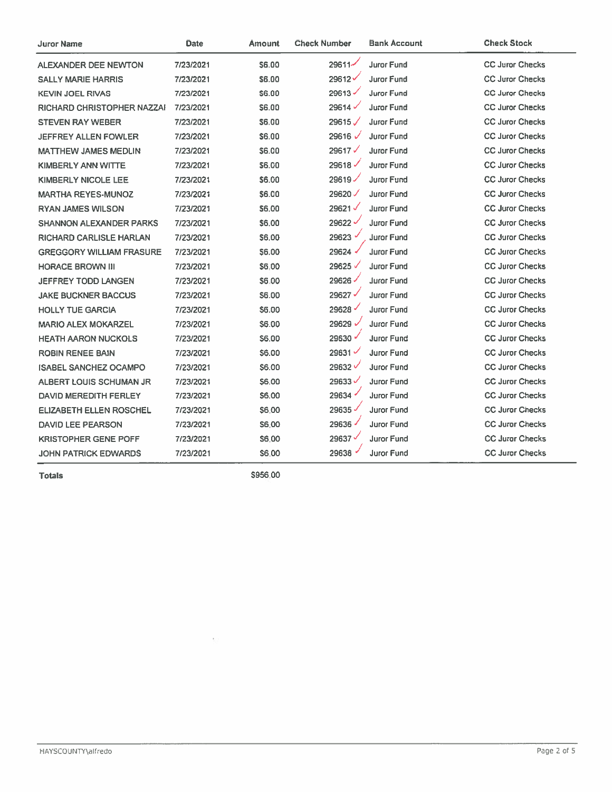| Juror Name                      | Date      | Amount       | <b>Check Number</b> | Bank Account      | <b>Check Stock</b>     |
|---------------------------------|-----------|--------------|---------------------|-------------------|------------------------|
| ALEXANDER DEE NEWTON            | 7/23/2021 | S6.00        | 29611-              | <b>Juror Fund</b> | <b>CC Juror Checks</b> |
| <b>SALLY MARIE HARRIS</b>       | 7/23/2021 | \$6.00       | 29612               | Juror Fund        | <b>CC Juror Checks</b> |
| <b>KEVIN JOEL RIVAS</b>         | 7/23/2021 | S6.00        | 29613               | Juror Fund        | <b>CC Juror Checks</b> |
| RICHARD CHRISTOPHER NAZZAI      | 7/23/2021 | S6.00        | 29614               | Juror Fund        | <b>CC Juror Checks</b> |
| <b>STEVEN RAY WEBER</b>         | 7/23/2021 | S6.00        | 29615               | <b>Juror Fund</b> | <b>CC Juror Checks</b> |
| JEFFREY ALLEN FOWLER            | 7/23/2021 | S6.00        | 29616 $\sqrt$       | <b>Juror Fund</b> | <b>CC Juror Checks</b> |
| <b>MATTHEW JAMES MEDLIN</b>     | 7/23/2021 | S6.00        | 29617√              | <b>Juror Fund</b> | <b>CC Juror Checks</b> |
| KIMBERLY ANN WITTE              | 7/23/2021 | <b>S6.00</b> | 29618               | <b>Juror Fund</b> | <b>CC Juror Checks</b> |
| <b>KIMBERLY NICOLE LEE</b>      | 7/23/2021 | <b>S6.00</b> | 29619               | <b>Juror Fund</b> | <b>CC Juror Checks</b> |
| <b>MARTHA REYES-MUNOZ</b>       | 7/23/2021 | <b>S6.00</b> | 29620               | <b>Juror Fund</b> | <b>CC Juror Checks</b> |
| <b>RYAN JAMES WILSON</b>        | 7/23/2021 | \$6.00       | 29621√              | <b>Juror Fund</b> | <b>CC Juror Checks</b> |
| <b>SHANNON ALEXANDER PARKS</b>  | 7/23/2021 | S6.00        | 29622               | <b>Juror Fund</b> | <b>CC Juror Checks</b> |
| <b>RICHARD CARLISLE HARLAN</b>  | 7/23/2021 | S6.00        | 29623               | <b>Juror Fund</b> | <b>CC Juror Checks</b> |
| <b>GREGGORY WILLIAM FRASURE</b> | 7/23/2021 | \$6.00       | 29624 -             | <b>Juror Fund</b> | <b>CC Juror Checks</b> |
| <b>HORACE BROWN III</b>         | 7/23/2021 | \$6.00       | 29625               | <b>Juror Fund</b> | <b>CC Juror Checks</b> |
| <b>JEFFREY TODD LANGEN</b>      | 7/23/2021 | \$6.00       | 29626               | <b>Juror Fund</b> | <b>CC Juror Checks</b> |
| <b>JAKE BUCKNER BACCUS</b>      | 7/23/2021 | \$6.00       | 29627 $\checkmark$  | <b>Juror Fund</b> | <b>CC Juror Checks</b> |
| <b>HOLLY TUE GARCIA</b>         | 7/23/2021 | \$6.00       | 29628               | <b>Juror Fund</b> | <b>CC Juror Checks</b> |
| <b>MARIO ALEX MOKARZEL</b>      | 7/23/2021 | \$6.00       | 29629               | <b>Juror Fund</b> | <b>CC Juror Checks</b> |
| <b>HEATH AARON NUCKOLS</b>      | 7/23/2021 | \$6.00       | 29630               | <b>Juror Fund</b> | <b>CC Juror Checks</b> |
| <b>ROBIN RENEE BAIN</b>         | 7/23/2021 | \$6.00       | 29631               | <b>Juror Fund</b> | <b>CC Juror Checks</b> |
| <b>ISABEL SANCHEZ OCAMPO</b>    | 7/23/2021 | S6.00        | 29632               | <b>Juror Fund</b> | <b>CC Juror Checks</b> |
| ALBERT LOUIS SCHUMAN JR         | 7/23/2021 | S6.00        | 29633               | <b>Juror Fund</b> | <b>CC Juror Checks</b> |
| <b>DAVID MEREDITH FERLEY</b>    | 7/23/2021 | S6.00        | 29634               | <b>Juror Fund</b> | <b>CC Juror Checks</b> |
| <b>ELIZABETH ELLEN ROSCHEL</b>  | 7/23/2021 | S6.00        | 29635               | <b>Juror Fund</b> | <b>CC Juror Checks</b> |
| <b>DAVID LEE PEARSON</b>        | 7/23/2021 | S6.00        | 29636               | <b>Juror Fund</b> | <b>CC Juror Checks</b> |
| <b>KRISTOPHER GENE POFF</b>     | 7/23/2021 | S6.00        | 29637               | <b>Juror Fund</b> | <b>CC Juror Checks</b> |
| JOHN PATRICK EDWARDS            | 7/23/2021 | S6.00        | 29638               | <b>Juror Fund</b> | <b>CC Juror Checks</b> |

\$956,00

 $\overline{\phantom{a}}$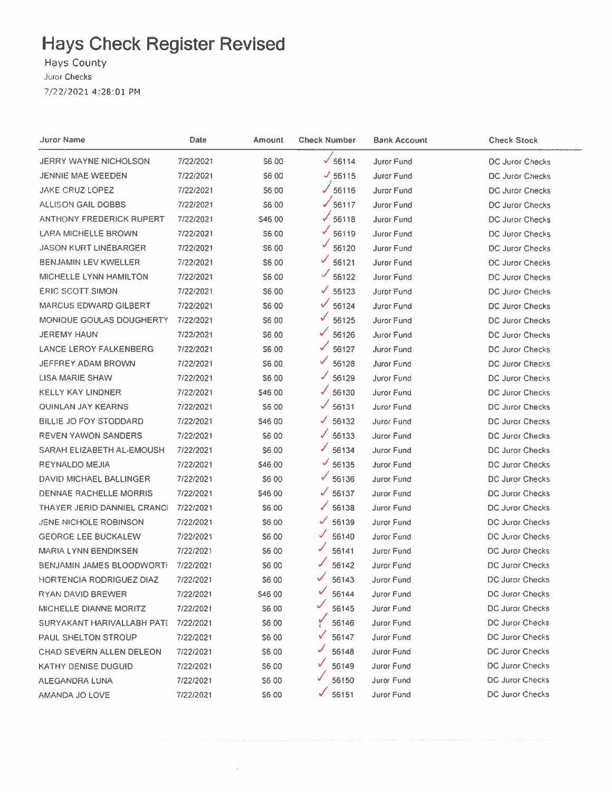## **Hays Check Register Revised**

## Hays County

Juror Checks

7/22/2021 4:28:01 PM

| Juror Name                     | <b>Date</b> | Amount       | <b>Check Number</b>               | <b>Bank Account</b> | <b>Check Stock</b>     |
|--------------------------------|-------------|--------------|-----------------------------------|---------------------|------------------------|
| JERRY WAYNE NICHOLSON          | 7/22/2021   | S6 00        | 56114                             | Juror Fund          | DC Juror Checks        |
| JENNIE MAE WEEDEN              | 7/22/2021   | <b>S6.00</b> | $J$ 56115                         | Juror Fund          | DC Juror Checks        |
| <b>JAKE CRUZ LOPEZ</b>         | 7/22/2021   | \$6.00       | $\sqrt{56116}$                    | Juror Fund          | DC Juror Checks        |
| ALLISON GAIL DOBBS             | 7/22/2021   | \$6,00       | 56117                             | Juror Fund          | DC Juror Checks        |
| ANTHONY FREDERICK RUPERT       | 7/22/2021   | \$46.00      | $\sqrt{56118}$                    | <b>Juror Fund</b>   | DC Juror Checks        |
| LARA MICHELLE BROWN            | 7/22/2021   | S6.00        | 56119                             | Juror Fund          | DC Juror Checks        |
| <b>JASON KURT LINEBARGER</b>   | 7/22/2021   | S6:00        | 56120                             | Juror Fund          | DC Juror Checks        |
| BENJAMIN LEV KWELLER           | 7/22/2021   | \$6.00       | 56121                             | <b>Juror Fund</b>   | DC Juror Checks        |
| MICHELLE LYNN HAMILTON         | 7/22/2021   | \$6.00       | ✓<br>56122                        | Juror Fund          | DC Juror Checks        |
| <b>ERIC SCOTT SIMON</b>        | 7/22/2021   | \$6.00       | $\checkmark$<br>56123             | Juror Fund          | DC Juror Checks        |
| <b>MARCUS EDWARD GILBERT</b>   | 7/22/2021   | \$6.00       | ✓<br>56124                        | Juror Fund          | DC Juror Checks        |
| MONIQUE GOULAS DOUGHERTY       | 7/22/2021   | \$6.00       | 56125                             | Juror Fund          | <b>DC Juror Checks</b> |
| <b>JEREMY HAUN</b>             | 7/22/2021   | \$6.00       | 56126                             | Juror Fund          | <b>DC Juror Checks</b> |
| <b>LANCE LEROY FALKENBERG</b>  | 7/22/2021   | S6.00        | ✓<br>56127                        | <b>Juror Fund</b>   | <b>DC Juror Checks</b> |
| JEFFREY ADAM BROWN             | 7/22/2021   | \$6.00       | 56128                             | <b>Juror Fund</b>   | DC Juror Checks        |
| LISA MARIE SHAW                | 7/22/2021   | S6.00        | 56129<br>✓                        | Juror Fund          | <b>DC Juror Checks</b> |
| KELLY KAY LINDNER              | 7/22/2021   | \$46.00      | $\sqrt{56130}$                    | Juror Fund          | <b>DC Juror Checks</b> |
| QUINLAN JAY KEARNS             | 7/22/2021   | \$6.00       | $\mathcal{J}_\mathbb{C}$<br>56131 | Juror Fund          | DC Juror Checks        |
| BILLIE JO FOY STODDARD         | 7/22/2021   | \$46.00      | ✓<br>56132                        | Juror Fund          | <b>DC Juror Checks</b> |
| <b>REVEN YAWON SANDERS</b>     | 7/22/2021   | \$6.00       | 56133                             | <b>Juror Fund</b>   | DC Juror Checks        |
| SARAH ELIZABETH AL-EMOUSH      | 7/22/2021   | \$6.00       | 56134                             | Juror Fund          | DC Juror Checks        |
| <b>REYNALDO MEJIA</b>          | 7/22/2021   | \$46,00      | $\times$ 56135                    | <b>Juror Fund</b>   | DC Juror Checks        |
| <b>DAVID MICHAEL BALLINGER</b> | 7/22/2021   | <b>S6.00</b> | $\frac{6}{56136}$                 | <b>Juror Fund</b>   | <b>DC Juror Checks</b> |
| <b>DENNAE RACHELLE MORRIS</b>  | 7/22/2021   | \$46,00      | $\sqrt{56137}$                    | <b>Juror Fund</b>   | <b>DC Juror Checks</b> |
| THAYER JERID DANNIEL CRANOI    | 7/22/2021   | \$6.00       | $\frac{1}{56138}$                 | Juror Fund          | DC Juror Checks        |
| JENE NICHOLE ROBINSON          | 7/22/2021   | \$6.00       | $\times$ 56139                    | <b>Juror Fund</b>   | DC Juror Checks        |
| <b>GEORGE LEE BUCKALEW</b>     | 7/22/2021   | \$6.00       | ✓<br>56140                        | Juror Fund          | DC Juror Checks        |
| <b>MARIA LYNN BENDIKSEN</b>    | 7/22/2021   | <b>S6.00</b> | 56141                             | <b>Juror Fund</b>   | DC Juror Checks        |
| BENJAMIN JAMES BLOODWORTH      | 7/22/2021   | \$6.00       | 56142                             | Juror Fund          | DC Juror Checks        |
| HORTENCIA RODRIGUEZ DIAZ       | 7/22/2021   | \$6.00       | 56143                             | Juror Fund          | DC Juror Checks        |
| RYAN DAVID BREWER              | 7/22/2021   | \$46.00      | 56144                             | Juror Fund          | DC Juror Checks        |
| MICHELLE DIANNE MORITZ         | 7/22/2021   | \$6.00       | 56145                             | Juror Fund          | DC Juror Checks        |
| SURYAKANT HARIVALLABH PATE     | 7/22/2021   | \$6.00       | 56146                             | <b>Juror Fund</b>   | DC Juror Checks        |
| <b>PAUL SHELTON STROUP</b>     | 7/22/2021   | \$6.00       | 56147                             | Juror Fund          | DC Juror Checks        |
| CHAD SEVERN ALLEN DELEON       | 7/22/2021   | \$6.00       | 56148                             | <b>Juror Fund</b>   | DC Juror Checks        |
| KATHY DENISE DUGUID            | 7/22/2021   | S6.00        | 56149<br>v.                       | Juror Fund          | DC Juror Checks        |
| ALEGANDRA LUNA                 | 7/22/2021   | S6.00        | 56150                             | Juror Fund          | <b>DC Juror Checks</b> |
| AMANDA JO LOVE                 | 7/22/2021   | \$6.00       | 56151                             | Juror Fund          | DC Juror Checks        |
|                                |             |              |                                   |                     |                        |

 $\tilde{t}$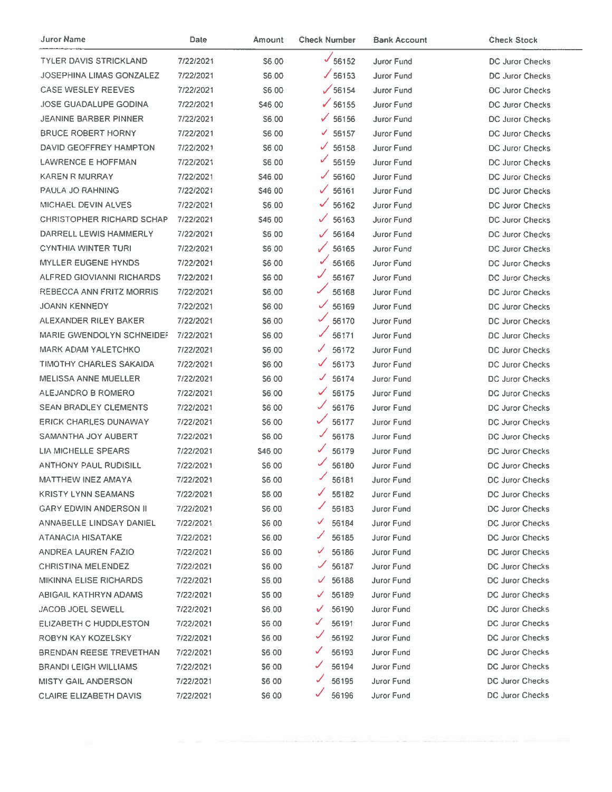| Juror Name                       | Date      | Amount        | <b>Check Number</b>    | <b>Bank Account</b> | <b>Check Stock</b>     |
|----------------------------------|-----------|---------------|------------------------|---------------------|------------------------|
| TYLER DAVIS STRICKLAND           | 7/22/2021 | S6.00         | $\frac{1}{56152}$      | Juror Fund          | DC Juror Checks        |
| <b>JOSEPHINA LIMAS GONZALEZ</b>  | 7/22/2021 | S6.00         | $\times$ 56153         | Juror Fund          | <b>DC Juror Checks</b> |
| <b>CASE WESLEY REEVES</b>        | 7/22/2021 | S6.00         | $\sqrt{56154}$         | Juror Fund          | <b>DC Juror Checks</b> |
| <b>JOSE GUADALUPE GODINA</b>     | 7/22/2021 | \$46.00       | $\sqrt{56155}$         | Juror Fund          | <b>DC Juror Checks</b> |
| <b>JEANINE BARBER PINNER</b>     | 7/22/2021 | S6.00         | $\times$ 56156         | <b>Juror Fund</b>   | <b>DC Juror Checks</b> |
| <b>BRUCE ROBERT HORNY</b>        | 7/22/2021 | <b>\$6.00</b> | $\times$ 56157         | Juror Fund          | DC Juror Checks        |
| DAVID GEOFFREY HAMPTON           | 7/22/2021 | S6.00         | ✓<br>56158             | <b>Juror Fund</b>   | DC Juror Checks        |
| LAWRENCE E HOFFMAN               | 7/22/2021 | \$6.00        | $\frac{6}{56159}$      | <b>Juror Fund</b>   | DC Juror Checks        |
| <b>KAREN R MURRAY</b>            | 7/22/2021 | \$46,00       | $\times$ 56160         | Juror Fund          | DC Juror Checks        |
| PAULA JO RAHNING                 | 7/22/2021 | \$46.00       | $\times$ 56161         | <b>Juror Fund</b>   | DC Juror Checks        |
| MICHAEL DEVIN ALVES              | 7/22/2021 | \$6.00        | $\checkmark$<br>56162  | Juror Fund          | DC Juror Checks        |
| <b>CHRISTOPHER RICHARD SCHAP</b> | 7/22/2021 | \$46.00       | ✓<br>56163             | <b>Juror Fund</b>   | <b>DC Juror Checks</b> |
| DARRELL LEWIS HAMMERLY           | 7/22/2021 | S6.00         | $\mathscr{I}$<br>56164 | Juror Fund          | <b>DC Juror Checks</b> |
| <b>CYNTHIA WINTER TURI</b>       | 7/22/2021 | S6.00         | ✓<br>56165             | Juror Fund          | <b>DC Juror Checks</b> |
| <b>MYLLER EUGENE HYNDS</b>       | 7/22/2021 | \$6.00        | $\mathcal{J}$<br>56166 | <b>Juror Fund</b>   | DC Juror Checks        |
| ALFRED GIOVIANNI RICHARDS        | 7/22/2021 | S6 00         | 56167                  | Juror Fund          | DC Juror Checks        |
| REBECCA ANN FRITZ MORRIS         | 7/22/2021 | \$6.00        | ✓<br>56168             | <b>Juror Fund</b>   | DC Juror Checks        |
| <b>JOANN KENNEDY</b>             | 7/22/2021 | \$6.00        | $\checkmark$<br>56169  | Juror Fund          | DC Juror Checks        |
| ALEXANDER RILEY BAKER            | 7/22/2021 | \$6.00        | ✓<br>56170             | <b>Juror Fund</b>   | <b>DC Juror Checks</b> |
| MARIE GWENDOLYN SCHNEIDEF        | 7/22/2021 | \$6.00        | 56171                  | Juror Fund          | DC Juror Checks        |
| <b>MARK ADAM YALETCHKO</b>       | 7/22/2021 | \$6,00        | ✓<br>56172             | Juror Fund          | DC Juror Checks        |
| TIMOTHY CHARLES SAKAIDA          | 7/22/2021 | \$6.00        | ✓<br>56173             | <b>Juror Fund</b>   | DC Juror Checks        |
| MELISSA ANNE MUELLER             | 7/22/2021 | S6 00         | ✓<br>56174             | Juror Fund          | DC Juror Checks        |
| ALEJANDRO B ROMERO               | 7/22/2021 | S6.00         | ✓<br>56175             | Juror Fund          | DC Juror Checks        |
| <b>SEAN BRADLEY CLEMENTS</b>     | 7/22/2021 | 56.00         | 56176                  | Juror Fund          | DC Juror Checks        |
| <b>ERICK CHARLES DUNAWAY</b>     | 7/22/2021 | S6.00         | 56177                  | <b>Juror Fund</b>   | DC Juror Checks        |
| SAMANTHA JOY AUBERT              | 7/22/2021 | \$6.00        | ✔<br>56178             | Juror Fund          | DC Juror Checks        |
| <b>LIA MICHELLE SPEARS</b>       | 7/22/2021 | \$46.00       | 56179                  | Juror Fund          | <b>DC Juror Checks</b> |
| <b>ANTHONY PAUL RUDISILL</b>     | 7/22/2021 | S6.00         | ✓<br>56180             | Juror Fund          | <b>DC Juror Checks</b> |
| <b>MATTHEW INEZ AMAYA</b>        | 7/22/2021 | \$6.00        | 56181                  | Juror Fund          | DC Juror Checks        |
| KRISTY LYNN SEAMANS              | 7/22/2021 | \$6,00        | 56182                  | Juror Fund          | DC Juror Checks        |
| <b>GARY EDWIN ANDERSON II</b>    | 7/22/2021 | \$6.00        | 56183                  | <b>Juror Fund</b>   | DC Juror Checks        |
| ANNABELLE LINDSAY DANIEL         | 7/22/2021 | <b>S6 00</b>  | 56184                  | Juror Fund          | DC Juror Checks        |
| ATANACIA HISATAKE                | 7/22/2021 | <b>S6.00</b>  | 56185                  | Juror Fund          | DC Juror Checks        |
| ANDREA LAUREN FAZIO              | 7/22/2021 | S6.00         | 56186                  | Juror Fund          | DC Juror Checks        |
| CHRISTINA MELENDEZ               | 7/22/2021 | S6 00         | 56187                  | Juror Fund          | DC Juror Checks        |
| MIKINNA ELISE RICHARDS           | 7/22/2021 | S6.00         | 56188                  | <b>Juror Fund</b>   | <b>DC Juror Checks</b> |
| ABIGAIL KATHRYN ADAMS            | 7/22/2021 | S6 00         | 56189                  | Juror Fund          | DC Juror Checks        |
| JACOB JOEL SEWELL                | 7/22/2021 | S6.00         | 56190                  | Juror Fund          | DC Juror Checks        |
| ELIZABETH C HUDDLESTON           | 7/22/2021 | S6 00         | 56191                  | <b>Juror Fund</b>   | DC Juror Checks        |
| ROBYN KAY KOZELSKY               | 7/22/2021 | \$6,00        | 56192                  | Juror Fund          | DC Juror Checks        |
| <b>BRENDAN REESE TREVETHAN</b>   | 7/22/2021 | \$6.00        | 56193                  | <b>Juror Fund</b>   | DC Juror Checks        |
| <b>BRANDI LEIGH WILLIAMS</b>     | 7/22/2021 | \$6.00        | 56194                  | Juror Fund          | DC Juror Checks        |
| <b>MISTY GAIL ANDERSON</b>       | 7/22/2021 | <b>S6 00</b>  | 56195                  | Juror Fund          | DC Juror Checks        |
| <b>CLAIRE ELIZABETH DAVIS</b>    | 7/22/2021 | S6.00         | 56196                  | Juror Fund          | DC Juror Checks        |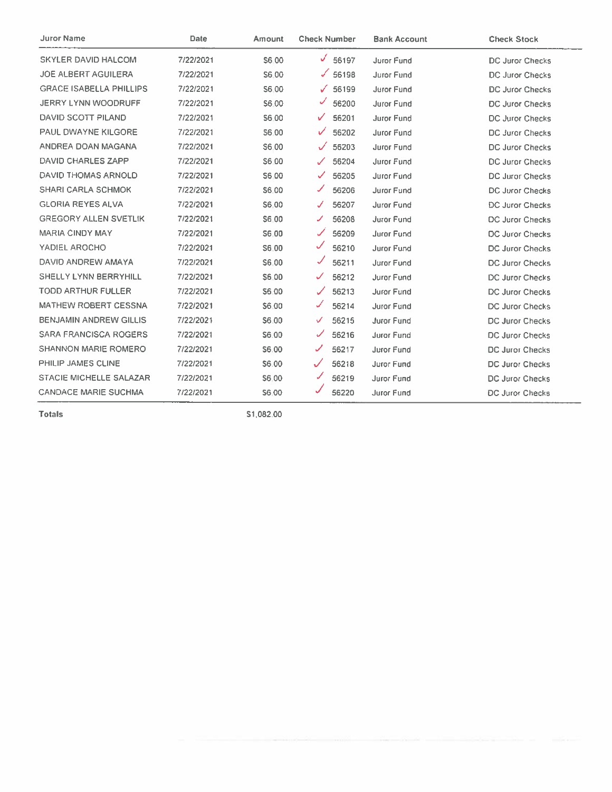| <b>Juror Name</b>              | Date      | Amount       | <b>Check Number</b>   | <b>Bank Account</b> | <b>Check Stock</b>     |
|--------------------------------|-----------|--------------|-----------------------|---------------------|------------------------|
| SKYLER DAVID HALCOM            | 7/22/2021 | S6.00        | $\frac{6}{56197}$     | <b>Juror Fund</b>   | <b>DC Juror Checks</b> |
| JOE ALBERT AGUILERA            | 7/22/2021 | S6.00        | $\times$ 56198        | Juror Fund          | DC Juror Checks        |
| <b>GRACE ISABELLA PHILLIPS</b> | 7/22/2021 | S6.00        | $\sqrt{56199}$        | Juror Fund          | <b>DC Juror Checks</b> |
| <b>JERRY LYNN WOODRUFF</b>     | 7/22/2021 | S6.00        | ✓<br>56200            | Juror Fund          | <b>DC Juror Checks</b> |
| DAVID SCOTT PILAND             | 7/22/2021 | S6.00        | ✓<br>56201            | <b>Juror Fund</b>   | DC Juror Checks        |
| PAUL DWAYNE KILGORE            | 7/22/2021 | <b>S6.00</b> | ✓<br>56202            | Juror Fund          | <b>DC Juror Checks</b> |
| ANDREA DOAN MAGANA             | 7/22/2021 | S6.00        | 56203<br>$\checkmark$ | Juror Fund          | DC Juror Checks        |
| DAVID CHARLES ZAPP             | 7/22/2021 | S6 00        | $\checkmark$<br>56204 | Juror Fund          | <b>DC Juror Checks</b> |
| DAVID THOMAS ARNOLD            | 7/22/2021 | <b>S6.00</b> | ✓<br>56205            | Juror Fund          | <b>DC Juror Checks</b> |
| <b>SHARI CARLA SCHMOK</b>      | 7/22/2021 | <b>S6.00</b> | ✔<br>56206            | Juror Fund          | <b>DC Juror Checks</b> |
| <b>GLORIA REYES ALVA</b>       | 7/22/2021 | \$6.00       | J<br>56207            | Juror Fund          | <b>DC Juror Checks</b> |
| <b>GREGORY ALLEN SVETLIK</b>   | 7/22/2021 | S6.00        | 56208<br>✓            | <b>Juror Fund</b>   | DC Juror Checks        |
| <b>MARIA CINDY MAY</b>         | 7/22/2021 | S6.00        | 56209                 | <b>Juror Fund</b>   | DC Juror Checks        |
| YADIEL AROCHO                  | 7/22/2021 | S6.00        | ✓<br>56210            | Juror Fund          | <b>DC Juror Checks</b> |
| DAVID ANDREW AMAYA             | 7/22/2021 | S6.00        | 56211                 | <b>Juror Fund</b>   | <b>DC Juror Checks</b> |
| <b>SHELLY LYNN BERRYHILL</b>   | 7/22/2021 | S6.00        | ✓<br>56212            | Juror Fund          | DC Juror Checks        |
| <b>TODD ARTHUR FULLER</b>      | 7/22/2021 | \$6.00       | ✓<br>56213            | Juror Fund          | DC Juror Checks        |
| <b>MATHEW ROBERT CESSNA</b>    | 7/22/2021 | S6.00        | ✓<br>56214            | Juror Fund          | <b>DC Juror Checks</b> |
| <b>BENJAMIN ANDREW GILLIS</b>  | 7/22/2021 | \$6.00       | 56215<br>✓            | <b>Juror Fund</b>   | DC Juror Checks        |
| <b>SARA FRANCISCA ROGERS</b>   | 7/22/2021 | \$6.00       | 56216                 | Juror Fund          | DC Juror Checks        |
| <b>SHANNON MARIE ROMERO</b>    | 7/22/2021 | S6.00        | 56217                 | Juror Fund          | <b>DC Juror Checks</b> |
| PHILIP JAMES CLINE             | 7/22/2021 | S6.00        | 56218                 | Juror Fund          | <b>DC Juror Checks</b> |
| STACIE MICHELLE SALAZAR        | 7/22/2021 | S6.00        | ✓<br>56219            | Juror Fund          | DC Juror Checks        |
| <b>CANDACE MARIE SUCHMA</b>    | 7/22/2021 | S6.00        | 56220                 | Juror Fund          | <b>DC Juror Checks</b> |

\$1,082.00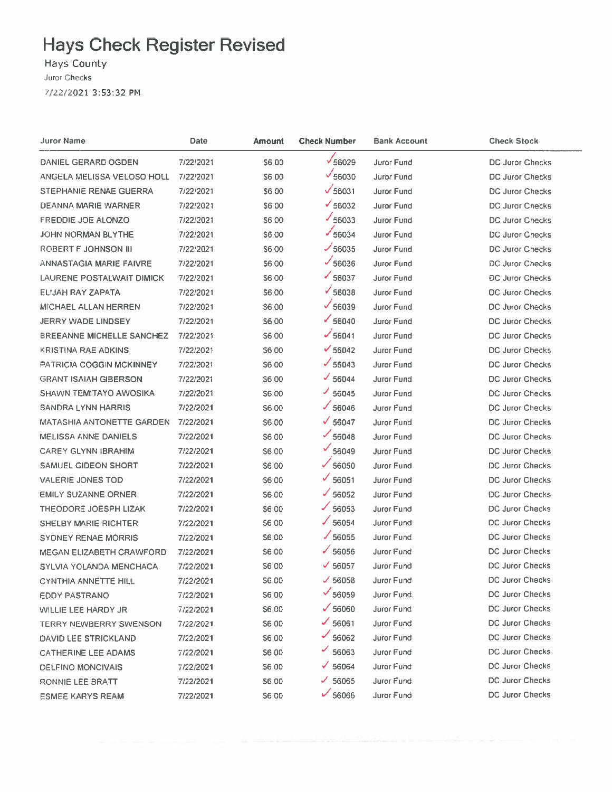## **Hays Check Register Revised**

**Hays County Juror Checks** 7/22/2021 3:53:32 PM

| Juror Name                       | Date      | Amount       | <b>Check Number</b> | <b>Bank Account</b> | <b>Check Stock</b>     |
|----------------------------------|-----------|--------------|---------------------|---------------------|------------------------|
| DANIEL GERARD OGDEN              | 7/22/2021 | \$6.00       | $\sqrt{56029}$      | Juror Fund          | <b>DC Juror Checks</b> |
| ANGELA MELISSA VELOSO HOLL       | 7/22/2021 | <b>S6.00</b> | $\sqrt{56030}$      | Juror Fund          | DC Juror Checks        |
| STEPHANIE RENAE GUERRA           | 7/22/2021 | \$6.00       | $\sqrt{56031}$      | Juror Fund          | DC Juror Checks        |
| DEANNA MARIE WARNER              | 7/22/2021 | \$6.00       | $\frac{1}{56032}$   | Juror Fund          | DC Juror Checks        |
| <b>FREDDIE JOE ALONZO</b>        | 7/22/2021 | \$6.00       | $\frac{1}{56033}$   | Juror Fund          | DC Juror Checks        |
| <b>JOHN NORMAN BLYTHE</b>        | 7/22/2021 | \$6.00       | $\times$ 56034      | <b>Juror Fund</b>   | DC Juror Checks        |
| ROBERT F JOHNSON III             | 7/22/2021 | <b>S600</b>  | $\frac{1}{56035}$   | <b>Juror Fund</b>   | DC Juror Checks        |
| ANNASTAGIA MARIE FAIVRE          | 7/22/2021 | <b>S6.00</b> | $\sqrt{56036}$      | <b>Juror Fund</b>   | DC Juror Checks        |
| LAURENE POSTALWAIT DIMICK        | 7/22/2021 | S6.00        | $\times$ 56037      | Juror Fund          | <b>DC Juror Checks</b> |
| ELIJAH RAY ZAPATA                | 7/22/2021 | 56.00        | $\sqrt{56038}$      | Juror Fund          | DC Juror Checks        |
| MICHAEL ALLAN HERREN             | 7/22/2021 | \$6.00       | $\sqrt{56039}$      | Juror Fund          | DC Juror Checks        |
| <b>JERRY WADE LINDSEY</b>        | 7/22/2021 | S6,00        | $\times$ 56040      | Juror Fund          | <b>DC Juror Checks</b> |
| <b>BREEANNE MICHELLE SANCHEZ</b> | 7/22/2021 | \$6.00       | $\frac{1}{56041}$   | Juror Fund          | DC Juror Checks        |
| <b>KRISTINA RAE ADKINS</b>       | 7/22/2021 | \$6,00       | $\times$ 56042      | <b>Juror Fund</b>   | DC Juror Checks        |
| <b>PATRICIA COGGIN MCKINNEY</b>  | 7/22/2021 | \$6,00       | $\times$ 56043      | Juror Fund          | DC Juror Checks        |
| <b>GRANT ISAIAH GIBERSON</b>     | 7/22/2021 | \$6.00       | $\times$ 56044      | <b>Juror Fund</b>   | DC Juror Checks        |
| SHAWN TEMITAYO AWOSIKA           | 7/22/2021 | <b>S6 00</b> | $\times$ 56045      | <b>Juror Fund</b>   | DC Juror Checks        |
| SANDRA LYNN HARRIS               | 7/22/2021 | S6.00        | $\times$ 56046      | Juror Fund          | DC Juror Checks        |
| <b>MATASHIA ANTONETTE GARDEN</b> | 7/22/2021 | S6.00        | $\times$ 56047      | Juror Fund          | DC Juror Checks        |
| <b>MELISSA ANNE DANIELS</b>      | 7/22/2021 | <b>S6.00</b> | $\frac{66048}{ }$   | <b>Juror Fund</b>   | DC Juror Checks        |
| <b>CAREY GLYNN IBRAHIM</b>       | 7/22/2021 | S6.00        | $\sqrt{56049}$      | <b>Juror Fund</b>   | DC Juror Checks        |
| <b>SAMUEL GIDEON SHORT</b>       | 7/22/2021 | <b>S6.00</b> | $\times$ 56050      | <b>Juror Fund</b>   | DC Juror Checks        |
| <b>VALERIE JONES TOD</b>         | 7/22/2021 | \$6.00       | $\sqrt{56051}$      | <b>Juror Fund</b>   | <b>DC Juror Checks</b> |
| <b>EMILY SUZANNE ORNER</b>       | 7/22/2021 | \$6.00       | $\times$ 56052      | Juror Fund          | DC Juror Checks        |
| THEODORE JOESPH LIZAK            | 7/22/2021 | \$6.00       | $\frac{1}{56053}$   | <b>Juror Fund</b>   | DC Juror Checks        |
| SHELBY MARIE RICHTER             | 7/22/2021 | \$6.00       | 56054               | <b>Juror Fund</b>   | DC Juror Checks        |
| <b>SYDNEY RENAE MORRIS</b>       | 7/22/2021 | <b>S6.00</b> | $\frac{1}{56055}$   | Juror Fund          | DC Juror Checks        |
| <b>MEGAN ELIZABETH CRAWFORD</b>  | 7/22/2021 | \$6.00       | ✓<br>56056          | <b>Juror Fund</b>   | DC Juror Checks        |
| SYLVIA YOLANDA MENCHACA          | 7/22/2021 | S6 00        | $\times$ 56057      | Juror Fund          | DC Juror Checks        |
| CYNTHIA ANNETTE HILL             | 7/22/2021 | S6.00        | $\times$ 56058      | Juror Fund          | <b>DC Juror Checks</b> |
| EDDY PASTRANO                    | 7/22/2021 | S6 00        | $\frac{66059}{ }$   | Juror Fund          | <b>DC Juror Checks</b> |
| WILLIE LEE HARDY JR              | 7/22/2021 | <b>S6.00</b> | $\times$ 56060      | <b>Juror Fund</b>   | DC Juror Checks        |
| <b>TERRY NEWBERRY SWENSON</b>    | 7/22/2021 | <b>S6 00</b> | $\frac{66061}{ }$   | Juror Fund          | DC Juror Checks        |
| DAVID LEE STRICKLAND             | 7/22/2021 | \$6.00       | 56062               | <b>Juror Fund</b>   | DC Juror Checks        |
| <b>CATHERINE LEE ADAMS</b>       | 7/22/2021 | <b>S600</b>  | 56063               | Juror Fund          | DC Juror Checks        |
| <b>DELFINO MONCIVAIS</b>         | 7/22/2021 | S6.00        | 56064<br>✓          | Juror Fund          | <b>DC Juror Checks</b> |
| RONNIE LEE BRATT                 | 7/22/2021 | \$6.00       | 56065<br>✓          | Juror Fund          | DC Juror Checks        |
| <b>ESMEE KARYS REAM</b>          | 7/22/2021 | \$6.00       | $\frac{6}{56066}$   | Juror Fund          | DC Juror Checks        |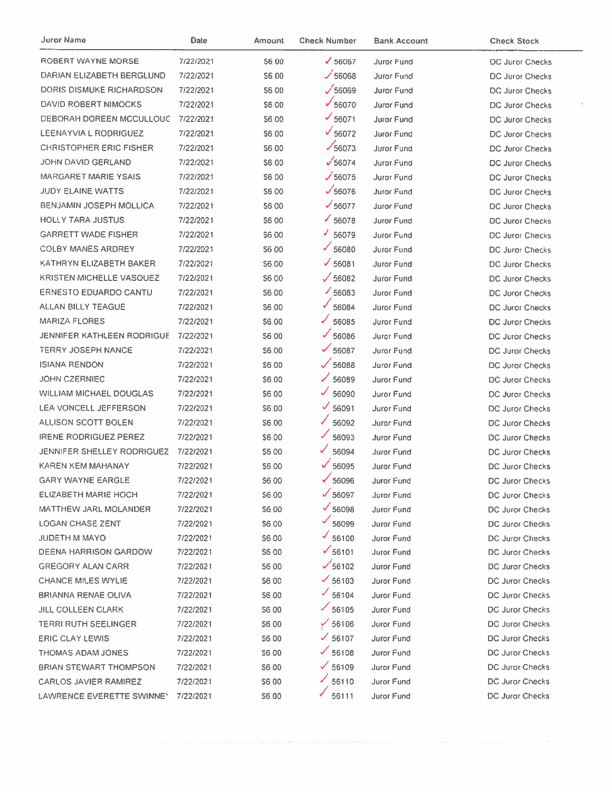| Juror Name                     | <b>Date</b> | Amount       | <b>Check Number</b> | Bank Account      | <b>Check Stock</b>     |
|--------------------------------|-------------|--------------|---------------------|-------------------|------------------------|
| ROBERT WAYNE MORSE             | 7/22/2021   | <b>S6.00</b> | $\sqrt{56067}$      | Juror Fund        | <b>DC Juror Checks</b> |
| DARIAN ELIZABETH BERGLUND      | 7/22/2021   | S6 00        | $\frac{1}{56068}$   | Juror Fund        | DC Juror Checks        |
| DORIS DISMUKE RICHARDSON       | 7/22/2021   | \$6.00       | $\sqrt{56069}$      | <b>Juror Fund</b> | <b>DC Juror Checks</b> |
| DAVID ROBERT NIMOCKS           | 7/22/2021   | S6.00        | $\frac{6}{56070}$   | <b>Juror Fund</b> | <b>DC Juror Checks</b> |
| DEBORAH DOREEN MCCULLOUG       | 7/22/2021   | \$6.00       | $\frac{66071}{1}$   | <b>Juror Fund</b> | <b>DC Juror Checks</b> |
| <b>LEENAYVIA L RODRIGUEZ</b>   | 7/22/2021   | S6.00        | $\sqrt{56072}$      | Juror Fund        | DC Juror Checks        |
| <b>CHRISTOPHER ERIC FISHER</b> | 7/22/2021   | <b>S6.00</b> | $\frac{1}{56073}$   | Juror Fund        | <b>DC Juror Checks</b> |
| JOHN DAVID GERLAND             | 7/22/2021   | S6.00        | $\sqrt{56074}$      | <b>Juror Fund</b> | DC Juror Checks        |
| <b>MARGARET MARIE YSAIS</b>    | 7/22/2021   | S6.00        | $\sqrt{56075}$      | Juror Fund        | <b>DC Juror Checks</b> |
| <b>JUDY ELAINE WATTS</b>       | 7/22/2021   | S6.00        | $\sqrt{56076}$      | <b>Juror Fund</b> | <b>DC Juror Checks</b> |
| BENJAMIN JOSEPH MOLLICA        | 7/22/2021   | <b>S600</b>  | $\times$ 56077      | Juror Fund        | DC Juror Checks        |
| <b>HOLLY TARA JUSTUS</b>       | 7/22/2021   | S6 00        | $\times$ 56078      | Juror Fund        | DC Juror Checks        |
| <b>GARRETT WADE FISHER</b>     | 7/22/2021   | \$6.00       | $\times$ 56079      | Juror Fund        | <b>DC Juror Checks</b> |
| <b>COLBY MANES ARDREY</b>      | 7/22/2021   | S6 00        | $\checkmark$ 56080  | Juror Fund        | <b>DC Juror Checks</b> |
| KATHRYN ELIZABETH BAKER        | 7/22/2021   | S6.00        | $\times$ 56081      | <b>Juror Fund</b> | DC Juror Checks        |
| KRISTEN MICHELLE VASQUEZ       | 7/22/2021   | S6.00        | $\times$ 56082      | <b>Juror Fund</b> | <b>DC Juror Checks</b> |
| <b>ERNESTO EDUARDO CANTU</b>   | 7/22/2021   | S6.00        | $\frac{66083}{ }$   | <b>Juror Fund</b> | DC Juror Checks        |
| ALLAN BILLY TEAGUE             | 7/22/2021   | S6.00        | $\times$ 56084      | Juror Fund        | DC Juror Checks        |
| <b>MARIZA FLORES</b>           | 7/22/2021   | S6.00        | $\frac{1}{56085}$   | Juror Fund        | <b>DC Juror Checks</b> |
| JENNIFER KATHLEEN RODRIGUE     | 7/22/2021   | \$6.00       | $\times$ 56086      | Juror Fund        | DC Juror Checks        |
| TERRY JOSEPH NANCE             | 7/22/2021   | \$6.00       | 56087               | Juror Fund        | <b>DC Juror Checks</b> |
| <b>ISIANA RENDON</b>           | 7/22/2021   | \$6.00       | $\sqrt{56088}$      | Juror Fund        | DC Juror Checks        |
| JOHN CZERNIEC                  | 7/22/2021   | \$6.00       | $\frac{1}{56089}$   | Juror Fund        | DC Juror Checks        |
| <b>WILLIAM MICHAEL DOUGLAS</b> | 7/22/2021   | <b>S600</b>  | $\times$ 56090      | Juror Fund        | DC Juror Checks        |
| LEA VONCELL JEFFERSON          | 7/22/2021   | \$6.00       | $\frac{6091}{ }$    | Juror Fund        | <b>DC Juror Checks</b> |
| <b>ALLISON SCOTT BOLEN</b>     | 7/22/2021   | S6.00        | 56092               | Juror Fund        | <b>DC Juror Checks</b> |
| <b>IRENE RODRIGUEZ PEREZ</b>   | 7/22/2021   | \$6.00       | $\frac{1}{56093}$   | Juror Fund        | <b>DC Juror Checks</b> |
| JENNIFER SHELLEY RODRIGUEZ     | 7/22/2021   | \$6.00       | $\frac{6}{56094}$   | <b>Juror Fund</b> | <b>DC Juror Checks</b> |
| <b>KAREN KEM MAHANAY</b>       | 7/22/2021   | \$6.00       | $\sqrt{56095}$      | Juror Fund        | DC Juror Checks        |
| <b>GARY WAYNE EARGLE</b>       | 7/22/2021   | S6.00        | 56096               | Juror Fund I      | <b>DC Juror Checks</b> |
| ELIZABETH MARIE HOCH           | 7/22/2021   | <b>S6.00</b> | $\times$ 56097      | Juror Fund        | DC Juror Checks        |
| <b>MATTHEW JARL MOLANDER</b>   | 7/22/2021   | \$6.00       | $\sqrt{56098}$      | Juror Fund        | <b>DC Juror Checks</b> |
| <b>LOGAN CHASE ZENT</b>        | 7/22/2021   | \$6.00       | 56099               | Juror Fund        | DC Juror Checks        |
| JUDETH M MAYO                  | 7/22/2021   | S6.00        | $\frac{1}{56100}$   | <b>Juror Fund</b> | DC Juror Checks        |
| DEENA HARRISON GARDOW          | 7/22/2021   | S6.00        | $\frac{66101}{ }$   | <b>Juror Fund</b> | <b>DC Juror Checks</b> |
| <b>GREGORY ALAN CARR</b>       | 7/22/2021   | <b>S600</b>  | $\frac{6}{56102}$   | Juror Fund        | DC Juror Checks        |
| CHANCE MILES WYLIE             | 7/22/2021   | S6:00        | $\frac{1}{56103}$   | Juror Fund        | <b>DC Juror Checks</b> |
| <b>BRIANNA RENAE OLIVA</b>     | 7/22/2021   | <b>S6.00</b> | $\times$ 56104      | Juror Fund        | DC Juror Checks        |
| <b>JILL COLLEEN CLARK</b>      | 7/22/2021   | S6:00        | $\frac{1}{56105}$   | Juror Fund        | <b>DC Juror Checks</b> |
| <b>TERRI RUTH SEELINGER</b>    | 7/22/2021   | \$6.00       | $\frac{6}{100}$     | Juror Fund        | <b>DC Juror Checks</b> |
| <b>ERIC CLAY LEWIS</b>         | 7/22/2021   | S6.00        | $\frac{1}{56107}$   | Juror Fund        | DC Juror Checks        |
| THOMAS ADAM JONES              | 7/22/2021   | S6.00        | $\frac{1}{56108}$   | <b>Juror Fund</b> | DC Juror Checks        |
| <b>BRIAN STEWART THOMPSON</b>  | 7/22/2021   | S6.00        | $\frac{6}{56109}$   | <b>Juror Fund</b> | DC Juror Checks        |
| <b>CARLOS JAVIER RAMIREZ</b>   | 7/22/2021   | S6.00        | $\frac{56110}{ }$   | <b>Juror Fund</b> | <b>DC Juror Checks</b> |
| LAWRENCE EVERETTE SWINNEY      | 7/22/2021   | S6.00        | 56111               | Juror Fund        | <b>DC Juror Checks</b> |